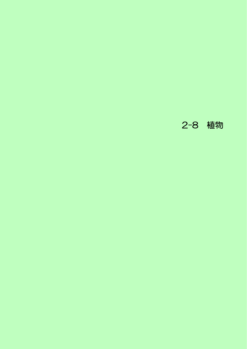2-8 植物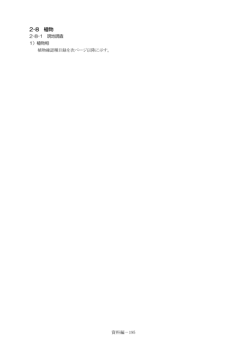# 2-8 植物

2-8-1 現地調査

1)植物相

植物確認種目録を次ページ以降に示す。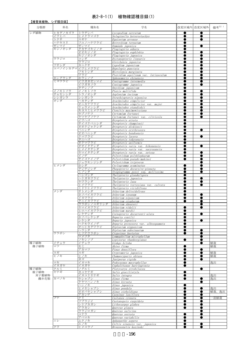### 表2-8-1(1) 植物確認種目録(1)

| 【維管束植物、シダ類目録】 |                 |                       |                                                         |   |             |             |
|---------------|-----------------|-----------------------|---------------------------------------------------------|---|-------------|-------------|
| 分類群           | 科名              | 種和名                   | 学名                                                      |   | 改変区域内 改変区域外 | 備考注) 1      |
| シダ植物          | ヒカゲノカズラ         | トウゲシバ                 | Lycopodium serratum                                     |   |             |             |
|               | イワヒバー           | ヒメクラマゴケ               | Selaginella heterostachys                               |   |             |             |
|               | トクサ             | スギナ                   | Equisetum arvense                                       |   | ●           |             |
|               | ハナヤスリ<br>ゼンマイ   | フユノハナワラビ<br>ゼンマイ      | Botrychium ternatum<br>Osmunda japonica                 |   | $\bullet$   |             |
|               | キジノオシダ          | タカサゴキジノオ              | Plagiogyria adnata                                      |   |             |             |
|               |                 | オオキジノオ                | Plagiogyria euphlebia                                   |   |             |             |
|               |                 | キジノオシダ                | Plagiogyria japonica                                    |   |             |             |
|               | ウラジロ            | コシダ                   | Dicranopteris linearis                                  |   |             |             |
|               | フサシダ            | ウラジロ<br>カニクサ          | Gleichenia japonica<br>Lygodium japonicum               |   |             |             |
|               |                 | コバノイシカグマ イワヒメワラビ      | Hypolepis punctata                                      |   |             |             |
|               |                 | フモトシダ                 | Microlepia marginata                                    |   |             |             |
|               |                 | ワラビ                   | Pteridium aquilinum var. latiusculum                    |   |             |             |
|               | ホングウシダ<br>ミズワラビ | ホラシノブ<br>イワガネゼンマイ     | Sphenomeris chinensis<br>Coniogramme intermedia         |   |             |             |
|               |                 | イワガネソウ                | Coniogramme japonica                                    |   |             |             |
|               |                 | タチシノブ                 | Onychium japonicum                                      |   |             |             |
|               | イノモトソウ          | イノモトソウ                | Pteris multifida                                        |   |             |             |
|               | チャセンシダ          | トラノオシダ                | Asplenium incisum                                       |   |             |             |
|               | シシガシラ<br>オシダ    | シシガシラ<br>ハカタシダ        | Struthiopteris niponica<br>Arachniodes simplicior       |   |             |             |
|               |                 | オニカナワラビ               | Arachniodes simplicior var. major                       |   |             |             |
|               |                 | リョウメンシダ               | Arachniodes standishii                                  |   |             |             |
|               |                 | キヨスミヒメワラビ             | Ctenitis maximowicziana                                 |   |             |             |
|               |                 | ヤブソテツ                 | Cyrtomium fortunei                                      |   |             |             |
|               |                 | ヤマヤブソテツ               | Cyrtomium fortunei var. clivicola                       |   |             |             |
|               |                 | イワヘゴ<br>サイゴクベニシダ      | Dryopteris atrata<br>Dryopteris championii              |   |             |             |
|               |                 | オオクジャクシダ              | Dryopteris dickinsii                                    |   |             |             |
|               |                 | ベニシダー                 | Dryopteris erythrosora                                  |   |             |             |
|               |                 | オオベニシダ                | Dryopteris hondoensis                                   |   |             |             |
|               |                 | クマワラビ                 | Dryopteris lacera                                       |   |             |             |
|               |                 | タニヘゴ<br>オクマワラビ        | Dryopteris tokyoensis<br>Dryopteris uniformis           |   |             |             |
|               |                 | オオイタチシダ               | Dryopteris varia var. hikonensis                        |   |             |             |
|               |                 | ヒメイタチシダ               | Dryopteris varia var. sacrosancta                       |   |             |             |
|               |                 | ヤマイタチシダ               | Dryopteris varia var. setosa                            |   | ●           |             |
|               |                 | イノデ                   | Polystichum polyblepharum                               |   |             |             |
|               |                 | サイゴクイノデ               | Polystichum pseudo-makinoi                              |   |             |             |
|               | ヒメシダ            | ジュウモンジシダ<br>ホシダ       | Polystichum tripteron<br>Cyclogramma acuminatus         |   |             |             |
|               |                 | ゲジゲジシダ                | Phegopteris decursive-pinnata                           |   |             |             |
|               |                 | ミゾシダ                  | Stegnogramma pozoi ssp. mollissima                      |   |             |             |
|               |                 | ハシゴシダ                 | Thelypteris glanduligera                                |   |             |             |
|               |                 | ハリガネワラビ               | Thelypteris japonica                                    |   |             |             |
|               |                 | ヤワラシダ<br>ヒメワラビ        | Thelypteris laxa<br>Thelypteris torresiana var. calvata |   |             |             |
|               |                 | ミドリヒメワラビ              | Thelypteris viridifrons                                 |   |             |             |
|               | メシダ             | サトメシダ                 | Athyrium deltoidofrons                                  |   |             |             |
|               |                 | ホソバイヌワラビ              | Athyrium iseanum                                        |   |             |             |
|               |                 | イヌワラビ                 | Athyrium niponicum                                      |   |             |             |
|               |                 | タニイヌワラビ               | Athyrium otophorum                                      |   |             |             |
|               |                 | ウラボシノコギリシダ<br>ヤマイヌワラビ | Athyrium sheareri<br>Athyrium vidalii                   |   |             |             |
|               |                 | ヒロハイヌワラビ              | Athvrium wardii                                         |   |             |             |
|               |                 | シケチシダ                 | Cornopteris decurrenti-alata                            |   |             |             |
|               |                 | ホソバシケシダ               | Deparia conilii                                         |   |             |             |
|               |                 | シケシダ                  | Deparia japonica                                        |   |             |             |
|               |                 | ハクモウイノデ               | Deparia pycnosora var. albosquamata                     |   |             |             |
|               |                 | オニヒカゲワラビ<br>ヘラシダ      | Diplazium nipponicum<br>Diplazium subsinuatum           |   |             |             |
|               | ウラボシ            | ミツデウラボシ               | Crypsinus hastatus                                      |   |             |             |
|               |                 | マメヅタ                  | Lemmaphyllum microphyllum                               |   |             |             |
|               |                 | ノキシノブ                 | Lepisorus thunbergianus                                 |   |             |             |
| 種子植物          | イチョウ<br>マツ      | イチョウ                  | Ginkgo biloba                                           |   |             | 植栽          |
| 裸子植物          |                 | モミ<br>アカマツ            | Abies firma<br>Pinus densiflora                         |   |             | 植栽          |
|               | スギ              | スギ                    | Cryptomeria japonica                                    |   |             | 植栽          |
|               | ヒノキ             | ヒノキ                   | Chamaecyparis obtusa                                    |   |             | 植栽          |
|               |                 | ネズー                   | Juniperus rigida                                        |   |             |             |
|               | マキ              | イヌマキ                  | Podocarpus macrophyllus                                 | œ |             | 逸出          |
| 種子植物          | イヌガヤ<br>クルミ     | イヌガヤ<br>ノグルミ          | Cephalotaxus harringtonia                               |   |             |             |
| 被子植物          | ヤナギ             | ネコヤナギ                 | Platycarya strobilacea<br>Salix gracilistyla            |   |             |             |
| 双子葉植物         |                 | イヌコリヤナギ               | Salix integra                                           |   |             | 逸出          |
| 離弁花類          | カバノキ            | ヤシャブシ                 | Alnus firma                                             |   | с           | 逸出          |
|               |                 | ケヤマハンノキ               | Alnus hirsuta                                           |   |             |             |
|               |                 | ハンノキ                  | Alnus japonica                                          |   |             |             |
|               |                 | ヒメヤシャブシ<br>オオバヤシャブシ   | Alnus pendula<br>Alnus sieboldiana                      |   |             | 逸出<br>植栽、逸出 |
|               |                 | アカシデ                  | Carpinus laxiflora                                      |   |             |             |
|               | ブナ              | クリ                    | Castanea crenata                                        |   |             | −部植栽        |
|               |                 | ツブラジイ                 | Castanopsis cuspidata                                   | 0 |             |             |
|               |                 | シリブカガシ                | Lithocarpus glabra                                      |   |             |             |
|               |                 | アラカシ                  | Quercus glauca                                          |   |             |             |
|               |                 | ウラジロガシ<br>コナラ         | Quercus salicina<br>Quercus serrata                     |   |             |             |
|               |                 | アベマキ                  | Quercus variabilis                                      |   |             |             |
|               | $=$ $\vee$      | ムクノキ                  | Aphananthe aspera                                       |   |             |             |
|               |                 |                       |                                                         |   |             |             |
|               | クワ              | エノキ<br>ヒメコウゾ          | Celtis sinensis var. japonica<br>Broussonetia kazinoki  |   |             |             |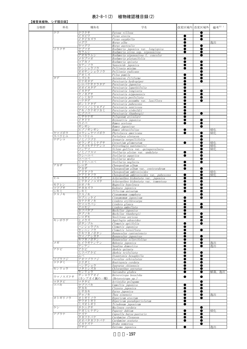## 表2-8-1(2) 植物確認種目録(2)

| 【維管束植物、シダ類目録】 |         |                      |                                                            |           |             |        |
|---------------|---------|----------------------|------------------------------------------------------------|-----------|-------------|--------|
| 分類群           | 科名      | 種和名                  | 学名                                                         |           | 改変区域内 改変区域外 | 備考注) 1 |
|               |         |                      |                                                            |           |             |        |
|               | クワ      | クワクサ                 | Fatoua villosa                                             |           |             |        |
|               |         | イヌビワ<br>イタビカズラ       | Ficus erecta<br>Ficus oxyphylla                            | $\bullet$ |             |        |
|               |         | マグワ                  | Morus alba                                                 |           |             | 逸出     |
|               |         | ヤマグワ                 | Morus australis                                            |           | ●           |        |
|               | イラクサ    | ヤブマオ                 | Boehmeria japonica var. longispica                         |           | ●           |        |
|               |         | カラムシ                 | Boehmeria nivea ssp. nipononivea                           |           |             |        |
|               |         | アオカラムシ               | Boehmeria nipononivea f. concolor                          |           |             |        |
|               |         | メヤブマオ                | Boehmeria platanifolia                                     | 0         |             |        |
|               |         | コアカソ<br>カテンソウ        | Boehmeria spicata<br>Nanocnide japonica                    |           |             |        |
|               |         | サンショウソウ              | Pellionia minima                                           |           |             |        |
|               |         | オオサンショウソウ            | Pellionia radicans                                         |           |             |        |
|               |         | アオミズ                 | Pilea pumila                                               |           |             |        |
|               | タデ      | ミズヒキ                 | Antenoron filiforme                                        |           |             |        |
|               |         | ヤナギタデ                | Persicaria hydropiper                                      |           | $\bullet$   |        |
|               |         | シロバナサクラタデ            | Persicaria japonica                                        |           |             |        |
|               |         | オオイヌタデ               | Persicaria lapathifolia                                    |           |             |        |
|               |         | イヌタデ<br>ヤノネグサ        | Persicaria longiseta<br>Persicaria nipponensis             |           |             |        |
|               |         | イシミカワ                | Persicaria perfoliata                                      |           |             |        |
|               |         | ハナタデ                 | Persicaria posumbu var. laxiflora                          |           |             |        |
|               |         | ボントクタデ               | Persicaria pubescens                                       |           |             |        |
|               |         | ママコノシリヌグイ            | Persicaria senticosa                                       |           |             |        |
|               |         | アキノウナギツカミ            | Persicaria sieboldii                                       |           |             |        |
|               |         | ミゾソバ                 | Persicaria thunbergii                                      |           | $\bullet$   |        |
|               |         | ミチヤナギ                | Polygonum aviculare                                        |           |             |        |
|               |         | イタドリ<br>スイバ          | Reynoutria japonica                                        |           | $\bullet$   |        |
|               |         | ギシギシ                 | Rumex acetosa<br>Rumex japonicus                           |           |             |        |
|               |         | エゾノギシギシ              | Rumex obtusifolius                                         |           |             | 帰化     |
|               | ヤマゴボウ   | ヨウシュヤマゴボウ            | Phytolacca americana                                       |           |             | 帰化     |
|               | スベリヒユ   | スベリヒユ                | Portulaca oleracea                                         |           |             |        |
|               | ナデシコ    | ノミノツヅリ               | Arenaria serpyllifolia                                     |           |             |        |
|               |         | オランダミミナグサ            | Cerastium glomeratum                                       |           |             | 帰化     |
|               |         | イヌコモチナデシコ            | Petrorhagia nantenuilii                                    |           | O           | 帰化     |
|               |         | マンテマ<br>フミノフスマ       | Silene gallica var. quinquevulnera                         |           |             | 帰化     |
|               |         | ウシハコベ                | Stellaria alsine var. undulata<br>Stellaria aquatica       |           | ●           |        |
|               |         | コハコベ                 | Stellaria media                                            |           |             |        |
|               |         | ミドリハコベ               | Stellaria neglecta                                         |           |             |        |
|               | アカザ     | シロザ                  | Chenopodium album                                          |           |             |        |
|               |         | アカザ                  | Chenopodium album var. centrorubrum                        |           |             |        |
|               |         | アリタソウ                | Chenopodium ambrosioides                                   |           |             | 帰化     |
|               |         | ケアリタソウ               | Chenopodium ambrosioides var. pubescens                    |           |             | 帰化     |
|               | ヒユ      | ヒカゲイノコズチ<br>ヒナタイノコズチ | Achyranthes bidentata var. japonica                        |           |             |        |
|               | モクレン    | ホオノキ                 | Achyranthes bidentata var. tomentosa<br>Magnolia hypoleuca |           | ●           |        |
|               | マツブサ    | サネカズラ                | Kadsura japonica                                           |           |             |        |
|               | シキミ     | シキミ                  | Illicium anisatum                                          |           |             |        |
|               | クスノキ    | クスノキ                 | Cinnamomum camphora                                        |           |             |        |
|               |         | ヤブニッケイ               | Cinnamomum japonicum                                       |           |             |        |
|               |         | カナクギノキ               | Lindera erythrocarpa                                       |           |             |        |
|               |         | ヤマコウバシ               | Lindera glauca                                             |           |             |        |
|               |         | クロモジ<br>ホソバタフ        | Lindera umbellata                                          | $\bullet$ | 0           |        |
|               |         | タブノキ                 | Machilus japonica<br>Machilus thunbergii                   |           |             |        |
|               |         | シロダモ                 | Neolitsea sericea                                          |           |             |        |
|               | キンポウゲ   | ヒメウズ                 | Aquilegia adoxoides                                        |           |             |        |
|               |         | ボタンヅル                | Clematis apiifolia                                         |           |             |        |
|               |         | ハンショウヅル              | Clematis japonica                                          |           |             |        |
|               |         | センニンソウ               | Clematis terniflora                                        |           | $\bullet$   |        |
|               |         | ケキツネノボタン             | Ranunculus cantoniensis                                    |           |             |        |
|               |         | ウマノアシガタ              | Ranunculus <i>iaponicus</i>                                |           |             |        |
|               | メギ      | キツネノボタン<br>ヒイラギナンテン  | Ranunculus silerifolius<br>Mahonia japonica                |           |             | 逸出     |
|               |         | ナンテン                 | Nandina domestica                                          |           |             | 逸出     |
|               | アケビ     | アケビ                  | Akebia quinata                                             |           |             |        |
|               |         | ミツバアケビ               | Akebia trifoliata                                          |           |             |        |
|               |         | ムベ                   | Stauntonia hexaphylla                                      |           |             |        |
|               | ツヅラフジ   | アオツヅラフジ              | Cocculus orbiculatus                                       |           |             |        |
|               | ドクダミ    | ドクダミ                 | Houttuynia cordata                                         |           |             |        |
|               |         | ハンゲショウ<br>フタリシズカ     | Saururus chinensis                                         |           |             |        |
|               | センリョウ   | センリョウ                | Chloranthus serratus<br>Sarcandra glabra                   |           | $\bullet$   | 植栽、逸出  |
|               |         | サンヨウアオイ              | Heterotropa hexaloba                                       |           |             |        |
|               | ウマノスズクサ | (カンアオイ属の一種)          | (Heterotropa sp.)                                          |           |             |        |
|               | マタタビ    | マタタビ                 | Actinidia polygama                                         |           |             |        |
|               | ツバキ     | ヤブツバキ                | Camellia japonica                                          |           |             |        |
|               |         | サカキ                  | Cleyera japonica                                           |           |             |        |
|               |         | ヒサカキ                 | Eurya japonica                                             |           |             |        |
|               |         | チャノキ<br>オトギリソウ       | Thea sinensis                                              |           |             | 逸出     |
|               | オトギリソウ  | サワオトギリ               | Hypericum erectum<br>Hypericum pseudopetiolatum            |           |             |        |
|               |         | ミズオトギリ               | Triadenum japonicum                                        |           |             |        |
|               | ケシ      | タケニグサ                | Macleava cordata                                           |           |             |        |
|               |         | ナガミヒナゲシ              | Papaver dubium                                             |           |             | 帰化     |
|               | アブラナ    | ナズナ                  | Capsella bursa-pastoris                                    |           |             |        |
|               |         | タネツケバナ               | Cardamine flexuosa                                         |           |             |        |
|               |         | オオバタネツケバナ            | Cardamine scutata                                          |           |             |        |
|               |         | イヌナズナ                | Draba nemorosa                                             |           |             |        |
|               |         | ワサビ                  | Eutrema japonica                                           |           |             | 逸出     |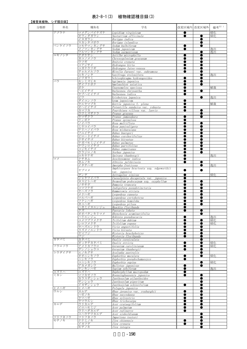## 表2-8-1(3) 植物確認種目録(3)

| 【維管束植物、シダ類目録】 |             |                    |                                                      |           |             |        |
|---------------|-------------|--------------------|------------------------------------------------------|-----------|-------------|--------|
| 分類群           | 科名          | 種和名                | 学名                                                   |           | 改変区域内 改変区域外 | 備考注) 1 |
|               |             |                    |                                                      |           |             |        |
|               | アブラナ        | マメグンバイナズナ          | Lepidium virginicum                                  | $\bullet$ |             | 帰化     |
|               |             | オランダガラシ<br>イヌガラシ   | Nasturtium officinale<br>Rorippa indica              |           | ●           | 帰化     |
|               |             | スカシタゴボウ            | Rorippa islandica                                    |           |             |        |
|               | ベンケイソウ      | コモチマンネングサ          | Sedum bulbiferum                                     |           |             |        |
|               |             | メノマンネングサ           | Sedum japonicum                                      |           |             | 逸出     |
|               | ユキノシタ       | ツルマンネングサ<br>チダケサシ  | Sedum sarmentosum<br>Astilbe microphvlla             |           | ●           | 逸出     |
|               |             | ネコノメソウ             | Chrysosplenium grayanum                              |           |             |        |
|               |             | ウツギ                | Deutzia crenata                                      |           |             |        |
|               |             | コアジサイ              | Hydrangea hirta                                      | $\bullet$ | 0           |        |
|               |             | コガクウツギ             | Hydrangea luteo-venosa                               |           |             |        |
|               |             | チャルメルソウ            | Mitella furusei var. subramosa                       |           | œ           | 逸出     |
|               |             | ユキノシタ<br>イワガラミ     | Saxifraga stolonifera<br>Schizophragma hydrangeoides |           |             |        |
|               | バラ          | キンミズヒキ             | Agrimonia japonica                                   |           | ●           |        |
|               |             | ザイフリボク             | Amelanchier asiatica                                 |           |             |        |
|               |             | ボケ                 | Chaenomeles speciosa                                 |           |             | 植栽     |
|               |             | ヘビイチゴ<br>ヤブヘビイチゴ   | Duchesnea chrysantha                                 |           |             |        |
|               |             | ビワ                 | Duchesnea indica<br>Eriobotrya japonica              |           | $\bullet$   | 逸出     |
|               |             | ダイコンソウ             | Geum japonicum                                       | ●         |             |        |
|               |             | ヤエヤマブキ             | Kerria japonica f. plena                             |           |             | 植栽     |
|               |             | オヘビイチゴ             | Potentilla sundaica var. robusta                     | -         |             |        |
|               |             | カマツカ<br>ウワミズザクラ    | Pourthiaea villosa var. laevis                       |           |             |        |
|               |             | ヤマザクラ              | Prunus gravana<br>Prunus jamasakura                  |           | ●           |        |
|               |             | リンボク               | Prunus spinulosa                                     |           |             |        |
|               |             | ノイバラ               | Rosa multiflora                                      |           |             |        |
|               |             | ミヤコイバラ             | Rosa paniculigera                                    |           |             |        |
|               |             | テリハノイバラ            | Rosa wichuraiana                                     |           |             |        |
|               |             | フユイチゴ<br>ビロードイチゴ   | Rubus buergeri<br>Rubus corchorifolius               |           |             |        |
|               |             | クサイチゴ              | Rubus hirsutus                                       |           |             |        |
|               |             | ナガバモミジイチゴ          | Rubus palmatus                                       |           |             |        |
|               |             | ナワシロイチゴ            | Rubus parvifolius                                    |           |             |        |
|               |             | コジキイチゴ             | Rubus sumatranus                                     |           |             |        |
|               |             | ウラジロノキ<br>ユキヤナギ    | Sorbus japonica<br>Spiraea thunbergii                |           | œ           | 逸出     |
|               | マメ          | クサネム               | Aeschynomene indica                                  |           |             |        |
|               |             | ネムノキ               | Albizia julibrissin                                  | 0         | $\bullet$   |        |
|               |             | イタチハギ              | Amorpha fruticosa                                    |           |             | 逸出     |
|               |             | ヤブマメ               | Amphicarpaea bracteata ssp. edgeworthii              |           |             |        |
|               |             | ゲンゲ                | var. <i>japonica</i><br>Astragalus sinicus           |           |             | 帰化     |
|               |             | ジャケツイバラ            | Caesalpinia decapetala var. japonica                 |           |             |        |
|               |             | ヌスビトハギ             | Desmodium podocarpum ssp. oxyphyllum                 |           |             |        |
|               |             | ノササゲ               | Dumasia truncata                                     |           |             |        |
|               |             | コマツナギ              | Indigofera pseudotinctoria                           |           |             |        |
|               |             | ヤハズソウ<br>メドハギ      | Kummerowia striata<br>Lespedeza cuneata              |           |             |        |
|               |             | マルバハギ              | Lespedeza cyrtobotrya                                |           |             |        |
|               |             | ツクシハギ              | Lespedeza homoloba                                   |           |             |        |
|               |             | ネコハギ               | Lespedeza pilosa                                     |           |             |        |
|               |             | ハネミイヌエンジュ          | Maackia floribunda                                   | 0         |             |        |
|               |             | クズ<br>オオバタンキリマメ    | Pueraria lobata<br>Rhynchosia acuminatifolia         |           | $\bullet$   |        |
|               |             | ハリエンジュ             | Robinia pseudoacacia                                 |           |             | 逸出     |
|               |             | コメツブツメクサ           | Trifolium dubium                                     |           |             | 帰化     |
|               |             | シロツメクサ             | Trifolium repens                                     |           |             | 帰化     |
|               |             | ヤハズエンドウ            | Vicia angustifolia<br>Vicia hirsuta                  |           |             |        |
|               |             | スズメノエンドウ<br>ヤマフジ   | Wisteria brachybotrys                                |           |             |        |
|               |             | フジ                 | Wisteria floribunda                                  |           |             |        |
|               | カタバミ        | カタバミ               | Oxalis corniculata                                   |           |             |        |
|               |             | オッタチカタバミ           | Oxalis stricta                                       |           |             | 帰化     |
|               | フウロソウ       | アメリカフウロ<br>ゲンノショウコ | Geranium carolinianum<br>Geranium thunbergii         |           |             | 帰化     |
|               | トウダイグサ      | エノキグサ              | Acalypha australis                                   |           |             |        |
|               |             | オオニシキソウ            | Euphorbia maculata                                   |           |             | 帰化     |
|               |             | ニシキソウ              | Euphorbia pseudochamaesyce                           |           |             |        |
|               |             | コニシキソウ             | Euphorbia supina                                     |           |             | 帰化     |
|               |             | アカメガシワ<br>ナンキンハゼ   | Mallotus japonicus<br>Sapium sebiferum               |           | e           | 逸出     |
|               |             | ユズリハ               | Daphniphyllum macropodum                             |           |             |        |
|               | ユズリハ<br>ミカン | マツカゼソウ             | Boenninghausenia japonica                            |           |             |        |
|               |             | カラスザンショウ           | Zanthoxylum ailanthoides                             |           |             |        |
|               |             | サンショウ<br>イヌザンショウ   | Zanthoxylum piperitum<br>Zanthoxylum schinifolium    | e         |             |        |
|               | ヒメハギ        | ヒメハギ               | Polygala japonica                                    |           |             |        |
|               |             | ヌルデ                | Rhus javanica var. roxburghii                        |           | 0           |        |
|               | ウルシ         |                    |                                                      |           |             |        |
|               |             | ハゼノキ               | Rhus succedanea                                      |           |             |        |
|               |             | ヤマハゼ               | Rhus sylvestris                                      |           |             |        |
|               |             | ヤマウルシ              | Rhus trichocarpa                                     |           |             |        |
|               | カエデ         | ウリカエデ              | Acer crataegifolium                                  |           |             |        |
|               |             | イロハモミジ<br>ウリハダカエデ  | Acer palmatum                                        | 0         | 0           |        |
|               |             | コハウチワカエデ           | Acer rufinerve<br>Acer sieboldianum                  |           |             |        |
|               | ツリフネソウ      | ツリフネソウ             | Impatiens textori                                    |           |             |        |
|               | モチノキ        | ナナミノキ<br>イヌツゲ      | Ilex chinensis<br>Ilex crenata                       |           |             |        |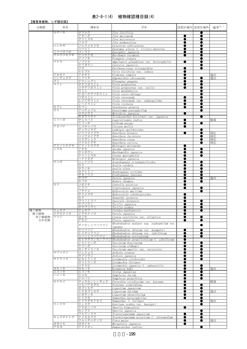### 表2-8-1(4) 植物確認種目録(4)

| 【維管束植物、シダ類目録】 |                   |                       |                                                                   |           |                        |          |
|---------------|-------------------|-----------------------|-------------------------------------------------------------------|-----------|------------------------|----------|
| 分類群           | 科名                | 種和名                   | 学名                                                                |           | 改変区域内 改変区域外            | 備考注) 1   |
|               | モチノキ              | タラヨウ                  | Ilex latifolia                                                    |           |                        |          |
|               |                   | アオハダ                  | Ilex macropoda                                                    | $\bullet$ |                        |          |
|               |                   | タマミズキ<br>ソヨゴ          | Ilex micrococca<br>Ilex pedunculosa                               |           |                        |          |
|               | ニシキギ              | ツルウメモドキ               | Celastrus orbiculatus                                             |           |                        |          |
|               |                   | コマユミ                  | Euonymus alatus f. ciliato-dentatus                               |           |                        |          |
|               | ミツバウツギ<br>クロウメモドキ | ゴンズイ<br>クマヤナギ         | Euscaphis japonica<br>Berchemia racemosa                          |           |                        |          |
|               |                   | イソノキ                  | Frangula crenata                                                  |           |                        |          |
|               | ブドウ               | ノブドウ                  | Ampelopsis glandulosa var. heterophylla                           |           |                        |          |
|               |                   | ヤブガラシ<br>ツタ           | Cayratia japonica<br>Parthenocissus tricuspidata                  | ●         |                        |          |
|               |                   | エビヅル                  | Vitis ficifolia var. lobata                                       |           |                        |          |
|               | アオギリ<br>ジンチョウゲ    | アオギリ<br>ミツマタ          | Firmiana simplex                                                  |           |                        | 逸出       |
|               |                   | ナワシログミ                | Edgeworthia chrysantha<br>Elaeagnus pungens                       |           |                        | 逸出       |
|               | <u>グミー</u><br>スミレ | タチツボスミレ               | Viola grypoceras                                                  |           |                        |          |
|               |                   | コタチツボスミレ<br>スミレ       | Viola grypoceras var. exilis<br>Viola mandshurica                 |           |                        |          |
|               |                   | ナガバタチツボスミレ            | Viola ovato-oblonga                                               |           |                        |          |
|               |                   | ツボスミレ                 | Viola verecunda                                                   | $\bullet$ |                        |          |
|               |                   | ヒメアギスミレ<br>シハイスミレ     | Viola verecunda var. subaequiloba<br>Viola violacea               |           |                        |          |
|               |                   | キブシ                   | Stachyurus praecox                                                | ●         |                        |          |
|               | <u>キブシ</u><br>ウリ  | アマチャヅル                | Gynostemma pentaphyllum                                           |           |                        |          |
|               |                   | スズメウリ<br>キカラスウリ       | Melothria japonica<br>Trichosanthes kirilowii var.                | 0         |                        |          |
|               | ミソハギ              | サルスベリ                 | japonica<br>Lagerstroemia indica                                  |           |                        | 植栽       |
|               |                   | ミソハギ                  | Lythrum anceps                                                    |           |                        |          |
|               | アカバナ              | ミズタマソウ<br>チョウジタデ      | Circaea mollis<br>Ludwigia epilobioides                           |           |                        |          |
|               |                   | メマツヨイグサ               | Oenothera biennis                                                 |           |                        | 帰化       |
|               |                   | コマツヨイグサ               | Oenothera laciniata                                               |           |                        | 帰化       |
|               |                   | ユウゲショウ<br>マツヨイグサ      | Oenothera rosea<br>Oenothera stricta                              |           |                        | 帰化<br>帰化 |
|               | アリノトウグサ           | アリノトウグサ               | Haloragis micrantha                                               |           |                        |          |
|               | ミズキ               | アオキ                   | Aucuba japonica                                                   |           |                        |          |
|               |                   | ヤマボウシ<br>クマノミズキ       | Benthamidia japonica<br>Cornus macrophylla                        |           | ●                      |          |
|               |                   | ハナイカダ                 | Helwingia japonica                                                |           |                        |          |
|               | ウコギ               | コシアブラ                 | Acanthopanax sciadophylloides                                     |           |                        |          |
|               |                   | ウド<br>タラノキ            | Aralia cordata<br>Aralia elata                                    |           |                        |          |
|               |                   | カクレミノ                 | Dendropanax trifidus                                              |           |                        |          |
|               |                   | タカノツメ                 | Evodiopanax innovans                                              |           |                        |          |
|               |                   | ヤツデ<br>キヅタ            | Fatsia japonica<br>Hedera rhombea                                 |           | ●                      | 逸出       |
|               | セリ                | ツボクサ                  | Centella asiatica                                                 |           |                        |          |
|               |                   | ミツバ                   | Cryptotaenia japonica                                             |           |                        |          |
|               |                   | ノチドメ<br>チドメグサ         | Hydrocotyle maritima<br>Hydrocotyle sibthorpioides                | ●         |                        |          |
|               |                   | セリ                    | Oenanthe javanica                                                 |           |                        |          |
|               |                   | ウマノミツバ<br>ヤブジラミ       | Sanicula chinensis                                                |           |                        |          |
|               |                   | オヤブジラミ                | Torilis japonica<br>Torilis scabra                                | $\bullet$ | $\bullet$              |          |
| 種子植物          | リョウブ              | リョウブ                  | Clethra barbinervis                                               |           |                        |          |
| 被子植物          | イチヤクソウ<br>ツツジ     | イチヤクソウ                | Pyrola japonica                                                   |           |                        |          |
| 双子葉植物<br>合弁花類 |                   | ネジキ<br>アセビ            | Lyonia ovalifolia var. elliptica<br>Pieris japonica               |           | $\bullet$<br>$\bullet$ |          |
|               |                   | ダイセンミツバツツジ            | Rhododendron nudipes ssp. niphophilum var.                        |           |                        |          |
|               |                   | ヤマツツジ                 | lagopus<br>Rhododendron obtusum var. kaempferi                    | $\bullet$ |                        |          |
|               |                   | ヒメヤマツツジ               | Rhododendron obtusum var. tubiflorum                              |           |                        |          |
|               |                   | コバノミツバツツジ             | Rhododendron reticulatum                                          |           |                        |          |
|               |                   | セトウチウンゼンツツジ<br>シャシャンボ | Rhododendron serpyllifolium f. albiflorum<br>Vaccinium bracteatum |           |                        |          |
|               |                   | ナツハゼ                  | Vaccinium oldhamii                                                |           |                        |          |
|               |                   | カンサイスノキ               | Vaccinium smallii var. versicolor                                 |           |                        |          |
|               | ヤブコウジ             | マンリョウ<br>ヤブコウジ        | Ardisia crenata<br>Ardisia japonica                               |           | $\bullet$              |          |
|               | サクラソウ             | オカトラノオ                | Lysimachia clethroides                                            |           |                        |          |
|               |                   | ヌマトラノオ                | Lysimachia fortunei                                               |           |                        |          |
|               | カキノキ              | コナスビ<br>カキノキ          | Lysimachia japonica f. subsessilis<br>Diospyros kaki              |           |                        | 逸出       |
|               | エゴノキ              | エゴノキ                  | Styrax japonicus                                                  |           |                        |          |
|               | ハイノキ              | クロキ<br>クロバイ           | Symplocos lucida                                                  |           |                        |          |
|               | モクセイ              | チョウセンレンギョウ            | Symplocos prunifolia<br>Forsythia viridissima var. koreana        |           |                        | 植栽       |
|               |                   | マルバアオダモ               | Fraxinus sieboldiana                                              |           |                        |          |
|               |                   | ネズミモチ                 | Ligustrum japonicum                                               |           |                        |          |
|               |                   | トウネズミモチ<br>イボタノキ      | Ligustrum lucidum<br>Ligustrum obtusifolium                       |           |                        | 逸出       |
|               |                   | ヒイラギ                  | Osmanthus heterophyllus                                           |           | e                      |          |
|               |                   | ヒイラギモクセイ              | Osmanthus × fortunei                                              |           |                        | 逸出       |
|               | リンドウ              | リンドウ<br>アケボノソウ        | Gentiana scabra var. buergeri<br>Swertia bimaculata               |           |                        |          |
|               |                   | センブリ                  | Swertia japonica                                                  |           |                        |          |
|               |                   | ツルリンドウ                | Tripterospermum japonicum                                         |           |                        |          |
|               | キョウチクトウ           | テイカカズラ<br>ツルニチニチソウ    | Trachelospermum asiaticum f. intermedium<br>Vinca major           |           | ●                      | 逸出       |
|               | ガガイモ              | ガガイモ                  | Metaplexis japonica                                               |           |                        |          |
|               | アカネ               | アリドオシ                 | Damnacanthus indicus                                              |           |                        |          |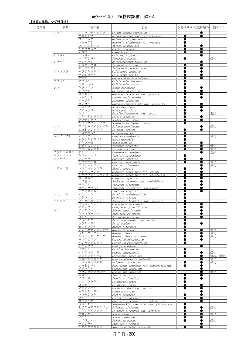### 表2-8-1(5) 植物確認種目録(5)

| 【維管束植物、シダ類目録】 |         |                         |                                                                |           |             |          |
|---------------|---------|-------------------------|----------------------------------------------------------------|-----------|-------------|----------|
| 分類群           | 科名      | 種和名                     | 学名                                                             |           | 改変区域内 改変区域外 | 備考注) 1   |
|               | アカネ     | オオバノヤエムグラ               | Galium pseudo-asprellum                                        |           | $\bullet$   |          |
|               |         | ヤエムグラ                   | Galium spurium var. echinospermon                              | $\bullet$ | $\bullet$   |          |
|               |         | ヨツバムグラ                  | Galium trachyspermum                                           |           |             |          |
|               |         | ハシカグサ<br>ツルアリドオシ        | Hedyotis lindleyana var. hirsuta<br>Mitchella undulata         |           | $\bullet$   |          |
|               |         | ヘクソカズラ                  | Paederia scandens                                              |           |             |          |
|               |         | アカネ                     | Rubia argyi                                                    |           |             |          |
|               | ヒルガオ    | ヒルガオ<br>マメアサガオ          | Calystegia japonica<br>Ipomoea lacunosa                        |           |             | 帰化       |
|               | ムラサキ    | ハナイバナ                   | Bothriospermum tenellum                                        |           |             |          |
|               |         | ミズタビラコ                  | Trigonotis brevipes                                            | 0         | 0           |          |
|               | クマツヅラ   | キュウリグサ<br>ムラサキシキブ       | Trigonotis peduncularis<br>Callicarpa japonica                 |           |             |          |
|               |         | ヤブムラサキ                  | Callicarpa mollis                                              |           |             |          |
|               |         | クサギ                     | Clerodendrum trichotomum                                       |           |             |          |
|               | アワゴケ    | アワゴケ<br>ミズハコベ           | Callitriche japonica<br>Callitriche verna                      |           |             |          |
|               | シソ      | キランソウ                   | Ajuga decumbens                                                |           | $\bullet$   |          |
|               |         | トウバナ                    | Clinopodium gracile                                            |           |             |          |
|               |         | カキドオシ<br>ホトケノザ          | Glechoma hederacea var. grandis                                |           |             |          |
|               |         | メハジキ                    | Lamium amplexicaule<br>Leonurus japonicus                      |           |             |          |
|               |         | コシロネ                    | Lycopus ramosissimus var. japonicus                            |           | ●           |          |
|               |         | ヒメジソ                    | Mosla dianthera                                                |           |             |          |
|               |         | イヌコウジュ<br>シソー           | Mosla punctulata<br>Perilla frutescens var. acuta              |           |             | 逸出       |
|               |         | アキノタムラソウ                | Salvia japonica                                                |           |             |          |
|               |         | タツナミソウ                  | Scutellaria indica                                             |           |             |          |
|               | ナス      | シソバタツナミソウ<br>アメリカイヌホオズキ | Scutellaria laeteviolacea<br>Solanum americanum                |           |             | 帰化       |
|               |         | ヒヨドリジョウゴ                | Solanum lyratum                                                |           |             |          |
|               |         | イヌホオズキ                  | Solanum nigrum                                                 |           |             |          |
|               | ゴマノハグサ  | マツバウンラン<br>ムラサキサギゴケ     | Linaria canadensis<br>Mazus miquelii                           |           |             | 帰化       |
|               |         | トキワハゼ                   | Mazus pumilus                                                  |           |             |          |
|               |         | タチイヌノフグリ                | Veronica arvensis                                              |           |             | 帰化       |
|               | ノウゼンカズラ | オオイヌノフグリ<br>キリ          | Veronica persica                                               |           |             | 帰化<br>逸出 |
|               | キツネノマゴ  | キツネノマゴ                  | Paulownia tomentosa<br>Justicia procumbens                     |           |             |          |
|               | オオバコ    | オオバコ                    | Plantago asiatica                                              |           |             |          |
|               |         | ヘラオオバコ                  | Plantago lanceolata                                            | $\bullet$ | 0           | 帰化       |
|               | スイカズラ   | ツボミオオバコ<br>コツクバネウツギ     | Plantago virginica<br>Abelia serrata                           |           |             | 帰化       |
|               |         | ウグイスカグラ                 | Lonicera gracilipes var. glabra                                |           |             |          |
|               |         | ミヤマウグイスカグラ              | Lonicera gracilipes var. glandulosa                            |           |             |          |
|               |         | スイカズラ<br>ニワトコ           | Lonicera japonica<br>Sambucus racemosa ssp. sieboldiana        |           |             |          |
|               |         | ガマズミ                    | Viburnum dilatatum                                             |           |             |          |
|               |         | コバノガマズミ                 | Viburnum erosum var. punctatum                                 |           |             |          |
|               | オミナエシ   | ミヤマガマズミ<br>オミナエシ        | Viburnum wrightii<br>Patrinia scabiosaefolia                   |           |             |          |
|               |         | オトコエシ                   | Patrinia villosa                                               |           |             |          |
|               | キキョウ    | ツリガネニンジン                | Adenophora triphylla var. japonica                             |           |             |          |
|               |         | ツルニンジン<br>キキョウ          | Codonopsis lanceolata<br>Platycodon grandiflorum               |           | $\bullet$   |          |
|               | キク      | ヌマダイコン                  | Adenostemma lavenia                                            |           |             |          |
|               |         | キッコウハグマ                 | Ainsliaea apiculata                                            |           |             |          |
|               |         | ヨモギ<br>ノコンギク            | Artemisia princeps                                             |           |             |          |
|               |         | シラヤマギク                  | Aster ageratoides ssp. ovatus<br>Aster scaber                  |           |             |          |
|               |         | センダングサ                  | Bidens biternata                                               |           |             |          |
|               |         | アメリカセンダングサ              | Bidens frondosa                                                |           |             | 帰化       |
|               |         | コセンダングサ<br>シロバナセンダングサ   | Bidens pilosa<br>Bidens pilosa var. minor                      |           | ●           | 帰化<br>帰化 |
|               |         | ガンクビソウ                  | Carpesium divaricatum                                          |           |             |          |
|               |         | サジガンクビソウ                | Carpesium glossophyllum                                        |           |             |          |
|               |         | トキンソウ<br>ノアザミ           | Centipeda minima<br>Cirsium japonicum                          |           |             |          |
|               |         | オオアレチノギク                | Conyza sumatrensis                                             |           |             | 帰化       |
|               |         | オオキンケイギク                | Coreopsis lanceolata                                           |           |             | 植栽、帰化    |
|               |         | ベニバナボロギク<br>ヒメムカシヨモギ    | Crassocephalum crepidioides                                    |           |             | 帰化<br>帰化 |
|               |         | ヒヨドリバナ                  | Erigeron canadensis<br>Eupatorium chinense var. oppositifolium |           |             |          |
|               |         | チチコグサ                   | Gnaphalium japonicum                                           |           | œ           |          |
|               |         | ウラジロチチコグサ               | Gnaphalium spicatum                                            |           |             | 帰化       |
|               |         | ニガナ<br>イワニガナ            | Ixeris dentata<br>Ixeris stolonifera                           |           |             |          |
|               |         | オオユウガギク                 | Kalimeris incisa                                               |           |             |          |
|               |         | ヨメナ                     | Kalimeris yomena                                               | -         |             |          |
|               |         | アキノノゲシ<br>ムラサキニガナ       | Lactuca indica var. indica<br>Lactuca sororia                  |           |             |          |
|               |         | コウヤボウキ                  | Pertya scandens                                                |           |             |          |
|               |         | フキー                     | Petasites japonicus                                            |           |             |          |
|               |         | コウゾリナ<br>コメナモミ          | Picris hieracioides var. glabrescens                           | 0         |             |          |
|               |         | セイタカアワダチソウ              | Siegesbeckia orientalis ssp. glabrescens<br>Solidago altissima |           |             | 帰化       |
|               |         | アキノキリンソウ                | Solidago virgaurea var. asiatica                               |           |             |          |
|               |         | オニノゲシ                   | Sonchus asper                                                  |           |             | 帰化       |
|               |         | ノゲシ<br>ヒメジョオン           | Sonchus oleraceus<br>Stenactis annuus                          |           |             | 帰化       |
|               |         | ヤブレガサ                   | Svneilesis palmata                                             |           |             |          |
|               |         | キクバヤマボクチ                | Synurus palmatopinnatifidus                                    |           |             |          |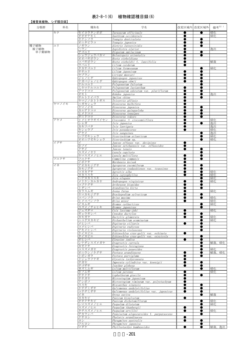### 表2-8-1(6) 植物確認種目録(6)

| 【維管束植物、シダ類目録】 |       |                      |                                                                               |           |             |           |
|---------------|-------|----------------------|-------------------------------------------------------------------------------|-----------|-------------|-----------|
| 分類群           | 科名    | 種和名                  | 学名                                                                            |           | 改変区域内 改変区域外 | 備考注) 1    |
|               | キク    | セイヨウタンポポ             | Taraxacum officinale                                                          | $\bullet$ | $\bullet$   | 帰化        |
|               |       | オオオナモミ               | Xanthium occidentale                                                          |           |             | 帰化        |
|               |       | ヤクシソウ                | Youngia denticulata                                                           |           |             |           |
| 種子植物          | ユリ    | オニタビラコ<br>ノギラン       | Youngia japonica<br>Aletris luteoviridis                                      |           |             |           |
| 被子植物          |       | ハラン                  | Aspidistra elatior                                                            |           |             | 逸出        |
| 単子葉植物         |       | チゴユリ                 | Disporum smilacinum                                                           |           | $\bullet$   |           |
|               |       | ショウジョウバカマ<br>オオバギボウシ | Heloniopsis orientalis                                                        |           |             |           |
|               |       | コバギボウシ               | Hosta sieboldiana<br>Hosta sieboldii f. lancifolia                            |           |             | 植栽        |
|               |       | ウバユリ                 | Lilium cordatum                                                               | ●         |             |           |
|               |       | タカサゴユリ<br>ササユリ       | Lilium formosanum                                                             |           |             | 帰化        |
|               |       | ヤブラン                 | Lilium japonicum<br>Liriope muscari                                           |           |             |           |
|               |       | ジャノヒゲ                | Ophiopogon japonicus                                                          |           |             |           |
|               |       | ナガバジャノヒゲ<br>ナルコユリ    | Ophiopogon ohwii                                                              |           | 0           |           |
|               |       | ミヤマナルコユリ             | Polygonatum falcatum<br>Polygonatum lasianthum                                |           |             |           |
|               |       | アマドコロ                | Polygonatum odoratum var. pluriflorum                                         |           |             |           |
|               |       | オモト                  | Rohdea japonica                                                               |           |             | 逸出        |
|               |       | サルトリイバラ<br>ヤマジノホトトギス | Smilax china<br>Tricyrtis affinis                                             |           |             |           |
|               | ヤマノイモ | ニガカシュウ               | Dioscorea bulbifera                                                           |           |             |           |
|               |       | ヤマノイモ                | Dioscorea japonica                                                            |           |             |           |
|               |       | カエデドコロ<br>ヒメドコロ      | Dioscorea quinqueloba<br>Dioscorea tenuipes                                   |           |             |           |
|               |       | オニドコロ                | Dioscorea tokoro                                                              |           |             |           |
|               | アヤメ   | ヒメヒオウギズイセン           | Crocosmia × crocosmiiflora                                                    |           |             | 帰化        |
|               |       | シャガ<br>カキツバタ         | Iris japonica<br>Iris laevigata                                               | 0         |             | 逸出<br>逸出  |
|               |       | キショウブ                | Iris pseudacorus                                                              | ●         |             | 帰化        |
|               |       | アヤメ                  | Iris sanguinea                                                                |           |             | 逸出        |
|               |       | ニワゼキショウ<br>オオニワゼキショウ | Sisvrinchium atlanticum                                                       |           |             | 帰化        |
|               | イグサ   |                      | Sisyrinchium sp.<br>Juncus effusus var. decipiens                             | e         |             | 帰化        |
|               |       | ホソイ                  | Juncus setchuensis var. effusoides                                            |           |             |           |
|               |       | クサイ                  | Juncus tenuis                                                                 |           | $\bullet$   |           |
|               |       | スズメノヤリ<br>ヤマスズメノヒエ   | Luzula capitata<br>Luzula multiflora                                          | e         | ●           |           |
|               | ツユクサ  | ツユクサ                 | Commelina communis                                                            |           |             |           |
|               |       | イボクサ                 | Murdannia keisak                                                              | ●         |             |           |
|               | イネ    | アオカモジグサ<br>カモジグサ     | Agropyron racemiferum<br>Agropyron tsukushiense var. transiens                |           |             |           |
|               |       | コヌカグサ                | Agrostis alba                                                                 |           |             | 帰化        |
|               |       | ヌカススキ                | Aira caryophyllea                                                             |           |             | 帰化        |
|               |       | ハナヌカススキ<br>メリケンカルカヤ  | Aira elegans<br>Andropogon virginicus                                         |           |             | 帰化<br>帰化  |
|               |       | コブナグサ                | Arthraxon hispidus                                                            |           |             |           |
|               |       | トダシバ                 | Arundinella hirta                                                             |           |             |           |
|               |       | カラスムギ<br>ヤマカモジグサ     | Avena fatua<br>Brachypodium sylvaticum                                        |           |             | 帰化        |
|               |       | コバンソウ                | Briza maxima                                                                  |           |             | 帰化        |
|               |       | ヒメコバンソウ              | Briza minor                                                                   |           |             | 帰化        |
|               |       | イヌムギ<br>スズメノチャヒキ     | Bromus catharticus<br>Bromus <i>iaponicus</i>                                 |           | $\bullet$   | 帰化        |
|               |       | ジュズダマ                | Coix lacryma-jobi                                                             |           |             | 帰化        |
|               |       | ギョウギシバ               | Cynodon dactylon                                                              |           |             |           |
|               |       | カモガヤ<br>ニコゲヌカキビ      | Dactylis glomerata                                                            |           |             | 帰化        |
|               |       | メヒシバ                 | Dichanthelium acuminatum<br>Digitaria ciliaris                                |           | $\bullet$   | 帰化        |
|               |       | コメヒシバ                | Digitaria radicosa                                                            |           |             |           |
|               |       | アキメヒシバ               | Digitaria violascens                                                          |           |             |           |
|               |       | ケイヌビエ<br>タイヌビエ       | Echinochloa crus-galli var. echinata<br>Echinochloa crus-galli var, orvzicola |           |             |           |
|               |       | オヒシバ                 | Eleusine indica                                                               | $\bullet$ | $\bullet$   |           |
|               |       | シナダレスズメガヤ            | Eragrostis curvula                                                            |           |             | 帰化<br>植栽、 |
|               |       | カゼクサ<br>コスズメガヤ       | Eragrostis ferruginea<br>Eragrostis poaeoides                                 |           |             | 帰化        |
|               |       | オニウシノケグサ             | Festuca arundinacea                                                           |           | $\bullet$   | 帰化<br>植栽、 |
|               |       | トボシガラ                | Festuca parvigluma                                                            |           |             |           |
|               |       | ドジョウツナギ<br>チガヤ       | Glyceria ischyroneura<br>Imperata cylindrica var. koenigii                    |           |             |           |
|               |       | チゴザサ                 | Isachne globosa                                                               |           |             |           |
|               |       | ネズミムギ                | Lolium multiflorum                                                            |           | $\bullet$   | 帰化        |
|               |       | ホソムギ<br>ササクサ         | Lolium perenne                                                                | 0         |             | 帰化        |
|               |       | ササガヤ                 | Lophatherum gracile<br>Microstegium japonicum                                 |           |             |           |
|               |       | アシボソ                 | Microstegium vimineum var. polystachyum                                       |           |             |           |
|               |       | ススキ                  | Miscanthus sinensis                                                           | $\bullet$ |             |           |
|               |       | ケチヂミザサ<br>コチヂミザサ     | Oplismenus undulatifolius<br>Oplismenus undulatifolius var. japonicus         |           |             |           |
|               |       | イネー                  | Oryza sativa                                                                  |           |             | 植栽        |
|               |       | ヌカキビ                 | Panicum bisulcatum                                                            |           |             |           |
|               |       | オオクサキビ<br>シマスズメノヒエ   | Panicum dichotomiflorum<br>Paspalum dilatatum                                 |           |             | 帰化<br>帰化  |
|               |       | スズメノヒエ               | Paspalum thunbergii                                                           | 0         |             |           |
|               |       | タチスズメノヒエ             | Paspalum urvillei                                                             |           |             | 帰化        |
|               |       | チカラシバ                | Pennisetum alopecuroides f. purpurascens                                      |           | e           |           |
|               |       | クサヨシ<br>ヨシ           | Phalaris arundinacea<br>Phragmites australis                                  | 0         |             |           |
|               |       | ツルヨシ                 | Phragmites japonica                                                           |           |             |           |
|               |       | マダケ                  | Phyllostachys bambusoides                                                     |           |             | 植栽、逸出     |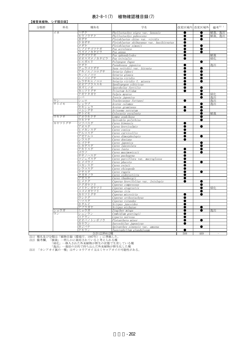### 表2-8-1(7) 植物確認種目録(7)

| <u>【維管束植物、シダ類目録】</u> |        |                      |                                              |           |               |                                                   |
|----------------------|--------|----------------------|----------------------------------------------|-----------|---------------|---------------------------------------------------|
| 分類群                  | 科名     | 種和名                  | 学名                                           |           | 改変区域内 改変区域外   | 備考 $\overset{\times}{\mathbb{H}}$ <sup>注) 1</sup> |
|                      | イネ     | ハチク                  | Phyllostachys nigra var.<br>henonis          |           |               | 植栽、逸出                                             |
|                      |        | モウソウチク               | Phyllostachys pubescens                      | $\bullet$ | ●             | 植栽、<br>逸出                                         |
|                      |        | ネザサ                  | Pleioblastus chino var. viridis              |           |               |                                                   |
|                      |        | ケネザサ                 | Pleioblastus shibuyanus var. basihirsutus    |           |               |                                                   |
|                      |        | メダケ                  | Pleioblastus simonii                         |           | ●             |                                                   |
|                      |        | ミゾイチゴツナギ             | Poa acroleuca                                |           | $\bullet$     |                                                   |
|                      |        | スズメノカタビラ             | Poa annua                                    | $\bullet$ | $\bullet$     |                                                   |
|                      |        | イチゴツナギ               | Poa sphondylodes                             |           |               | 植栽                                                |
|                      |        | オオスズメノカタビラ<br>ヒエガエリ  | Poa trivialis                                |           |               | 帰化                                                |
|                      |        | ヤダケ                  | Polypogon fugax                              |           | $\bullet$     |                                                   |
|                      |        |                      | Pseudosasa japonica                          | 0<br>●    | ●             | 逸出                                                |
|                      |        | チュウゴクザサ<br>アキノエノコログサ | Sasa veitchii var. hirsuta<br>Setaria faberi |           |               |                                                   |
|                      |        | キンエノコロ               | Setaria glauca                               |           |               |                                                   |
|                      |        | エノコログサ               | Setaria viridis                              |           | $\bullet$     |                                                   |
|                      |        | ムラサキエノコロ             | Setaria viridis f. misera                    | 0         |               |                                                   |
|                      |        | オオアブラススキ             | Spodiopogon sibiricus                        |           |               |                                                   |
|                      |        | ネズミノオ                | Sporobolus fertilis                          |           |               |                                                   |
|                      |        | カニツリグサ               | Trisetum bifidum                             |           |               |                                                   |
|                      |        | ナギナタガヤ               | Vulpia myuros                                |           |               | 帰化                                                |
|                      |        | シバ                   | Zoysia japonica                              |           |               | 逸出                                                |
|                      | ヤシ     | シュロ                  | Trachycarpus fortunei                        | $\bullet$ |               | 逸出                                                |
|                      | サトイモ   | ショウブ                 | Acorus calamus                               |           | $\bullet$     | 逸出                                                |
|                      |        | セキショウ                | Acorus gramineus                             | $\bullet$ |               |                                                   |
|                      |        | マムシグサ                | Arisaema serratum                            |           |               |                                                   |
|                      |        | サトイモ                 | Colocasia esculenta                          |           | $\bullet$     | 植栽                                                |
|                      | ウキクサ   | アオウキクサ               | Lemna aoukikusa                              |           | $\bullet$     |                                                   |
|                      |        | ウキクサ                 | Spirodela polyrhiza                          |           |               |                                                   |
|                      | カヤツリグサ | マツバスゲ                | Carex biwensis                               |           |               |                                                   |
|                      |        | アオスゲ                 | Carex breviculmis                            |           | $\bullet$     |                                                   |
|                      |        | ヒメカンスゲ               | Carex conica                                 | $\bullet$ |               |                                                   |
|                      |        | ナルコスゲ                | Carex curvicollis                            | 0         |               |                                                   |
|                      |        | アゼナルコ                | Carex dimorpholepis                          |           | $\bullet$     |                                                   |
|                      |        | シラスゲ<br>ヒゴクサ         | Carex doniana                                | $\bullet$ |               |                                                   |
|                      |        | ヒカゲスゲ                | Carex japonica                               |           | $\bullet$     |                                                   |
|                      |        | ナキリスゲ                | Carex lanceolata<br>Carex lenta              |           | ●             |                                                   |
|                      |        | ゴウソ                  | Carex maximowiczii                           | 0         | $\bullet$     |                                                   |
|                      |        | ササノハスゲ               | Carex pachygyna                              |           |               |                                                   |
|                      |        | コジュズスゲ               | Carex parciflora var. macroglossa            |           |               |                                                   |
|                      |        | ヒメゴウソ                | Carex phacota                                |           | $\bullet$     |                                                   |
|                      |        | コカンスゲ                | Carex reinii                                 |           |               |                                                   |
|                      |        | シラコスゲ                | Carex rhizopoda                              |           |               |                                                   |
|                      |        | クサスゲ                 | Carex rugata                                 |           | ●             |                                                   |
|                      |        | タガネソウ                | Carex siderosticta                           |           |               |                                                   |
|                      |        | アゼスゲ                 | Carex thunbergii                             |           |               |                                                   |
|                      |        | ヒメクグ                 | Cyperus brevifolius var. leiolepis           | 0         | $\bullet$     |                                                   |
|                      |        | クグガヤツリ               | Cyperus compressus                           |           | ●             |                                                   |
|                      |        | メリケンガヤツリ             | Cyperus eragrostis                           |           |               | 帰化                                                |
|                      |        | コゴメガヤツリ              | Cyperus iria                                 |           |               |                                                   |
|                      |        | カヤツリグサ               | Cyperus microiria                            |           | ●             |                                                   |
|                      |        | ウシクグ                 | Cyperus orthostachyus                        |           |               |                                                   |
|                      |        | ハマスゲ                 | Cyperus rotundus                             |           |               |                                                   |
|                      |        | ホタルイ                 | Scirpus juncoides                            |           |               |                                                   |
|                      |        | アブラガヤ                | Scirpus wichurae                             |           |               |                                                   |
|                      | ショウガ   | ミョウガ                 | Zingiber mioga                               |           |               | 逸出                                                |
|                      | ラン     | シュンラン                | Cymbidium goeringii                          |           |               |                                                   |
|                      |        | コクラン                 | Liparis nervosa                              |           |               |                                                   |
|                      |        | オオバノトンボソウ            | Platanthera minor                            | 0         | $\bullet$     |                                                   |
|                      |        | カヤラン                 | Sarcochilus japonicus                        |           |               |                                                   |
|                      |        | ネジバナ                 | Spiranthes sinensis var. amoena              |           | $\bullet$     |                                                   |
|                      |        | クモラン<br>△卦199私619舖   | Taeniophyllum glandulosum                    | ●<br>508  | $\triangle A$ |                                                   |

| 11 種名及び分類は「植物目録(環境庁, 1987年<mark>)」に24年012年</mark><br>注2)備考欄、「植栽」…明らかに栽培されていると考えられる種<br>| 帰化」…移入された外来植物が野生の状態で生育している種<br>| 逸出」…栽培の目的で持ち込んだ外来植物が野生化した種<br>| 注3) 「カンアオイ属の一種」はサンヨウアオイ又はミヤコアオイの可能性がある。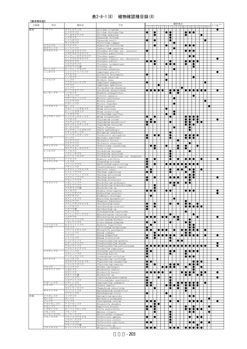#### 表2-8-1(8) 植物確認種目録(8)

| 【蘚苔類目録】 |                  |                           |                                                                        |                        |                                        |                                                                                     |                                                                                                                                  |                                           |                  |                                      |           |                         |           |                           |                                                                                                                |                  |             |           |           |                    |           |
|---------|------------------|---------------------------|------------------------------------------------------------------------|------------------------|----------------------------------------|-------------------------------------------------------------------------------------|----------------------------------------------------------------------------------------------------------------------------------|-------------------------------------------|------------------|--------------------------------------|-----------|-------------------------|-----------|---------------------------|----------------------------------------------------------------------------------------------------------------|------------------|-------------|-----------|-----------|--------------------|-----------|
| 分類群     | 科名               | 種和名                       | 学名                                                                     |                        |                                        |                                                                                     |                                                                                                                                  | 1 2 3 4 5 6 7 8 9 10 11 12 13 14 15 16 17 |                  |                                      | 調査地点      |                         |           |                           |                                                                                                                |                  |             |           |           | その他 <sup>注2)</sup> |           |
| 蘚類      | スギゴケ             | チヂレタチゴケ                   | Atrichum crispulum                                                     |                        |                                        |                                                                                     |                                                                                                                                  |                                           |                  |                                      |           |                         |           |                           |                                                                                                                |                  |             |           |           |                    |           |
|         |                  | ヒメタチゴケ                    | Atrichum rhystophyllum                                                 | O                      |                                        | ●                                                                                   |                                                                                                                                  |                                           | $\bullet\bullet$ |                                      |           |                         |           | $\overline{\bullet}$      |                                                                                                                |                  |             |           |           |                    |           |
|         |                  | ナミガタタチゴケ<br>コスギゴケ         | Atrichum undulatum<br>Pogonatum inflexum                               |                        |                                        | $\bullet$                                                                           |                                                                                                                                  |                                           | $\bullet$        | $\bullet$                            |           |                         | $\bullet$ |                           |                                                                                                                |                  |             |           |           |                    |           |
|         |                  | ヒメスギゴケ                    | Pogonatum neesii                                                       | e                      |                                        |                                                                                     |                                                                                                                                  |                                           |                  | $\bullet$                            |           |                         |           |                           |                                                                                                                |                  |             |           |           |                    |           |
|         | イクビゴケ            | ウマスギゴケ<br>イクビゴケ           | Polytrichum commune<br>Diphyscium fulvifolium                          |                        |                                        |                                                                                     |                                                                                                                                  |                                           |                  |                                      |           |                         |           | $\bullet\bullet\bullet$   |                                                                                                                |                  |             |           |           |                    |           |
|         | ギボウシゴケ           | エゾスナゴケ                    | Niphotrichum japonicum                                                 |                        |                                        |                                                                                     |                                                                                                                                  |                                           |                  |                                      |           |                         |           |                           |                                                                                                                |                  |             |           |           |                    |           |
|         | ホウオウゴケ           | ツクシホウオウゴク                 | Fissidens bryoides var. lateralis                                      |                        |                                        |                                                                                     |                                                                                                                                  |                                           |                  |                                      |           |                         |           | $\bullet\bullet\bullet$   |                                                                                                                |                  |             |           |           |                    |           |
|         |                  | ナガサキホウオウゴケ<br>ジョウレンホウオウゴケ | Fissidens geminiflorus<br>Fissidens geppii                             |                        |                                        |                                                                                     |                                                                                                                                  |                                           |                  |                                      |           |                         |           |                           | $\bullet\bullet$                                                                                               |                  |             |           |           |                    |           |
|         |                  | ジングウホウオウゴケ                | Fissidens linearis var. obscurirete                                    |                        |                                        |                                                                                     |                                                                                                                                  |                                           |                  |                                      |           |                         |           |                           |                                                                                                                |                  |             |           |           |                    |           |
|         |                  | ホウオウゴケ<br>コホウオウゴケ         | Fissidens nobilis<br>Fissidens teysmannianus                           |                        |                                        | $\bullet\bullet\bullet$                                                             |                                                                                                                                  |                                           |                  | $\bullet$<br>$\bullet\bullet\bullet$ |           |                         |           |                           | $\bullet\bullet\bullet\bullet$<br>$\bullet$                                                                    |                  |             |           |           |                    |           |
|         |                  | ホウオウゴケ属                   | Fissidens sp.                                                          |                        |                                        |                                                                                     |                                                                                                                                  |                                           |                  |                                      |           |                         |           |                           |                                                                                                                |                  |             |           |           |                    |           |
|         | キンシゴケ            | ヤノウエノアカゴケ                 | Ceratodon purpureus                                                    |                        |                                        |                                                                                     |                                                                                                                                  |                                           |                  |                                      |           |                         |           |                           |                                                                                                                |                  |             |           |           |                    |           |
|         | シッポゴケ            | ヒロスジツリバリゴケ<br>ススキゴケ       | Campylopus gracilis<br>Dicranella heteromalla                          |                        |                                        |                                                                                     |                                                                                                                                  |                                           |                  |                                      |           |                         |           |                           |                                                                                                                |                  |             |           |           |                    | $\bullet$ |
|         |                  | シッポゴケ                     | Dicranum japonicum                                                     |                        |                                        |                                                                                     |                                                                                                                                  |                                           |                  |                                      |           |                         |           |                           | $\bullet$                                                                                                      |                  |             |           |           |                    |           |
|         | シラガゴケ            | シシゴケ<br>イクタマユハケゴケ         | Brothera leana                                                         |                        |                                        |                                                                                     |                                                                                                                                  |                                           |                  |                                      |           |                         |           |                           |                                                                                                                |                  |             |           |           |                    |           |
|         |                  | フデゴケ                      | Campylopus gemmiparus<br>Campylopus umbellatus                         |                        |                                        |                                                                                     | $\bullet$                                                                                                                        |                                           |                  |                                      |           |                         |           |                           |                                                                                                                |                  |             |           |           |                    |           |
|         |                  | ユミゴケ                      | Dicranodontium denudatum                                               |                        |                                        |                                                                                     |                                                                                                                                  |                                           |                  |                                      |           |                         |           |                           |                                                                                                                |                  |             |           |           |                    |           |
|         | センボンゴケ           | ホソバオキナゴケ<br>ハマキゴケ         | Leucobryum juniperoideum<br><u>Hyophila propagulifera </u>             |                        |                                        |                                                                                     | $\overline{\bullet}\overline{\bullet}\overline{\bullet}\overline{\bullet}\overline{\bullet}\overline{\bullet}\overline{\bullet}$ |                                           |                  | $\bullet\bullet\bullet$              |           |                         |           |                           |                                                                                                                |                  |             |           |           |                    | $\bullet$ |
|         |                  | コネジレゴケ                    | Tortella japonica                                                      |                        |                                        |                                                                                     |                                                                                                                                  |                                           |                  |                                      |           |                         |           |                           |                                                                                                                |                  |             |           |           |                    |           |
|         |                  | ツチノウエノコゴケ                 | Weissia controversa                                                    |                        |                                        |                                                                                     |                                                                                                                                  |                                           |                  |                                      |           |                         |           |                           |                                                                                                                |                  |             |           |           |                    |           |
|         |                  | トジクチゴケ<br>ナガハコゴケ          | Weissia exserta<br>Weissia longidens                                   |                        |                                        |                                                                                     |                                                                                                                                  |                                           |                  |                                      |           |                         |           |                           |                                                                                                                |                  |             | $\bullet$ |           |                    |           |
|         | ハリガネゴケ           | ギンゴケ                      | Bryum argenteum                                                        |                        |                                        |                                                                                     |                                                                                                                                  |                                           |                  |                                      |           |                         |           |                           |                                                                                                                |                  |             |           | e         |                    |           |
|         |                  | アカミノハリガネゴケ<br>ホソハリガネゴケ    | Bryum atrovirens                                                       |                        |                                        |                                                                                     |                                                                                                                                  | ●                                         |                  |                                      |           |                         |           |                           |                                                                                                                |                  |             |           |           |                    |           |
|         |                  | ハリガネゴケ                    | Bryum caespiticium<br>Ptychostomum capillare                           |                        |                                        |                                                                                     |                                                                                                                                  |                                           | $\bullet$        | $\bullet$                            |           |                         |           |                           |                                                                                                                |                  |             |           |           |                    |           |
|         | チョウチンゴケ          | ナメリチョウチンゴケ                | Mnium lycopodioides                                                    |                        |                                        |                                                                                     |                                                                                                                                  |                                           |                  |                                      |           |                         |           |                           | $\bullet\bullet\bullet\bullet$                                                                                 |                  |             |           |           |                    |           |
|         |                  | コツボゴケ<br>ツルチョウチンゴケ        | Plagiomnium acutum<br>Plagiomnium maximoviczii                         |                        | $\bullet$                              | $\bullet\bullet\bullet$                                                             |                                                                                                                                  |                                           |                  |                                      |           |                         |           |                           | $\bullet\boxed{\bullet\boxed{\bullet\boxed{\bullet}}$<br>$\bullet\bullet\quad\bullet\bullet$                   |                  |             |           |           |                    | $\bullet$ |
|         |                  | オオバチョウチンゴケ                | Plagiomnium vesicatum                                                  | $\bullet$              |                                        |                                                                                     |                                                                                                                                  |                                           |                  |                                      |           |                         |           | $\bullet\bullet\bullet$   |                                                                                                                |                  |             |           |           |                    |           |
|         |                  | ケヘチマゴケ                    | Pohlia flexuosa                                                        |                        |                                        |                                                                                     |                                                                                                                                  |                                           |                  | $\bullet$                            |           |                         |           | $\bullet$                 |                                                                                                                |                  |             |           |           |                    |           |
|         |                  | チョウチンハリガネゴケ<br>ケチョウチンゴケ   | Pohlia wahlenbergii<br>Rhizomnium tuomikoskii                          |                        |                                        |                                                                                     |                                                                                                                                  |                                           |                  |                                      |           |                         |           | $\bullet$                 |                                                                                                                |                  |             |           |           |                    |           |
|         |                  | コバノチョウチンゴケ                | Trachycystis microphylla                                               |                        |                                        |                                                                                     | $\bullet\bullet$                                                                                                                 |                                           |                  |                                      |           |                         |           |                           | $\bullet\bullet\bullet\bullet$                                                                                 |                  |             |           |           |                    |           |
|         | タマゴケ             | タマゴケ                      | Bartramia pomiformis                                                   |                        |                                        |                                                                                     |                                                                                                                                  |                                           |                  |                                      |           |                         |           | $\frac{\bullet}{\bullet}$ |                                                                                                                |                  |             |           |           |                    |           |
|         |                  | カマサワゴケ<br>オオサワゴケ          | Philonotis falcata<br>Philonotis turneriana                            |                        |                                        |                                                                                     |                                                                                                                                  |                                           |                  |                                      |           |                         |           |                           |                                                                                                                |                  |             |           |           |                    |           |
|         | タチヒダゴケ           | タチヒダゴケ                    | Orthotrichum consobrinum                                               |                        |                                        | $\bullet\bullet$                                                                    |                                                                                                                                  |                                           |                  |                                      |           |                         | $\bullet$ |                           |                                                                                                                |                  |             |           |           |                    |           |
|         |                  | カラフトキンモウゴク                | Ulota crispa                                                           |                        |                                        |                                                                                     |                                                                                                                                  |                                           |                  |                                      |           |                         |           |                           |                                                                                                                |                  |             |           |           |                    |           |
|         | ヒノキゴケ            | ヒノキゴケ<br>ハリヒノキゴケ          | Pyrrhobryum dozyanum                                                   |                        |                                        |                                                                                     |                                                                                                                                  |                                           |                  |                                      |           |                         |           |                           |                                                                                                                |                  |             |           |           |                    |           |
|         |                  | ヒロハヒノキゴケ                  | Pyrrhobryum spiniforme<br><u>Pyrrhobryum spiniforme var. badakense</u> |                        |                                        |                                                                                     |                                                                                                                                  |                                           |                  |                                      |           |                         |           |                           |                                                                                                                |                  |             |           |           |                    |           |
|         | アブラゴケ            | アブラゴケ                     | Hookeria acutifolia                                                    |                        |                                        |                                                                                     |                                                                                                                                  |                                           |                  |                                      |           |                         |           | $\bullet\bullet\bullet$   |                                                                                                                |                  |             |           |           |                    | $\bullet$ |
|         | ウスグロゴケ           | 不リゴケ<br>ノミハニワゴケ           | Claopodium aciculum<br>Haplocladium angustifolium                      | $\bullet$<br>$\bullet$ |                                        |                                                                                     |                                                                                                                                  |                                           |                  | .                                    |           |                         |           |                           |                                                                                                                |                  |             |           |           |                    |           |
|         |                  | アサイトゴケ                    | Pseudoleskeopsis zippelii                                              | $\bullet$              |                                        |                                                                                     |                                                                                                                                  |                                           |                  |                                      |           |                         | $\bullet$ |                           |                                                                                                                |                  |             |           |           |                    |           |
|         | シノブゴケ            | エダウロコゴケモドキ                | Fauriella tenuis                                                       |                        |                                        |                                                                                     |                                                                                                                                  |                                           |                  |                                      |           | $\bullet\bullet$        |           | $\bullet\bullet$          |                                                                                                                |                  |             |           |           |                    |           |
|         |                  | ヒメシノブゴケ<br>コバノエゾシノブゴケ     | Thuidium cymbifolium<br>Thuidium delicatulum                           |                        | $\bullet\bullet$                       |                                                                                     |                                                                                                                                  |                                           |                  |                                      |           |                         |           |                           | $\blacksquare$<br>$\bullet\bullet$                                                                             |                  |             |           |           |                    |           |
|         |                  | トヤマシノブゴケ                  | Thuidium kanedae                                                       |                        |                                        |                                                                                     |                                                                                                                                  |                                           |                  | $\bullet\bullet\bullet$              |           |                         |           | $\bullet\bullet\bullet$   |                                                                                                                |                  |             |           |           |                    |           |
|         |                  | アオシノブゴケ                   | Thuidium pristocalyx                                                   |                        |                                        |                                                                                     |                                                                                                                                  |                                           |                  |                                      |           |                         |           | $\bullet$                 |                                                                                                                |                  |             |           |           |                    |           |
|         | アオギヌゴケ           | ナガヒツジゴケ<br>ヒモヒツジゴケ        | Brachythecium buchananii<br>Brachythecium helminthocladum              |                        |                                        |                                                                                     |                                                                                                                                  |                                           |                  | $\bullet\bullet\bullet$<br>$\bullet$ |           |                         |           | $\bullet$                 |                                                                                                                |                  |             |           |           |                    |           |
|         |                  | アオギヌゴケ属                   | Brachvthecium sp.                                                      |                        |                                        |                                                                                     |                                                                                                                                  |                                           |                  |                                      |           |                         |           |                           |                                                                                                                |                  |             |           |           |                    |           |
|         |                  | ヤノネゴケ                     | Bryhnia novae-angliae                                                  |                        |                                        | .                                                                                   |                                                                                                                                  |                                           | $\bullet\bullet$ |                                      |           |                         |           | $\bullet\bullet\bullet$   |                                                                                                                |                  |             |           |           |                    | 0         |
|         |                  | ツクシナギゴケ<br>ナガナギゴケ         | Eurhynchium savatieri<br>Kindb <u>ergia praelonga</u>                  |                        |                                        |                                                                                     |                                                                                                                                  |                                           |                  |                                      |           |                         |           |                           |                                                                                                                |                  |             |           |           |                    |           |
|         |                  | ネズミノオゴケ                   | Myuroclada maximowiczii                                                |                        |                                        |                                                                                     |                                                                                                                                  |                                           |                  | $\bullet$                            |           |                         |           |                           |                                                                                                                |                  |             |           |           |                    |           |
|         |                  | オカムラゴケ<br>ツクシナギゴケモドキ      | Okamuraea hakoniensis<br>Oxyrrhynchium hians                           | $\bullet$              |                                        | $\bullet$                                                                           |                                                                                                                                  |                                           |                  | $\bullet$                            | IOI       |                         | $\bullet$ | $\overline{\bullet}$      |                                                                                                                | $\bullet$        |             |           |           |                    |           |
|         |                  | ヒメナギゴケ                    | Oxyrrhynchium savatieri                                                | $\bullet$              |                                        | $\bullet$                                                                           |                                                                                                                                  |                                           |                  |                                      |           |                         |           |                           | .                                                                                                              |                  |             |           |           |                    |           |
|         |                  | ナギゴケ属                     | Oxyrrhynchium sp.                                                      |                        |                                        |                                                                                     |                                                                                                                                  |                                           |                  |                                      |           |                         |           |                           |                                                                                                                |                  |             |           |           |                    |           |
|         |                  | アオハイゴケ<br>サイシュウテングゴケ      | Platyhypnidium riparioides<br>Rhynchostegium contractum                |                        |                                        |                                                                                     |                                                                                                                                  |                                           | ●                |                                      |           |                         | $\bullet$ |                           | $\bullet$                                                                                                      |                  |             |           |           |                    |           |
|         |                  | コカヤゴケ                     | Rhynchostegium pallidifolium                                           |                        |                                        | $\bullet\bullet\bullet$                                                             |                                                                                                                                  | $\bullet$                                 |                  | $\overline{\bullet}$                 |           |                         |           |                           |                                                                                                                | $\bullet$        |             |           |           |                    | $\bullet$ |
|         |                  | アラハヒツジゴケ                  | Sciuro-hypnum brotheri                                                 |                        |                                        |                                                                                     |                                                                                                                                  |                                           |                  |                                      |           |                         |           | lol                       |                                                                                                                |                  |             |           |           |                    |           |
|         | ハイヒモゴケ           | ハネヒツジゴケ<br>キョスミイトゴケ       | Sciuro-hypnum plumosum<br>Barbella flagellifera                        | $\bullet$              | $\bullet$                              | $\bullet$                                                                           |                                                                                                                                  |                                           |                  | $\bullet$                            |           |                         |           | $\bullet\bullet$          | $\bullet$                                                                                                      |                  |             |           |           |                    |           |
|         | ハイゴケ             | クサゴケ                      | Callicladium haldanianum                                               |                        |                                        |                                                                                     |                                                                                                                                  |                                           |                  |                                      |           |                         |           |                           | $\bullet$                                                                                                      |                  |             |           |           |                    |           |
|         |                  | ミチノクイチイゴケ<br>ヒメハイゴケ       | Herzogiella perrobusta<br>Hypnum oldhamii                              |                        | $\bullet\bullet$                       |                                                                                     |                                                                                                                                  | $\bullet\bullet\bullet$                   |                  | $\bullet$                            |           |                         |           | 10 I O I                  | $\overline{\bullet}\overline{\bullet}\overline{\bullet}\overline{\bullet}\overline{\bullet}\overline{\bullet}$ |                  |             |           |           |                    |           |
|         |                  | ハイゴケ                      | Hypnum plumaeform                                                      |                        |                                        |                                                                                     |                                                                                                                                  | .                                         |                  |                                      |           |                         |           |                           | .                                                                                                              |                  |             |           |           |                    | 0         |
|         |                  | イトハイゴケ                    | Hypnum tristoviride                                                    |                        |                                        |                                                                                     |                                                                                                                                  |                                           |                  | $\bullet$                            |           |                         |           |                           |                                                                                                                |                  |             |           |           |                    |           |
|         |                  | ヒゴイチイゴケ<br>ヒダハイチイゴケ       | Pseudotaxiphyllum maebarae<br>Pseudotaxiphyllum densum                 |                        |                                        |                                                                                     |                                                                                                                                  |                                           |                  | $\bullet$                            |           | $  \bullet   \bullet  $ |           |                           |                                                                                                                |                  |             |           |           |                    | $\bullet$ |
|         |                  | アカイチイゴケ                   | Pseudotaxiphyllum pohliaecarpum                                        |                        |                                        |                                                                                     |                                                                                                                                  |                                           |                  |                                      |           |                         |           |                           |                                                                                                                |                  |             |           |           |                    | $\bullet$ |
|         |                  | アオモリサナダゴケ                 | Taxiphyllum aomoriense                                                 |                        | $\bullet$                              |                                                                                     |                                                                                                                                  |                                           |                  |                                      |           |                         |           |                           |                                                                                                                |                  |             |           |           |                    |           |
|         | イワダレゴケ           | クシノハゴケ<br>コクシノハゴケ         | Ctenidium capillifolium<br>Ctenidium hastile                           | $\bullet$              | $\bullet\bullet$                       |                                                                                     |                                                                                                                                  |                                           |                  | $\bullet\bullet$<br>$\bullet$        |           |                         |           | $\bullet$                 |                                                                                                                |                  |             |           |           |                    |           |
|         |                  | フトリュウビゴケ                  | Loeskeobryum cavifolium                                                | $\bullet$              |                                        |                                                                                     |                                                                                                                                  |                                           |                  |                                      |           |                         |           | $\bullet\bullet\bullet$   |                                                                                                                |                  |             |           |           |                    |           |
|         | サナダゴケ            | マルフサゴケ                    | Plagiothecium cavifolium                                               |                        |                                        |                                                                                     |                                                                                                                                  |                                           |                  |                                      |           |                         |           |                           |                                                                                                                |                  |             |           |           |                    | $\bullet$ |
|         |                  | オオサナダゴケモドキ<br>ミヤマサナダゴケ    | Plagiothecium euryphyllum<br>Plagiothecium nemorale                    |                        | $\bullet\bullet$                       | IO                                                                                  |                                                                                                                                  |                                           |                  | $\bullet\bullet\bullet$              |           |                         |           |                           | TO TO TO<br>$  \bullet   \bullet   \bullet  $                                                                  |                  |             |           |           |                    |           |
|         | ツヤゴケ             | ヒロツヤゴケ                    | Entodon challengeri                                                    | $\bullet$              |                                        |                                                                                     |                                                                                                                                  |                                           |                  |                                      |           |                         |           |                           | $\bullet$ iot                                                                                                  |                  | $\bullet$   |           |           |                    |           |
|         | コモチイトゴケ          | トガリゴケ                     | Brotherella fauriei                                                    |                        |                                        |                                                                                     |                                                                                                                                  |                                           |                  |                                      |           |                         |           |                           | $\bullet$                                                                                                      |                  |             |           |           |                    | ●         |
|         |                  | カガミゴケ<br>カガミゴケ属           | Brotherella henonii<br>Brotherella sp.                                 |                        |                                        |                                                                                     | $\bullet \bullet \bullet \bullet \bullet$                                                                                        |                                           |                  | $\bullet$                            |           |                         |           |                           | $\bullet\bullet\bullet\bullet$<br>.                                                                            |                  | <b>1010</b> |           |           |                    |           |
|         |                  | シロハイゴケ                    | Isopterygium minutirameum                                              |                        |                                        |                                                                                     |                                                                                                                                  |                                           |                  |                                      |           |                         |           |                           |                                                                                                                |                  |             |           |           |                    | ●         |
|         |                  | コモチイトゴケ                   | Pylaisiadelpha tenuirostris                                            |                        | $\bullet\bullet$                       |                                                                                     |                                                                                                                                  |                                           |                  |                                      |           |                         |           |                           |                                                                                                                |                  |             |           |           |                    |           |
|         | ナガハシゴケ<br>ヒラゴケ   | ナガハシゴケ<br>チャボヒラゴケ         | Sematophyllum subhumile<br>Neckera humilis                             |                        | $\overline{\bullet}\overline{\bullet}$ |                                                                                     |                                                                                                                                  |                                           |                  | $\bullet$<br>.                       |           |                         |           |                           |                                                                                                                |                  |             | $\bullet$ |           |                    |           |
|         |                  | オオトラノオゴケ                  | Thamnobryum subseriatum                                                |                        |                                        |                                                                                     |                                                                                                                                  |                                           |                  | $\bullet$                            | $\bullet$ |                         | $\bullet$ |                           | IOI                                                                                                            |                  |             |           |           |                    |           |
|         | キヌイトゴケ           | コバノイトゴケ<br>イワイトゴケ         | Haplohymenium pseudotriste                                             | $\bullet$              |                                        |                                                                                     |                                                                                                                                  |                                           | $\bullet$        |                                      |           |                         | $\bullet$ |                           |                                                                                                                |                  |             |           |           |                    |           |
| 苔類      | イワダレゴケ           | コマチゴケ                     | Haplohymenium triste<br>Haplomitrium mnioides                          |                        |                                        |                                                                                     |                                                                                                                                  |                                           |                  | $\bullet$                            |           |                         |           |                           | $\bullet\bullet$                                                                                               |                  |             |           |           |                    |           |
|         | ゼニゴケ             | ゼニゴケ                      | Marchantia polymorpha                                                  |                        |                                        |                                                                                     |                                                                                                                                  |                                           |                  |                                      |           |                         |           |                           |                                                                                                                |                  |             |           |           |                    |           |
|         | ジャゴケ<br>アズマゼニゴケ  | ジャゴケ<br>アズマゼニゴケ           | Conocephalum conicum<br>Wiesnerella denudata                           |                        |                                        | $\bullet\bullet\bullet$<br>$\overline{\phantom{a}}$ to the $\overline{\phantom{a}}$ |                                                                                                                                  |                                           | $\bullet$        |                                      | ●         |                         |           |                           | $\bullet\bullet\bullet\bullet$                                                                                 |                  |             |           |           |                    | $\bullet$ |
|         | ケゼニゴケ            | ケゼニゴケ                     | Dumortiera hirsuta                                                     |                        |                                        | $\bullet\bullet\bullet\bullet$                                                      |                                                                                                                                  |                                           |                  |                                      |           |                         |           |                           | $\bullet$ to                                                                                                   |                  |             |           | $\bullet$ |                    |           |
|         | ミズゼニゴケ           | ホソバミズゼニゴケ                 | Pellia endiviifolia                                                    | $\bullet$ l            |                                        | $\bullet$                                                                           |                                                                                                                                  |                                           |                  |                                      |           |                         |           |                           | $\bullet\bullet\bullet\bullet\bullet$                                                                          |                  |             |           |           |                    |           |
|         | マキノゴケ<br>エゾヤハズゴケ | マキノゴケ<br>エゾヤハズゴケ          | Makinoa crispata<br>Hattorianthus erimonus                             |                        |                                        | $\bullet$                                                                           |                                                                                                                                  |                                           |                  | $\bullet$                            |           |                         |           |                           | $\bullet\bullet$                                                                                               |                  |             |           |           |                    |           |
|         | クモノスゴケ           | クモノスゴケモドキ                 | Pallavicinia ambigua                                                   | $\bullet$              |                                        | $\bullet$                                                                           |                                                                                                                                  |                                           |                  | $\bullet$                            |           |                         |           | $\bullet$                 |                                                                                                                | $\bullet\bullet$ |             |           |           |                    |           |
|         |                  | ニセヤハズゴケ                   | Pallavicinia levieri                                                   |                        |                                        |                                                                                     |                                                                                                                                  |                                           |                  | $\bullet$                            |           |                         |           |                           |                                                                                                                |                  |             |           |           |                    |           |
|         |                  | クモノスゴケ<br>クモノスゴケ属         | Pallavicinia subciliata<br>Pallavicinia sp.                            |                        | $\bullet\bullet$                       |                                                                                     |                                                                                                                                  |                                           |                  |                                      |           |                         |           |                           | $\bullet\bullet$                                                                                               | −∣●<br>$\bullet$ |             |           | $\bullet$ |                    |           |
|         | フタマタゴケ           | ヤマトフタマタゴケ                 | Metzgeria lindbergii                                                   |                        |                                        | $\bullet\bullet\bullet$                                                             |                                                                                                                                  |                                           |                  | $\bullet\bullet\bullet$              |           |                         |           |                           |                                                                                                                |                  |             |           |           |                    |           |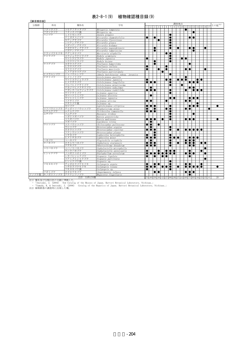#### 表2-8-1(9) 植物確認種目録(9)

| 【蘚苔類目録】 |                    |                     |                                               |           |                                                              |           |                                        |                         |                      |                         |           |                         |           |                                                |           |                                                                                                                                  |           |                                                   |                    |
|---------|--------------------|---------------------|-----------------------------------------------|-----------|--------------------------------------------------------------|-----------|----------------------------------------|-------------------------|----------------------|-------------------------|-----------|-------------------------|-----------|------------------------------------------------|-----------|----------------------------------------------------------------------------------------------------------------------------------|-----------|---------------------------------------------------|--------------------|
| 分類群     | 科名                 | 種和名                 | 学名                                            |           |                                                              |           |                                        |                         |                      |                         | 調査地点      |                         |           |                                                |           |                                                                                                                                  |           |                                                   | その他 <sup>注2)</sup> |
|         |                    |                     |                                               |           |                                                              |           |                                        |                         |                      |                         |           |                         |           |                                                |           |                                                                                                                                  |           | 1 2 3 4 5 6 7 8 9 10 11 12 13 14 15 16 17         |                    |
|         | フタマタゴケ             | コモチフタマタゴケ           | Metzgeria temperata                           |           |                                                              |           |                                        |                         |                      |                         |           |                         | Î         |                                                |           |                                                                                                                                  |           |                                                   |                    |
|         | フタマタゴケ             | フタマタゴケ属             | Metzgeria sp.                                 |           |                                                              |           |                                        |                         |                      |                         |           |                         |           |                                                | $\bullet$ |                                                                                                                                  |           |                                                   |                    |
|         | スジゴケ               | ミドリゼニゴケ             | Aneura pinguis                                |           |                                                              |           |                                        |                         |                      | $\bullet$               |           |                         |           |                                                |           |                                                                                                                                  |           |                                                   |                    |
|         |                    | ナミガタスジゴケ            | Riccardia chamedryfolia                       | $\bullet$ |                                                              | $\bullet$ |                                        |                         |                      | $\bullet$               |           |                         |           | $\bullet$ $\bullet$                            |           |                                                                                                                                  |           |                                                   |                    |
|         |                    | キテングサゴケ             | Riccardia flavovirens                         |           |                                                              |           | $\bullet$                              |                         |                      |                         |           |                         |           |                                                |           |                                                                                                                                  |           |                                                   |                    |
|         |                    | シロテングサゴケ            | Riccardia glauca                              |           |                                                              |           |                                        |                         |                      | $\bullet$               |           |                         |           |                                                |           |                                                                                                                                  |           |                                                   |                    |
|         |                    | コダマテングサゴケ           | Riccardia kodamae                             |           |                                                              |           |                                        |                         |                      |                         |           |                         |           |                                                |           |                                                                                                                                  |           |                                                   |                    |
|         |                    | ナガサキテングサゴケ          | Riccardia nagasakiensis                       |           |                                                              | $\bullet$ |                                        |                         |                      | $\bullet$               | $\bullet$ |                         |           | $\bullet$                                      |           |                                                                                                                                  |           | $\bullet$                                         |                    |
|         |                    | イボテングサゴケ            | Riccardia tamariscina                         |           |                                                              |           |                                        |                         |                      |                         |           |                         |           |                                                |           |                                                                                                                                  |           |                                                   |                    |
|         | クラマゴケモドキ           | チヂミカヤゴケ             | Macvicaria ulophylla                          |           |                                                              |           |                                        |                         | $\bullet$            |                         |           |                         |           |                                                |           |                                                                                                                                  |           |                                                   |                    |
|         | ケビラゴケ              | ヨウジョウケビラゴケ          | Radula acuminata                              |           |                                                              |           |                                        |                         |                      |                         |           |                         |           |                                                |           |                                                                                                                                  |           |                                                   |                    |
|         |                    | ヤマトケビラゴケ            | Radula japonica                               |           |                                                              |           |                                        |                         |                      | $\bullet$               |           | $\bullet$               |           |                                                |           |                                                                                                                                  |           |                                                   |                    |
|         |                    | コウヤケビラゴケ            | Radula kojana                                 |           |                                                              | $\bullet$ |                                        |                         |                      |                         |           |                         |           |                                                |           |                                                                                                                                  |           |                                                   |                    |
|         | ヤスデゴケ              | カギヤスデゴケ             | Frullania hamatiloba                          |           |                                                              | $\bullet$ |                                        |                         |                      |                         |           |                         |           |                                                |           |                                                                                                                                  |           |                                                   |                    |
|         |                    | ヒラヤスデゴケ             | Frullania inflata                             | ●         |                                                              |           |                                        |                         | $\bullet$            |                         |           |                         |           |                                                |           |                                                                                                                                  |           |                                                   |                    |
|         |                    | カラヤスデゴケ             | Frullania muscicola                           | $\bullet$ |                                                              |           | $\bullet$                              |                         | $\bullet$            |                         |           |                         |           | $\bullet$                                      |           |                                                                                                                                  |           | $\bullet$                                         |                    |
|         |                    | ヒメアカヤスデゴケ           | Frullania parvistipula                        |           |                                                              |           |                                        | $\bullet$               |                      |                         |           |                         |           |                                                |           |                                                                                                                                  |           |                                                   |                    |
|         | ヒメウルシゴケ            | ジャバウルシゴケ            | Jubula hutchinsiae subsp. javanica            |           |                                                              |           |                                        |                         |                      | $\bullet$               |           |                         |           |                                                |           |                                                                                                                                  |           |                                                   |                    |
|         | クサリゴケ              | ヒメミノリゴケ             | Acrolejeunea pusilla                          |           |                                                              |           |                                        |                         |                      |                         |           |                         | $\bullet$ |                                                |           |                                                                                                                                  |           |                                                   |                    |
|         |                    | ヤマトヨウジョウゴケ          | Colole jeunea japonica                        | $\bullet$ |                                                              |           |                                        |                         | . .                  |                         |           | $\bullet\bullet\bullet$ |           |                                                |           | $\bullet\bullet$                                                                                                                 |           |                                                   |                    |
|         |                    | ヒメクサリゴケ             | Colole jeunea longifolia                      |           | $\overline{\bullet}\overline{\bullet}\overline{\bullet}$     |           |                                        |                         |                      |                         |           |                         |           | $\bullet\bullet\bullet\bullet$                 |           |                                                                                                                                  |           |                                                   |                    |
|         |                    | マルバヒメクサリゴケ          | Colole jeunea minutissima                     |           |                                                              |           |                                        |                         |                      |                         |           |                         |           |                                                |           |                                                                                                                                  |           |                                                   |                    |
|         |                    | ナカジマヒメクサリゴケ         | Cololejeunea nakajimae                        |           | $\bullet$                                                    |           |                                        |                         |                      |                         |           |                         |           | $\bullet$                                      |           |                                                                                                                                  |           |                                                   |                    |
|         |                    | ナガシタバヨウジョウゴケ        | Colole jeunea raduliloba                      |           | $\bullet\bullet\bullet$                                      |           |                                        |                         |                      | $\bullet$               |           |                         | ●         |                                                |           | io di o                                                                                                                          |           |                                                   |                    |
|         |                    | サワクサリゴケ             | Lejeunea aquatica                             |           |                                                              |           |                                        |                         |                      | $\bullet$               |           |                         |           |                                                |           |                                                                                                                                  |           |                                                   |                    |
|         |                    | カマハコミミゴケ            | Lejeunea discreta                             |           | $\bullet$                                                    |           |                                        |                         |                      |                         |           |                         |           |                                                |           |                                                                                                                                  |           |                                                   |                    |
|         |                    | ヤマトコミミゴケ            | Lejeunea japonica                             |           |                                                              |           |                                        |                         |                      | $\bullet$               |           |                         |           | $\bullet\bullet\bullet$                        |           |                                                                                                                                  |           |                                                   |                    |
|         |                    | コクサリゴケ<br>クサリゴケ属    | Lejeunea ulicina                              |           | . .                                                          |           |                                        |                         | ●                    |                         |           |                         |           | $\bullet\bullet\bullet$                        |           |                                                                                                                                  |           |                                                   |                    |
|         |                    |                     | Le jeunea sp.                                 |           |                                                              |           |                                        |                         |                      |                         |           |                         |           |                                                |           | $\bullet$                                                                                                                        |           |                                                   |                    |
|         |                    | カビゴケ<br>チャボマツバウロコゴケ | Leptole jeunea elliptica                      |           | $\bullet\bullet\bullet$                                      |           |                                        |                         |                      | $\bullet$               |           |                         |           | $  \bullet   \bullet   \bullet  $<br>$\bullet$ |           |                                                                                                                                  |           |                                                   | $\bullet$          |
|         | マツバウロコゴケ<br>ムクムクゴケ | ムクムクゴケ              | Blepharostoma minus<br>Trichocolea tomentella |           | . .<br>$\bullet\bullet\bullet$                               |           |                                        |                         | $\bullet\bullet$     |                         |           |                         |           |                                                |           |                                                                                                                                  |           |                                                   |                    |
|         | ムチゴケ               | コムチゴケ               | Bazzania tridens                              |           |                                                              |           |                                        |                         |                      |                         |           |                         |           |                                                | $\bullet$ |                                                                                                                                  |           |                                                   |                    |
|         |                    | トガリスギバゴケ            | Kurzia gonyotricha                            |           |                                                              |           |                                        |                         |                      |                         |           |                         |           |                                                |           |                                                                                                                                  |           |                                                   |                    |
|         |                    | コスギバゴケ              | Kurzia makinoana                              |           | .                                                            |           |                                        |                         |                      |                         |           |                         |           | $\bullet\bullet\bullet$                        |           |                                                                                                                                  |           |                                                   |                    |
|         |                    | スギバゴケ               | Lepidozia vitrea                              |           | $\bullet$                                                    |           |                                        |                         |                      |                         |           |                         |           |                                                |           |                                                                                                                                  |           |                                                   |                    |
|         | ウロコゴケ              | スケバウロコゴケ            | Chiloscyphus pallescens                       |           | $\bullet\bullet$ l                                           |           | $\bullet$                              |                         |                      |                         |           |                         |           |                                                |           |                                                                                                                                  |           |                                                   |                    |
|         |                    | ウロコゴケ               | Heteroscyphus argutus                         |           | $\bullet$                                                    |           |                                        |                         |                      | $\bullet$               |           |                         |           |                                                |           |                                                                                                                                  |           |                                                   |                    |
|         |                    | オオウロコゴケ             | Heteroscyphus coalitus                        |           | $\bullet\bullet\bullet$                                      |           |                                        |                         |                      | $\bullet$               | $\bullet$ |                         |           |                                                |           | $\overline{\bullet}\overline{\bullet}\overline{\bullet}\overline{\bullet}\overline{\bullet}\overline{\bullet}\overline{\bullet}$ |           |                                                   |                    |
|         |                    | ツクシウロコゴケ            | Heteroscyphus planus                          |           |                                                              |           |                                        |                         |                      |                         |           |                         |           |                                                |           |                                                                                                                                  |           |                                                   |                    |
|         |                    | トサカゴケ               | Lophocolea heterophylla                       |           |                                                              | $\bullet$ |                                        |                         |                      |                         |           |                         |           |                                                |           |                                                                                                                                  |           |                                                   |                    |
|         |                    | ヒメトサカゴケ             | Lophocolea minor                              |           | $\frac{\bullet}{\bullet}$                                    |           |                                        |                         |                      | $\bullet\bullet\bullet$ |           |                         |           | $\bullet\bullet\bullet$                        |           |                                                                                                                                  |           |                                                   |                    |
|         | ハネゴケ               | コハネゴケ               | Plagiochila sciophila                         |           | 10T                                                          |           |                                        |                         |                      | $\bullet$               |           |                         |           | $\bullet\bullet\bullet\bullet$                 |           |                                                                                                                                  |           |                                                   |                    |
|         | ヤバネゴケ              | オタルヤバネゴケ            | Cephalozia otaruensis                         |           | $\overline{\bullet}$                                         |           |                                        |                         |                      |                         | $\bullet$ |                         |           | $\bullet$                                      |           |                                                                                                                                  | $\bullet$ |                                                   |                    |
|         |                    | クチキゴケ               | Odontoschisma denudatum                       |           | $\overline{\bullet}\ \overline{\bullet}\ \overline{\bullet}$ |           |                                        |                         |                      | $\bullet$               |           |                         |           | $\bullet$                                      |           |                                                                                                                                  |           |                                                   |                    |
|         | コヤバネゴケ             | コバノヤバネゴケ            | Cephaloziella microphylla                     |           |                                                              |           |                                        |                         |                      |                         |           |                         |           |                                                |           |                                                                                                                                  |           |                                                   |                    |
|         |                    | ウニヤバネゴケ             | Cephaloziella spinicaulis                     |           |                                                              |           | $\bullet$                              |                         |                      | $\bullet\bullet\bullet$ |           |                         |           | $\bullet$                                      |           |                                                                                                                                  |           |                                                   |                    |
|         | ヒシャクゴケ             | ノコギリコオイゴケ           | Diplophyllum serrulatum                       |           |                                                              |           |                                        |                         |                      | .                       |           |                         |           | .                                              |           |                                                                                                                                  |           | œ                                                 |                    |
|         |                    | シタバヒシャクゴケ           | Scapania ligulata                             | $\bullet$ |                                                              |           |                                        |                         | $\overline{\bullet}$ |                         |           |                         |           | $\bullet$                                      |           |                                                                                                                                  |           |                                                   |                    |
|         |                    | コアミメヒシャクゴケ          | Scapania parvitexta                           |           |                                                              |           |                                        |                         |                      |                         |           |                         |           |                                                |           |                                                                                                                                  |           | ●                                                 |                    |
|         |                    | ヒシャクゴケ属             | Scapania sp.                                  |           |                                                              |           |                                        |                         |                      | $\bullet$               |           |                         |           |                                                |           |                                                                                                                                  |           |                                                   |                    |
|         | ツキヌキゴケ             | チャボホラゴケモドキ          | Calvpogeia arguta                             | $\bullet$ |                                                              |           | $\bullet$                              |                         |                      | $\bullet$               |           |                         |           | $\bullet\bullet$                               |           |                                                                                                                                  | $\bullet$ |                                                   |                    |
|         |                    | トサホラゴケモドキ           | Calypogeia tosana                             |           | $\overline{\bullet}$                                         |           |                                        | $\bullet\bullet\bullet$ |                      |                         |           |                         |           |                                                |           | $\bullet\bullet\bullet\bullet\bullet$                                                                                            |           |                                                   | ●                  |
|         |                    | ツキヌキゴケ属             | Calypogeia sp.                                |           |                                                              |           |                                        |                         |                      |                         |           |                         |           |                                                |           |                                                                                                                                  |           |                                                   |                    |
|         | ツボミゴケ              | オオホウキゴケ             | Jungermannia infusca                          |           |                                                              |           | $\overline{\bullet}\overline{\bullet}$ |                         |                      |                         |           |                         |           | $\bullet\bullet\bullet$                        |           |                                                                                                                                  |           |                                                   |                    |
|         | ツノゴケ類 キノボリツノゴケ     | アナナシツノゴケ            | Megaceros flagellaris                         |           |                                                              |           |                                        |                         |                      |                         |           |                         |           | $\bullet$                                      |           |                                                                                                                                  |           |                                                   |                    |
|         |                    | 合計 53科170種          |                                               |           |                                                              |           |                                        |                         |                      |                         |           |                         |           |                                                |           |                                                                                                                                  |           | 73 40 58 16 12 27 86 28 27 12 60 71 65 34 23 15 6 | 20                 |
|         |                    |                     |                                               |           |                                                              |           |                                        |                         |                      |                         |           |                         |           |                                                |           |                                                                                                                                  |           |                                                   |                    |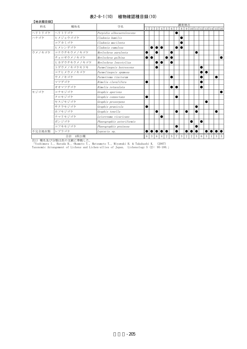#### 表2-8-1(10) 植物確認種目録(10)

| 【地衣類目録】 |              |                           |            |           |           |                |           |   |                |   |           |                |             |                 |   |                      |  |
|---------|--------------|---------------------------|------------|-----------|-----------|----------------|-----------|---|----------------|---|-----------|----------------|-------------|-----------------|---|----------------------|--|
| 科名      | 種和名          | 学名                        |            |           |           |                |           |   |                |   | 調査地点      |                |             |                 |   |                      |  |
|         |              |                           |            | 2         | 3         |                | 5         | 6 | $\overline{7}$ | 8 | -9        |                |             |                 |   | 10 11 12 13 14 15 16 |  |
| ヘリトリゴケ  | ヘリトリゴケ       | Porpidia albocaerulescens |            |           |           |                |           |   |                |   |           |                |             |                 |   |                      |  |
| ハナゴケ    | ヒメジョウゴゴケ     | Cladonia humilis          |            |           |           |                |           |   |                |   |           |                |             |                 |   |                      |  |
|         | コアカミゴケ       | Cladonia macilenta        |            |           |           |                |           |   |                |   |           |                |             |                 |   |                      |  |
|         | ヒメレンゲゴケ      | Cladonia ramulosa         |            |           |           | $\bullet$      |           |   |                |   |           |                |             |                 |   |                      |  |
| ウメノキゴケ  | コナウチキウメノキゴケ  | Myelochroa aurulenta      |            |           |           |                |           |   |                |   |           |                |             |                 |   |                      |  |
|         | チョロギウメノキゴケ   | Myelochroa galbina        | €          |           |           |                |           |   |                |   |           |                |             |                 |   |                      |  |
|         | ヒカゲウチキウメノキゴケ | Myelochroa leucotyliza    |            |           |           |                |           |   |                |   |           |                |             |                 |   |                      |  |
|         | トゲウメノキゴケモドキ  | Parmelinopsis horrescens  |            |           |           |                |           |   |                |   |           |                |             |                 |   |                      |  |
|         | コナヒメウメノキゴケ   | Parmelinopsis spumosa     |            |           |           |                |           |   |                |   |           |                |             |                 |   |                      |  |
|         | ウメノキゴケ       | Parmotrema tinctorum      |            |           |           |                |           |   |                |   |           |                |             |                 |   |                      |  |
|         | マツゲゴケ        | Rimelia clavulifera       | $\epsilon$ |           |           |                |           |   |                |   |           |                |             |                 |   |                      |  |
|         | オオマツゲゴケ      | Rimelia retuculata        |            |           |           |                |           |   |                |   |           |                |             |                 |   |                      |  |
| モジゴケ    | コナモジゴケ       | Graphis aperiens          |            |           |           |                |           |   |                |   |           |                |             |                 |   |                      |  |
|         | クロモジゴケ       | Graphis connectans        | C          |           |           |                |           |   |                |   |           |                |             |                 |   |                      |  |
|         | セスジモジゴケ      | Graphis proserpens        |            |           |           |                |           |   |                |   |           |                |             |                 |   |                      |  |
|         | サクラモジゴケ      | Graphis prunicola         |            |           |           |                |           |   |                |   |           |                |             |                 |   |                      |  |
|         | ホソモジゴケ       | Graphis tenella           |            |           |           |                |           |   |                |   |           |                |             |                 |   |                      |  |
|         | ナマリモジゴケ      | Leiorreuma vicaricans     |            |           |           |                |           |   |                |   |           |                |             |                 |   |                      |  |
|         | ボンジゴケ        | Phaeographis asteriformis |            |           |           |                |           |   |                |   |           |                |             | $\bullet$       |   |                      |  |
|         | コフキモジゴケ      | Phaeographis pruinosa     |            |           |           |                |           |   |                |   |           |                |             |                 |   |                      |  |
| 不完全地衣類  | レプラゴケ        | Lepraria sp.              | $\bullet$  | $\bullet$ | $\bullet$ | $\bullet$      | $\bullet$ |   | $\bullet$      |   | $\bullet$ | $\bullet$      |             |                 |   |                      |  |
|         | 4科21種<br>合計  |                           | 6          | 3         | 6         | $\overline{4}$ | 2         | 5 | $\overline{7}$ | 3 | 2         | $\overline{2}$ | $5^{\circ}$ | $6\overline{6}$ | 3 | 3                    |  |

||ットット||コート||コート||エロー<br>|注1) 種名及び分類は次の文献に準拠した。<br>|Yoshimura I., Harada H., Okamoto T., Matsumoto T., Miyawaki H. & Takahashi K. (2007)<br>|Taxonomic Arrangement of Lichens and Lichen-allies of Japan. Lichenology 5 (2): 95-100.」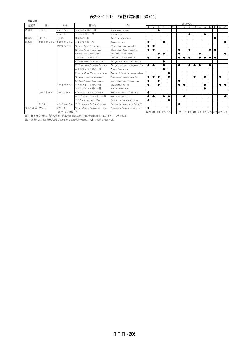#### 表2-8-1(11) 植物確認種目録(11)

| 【藻類目録】 | 目名     | 科名              | 種和名                         |                             |           |           |                 |           |           |        |                               |           | 調査地点      |            |           |    |           |           |           |               |
|--------|--------|-----------------|-----------------------------|-----------------------------|-----------|-----------|-----------------|-----------|-----------|--------|-------------------------------|-----------|-----------|------------|-----------|----|-----------|-----------|-----------|---------------|
| 分類群    |        |                 |                             | 学名                          |           | 2         |                 |           | 5.        |        |                               | 8         | 9         | 10         |           | 12 |           | 14        | 15        | <sup>16</sup> |
| 藍藻類    | ノストク   | スキトネマ           | スキトネマ科の一種                   | Scytonemataceae             |           |           |                 |           |           |        |                               |           |           |            |           |    |           |           |           |               |
|        |        | ノストク            | ノストク属の一種                    | Nostoc sp.                  |           |           |                 |           |           |        |                               |           | $\bullet$ |            |           |    |           |           |           |               |
| 珪藻類    | (不詳)   | (不詳)            | 珪藻類の一種                      | Bacillariophyceae           |           |           |                 |           |           |        |                               |           |           |            |           |    |           |           |           |               |
| 緑藻類    |        | クロロコックム クロロコックム | ミルメキアの一種                    | Myrmecia sp.                |           |           |                 | ●         |           |        |                               |           |           |            |           |    |           |           |           |               |
|        |        | オオキスチス          | Chlorella ellipsoidea       | Chlorella ellipsoidea       | $\bullet$ | $\bullet$ |                 |           |           |        |                               |           |           |            |           |    |           |           |           |               |
|        |        |                 | Chlorella luteoviridis      | Chlorella luteoviridis      | $\bullet$ |           |                 |           |           |        | $\bullet$                     |           | $\bullet$ |            |           |    |           | $\bullet$ |           |               |
|        |        |                 | Graesiella emersonii        | Graesiella emersonii        |           |           | $\bullet$       | $\bullet$ |           |        | $\bullet$                     |           |           |            | $\bullet$ |    |           |           |           |               |
|        |        |                 | Graesiella vacuolata        | Graesiella vacuolata        | $\bullet$ |           | $\bullet$       |           |           |        | $\bullet$                     | $\bullet$ | $\bullet$ |            | $\bullet$ |    | $\bullet$ | $\bullet$ |           |               |
|        |        |                 | Elliptochloris reniformis   | Elliptochloris reniformis   |           |           |                 |           |           |        |                               |           |           |            |           |    |           |           |           |               |
|        |        |                 | Elliptochloris subsphaerica | Elliptochloris subsphaerica | $\bullet$ | $\bullet$ |                 |           |           |        | $\bullet$                     |           |           |            | $\bullet$ |    |           |           |           |               |
|        |        |                 | ロボスファエラ属の一種                 | Lobosphaera sp.             |           |           |                 |           |           |        |                               |           |           |            |           |    |           |           |           |               |
|        |        |                 | Pseudochlorella pyrenoidosa | Pseudochlorella pyrenoidosa |           |           |                 |           |           |        |                               |           |           |            |           |    |           |           |           |               |
|        |        |                 | Pseudococcomyxa simplex     | Pseudococcomyxa simplex     |           |           | $\bullet$       |           |           |        |                               |           |           | $\epsilon$ |           |    |           |           | $\bullet$ |               |
|        |        |                 | Scotiellopsis terrestris    | Scotiellopsis terrestris    | $\bullet$ |           |                 |           |           |        | $\bullet$                     |           |           |            |           |    |           |           |           |               |
|        |        | スケネデスムス         | コエラストレラ属の一種                 | Coelastrella sp.            |           |           |                 |           |           |        | $\bullet$                     | $\bullet$ |           |            |           |    |           |           | $\bullet$ |               |
|        |        |                 | スケネデスムス属の一種                 | Scenedesmus sp.             |           |           |                 |           |           |        |                               |           |           |            |           |    |           |           |           |               |
|        | ウロトリクス | ウロトリクス          | Klebsormidium flaccidum     | Klebsormidium flaccidum     | $\bullet$ |           |                 |           |           |        |                               |           |           |            |           |    |           |           |           |               |
|        |        |                 | クレブソルミジウム属の一種               | Klebsormidium sp.           |           |           |                 |           | $\bullet$ |        |                               |           |           |            |           |    |           |           |           |               |
|        |        |                 | Stichococcus bacillaris     | Stichococcus bacillaris     | $\bullet$ |           |                 |           |           |        |                               |           |           |            |           |    |           |           |           |               |
|        | シグネマ   | メソタエニウム         | Cylindrocystis brebissonii  | Cylindrocystis brebissonii  |           |           |                 |           |           |        | $\bullet$                     |           |           |            |           |    |           |           |           |               |
| ウルバ藻綱  | ウルバ    | アワビモ            | Pseudodendoclonium printzii | Pseudodendoclonium printzii | $\bullet$ |           |                 |           |           |        |                               |           |           |            |           |    |           |           |           |               |
|        |        | 合計 6目9科21種      |                             |                             |           |           | 12種 5種 6種 6種 4種 |           |           | $\sim$ | 7種 3種 4種 2種 3種 5種 3種 3種 2種 4種 |           |           |            |           |    |           |           |           |               |

注1) 種名及び分類は「淡水藻類-淡水産藻類属総覧(内田老鶴圃新社, 2007年)」に準拠した。

注2) 調査地点6は調査地点4及び5と類似した環境と判断し、試料を採集しなかった。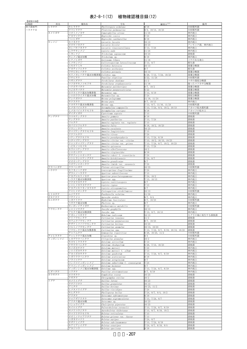#### 表2-8-1(12) 植物確認種目録(12)

| 分類群<br>担子菌亜門 |         |                                |                                                            |                                                                                  |                     |
|--------------|---------|--------------------------------|------------------------------------------------------------|----------------------------------------------------------------------------------|---------------------|
|              | 科名      | 種和名                            | 学名                                                         | 観察日 <sup>注2)</sup>                                                               | 備考                  |
| ハラタケ目        | ヒラタケ    | キヒラタケ<br>ウスヒラタケ                | Phyllotopsis nidulans<br>Pleurotus pulmonarius             | 9/18<br>$9/4$ , $10/13$ , $10/23$                                                | 木材腐朽菌<br>木材腐朽菌      |
|              | ヌメリガサ   | コオトメノカサ                        | Camarophyllus niveus                                       | 11/24                                                                            | 林内地上                |
|              |         | アカヤマタケ                         | Hygrocybe conica                                           | 7/24                                                                             | 林内地上                |
|              |         | ベニヒガサ                          | Hygrocybe cantharellus                                     | 8/19                                                                             | 林内地上                |
|              | キシメジ    | キツネタケ                          | Laccaria laccata                                           | 10/13                                                                            | 林内地上                |
|              |         | オオキツネタケ<br>カレバキツネタケ            | Laccaria bicolor<br>Laccaria vinaceoavellanea              | 10/23                                                                            | アンモニア菌、林内地上<br>林内地上 |
|              |         | ムラサキシメジ                        | Lepista nuda                                               | 7/13, 7/24<br>1/24                                                               | 林内地上                |
|              |         | ミネシメジ                          | Tricholoma saponaceum                                      | 10/23                                                                            | 菌根菌                 |
|              |         | キシメジ属未知種                       | Tricholoma sp.                                             | 3/19                                                                             | 林内地上                |
|              |         | ヒナノヒガサ                         | Gerronema fibura                                           | 11/16                                                                            | コケのある地上             |
|              |         | ヒメキシメジ                         | Callistosporium luteoolivaceum                             | 7/13, 8/7                                                                        | 腐生菌                 |
|              |         | エセオリミキ<br>アカチャツエタケ             | Collybia butyracea<br>Collybia neofusipes                  | 10/13<br>3/7                                                                     | 落葉分解菌<br>腐生菌        |
|              |         | ワサビカレバタケ                       | Collybia peronata                                          | 10/13                                                                            | 落葉分解菌               |
|              |         | モリノカレバタケ属未知種多数 Collybia spp.   |                                                            | 6/26, 7/13, 7/24, 10/23                                                          | 落葉分解菌               |
|              |         | ワサビタケ                          | Panellus stypticus                                         | 5/22, 11/24                                                                      | 木材腐朽菌               |
|              |         | スギエダタケ                         | Strobilurus ohshimae                                       | 1/2                                                                              | スギの落枝分解菌            |
|              |         | マツカサキノコモドキ<br>ハナオチバタケ          | Strobilurus stephanocystis                                 | 1/16                                                                             | 湿ったマツカサ分解菌          |
|              |         | スジオチバタケ                        | Marasmius pulcherripes<br>Marasmius purpureostriatus       | 3/7, 10/2<br>/22                                                                 | 落葉分解菌<br>落葉分解菌      |
|              |         | ホウライタケ属未知種多数                   | Marasmius spp.                                             | $\frac{7}{13}$ , 8/19                                                            | 落葉分解菌               |
|              |         | シロホウライタケ属未知種                   | Marasmiellus sp.                                           | $^{\prime}/24$                                                                   | 落枝分解菌               |
|              |         | アシナガタケ                         | Mycena polygramma                                          | $11/16$ , $11/24$                                                                | 落葉分解菌               |
|              |         | サクラタケ                          | Mycena pura                                                | 3/7, 10/13                                                                       | 林内地上                |
|              |         | クヌギタケ属未知種多数<br>ヒメカバイロタケ        | Mycena spp.<br>Xeromphalina campanella                     | $7/13$ , $8/7$ , $11/16$ , $11/24$<br>$7/13$ , $7/24$ , $9/4$ , $10/2$ , $10/13$ | 木材腐朽菌<br>アカマツ枯木腐朽菌  |
|              |         | ヒメカバイロタケモドキ                    | Xeromphalina curtipes                                      | 9/18                                                                             | アカマツの枯木上            |
|              |         | ダイダイガサ                         | Cyptotrama asprata                                         | 7/13                                                                             | 木材腐朽菌               |
|              | テングタケ   | ウスキテングタケ                       | Amanita gemmata                                            | 3/19                                                                             | 菌根菌                 |
|              |         | テングタケ                          | Amanita pantherina                                         | 7/13, 7/24                                                                       | 菌根菌                 |
|              |         | ツルタケ<br>カバイロツルタケ               | Amanita vaginata var. vaginata<br>Amanita fulva            | $^{\prime}/13$<br>$9/18$ , $10/2$ , $10/23$                                      | 菌根菌<br>菌根菌          |
|              |         | ドウシンタケ                         | Amanita esculenta                                          | 10/23                                                                            | 菌根菌                 |
|              |         | タマゴテングタケモドキ                    | Amanita longistriata                                       | $^{7/13}$                                                                        | 菌根菌                 |
|              |         | ドクツルタケ                         | Amanita virosa                                             | $^{7/24}$                                                                        | 菌根菌                 |
|              |         | コテングタケモドキ                      | Amanita pseudoporphyria                                    | 7/13, 7/24, 8/19                                                                 | 菌根菌                 |
|              |         | コタマゴテングタケ                      | Amanita citrina var. citrina                               | $1/13$ , $10/2$ , $10/13$ , $10/23$                                              | 菌根菌                 |
|              |         | クロコタマゴテングタケ<br><b>ヽビキノコモドキ</b> | Amanita citrina var. grisea                                | $7/13$ , $7/24$ , $8/7$ , $10/2$ , $10/23$                                       | 菌根菌<br>菌根菌          |
|              |         | キウロコテングタケ                      | Amanita spissacea<br>Amanita alboflavescens                | 7/13, 7/24<br>10/2                                                               | 菌根菌                 |
|              |         | ンロオニタケ                         | <i>Mmanita virgineoides</i>                                | 3/19                                                                             | 菌根菌                 |
|              |         | ササクレシロオニタケ                     | Amanita cokeri f. roseotincta                              | $^{7/24}$                                                                        | 菌根菌                 |
|              |         | コトヒラシロテングタケ                    | Amanita kotohiraensis                                      | 7/24, 8/7                                                                        | 菌根菌                 |
|              |         | オオオニテングタケ                      | Amanita grandicarpa                                        | 3/7                                                                              | 菌根菌                 |
|              | ウラベニガサ  | スオウシロオニタケ<br>ウラベニガサ            | Amanita timida var. suouensis<br>Pluteus atricapillus      | $^{7/24}$<br>10/23                                                               | 菌根菌<br>木材腐朽菌        |
|              | ハラタケ    | キツネノハナガサ                       | Leucocoprinus fragilissimus                                | $^{7/24}$                                                                        | 林内地上                |
|              |         | ザラエノハラタケ                       | Agaricus subrutilescens                                    | $\frac{7}{13}$                                                                   | 林内地上                |
|              |         | ナカグロモリノカサ                      | Agaricus praeclaresquamosus                                | $7/24$ , $10/2$                                                                  | 林内地上                |
|              |         | ハラタケ属未知種多数                     | Agaricus spp.                                              | 7/13, 10/13                                                                      | 林内地上                |
|              |         | ワタカラカサタケ<br>シロヒメカラカサタケ         | Lepiota ventriosospora<br>Lepiota cygnea                   | 3/7<br>$\frac{7}{13}$                                                            | 林内地上<br>林内地上        |
|              |         | ナカグロキツネノカラカサ                   | Lepiota atrosquamulosa                                     | 3/7                                                                              | 林内地上                |
|              |         | クロヒメオニタケ                       | Cystoagaricus strobilomyces                                | 10/13                                                                            | 木材腐朽菌               |
|              | ヒトヨタケ   | ムジナタケ                          | Psathyrella velutina                                       | 11/24                                                                            | 林内地上                |
|              |         |                                |                                                            |                                                                                  |                     |
|              | オキナタケ   | ツチナメコ                          | Agrocybe erebia                                            | 3/7, 9/4                                                                         | 林内地上                |
|              | モエギタケ   | ニガクリタケ                         | Hypholoma fasciculare                                      | 8/7, 10/23                                                                       | 木材腐朽菌               |
|              |         | スギタケ属末知種                       | Pholiota sp.                                               | 8/7                                                                              | 林内地上                |
|              | フウセンタケ  | センボンイチメガサ<br>シロトマヤタケ           | Kuehneromyces mutabilis<br>Inocybe geophylla               | 7/13<br>10/13                                                                    | 木材腐朽菌<br>林内地上       |
|              |         | アセタケ属未知種多数                     | Inocybe spp.                                               | 7/13, 8/7, 10/13                                                                 | 林内地上                |
|              |         | ナガエノスギタケ                       | Hebeloma radicosum                                         | 10/13                                                                            | モグラの巣に発生する菌根菌       |
|              |         | クリフウセンタケ                       | Cortinarius tenuipes                                       | 11/2                                                                             | 菌根菌                 |
|              |         | カワムラフウセンタケ                     | Cortinarius purpurascens                                   | 8/7, 10/23                                                                       | 菌根菌                 |
|              |         | サザナミツバフウセンタケ<br>マルミノフウセンタケ     | Cortinarius bovinus<br>Cortinarius anomalus                | 10/23<br>10/13, 10/23                                                            | 菌根菌<br>菌根菌          |
|              |         | フウセンタケ属未知種多数                   | Cortinarius spp.                                           | $7/13$ , $7/24$ , $8/7$ , $8/19$ , $10/13$ , $10/23$                             | 菌根菌                 |
|              |         | チャツムタケ                         | Gymnopilus liquiritiae                                     | 6/26, 10/23, 11/2                                                                | 木材腐朽菌               |
|              | チャヒラタケ  | チャヒラタケ属未知種                     | Crepidotus sp.                                             | 9/4                                                                              | 木材腐朽菌               |
|              | イッポンシメジ | ヒカゲウラベニタケ<br>キヌモミウラタケ          | Clitopilus prunulus<br>Entoloma sericellum                 | 10/2<br>7/13                                                                     | 林内地上<br>林内地上        |
|              |         | クサウラベニタケ                       | Entoloma rhodopolium                                       | $5/26$ , $7/13$ , $10/23$                                                        | 菌根菌                 |
|              |         | キイボカサタケ                        | Entoloma murraii                                           | 7/24                                                                             | 林内地上                |
|              |         | シロイボカサタケ                       | Entoloma murraii f. album                                  | 7/13                                                                             | 林内地上                |
|              |         | アカイボカサタケ                       | Entoloma quadratum                                         | 7/13, 7/24, 8/7, 8/19                                                            | 林内地上                |
|              |         | トガリウラベニタケ                      | Entoloma acutoconicus                                      | 3/19                                                                             | 林内地上                |
|              |         | ソライロタケ<br>コンイロイッポンシメジ          | Entoloma aeruginosum<br>Entoloma subnitidum f. cyanonigrum | 3/7<br>7/24                                                                      | 林内地上<br>林内地上        |
|              |         | ナスコンイッポンシメジ                    | Entoloma kujuense                                          | 3/7                                                                              | 林内地上                |
|              |         | イッポンシメジ属未知種多数                  | Entoloma spp.                                              | 7/13, 7/24, 8/7, 8/19                                                            | 林内地上                |
|              | ヒダハタケ   | ニワタケ                           | Paxillus atrotomentosus                                    | 3/7, 8/19                                                                        | 林内地上                |
|              | オウギタケ   | オウギタケ                          | Gomphidius roseus                                          | 10/23                                                                            | 菌根菌                 |
|              | イグチ     | クギタケ<br>ヌメリイグチ                 | Chroogomphus rutilus<br>Suillus luteus                     | 10/2<br>10/23                                                                    | 菌根菌<br>菌根菌          |
|              |         | チチアワタケ                         | Suillus granulatus                                         | 10/13                                                                            | 菌根菌                 |
|              |         | アミタケ                           | Suillus bovinus                                            | 10/23, 11/2                                                                      | 菌根菌                 |
|              |         | ヒメヌメリイグチ                       | Suillus viscidipes                                         | 7/24                                                                             | 菌根菌                 |
|              |         | キヒダタケ<br>アワタケ                  | Phylloporus bellus                                         | $7/24$ , $8/7$ , $9/4$ , $10/2$<br>3/19                                          | 菌根菌                 |
|              |         | クロアザアワタケ                       | Xerocomus subtomentosus<br>Xerocomus nigromaculatus        | 7/13, 7/24, 8/7                                                                  | 菌根菌<br>菌根菌          |
|              |         | アワタケ属未知種                       | Xerocomus sp.                                              | 10/23                                                                            | 菌根菌                 |
|              |         | コショウイグチ                        | Chalciporus piperatus                                      | 10/23                                                                            | 菌根菌                 |
|              |         | キイロイグチ                         | Pulveroboletus ravenelii                                   | 7/13, 7/24, 8/7, 8/19                                                            | 菌根菌                 |
|              |         | ヌメリコウジタケ                       | Aureoboletus thibetanus                                    | $\frac{7}{13}$ , 8/7, 8/19, 10/2                                                 | 菌根菌                 |
|              |         | ヤマドリタケモドキ<br>オオミノクロアワタケ        | Boletus reticulatus                                        | 7/13<br>7/13                                                                     | 菌根菌<br>菌根菌          |
|              |         | コガネヤマドリ                        | Boletus griseus var. fuscus<br><i>Boletus auripes</i>      | 7/24, 8/7                                                                        | 菌根菌                 |
|              |         | サザナミイグチ<br>キアミアシイグチ            | Boletus subcinnamomeus<br>Boletus ornatipes                | 7/13, 7/24, 8/19<br>$\frac{7}{24}$ , 8/7, 8/19, 9/4                              | 菌根菌<br>菌根菌          |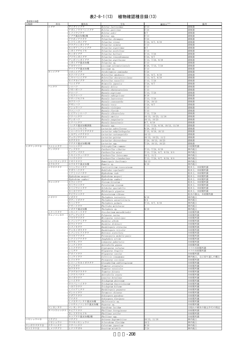## 表2-8-1(13) 植物確認種目録(13)

| 分類群      |                   |                                |                                                      |                                          |                         |
|----------|-------------------|--------------------------------|------------------------------------------------------|------------------------------------------|-------------------------|
|          | 科名                | 種和名                            | 学名                                                   | 観察日 <sup>注2)</sup>                       | 備考                      |
|          | イグチ               | ダイダイイグチ<br>ナガエノウラベニイグチ         | Boletus laetissimus<br>Boletus auercinus             | 7/13<br>7/24                             | 菌根菌<br>菌根菌              |
|          |                   | ヒメコウジタケ                        | Boletus aokii                                        | 3/7                                      | 菌根菌                     |
|          |                   | イグチ属未知種2種                      | Boletus spp.                                         | 7/13                                     | 菌根菌                     |
|          |                   | アケボノアワタケ                       | Tylopilus chromapes                                  | 7/24                                     | 菌根菌                     |
|          |                   | ミドリニガイグチ<br>ウラグロニガイグチ          | Tylopilus virens<br>Tylopilus eximius                | 7/24, 8/7, 8/19<br>7/13                  | 菌根菌<br>菌根菌              |
|          |                   | モエギアミアシイグチ                     | Tylopilus nigerrimus                                 | 3/7                                      | 菌根菌                     |
|          |                   | ニガイグチモドキ                       | Tylopilus neofelleus                                 | 7/13                                     | 菌根菌                     |
|          |                   | キニガイグチ                         | Tylopilus ballouii                                   | 7/13, 7/24                               | 菌根菌                     |
|          |                   | ブドウニガイグチ<br>アシボソニガイグチ          | Tylopilus vinosobrunneus<br>Tylopilus argillaceus    | 7/24, 8/7<br>7/13, 7/24, 8/19            | 菌根菌<br>菌根菌              |
|          |                   | ニガイグチ属未知種                      | Tylopilus sp.                                        | 7/13                                     | 菌根菌                     |
|          |                   | アカヤマドリ                         | Leccinum extremiorientale                            | $5/26$ , $7/13$ , $7/24$                 | 菌根菌                     |
|          |                   | ヤマイグチ属未知種                      | Leccinum sp.                                         | 7/13                                     | 菌根菌                     |
|          | オニイグチ             | コオニイグチ<br>キクバナイグチ              | Strobilomyces seminudus<br>Boletellus emodensis      | 7/24<br>7/24, 8/7, 8/19                  | 菌根菌<br>菌根菌              |
|          |                   | ミヤマベニイグチ                       | Boletellus obscurecoccineus                          | $7/13$ , $8/7$ , $8/19$                  | 菌根菌                     |
|          |                   | セイタカイグチ                        | Boletellus russellii                                 | 7/13, 7/24                               | 菌根菌                     |
|          |                   | ベニイグチ                          | Heimiella japonica                                   | 7/24, 8/7                                | 菌根菌                     |
|          | ベニタケ              | シロハツ<br>ツギハギハツ                 | Russula delica<br>Russula eburneoareolata            | 7/13<br>7/13                             | 菌根菌<br>菌根菌              |
|          |                   | クロハツ                           | Russula nigricans                                    | 7/13, 7/24                               | 菌根菌                     |
|          |                   | ニセクロハツ                         | Russula subnigricans                                 | 9/18                                     | 菌根菌                     |
|          |                   | クサハツモドキ                        | Russula laurocerasi                                  | 7/13, 7/24                               | 菌根菌                     |
|          |                   | カワリハツ<br>チギレハツ                 | Russula cyanoxantha<br>Russula vesca                 | 7/24, 10/13<br>7/24, 8/7                 | 菌根菌<br>菌根菌              |
|          |                   | ケショウハツ                         | Russula violeipes                                    | 7/13                                     | 菌根菌                     |
|          |                   | ウコンハツ                          | Russula flavida                                      | 7/13                                     | 菌根菌                     |
|          |                   | ヒビワレシロハツ                       | Russula alboareolata                                 | 7/13, 7/24                               | 菌根菌                     |
|          |                   | ドクベニタケ<br>チシオハツ                | Russula emetica<br>Russula sanguinaria               | 10/13, 10/23, 11/16<br>10/13, 10/23      | 菌根菌<br>菌根菌              |
|          |                   | ヒナベニタケ                         | Russula kansaiensis                                  | 3/7, 8/19                                | 菌根菌                     |
|          |                   | <b>ベニタケ属未知種多数</b>              | Russula spp.                                         | 7/13, 7/24, 8/19, 10/13, 11/16           | 菌根菌                     |
|          |                   | ー<br>ケシロハツモドキ                  | Lactarius subvellereus                               | 6/26, 10/2                               | 菌根菌                     |
|          |                   | ヒロハウスズミチチタケ<br>ヒカゲヒメチチタケ       | Lactarius subplinthogalus<br>Lactarius castanopsidis | $7/13$ , $8/19$ , $10/13$<br>10/13       | 菌根菌<br>菌根菌              |
|          |                   | チョウジチチタケ                       | Lactarius quietus                                    | $10/13$ , $10/23$ , $11/2$               | 菌根菌                     |
|          |                   | キチチタケ                          | Lactarius chrysorrheus                               | $7/24$ , $10/13$ , $10/23$               | 菌根菌                     |
|          |                   | チチタケ属未知種3種                     | Lactarius spp.                                       | 7/24,<br>$10/13$ , $10/23$               | 菌根菌                     |
| ヒダナシタケ目  | スエヒロタケ<br>アンズタケ   | スエヒロタケ<br>アンズタケ                | Schizophyllum commune<br>Cantharellus cibarius       | 7/13, 7/24, 8/19                         | 木材腐朽菌<br>林内地上           |
|          |                   | ヒナアンズタケ                        | Cantharellus minor                                   | $7/13$ , $7/24$ , $8/7$ , $8/19$ , $9/4$ | 林内地上                    |
|          |                   | トキイロラッパタケ                      | Cantharellus luteocomus                              | 10/2, 11/2                               | 林内地上                    |
|          |                   | ベニウスタケ<br>ナギナタタケ               | Cantharellus cinnabarinus                            | $7/13$ , $7/24$ , $8/7$ , $8/19$ , $9/4$ | 林内地上                    |
|          | シロソウメンタケ<br>ホウキタケ | ホウキタケ属未知種                      | Ramariopsis fusiformis<br>Ramaria sp.                | 10/13<br>3/19                            | 林内地上<br>林内地上            |
|          | コウヤクタケ            | スミレウロコタケ                       | <i>Laeticorticium roseocarneum</i>                   |                                          | 枯木上,木材腐朽菌               |
|          |                   | サガリハリタケ                        | Radulodon copelandii                                 |                                          | 枯木上,木材腐朽菌               |
|          |                   | ミナミコメバタケ<br>Hyphoderma mespori | Hyphoderma rude<br>Hyphoderma mespori                |                                          | 枯木上,木材腐朽菌<br>枯木上, 木材腐朽菌 |
|          |                   | Hyphoderma sambuci             | Hyphoderma sambuci                                   |                                          | 枯木上,木材腐朽菌               |
|          | ウロコタケ             | キウロコタケ                         | Stereum hirsutum                                     |                                          | 枯木上,木材腐朽菌               |
|          |                   | カミウロコタケ                        | Porostereum crassum                                  |                                          | 枯木上, 木材腐朽菌              |
|          |                   | モミジウロコタケ<br>カミカワタケ             | Xylobolus spectabilis<br>Rhlebiopsis gigantea        |                                          | 枯木上, 木材腐朽菌<br>枯木上,木材腐朽菌 |
|          |                   | サビウロコタケ                        | Boreostereum vibrans                                 |                                          | 枯木の根元,木材腐朽菌             |
|          | イボタケ              | イボタケ                           | Thelephora terrestris                                | 9/18                                     | 林内地上                    |
|          |                   | ボタンイボタケ<br>モミジタケ               | Thelephora aurantiotincta                            | 9/4<br>7/13, 8/7, 8/19                   | 林内地上<br>林内地上            |
|          |                   | クサハリタケ                         | Thelephora palmata<br>Phellodon melaleucus           |                                          | 林内地上                    |
|          |                   | イボタケ属未知種                       | The lephora sp.                                      | 8/19                                     | 林内地上                    |
|          | ニクハリタケ            | ニセニクハリタケ                       | Steccherinum murashkinskyi                           |                                          | 木材腐朽菌                   |
|          | サルノコシカケ           | キアシグロタケ<br>ツヤウチワタケ             | Polyporus varius<br>Microporus vernicipes            |                                          | 木材腐朽菌<br>木材腐朽菌          |
|          |                   | ヒメシロアミタケ                       | Daedalea albida                                      |                                          | 木材腐朽菌                   |
|          |                   | ホウロクタケ                         | Daedalea dickinsii                                   |                                          | 木材腐朽菌                   |
|          |                   | エゴノキタケ<br>チャカイガラタケ             | Daedaleopsis styracina                               |                                          |                         |
|          |                   |                                |                                                      |                                          | 木材腐朽菌                   |
|          |                   | ヒメシロヒヅメタケ                      | Daedaleopsis tricolor<br>Datronia scutellata         |                                          | 木材腐朽菌                   |
|          |                   | ウスキアナタケ                        | Perenniporia medulla-panis                           |                                          | 木材腐朽菌<br>木材腐朽菌          |
|          |                   | ニクイロアナタケ                       | Tunghuhnia nitida                                    |                                          | 木材腐朽菌                   |
|          |                   | ホウネンタケ                         | Loweporus pubertatis                                 |                                          | 木材腐朽菌                   |
|          |                   | シックイタケ<br>ヒトクチタケ               | Antrodiella gypsea<br>Cryptoporus volvatus           |                                          | 木材腐朽菌<br>マツの木材腐朽菌       |
|          |                   | シミタケ                           | Oligoporus fragilis                                  |                                          | マツの木材腐朽菌                |
|          |                   | アオゾメタケ                         | Oligoporus caesius                                   |                                          | 木材腐朽菌                   |
|          |                   | ニッケイタケ                         | Coltricia cinnamomea                                 |                                          | 林内地上、主に切り通しの裸土          |
|          |                   | ヒイロタケ<br>ヒロハノキカイガラタケ           | Pycnoporus coccineus<br>Gloeophyllum subferrugineum  |                                          | 木材腐朽菌<br>木材腐朽菌          |
|          |                   | クジラタケ                          | Trametes orientalis                                  |                                          | 木材腐朽菌                   |
|          |                   | カワラタケ                          | Trametes versicolor                                  |                                          | 木材腐朽菌                   |
|          |                   | アラゲカワラタケ                       | Trametes hirsuta                                     |                                          | 木材腐朽菌                   |
|          |                   | ニクウスバタケ<br>カイガラタケ              | Antrodiella zonata<br>Lenzites betulinus             |                                          | 木材腐朽菌<br>木材腐朽菌          |
|          |                   | シハイタケ                          | Trichaptum abietinum                                 |                                          | 木材腐朽菌                   |
|          |                   | ウスバシハイタケ                       | Trichaptum fuscoviolaceum                            |                                          | 木材腐朽菌                   |
|          |                   | ハカワラタケ<br>ミイロアミタケ              | Trichaptum biforme                                   |                                          | 木材腐朽菌<br>木材腐朽菌          |
|          |                   | オシロイタケ                         | Daedaleopsis purpurea<br>Tyromyces chioneus          |                                          | 木材腐朽菌                   |
|          |                   | クダアナタケ                         | Schizopora paradoxa                                  |                                          | 木材腐朽菌                   |
|          |                   | アナタケ                           | Schizopora flavipora                                 |                                          | 木材腐朽菌                   |
|          |                   | ヒメカタパンタケ属未知種<br>シロサルノコシカケ属未知種  | Skeletocutis sp.<br>Oxyporus sp.                     |                                          | 木材腐朽菌<br>木材腐朽菌          |
|          | マンネンタケ            | マンネンタケ                         | Ganoderma lucidum                                    |                                          | 立枯れの樹木の根元やその周辺          |
|          | タバコウロコタケ          | サビアナタケ                         | Phellinus ferruginosus                               |                                          | 木材腐朽菌                   |
|          |                   | ネンドタケモドキ                       | Phellinus setifer                                    |                                          | 木材腐朽菌                   |
| ニセショウロ目  | ツチグリ              | キコブタケ属未知種2種<br>ツチグリ            | Phellinus spp.<br>Astraeus hygrometricus             | 10/13, 11/16                             | 木材腐朽菌<br>林内地上           |
| ケシボウズタケ目 | ニセショウロ<br>クチベニタケ  | ウスキニセショウロ<br>クチベニタケ            | Scleroderma flavidum<br>Calostoma japonicum          | 10/2<br>8/19                             | 林内地上<br>林内地上            |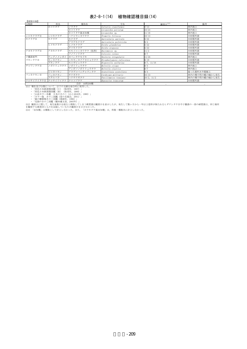#### 表2-8-1(14) 植物確認種目録(14)

| 分類群                | 科名       | 種和名            | 学名                        | 観察日 <sup>注2)</sup> | 備考             |
|--------------------|----------|----------------|---------------------------|--------------------|----------------|
|                    | ホコリタケ    | ノウタケ           | Calvatia craniformis      | 7/13               | 林内地上           |
|                    |          | ホコリタケ          | Lycoperdon periatum       | 10/23              | 林内地上           |
|                    |          | ホコリタケ属未知種      | Lycoperdon sp.            | 11/16              | 林内地上           |
| シロキクラゲ目            | シロキクラゲ   | ハナビラニカワタケ      | Tremella foliacea         | 10/13              | 木材腐朽菌          |
| キクラゲ目              | キクラゲ     | キクラゲ           | Auricularia auricula      | 5/22               | 木材腐朽菌          |
|                    |          | アラゲキクラゲ        | Auricularia polytricha    | 9/4                | 木材腐朽菌          |
|                    | ヒメキクラゲ   | ヒメキクラゲ         | Exidia glandulosa         | 5/22               | 木材腐朽菌          |
|                    |          | タマキクラゲ         | Exidia uvapassa           | 5/22               | 木材腐朽菌          |
| アカキクラゲ目            | アカキクラゲ   | モモイロニカワタケ (仮称) | Dacrymyces sp.            | 11/2               | 木材腐朽菌          |
|                    |          | ツノフノリタケ        | Calocera cornea           | 8/7                | 木材腐朽菌          |
| 子囊菌亜門              | テングノメシガイ | カベンタケモドキ       | Neolecta irregularis      | 11/24              | 林内地上           |
| ズキンタケ目             | キンカクキン   | ニセキンカクアカビョウタケ  | Dicephalospora rufocornea | 8/19               | 木材腐朽菌          |
|                    | ズキンタケ    | モエギビョウタケ       | Bisporella sulfurina      | 8/7, 11/16         | 木材腐朽菌          |
| チャワンタケ目            | ノボリリュウタケ | ノボリリュウタケ       | Helvella crispa           | 9/4                | 林内地上           |
|                    |          | アシボソノボリリュウタケ   | Helvella elastica         | 8/7                | 林内地上           |
|                    | ピロネマキン   | アラゲコベニチャワンタケ   | Scutellinia scutellata    | 9/4                | 湿った腐朽木や腐植上     |
| バッカクキン目            | バッカクキン   | サナギタケ          | Cordyceps militaris       | 10/13              | 林内の種不明の蛾の蛹から発生 |
|                    | スチルベラ    | ハナサナギタケ        | Paecilomyces tenuipes     | $10/2$ , $11/2$    | 林内の種不明の蛾の蛹から発生 |
| クロサイワイタケ目 クロサイワイタケ |          | クロコブタケ         | Hypoxylon truncatum       |                    | 木材腐朽菌          |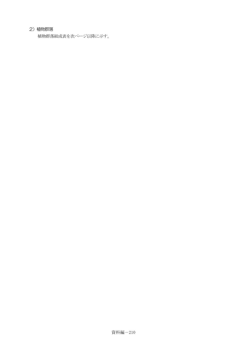## 2)植物群落

植物群落組成表を次ページ以降に示す。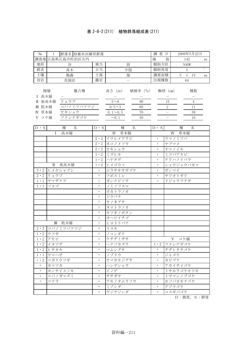# 表 2-8-2(211) 植物群落組成表(211)

| No. |                | 群落名 放棄水田雑草群落 |        |    | 調<br>査 | 日 | 2009年5月22日 |    |         |
|-----|----------------|--------------|--------|----|--------|---|------------|----|---------|
|     | 調査地広島県広島市佐伯区石内 |              | 海      | 抜  | 142    |   | m          |    |         |
| 地形  | 谷              |              | 傾斜方位   |    | N40W   |   |            |    |         |
| 群系  | 高木             |              | 当<br>Ε | 中陰 | 傾斜角度   |   |            |    | $\circ$ |
| 土壤  | 褐森             |              | 十湿     | 湿  | 調査面積   |   |            | 15 | m       |
| 母岩  | 花崗岩            |              | 露岩     |    | 出現種数   |   | 64         |    |         |

| 階層     | 優占種       | 高さ<br>m        | 植被率<br>(9/0) | 胸径<br>'.cm ≀ | 種数 |
|--------|-----------|----------------|--------------|--------------|----|
| 高木層    |           |                |              |              |    |
| Ⅱ 亜高木層 | ョウブ       | $5 - 8$        | 90           | Тb           |    |
| Ⅲ 低木層  | コバノミツバツツジ | $0.5 \sim 3$   | 60           |              |    |
| IV 草本層 | セキショウ     | $0.1 \sim 0.5$ | 70           |              | 39 |
| コケ層    | ツクシナギゴケ   | $\sim$ 0.1     | 50           |              | 10 |
|        |           |                |              |              |    |

| $D \cdot S$ | 種<br>名              | $D \cdot S$       | 種<br>名              | $D \cdot S$ | 種<br>名    |
|-------------|---------------------|-------------------|---------------------|-------------|-----------|
|             | $\mathbf{I}$<br>高木層 |                   | $\overline{IV}$ 草本層 |             | IV 草本層    |
|             |                     |                   | 2・2 イワヒメワラビ         | $+$         | ウマノミツバ    |
|             |                     |                   | 2・2 ネコノメソウ          | $^{+}$      | ヤブマメ      |
|             |                     |                   | 2・2 セキショウ           | $+$         | ヤマノイモ     |
|             |                     |                   | 1·2 ミズヒキ            | $+$         | ミツバアケビ    |
|             |                     |                   | 1・2 ハナタデ            | $+$         | テリハノイバラ   |
|             | Ⅱ 亜高木層              | $+ \cdot 2$       | ヒメゴウソ               | $+$         | ショウジョウバカマ |
| $3 \cdot 2$ | ヒメヤシャブシ             | $\ddot{}$         | ムラサキサギゴケ            | $^{+}$      | ゼンマイ      |
| $2 \cdot 2$ | リョウブ                | $\qquad \qquad +$ | ツボスミレ               | $^{+}$      | サワオトギリ    |
| $1 \cdot 1$ | ヤマザクラ               | $\! +$            | ガンクビソウ              | $+$         | ドジョウツナギ   |
| $1 \cdot 1$ | ソヨゴ                 | $\, +$            | ノミノフスマ              |             |           |
|             |                     | $+$               | オカトラノオ              |             |           |
|             |                     | $\! + \!$         | トウバナ                |             |           |
|             |                     | $\, +$            | ヤノネグサ               |             |           |
|             |                     | $\boldsymbol{+}$  | ヌマトラノオ              |             |           |
|             |                     | $+$               | キツネノボタン             |             |           |
|             |                     | $\pm$             | オヘビイチゴ              |             |           |
|             | 低木層<br>$\mathbb{H}$ | $+$               | ヒヨドリバナ              |             |           |
| $2 \cdot 2$ | コバノミツバツツジ           | $\! + \!$         | ススキ                 |             |           |
| $1 \cdot 2$ | ウツギ                 | $\pm$             | フコンギク               |             |           |
| $1 \cdot 2$ | アセビ                 | $\, +$            | ケチヂミザサ              |             | V コケ層     |
| $1 \cdot 2$ | イヌツゲ                | $+$               | ヘクソカズラ              | $1 \cdot 2$ | ツクシナギゴケ   |
| $1 \cdot 2$ | ヒサカキ                | $\ddot{}$         | マムシグサ               | $^{+}$      | チヂレタチゴケ   |
| $1 \cdot 1$ | ヤマハゼ                | $\! +$            | ノブドウ                | $+$         | ジャゴケ      |
| $+ \cdot 2$ | コガクウツギ              | $+$               | ヤマカモジグサ             | $+$         | カビゴケ      |
| $+$         | カマツカ                | $\qquad \qquad +$ | ハンゲショウ              | $\! + \!$   | アカイチイゴケ   |
| $+$         | カンサイスノキ             | $\! +$            | イノデ                 | $+$         | トサホラゴケモドキ |
| $+$         | コバノガマズミ             | $+$               | ササガヤ                | $^{+}$      | トヤマシノブゴケ  |
| $+$         | コナラ                 | $\boldsymbol{+}$  | アキノタムラソウ            | $+$         | ホソバオキナゴケ  |
|             |                     | $\! +$            | ミゾシダ                | $+$         | アブラゴケ     |
|             |                     | $+$               | ゲジゲジシダ              | $+$         | コスギバゴケ    |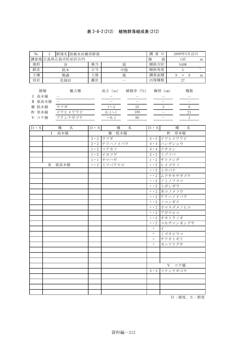# 表 2-8-2(212) 植物群落組成表(212)

| No.                                                              | $\,2$        | 群落名 放棄水田雑草群落                               |             |                                              |                                                    | 調査日              |                                               | 2009年5月22日                                    |         |  |  |
|------------------------------------------------------------------|--------------|--------------------------------------------|-------------|----------------------------------------------|----------------------------------------------------|------------------|-----------------------------------------------|-----------------------------------------------|---------|--|--|
|                                                                  |              | 調査地広島県広島市佐伯区石内                             |             |                                              |                                                    | 海                | 抜                                             | 145                                           | m       |  |  |
| 地形                                                               |              | 谷                                          | 風当          |                                              | 弱                                                  | 傾斜方位             |                                               | N <sub>4</sub> OW                             |         |  |  |
| 群系                                                               |              | 低木                                         | 日当          |                                              | 中陰                                                 | 傾斜角度             |                                               | $\sqrt{5}$                                    | $\circ$ |  |  |
| 士壤                                                               |              | 褐森                                         | 土湿          |                                              | 湿                                                  | 調査面積             |                                               | $8 \times 8$                                  | m       |  |  |
| 母岩                                                               |              | 花崗岩                                        | 露岩          |                                              | $\overline{\phantom{0}}$                           | 出現種数             |                                               | 27                                            |         |  |  |
| 階層<br>I 高木層<br>Ⅱ 亜高木層<br>Ⅲ 低木層<br>IV 草本層<br>V コケ層<br>$D \cdot S$ |              | 優占種<br>ウツギ<br>イワヒメワラビ<br>ツクシナギゴケ<br>種<br>名 | $D \cdot S$ | $1\sim3$<br>$0.1 - 1$<br>$\sim 0.1$<br>種     | 高さ (m) 植被率 (%) 胸径 (cm)<br>$25\,$<br>100<br>80<br>名 | $D \cdot S$      | $\sqrt{3}$<br>$=$<br>$\overline{\phantom{0}}$ | 種数<br>$\,6\,$<br>21<br>$\mathbf{1}$<br>種<br>名 |         |  |  |
|                                                                  | $\mathbf{I}$ | 高木層                                        |             | 低木層<br>$\rm I\hspace{-.1em}I\hspace{-.1em}I$ |                                                    |                  | $\mathbbm{N}$                                 | 草本層                                           |         |  |  |
|                                                                  |              |                                            | $3 \cdot 2$ | ウツギ                                          |                                                    | $5 \cdot 5$      |                                               | イワヒメワラビ                                       |         |  |  |
|                                                                  |              |                                            | $2 \cdot 2$ | テリハノイバラ                                      |                                                    | $4 \cdot 4$      | ハンゲショウ                                        |                                               |         |  |  |
|                                                                  |              |                                            |             | 1・2 コアカソ                                     |                                                    | $4 \cdot 4$      | クサヨシ                                          |                                               |         |  |  |
|                                                                  |              |                                            |             | 1・2 イヌツゲ                                     |                                                    | $2 \cdot 2$      | ミゾソバ                                          |                                               |         |  |  |
|                                                                  |              |                                            |             | 1・1 ヤマハゼ                                     |                                                    |                  | 1・2 サトメシダ                                     |                                               |         |  |  |
|                                                                  | $\rm II$     | 亜高木層<br>+•2 ミツバアケビ                         |             |                                              |                                                    | $+ \cdot 2$      | ヒメゴウソ                                         |                                               |         |  |  |
|                                                                  |              |                                            |             |                                              |                                                    | $+ \cdot 2$      | トウバナ                                          |                                               |         |  |  |
|                                                                  |              |                                            |             |                                              |                                                    | $+ \cdot 2$      |                                               | ムラサキサギゴケ                                      |         |  |  |
|                                                                  |              |                                            |             |                                              |                                                    | $+ \cdot 2$      | ノミノフスマ                                        |                                               |         |  |  |
|                                                                  |              |                                            |             |                                              |                                                    | $+ \cdot 2$      | トボシガラ                                         |                                               |         |  |  |
|                                                                  |              |                                            |             |                                              |                                                    | $+ \cdot 2$      | ネコノメソウ                                        |                                               |         |  |  |
|                                                                  |              |                                            |             |                                              |                                                    | $+ \cdot 2$      |                                               | テリハノイバラ                                       |         |  |  |
|                                                                  |              |                                            |             |                                              |                                                    | $+ \cdot 2$      | ノコンギク                                         |                                               |         |  |  |
|                                                                  |              |                                            |             |                                              |                                                    |                  |                                               | +・2 ヤマスズメノヒエ                                  |         |  |  |
|                                                                  |              |                                            |             |                                              |                                                    | $+ \cdot 2$      | アゼナルコ                                         |                                               |         |  |  |
|                                                                  |              |                                            |             |                                              |                                                    | $+ \cdot 2$      | オカトラノオ                                        |                                               |         |  |  |
|                                                                  |              |                                            |             |                                              |                                                    | $+ \cdot 2$      |                                               | コモチマンネングサ                                     |         |  |  |
|                                                                  |              |                                            |             |                                              |                                                    |                  | イ                                             |                                               |         |  |  |
|                                                                  |              |                                            |             |                                              |                                                    | $\boldsymbol{+}$ | ミズタビラコ                                        |                                               |         |  |  |
|                                                                  |              |                                            |             |                                              |                                                    | $^{+}$           | サワオトギリ                                        |                                               |         |  |  |
|                                                                  |              |                                            |             |                                              |                                                    | $^{+}$           | カニツリグサ                                        |                                               |         |  |  |
|                                                                  |              |                                            |             |                                              |                                                    |                  |                                               |                                               |         |  |  |
|                                                                  |              |                                            |             |                                              |                                                    |                  |                                               |                                               |         |  |  |
|                                                                  |              |                                            |             |                                              |                                                    |                  |                                               |                                               |         |  |  |
|                                                                  |              |                                            |             |                                              |                                                    |                  |                                               | V コケ層                                         |         |  |  |
|                                                                  |              |                                            |             |                                              |                                                    | $4 \cdot 3$      |                                               | ツクシナギゴケ                                       |         |  |  |
|                                                                  |              |                                            |             |                                              |                                                    |                  |                                               |                                               |         |  |  |
|                                                                  |              |                                            |             |                                              |                                                    |                  |                                               |                                               |         |  |  |
|                                                                  |              |                                            |             |                                              |                                                    |                  |                                               |                                               |         |  |  |
|                                                                  |              |                                            |             |                                              |                                                    |                  |                                               |                                               |         |  |  |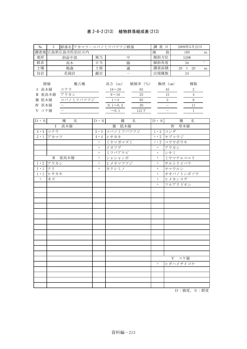# 表 2-8-2(213) 植物群落組成表(213)

| No.                                                                                                                                                            | $\mathbf{3}$<br> 群落名  アカマツーコバノミツバツツジ群落                                                                                                                                             |                                                                                                                                       |                                                                                                                                                                                                                                                       | 調査日                                                                                                                                     |                                                                                                                                     | 2009年5月22日                                                                                                                                                  |         |
|----------------------------------------------------------------------------------------------------------------------------------------------------------------|------------------------------------------------------------------------------------------------------------------------------------------------------------------------------------|---------------------------------------------------------------------------------------------------------------------------------------|-------------------------------------------------------------------------------------------------------------------------------------------------------------------------------------------------------------------------------------------------------|-----------------------------------------------------------------------------------------------------------------------------------------|-------------------------------------------------------------------------------------------------------------------------------------|-------------------------------------------------------------------------------------------------------------------------------------------------------------|---------|
|                                                                                                                                                                | 調査地 広島県広島市佐伯区石内                                                                                                                                                                    |                                                                                                                                       |                                                                                                                                                                                                                                                       | 海                                                                                                                                       | 抜                                                                                                                                   | 160                                                                                                                                                         | m       |
| 地形                                                                                                                                                             | 斜面中部                                                                                                                                                                               | 風当                                                                                                                                    | 中                                                                                                                                                                                                                                                     | 傾斜方位                                                                                                                                    |                                                                                                                                     | S20W                                                                                                                                                        |         |
| 群系                                                                                                                                                             | 高木                                                                                                                                                                                 | 日当                                                                                                                                    | 陽                                                                                                                                                                                                                                                     | 傾斜角度                                                                                                                                    |                                                                                                                                     | 50                                                                                                                                                          | $\circ$ |
| 土壤                                                                                                                                                             | 褐森                                                                                                                                                                                 | 土湿                                                                                                                                    | 適                                                                                                                                                                                                                                                     | 調査面積                                                                                                                                    |                                                                                                                                     | 20 $\times$ 20                                                                                                                                              | m       |
|                                                                                                                                                                | 花崗岩                                                                                                                                                                                |                                                                                                                                       | $\overline{\phantom{0}}$                                                                                                                                                                                                                              | 出現種数                                                                                                                                    |                                                                                                                                     | 24                                                                                                                                                          |         |
| 母岩<br>I 高木層<br>Ⅱ 亜高木層<br>Ⅲ 低木層<br>IV 草本層<br>V コケ層<br>$D \cdot S$<br>$4 \cdot 4$<br>$2 \cdot 1$<br>$1 \cdot 2$<br>$1 \cdot 1$<br>$1 \cdot 1$<br>$\! + \!\!\!\!$ | 階層<br>優占種<br>コナラ<br>アラカシ<br>コバノミツバツツジ<br>$\overline{\phantom{0}}$<br>$\overline{\phantom{0}}$<br>種<br>名<br>高木層<br>$\mathbf I$<br>コナラ<br>アカマツ<br>Ⅱ 亜高木層<br>アラカシ<br>クリ<br>ヒサカキ<br>ネズ | 露岩<br>$\mathbf{D} \cdot \mathbf{S}$<br>$5 \cdot 5$<br>$4 \cdot 4$<br>$\! +$<br>$\, +$<br>$\, +$<br>$\boldsymbol{+}$<br>$^+$<br>$^{+}$ | 高さ (m)<br>植被率 (%)<br>$18\mathtt{\sim}20$<br>85<br>$8\!\sim\!10$<br>25<br>95<br>$1\sim3$<br>30<br>$0.1 \sim 0.4$<br>1以下<br>$\sim 0.1$<br>種<br>名<br>低木層<br>$\mathbb{I}$<br>コバノミツバツツジ<br>ヒサカキ<br>ミヤマガマズミ<br>イヌツゲ<br>ミツバアケビ<br>シャシャンボ<br>ヒメヤマツツジ<br>カクレミノ | $D \cdot S$<br>$+ \cdot 2$<br>$+ \cdot 2$<br>$\boldsymbol{+}$<br>$\boldsymbol{+}$<br>$+$<br>$\boldsymbol{+}$<br>$^{+}$<br>$\, +$<br>$+$ | 胸径(cm)<br>45<br>15<br>$\sqrt{3}$<br>$\equiv$<br>$\frac{1}{2}$<br>$\mathbf{I}$ V<br>$1 \cdot 2$ コシダ<br>ヤブコウジ<br>アラカシ<br>シキミ<br>ヤマウルシ | 種数<br>$\boldsymbol{2}$<br>$\overline{4}$<br>$8\,$<br>11<br>$\mathbf{1}$<br>種<br>名<br>草本層<br>コウヤボウキ<br>ミヤマナルコユリ<br>サルトリイバラ<br>オオバノトンボソウ<br>ヒメカンスゲ<br>ツルアリドオシ |         |
|                                                                                                                                                                |                                                                                                                                                                                    |                                                                                                                                       |                                                                                                                                                                                                                                                       |                                                                                                                                         |                                                                                                                                     |                                                                                                                                                             |         |
|                                                                                                                                                                |                                                                                                                                                                                    |                                                                                                                                       |                                                                                                                                                                                                                                                       |                                                                                                                                         |                                                                                                                                     |                                                                                                                                                             |         |
|                                                                                                                                                                |                                                                                                                                                                                    |                                                                                                                                       |                                                                                                                                                                                                                                                       |                                                                                                                                         |                                                                                                                                     |                                                                                                                                                             |         |
|                                                                                                                                                                |                                                                                                                                                                                    |                                                                                                                                       |                                                                                                                                                                                                                                                       |                                                                                                                                         |                                                                                                                                     |                                                                                                                                                             |         |
|                                                                                                                                                                |                                                                                                                                                                                    |                                                                                                                                       |                                                                                                                                                                                                                                                       |                                                                                                                                         |                                                                                                                                     | V コケ層                                                                                                                                                       |         |
|                                                                                                                                                                |                                                                                                                                                                                    |                                                                                                                                       |                                                                                                                                                                                                                                                       | $\! + \!\!\!\!$                                                                                                                         |                                                                                                                                     | ヒダハイチイゴケ                                                                                                                                                    |         |
|                                                                                                                                                                |                                                                                                                                                                                    |                                                                                                                                       |                                                                                                                                                                                                                                                       |                                                                                                                                         |                                                                                                                                     |                                                                                                                                                             |         |
|                                                                                                                                                                |                                                                                                                                                                                    |                                                                                                                                       |                                                                                                                                                                                                                                                       |                                                                                                                                         |                                                                                                                                     |                                                                                                                                                             |         |
|                                                                                                                                                                |                                                                                                                                                                                    |                                                                                                                                       |                                                                                                                                                                                                                                                       |                                                                                                                                         |                                                                                                                                     |                                                                                                                                                             |         |
|                                                                                                                                                                |                                                                                                                                                                                    |                                                                                                                                       |                                                                                                                                                                                                                                                       |                                                                                                                                         |                                                                                                                                     |                                                                                                                                                             |         |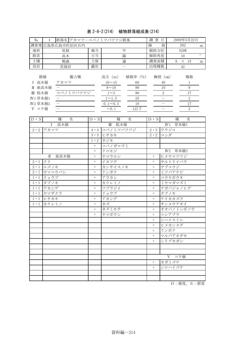# 表 2-8-2(214) 植物群落組成表(214)

| N <sub>o</sub>  | 4                        |           |                 |              | 群落名  アカマツーコバノミツバツツジ群落                    | 査<br>調<br>日 |               |    | 2009年5月22日     |    |         |
|-----------------|--------------------------|-----------|-----------------|--------------|------------------------------------------|-------------|---------------|----|----------------|----|---------|
|                 |                          |           | 調査地 広島県広島市佐伯区石内 |              |                                          |             | 海<br>抜        |    | 202            |    | m       |
| 地形              |                          | 尾根        |                 | 風当           |                                          | 中           | 傾斜方位          |    | N20W           |    |         |
| 群系              |                          | 高木        |                 | 日当           |                                          | 陽           | 傾斜角度          |    | 10             |    | $\circ$ |
| 土壤              |                          | 褐森        |                 | 土湿           |                                          | 適           | 調査面積          | 8  | $\times$ 15    |    | m       |
| 母岩              |                          | 花崗岩       |                 | 露岩           |                                          |             | 出現種数          | 42 |                |    |         |
|                 | 階層<br>優占種<br>高木層<br>アカマツ |           |                 |              | 植被率 (%)<br>高さ (m)<br>$10^{\sim}15$<br>60 |             | 胸径 (cm)<br>40 |    | 種数             |    |         |
| Π               | 亜高木層                     |           |                 |              | $8 \sim 10$                              | 90          | 10            |    |                | 9  |         |
| Ⅲ 低木層           |                          | コバノミツバツツジ |                 |              | $1\sim3$<br>90                           |             | 2             |    |                | 17 |         |
| $IV1$ 草本層 $1$   |                          |           |                 | $1 \sim 1.5$ | 25                                       |             |               |    | $\overline{2}$ |    |         |
| <b>IV2 草本層2</b> |                          |           |                 |              | $0.1 \sim 0.3$<br>10                     |             |               |    |                | 17 |         |
| V コケ層           |                          |           |                 |              | $\sim 0.1$                               | 1以下         |               |    |                | 2  |         |

| $D \cdot S$ | 種<br>名              | $D \cdot S$       | 種<br>名    | $D \cdot S$       | 種<br>名             |
|-------------|---------------------|-------------------|-----------|-------------------|--------------------|
|             | 高木層<br>$\mathbf{I}$ |                   | Ⅲ 低木層     |                   | IV1 草本層1           |
| $2 \cdot 2$ | アカマツ                | $4 \cdot 4$       | コバノミツバツツジ |                   | 2・3 ウラジロ           |
|             |                     | $3 \cdot 3$       | ヒサカキ      | $2 \cdot 2$       | コシダ                |
|             |                     | $1 \cdot 2$       | ネジキ       |                   |                    |
|             |                     | $\boldsymbol{+}$  | コバノガマズミ   |                   |                    |
|             |                     | $^{+}$            | クロモジ      |                   | <b>IV2 草本層2</b>    |
|             | 亜高木層<br>$\Pi$       | $\qquad \qquad +$ | ヤマウルシ     | $^{+}$            | ヒメヤマツツジ            |
| $2 \cdot 1$ | クリ                  | $^{+}$            | イヌツゲ      | $^{+}$            | サルトリイバラ            |
|             | $2 \cdot 1$ エゴノキ    | $\qquad \qquad +$ | カンサイスノキ   | $^{+}$            | ヤブコウジ              |
|             | 2・1 ヤマコウバシ          | $^{+}$            | リンボク      | $^{+}$            | ミツバアケビ             |
|             | $1 \cdot 1$ リョウブ    | $^{+}$            | アラカシ      | $+$               | コウヤボウキ             |
| $1 \cdot 1$ | タブノキ                | $\qquad \qquad +$ | カクレミノ     | $\qquad \qquad +$ | ミヤマガマズミ            |
|             | 1・1 アカシデ            | $^{+}$            | ツブラジイ     | $^{+}$            | ナガバジャノヒゲ           |
|             | 1・1 ヤマザクラ           | $\qquad \qquad +$ | リョウブ      | $^{+}$            | タブノキ               |
|             | 1·1 ヒサカキ            | $\qquad \qquad +$ | アカシデ      | $^{+}$            | テイカカズラ             |
|             | 1・1 カクレミノ           | $\ddot{}$         | ネズ        | $+$               | サンヨウアオイ            |
|             |                     | $\qquad \qquad +$ | ネズミモチ     | $+$               | オオバノトンボソウ          |
|             |                     | $^{+}$            | ヤマボウシ     | $^{+}$            | コシアブラ              |
|             |                     |                   |           | $^{+}$            | シハイスミレ             |
|             |                     |                   |           | $\! + \!$         | ヒメカンスゲ             |
|             |                     |                   |           | $^{+}$            | リンボク               |
|             |                     |                   |           | $+$               | マルバアオダモ            |
|             |                     |                   |           | $^{+}$            | シリブカガシ             |
|             |                     |                   |           |                   |                    |
|             |                     |                   |           |                   |                    |
|             |                     |                   |           |                   | コケ層<br>$\mathbf V$ |
|             |                     |                   |           | $^{+}$            | カガミゴケ              |
|             |                     |                   |           | $^{+}$            | シロハイゴケ             |
|             |                     |                   |           |                   |                    |
|             |                     |                   |           |                   |                    |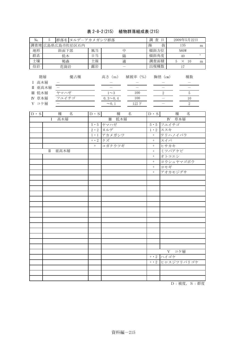## 表 2-8-2(215) 植物群落組成表(215)

| N <sub>o</sub>                      | 5                 |               | 群落名 ヌルデーアカメガシワ群落 |    |                                                    |                              | 查日<br>調 |               |     | 2009年5月22日         |   |
|-------------------------------------|-------------------|---------------|------------------|----|----------------------------------------------------|------------------------------|---------|---------------|-----|--------------------|---|
|                                     |                   |               | 調査地 広島県広島市佐伯区石内  |    |                                                    |                              | 海       | 抜             | 135 |                    | m |
| 地形                                  |                   | 斜面下部          |                  | 風当 |                                                    | 中                            | 傾斜方位    |               |     | N <sub>60</sub> W  |   |
| 群系                                  |                   | 低木            |                  | 日当 |                                                    | 傾斜角度                         |         |               | 40  | $\circ$            |   |
| 土壤                                  |                   | 褐森            |                  | 土湿 |                                                    | 適                            | 調査面積    |               | 5   | $\times$ 10        | m |
| 母岩                                  |                   | 花崗岩           |                  | 露岩 |                                                    | 出現種数                         |         |               | 17  |                    |   |
| 高木層<br>Π<br>低木層<br>Ш<br>IV<br>V コケ層 | 階層<br>亜高木層<br>草本層 | ヤマハゼ<br>フユイチゴ | 優占種              |    | 高さ (m)<br>$1\sim3$<br>$0.3 \sim 0.4$<br>$\sim 0.1$ | 植被率 (%)<br>100<br>100<br>1以下 | 胸径 (cm) | $\mathcal{D}$ |     | 種数<br>5<br>10<br>2 |   |

| $D \cdot S$ | 種<br>名              | $D \cdot S$ | 種<br>名                    | $D \cdot S$      | 種<br>名         |
|-------------|---------------------|-------------|---------------------------|------------------|----------------|
|             | I 高木層               |             | Ⅲ 低木層                     |                  | IV 草本層         |
|             |                     |             | $5.5$ ヤマハゼ                |                  | $5.5$ フユイチゴ    |
|             |                     |             | $\overline{2\cdot 2}$ ヌルデ |                  | 1・2 ススキ        |
|             |                     |             | 1・1 アカメガシワ                | $+$              | テリハノイバラ        |
|             |                     | +・2 クズ      |                           | $^{+}$           | スイバ            |
|             |                     | $\, +$      | コガクウツギ                    | $\boldsymbol{+}$ | ヒサカキ           |
|             | 亜高木層<br>$\rm{I\!I}$ |             |                           | $+$              | ミツバアケビ         |
|             |                     |             |                           | $\boldsymbol{+}$ | オトコエシ          |
|             |                     |             |                           | $\boldsymbol{+}$ | ヨウシュヤマゴボウ      |
|             |                     |             |                           | $^{+}$           | ヨモギ            |
|             |                     |             |                           | $^{+}$           | アオカモジグサ        |
|             |                     |             |                           |                  |                |
|             |                     |             |                           |                  |                |
|             |                     |             |                           |                  |                |
|             |                     |             |                           |                  |                |
|             |                     |             |                           |                  |                |
|             |                     |             |                           |                  |                |
|             |                     |             |                           |                  |                |
|             |                     |             |                           |                  |                |
|             |                     |             |                           |                  |                |
|             |                     |             |                           |                  |                |
|             |                     |             |                           |                  |                |
|             |                     |             |                           |                  |                |
|             |                     |             |                           |                  |                |
|             |                     |             |                           |                  |                |
|             |                     |             |                           |                  | V コケ層          |
|             |                     |             |                           |                  | +・2 ハイゴケ       |
|             |                     |             |                           |                  | +・2 ヒロスジツリバリゴケ |
|             |                     |             |                           |                  |                |
|             |                     |             |                           |                  |                |
|             |                     |             |                           |                  |                |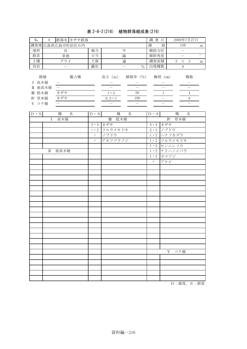# 表 2-8-2(216) 植物群落組成表(216)

| No.           | 6                 |                | 群落名 ネザサ群落 |    |                       |   |               | 査<br>調 | 日       |   |            | 2009年7月27日 |         |
|---------------|-------------------|----------------|-----------|----|-----------------------|---|---------------|--------|---------|---|------------|------------|---------|
|               |                   | 調査地広島県広島市佐伯区石内 |           |    |                       |   |               | 海      | 抜       |   | 158        |            | m       |
| 地形            |                   | 谷              |           | 風当 | 中                     |   |               | 傾斜方位   |         |   |            |            |         |
| 群系            |                   | 草地             |           | 日当 | 陽                     |   |               | 傾斜角度   |         |   |            |            | $\circ$ |
| 土壤            |                   | グライ            |           | 土湿 |                       | 適 |               | 調査面積   |         | 3 | $\times$ 3 |            | m       |
| 母岩            |                   |                |           | 露岩 | $\frac{0}{0}$         |   |               | 出現種数   |         |   | 9          |            |         |
| Π<br>低木層<br>Ш | 階層<br>高木層<br>亜高木層 | ネザサ            | 優占種       |    | 高さ (m)<br>$1^{\sim}2$ |   | 植被率 (%)<br>50 |        | 胸径 (cm) |   |            | 種数<br>4    |         |
| IV            | 草本層               | ネザサ            |           |    | $0.3 \sim 1$          |   | 100           |        |         |   |            | 8          |         |
| コケ層           |                   |                |           |    |                       |   |               |        |         |   |            |            |         |

| $D \cdot S$ | 種<br>名  | $D \cdot S$    | 種<br>名      | $D \cdot S$ | 種<br>名          |
|-------------|---------|----------------|-------------|-------------|-----------------|
|             | I 高木層   |                | Ⅲ 低木層       |             | IV 草本層          |
|             |         |                | 3・4 ネザサ     |             | $4 \cdot 4$ ネザサ |
|             |         |                | +・2 ツルウメモドキ |             | 2・2 ノブドウ        |
|             |         | $\, + \,$      | ノブドウ        |             | 1・2 ヘクソカズラ      |
|             |         | $\overline{+}$ | アオツヅラフジ     |             | 1・2 ツルウメモドキ     |
|             |         |                |             |             | 1・2 センニンソウ      |
|             | II 亜高木層 |                |             |             | 1・2 テリハノイバラ     |
|             |         |                |             |             | 1・2 ヤマフジ        |
|             |         |                |             | $\, + \,$   | アケビ             |
|             |         |                |             |             |                 |
|             |         |                |             |             |                 |
|             |         |                |             |             |                 |
|             |         |                |             |             |                 |
|             |         |                |             |             |                 |
|             |         |                |             |             |                 |
|             |         |                |             |             |                 |
|             |         |                |             |             |                 |
|             |         |                |             |             |                 |
|             |         |                |             |             |                 |
|             |         |                |             |             |                 |
|             |         |                |             |             |                 |
|             |         |                |             |             |                 |
|             |         |                |             |             |                 |
|             |         |                |             |             |                 |
|             |         |                |             |             |                 |
|             |         |                |             |             | V コケ層           |
|             |         |                |             |             |                 |
|             |         |                |             |             |                 |
|             |         |                |             |             |                 |
|             |         |                |             |             |                 |
|             |         |                |             |             |                 |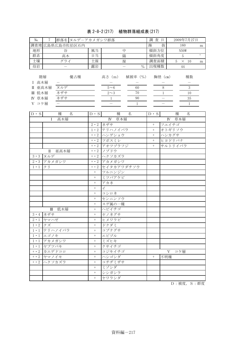# 表 2-8-2(217) 植物群落組成表(217)

| N <sub>o</sub> |      |     | 群落名 ヌルデーアカメガシワ群落 | 査<br>調 | 日            |         |               | 2009年7月27日 |         |    |                   |             |   |
|----------------|------|-----|------------------|--------|--------------|---------|---------------|------------|---------|----|-------------------|-------------|---|
|                |      |     | 調査地 広島県広島市佐伯区石内  |        |              |         |               | 海          | 抜       |    | 160               |             | m |
| 地形             |      | 谷   |                  | 風当     | 中            |         |               | 傾斜方位       |         |    | N <sub>5</sub> OW |             |   |
| 群系             |      | 高木  |                  | 日当     | 陽            |         |               | 傾斜角度       |         | 5  |                   | $\circ$     |   |
| 土壤             |      | グライ |                  | 土湿     |              | 湿       |               |            | 調査面積    |    |                   | $\times$ 10 | m |
| 母岩             |      |     |                  | 露岩     |              |         | $\frac{0}{0}$ | 出現種数       |         |    | 44                |             |   |
| 高木層            | 階層   |     | 優占種              |        | 高さ (m)       | 植被率 (%) |               |            | 胸径 (cm) |    |                   | 種数          |   |
| Π              | 亜高木層 | ヌルデ |                  |        | $5\!\sim\!6$ |         | 60            |            | 8       |    |                   | 3           |   |
| Ⅲ 低木層          | ネザサ  |     | 70<br>$2\sim3$   |        |              |         |               |            |         | 10 |                   |             |   |
| IV 草本層         | ネザサ  |     |                  | 90     |              |         |               | 35         |         |    |                   |             |   |
| コケ層            |      |     |                  |        |              |         |               |            |         |    |                   |             |   |

| $D \cdot S$ | 種<br>名                                                                   | $D \cdot S$       | 種<br>名         | $D \cdot S$ | 種<br>名   |
|-------------|--------------------------------------------------------------------------|-------------------|----------------|-------------|----------|
|             | 高木層<br>$\mathbf{I}$                                                      |                   | IV 草本層         |             | IV 草本層   |
|             |                                                                          |                   | 2・2 ネザサ        | $+$         | フユイチゴ    |
|             |                                                                          |                   | 1・2 テリハノイバラ    | $^{+}$      | オトギリソウ   |
|             |                                                                          |                   | +・2 ハンゲショウ     | $^{+}$      | ハシカグサ    |
|             |                                                                          |                   | +・2 ツボスミレ      |             | ヒヨドリバナ   |
|             |                                                                          |                   | +・2 アオツヅラフジ    | $^{+}$      | サルトリイバラ  |
|             | 亜高木層<br>$\Pi$                                                            |                   | +・2 ノブドウ       |             |          |
| $3 \cdot 3$ | ヌルデ                                                                      |                   | +・2 ヘクソカズラ     |             |          |
| $2 \cdot 3$ | アカメガシワ                                                                   |                   | +・2 アカメガシワ     |             |          |
| $1 \cdot 1$ | クリ                                                                       |                   | +・2 セイタカアワダチソウ |             |          |
|             |                                                                          | $+$               | ツルニンジン         |             |          |
|             |                                                                          | $^{+}$            | ミツバアケビ         |             |          |
|             |                                                                          | $^{+}$            | アカネ            |             |          |
|             |                                                                          | $^{+}$            | $\overline{1}$ |             |          |
|             |                                                                          | $\qquad \qquad +$ | コシロネ           |             |          |
|             |                                                                          |                   | センニンソウ         |             |          |
|             |                                                                          | $^{+}$            | スゲ属の一種         |             |          |
|             | 低木層<br>Ш                                                                 | $\boldsymbol{+}$  | ヘビイチゴ          |             |          |
|             | 3・4 ネザサ                                                                  |                   | ヤノネグサ          |             |          |
| $2 \cdot 1$ | ヤマハゼ                                                                     | $^{+}$            | ヒメワラビ          |             |          |
| $1 \cdot 2$ | クズ                                                                       | $\! +$            | ドクダミ           |             |          |
| $1 \cdot 1$ | テリハノイバラ                                                                  | $\! +$            | コブナグサ          |             |          |
| $1 \cdot 1$ | エゴノキ                                                                     | $^{+}$            | エビヅル           |             |          |
| $1 \cdot 1$ | アカメガシワ                                                                   | $\! +$            | ミズヒキ           |             |          |
| $1 \cdot 1$ | ヤブツバキ                                                                    | $\qquad \qquad +$ | クサイチゴ          |             |          |
| $+ \cdot 2$ | カエデドコロ                                                                   | $^{+}$            | コジキイチゴ         |             | V<br>コケ層 |
|             | $\overline{+ \cdot 2}$ $\forall \forall \forall \forall \forall \exists$ | $\boldsymbol{+}$  | ハシゴシダ          | $^{+}$      | 不明種      |
|             | +・2 ヘクソカズラ                                                               | $\boldsymbol{+}$  | コチヂミザサ         |             |          |
|             |                                                                          | $^{+}$            | ミゾシダ           |             |          |
|             |                                                                          | $\! +$            | シシガシラ          |             |          |
|             |                                                                          | $+$               | ヤワラシダ          |             |          |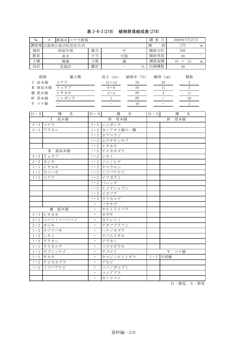## 表 2-8-2(218) 植物群落組成表(218)

| N <sub>o</sub><br>8                                    |                             | 群落名 コナラ群落 |    |                                               |                                       |               | 査<br>調 | 日                        |    |                  | 2009年7月27日               |         |
|--------------------------------------------------------|-----------------------------|-----------|----|-----------------------------------------------|---------------------------------------|---------------|--------|--------------------------|----|------------------|--------------------------|---------|
| 調査地 広島県広島市佐伯区石内                                        |                             |           |    |                                               |                                       |               | 海      | 抜                        |    | 175              |                          | m       |
| 地形                                                     | 斜面中部                        |           | 風当 |                                               | 中                                     |               | 傾斜方位   |                          |    | N <sub>5</sub> E |                          |         |
| 群系                                                     | 高木                          |           | 日当 |                                               | 中陰                                    |               | 傾斜角度   |                          |    | 40               |                          | $\circ$ |
| 土壤                                                     | 褐森                          |           | 土湿 |                                               | 適                                     |               | 調査面積   |                          | 10 | $\times$         | -15                      | m       |
| 母岩                                                     | 花崗岩                         |           | 露岩 |                                               |                                       | $\frac{0}{0}$ | 出現種数   |                          |    | 39               |                          |         |
| 階層<br>高木層<br>亜高木層<br>Π<br>低木層<br>Ш<br>草本層<br>IV<br>コケ層 | コナラ<br>ョウブ<br>ヒサカキ<br>シシガシラ | 優占種       |    | 高さ (m)<br>$12 - 14$<br>$6 \sim 8$<br>$2\sim4$ | 植被率 (%)<br>70<br>50<br>80<br>80<br>10 |               |        | 胸径 (cm)<br>20<br>11<br>4 |    |                  | 種数<br>2<br>5<br>11<br>30 |         |

| $D \cdot S$       | 種<br>名               | $D \cdot S$            | 種<br>名         | $D \cdot S$ | 種<br>名   |
|-------------------|----------------------|------------------------|----------------|-------------|----------|
|                   | 高木層<br>$\mathbf{I}$  |                        | IV 草本層         |             | IV 草本層   |
| $3 \cdot 3$       | コナラ                  | $3 \cdot 3$            | シシガシラ          |             |          |
| $2 \cdot 3$       | アラカシ                 |                        | 1・2 カンアオイ属の一種  |             |          |
|                   |                      |                        | 1・2 ヤブコウジ      |             |          |
|                   |                      |                        | +・2 ムラサキシキブ    |             |          |
|                   |                      |                        | +·2 ヒサカキ       |             |          |
|                   | 亜高木層<br>$\mathbb{I}$ |                        | +・2 テイカカズラ     |             |          |
| $3 \, \cdot \, 2$ | リョウブ                 | $+ \cdot 2$            | シキミ            |             |          |
| $2 \cdot 2$       | ネジキ                  | $+ \cdot 2$            | <b>「</b> ジャノヒゲ |             |          |
| $1 \cdot 1$       | ヒサカキ                 |                        | +・2 ヤマウルシ      |             |          |
| $1 \cdot 1$       | ヤマハゼ                 |                        | +・2 ミツバアケビ     |             |          |
| $1 \cdot 1$       | コナラ                  |                        | +・2 イワガラミ      |             |          |
|                   |                      |                        | +・2 ベニシダ       |             |          |
|                   |                      |                        | +・2 ヒメヤシャブシ    |             |          |
|                   |                      | $+ \cdot 2$            | イヌツゲ           |             |          |
|                   |                      | $+ \cdot \overline{2}$ | ウリカエデ          |             |          |
|                   |                      | $\qquad \qquad +$      | ノササゲ           |             |          |
|                   | 低木層<br>$\mathbb{H}$  | $^{+}$                 | サルトリイバラ        |             |          |
| $3 \cdot 3$       | ヒサカキ                 | $^{+}$                 | ネザサ            |             |          |
| $2 \cdot 2$       | コバノミツバツツジ            | $\qquad \qquad +$      | カクレミノ          |             |          |
| $2 \cdot 2$       | ネジキ                  | $^{+}$                 | アオツヅラフジ        |             |          |
| $1 \cdot 2$       | ヤブツバキ                | $\qquad \qquad +$      | ヘクソカズラ         |             |          |
| $1 \cdot 2$       | シキミ                  | $\ddot{}$              | ヤブムラサキ         |             |          |
| $1 \cdot 2$       | アラカシ                 | $^{+}$                 | アラカシ           |             |          |
| $1 \cdot 1$       | ウリカエデ                | $\qquad \qquad +$      | コウヤボウキ         |             |          |
| $1 \cdot 1$       | ヤブニッケイ               | $^{+}$                 | チゴユリ           |             | コケ層<br>V |
| $1 \cdot 1$       | サカキ                  | $\boldsymbol{+}$       | ヤマジノホトトギス      | $1 \cdot 2$ | 不明種      |
| $+ \cdot 2$       | テイカカズラ               | $^{+}$                 | アセビ            |             |          |
| $+ \cdot 2$       | ミツバアケビ               | $^{+}$                 | コバノガマズミ        |             |          |
|                   |                      | $^{+}$                 | コシアブラ          |             |          |
|                   |                      | $^{+}$                 | オニドコロ          |             |          |

 $D:$  被度,  $S:$  群度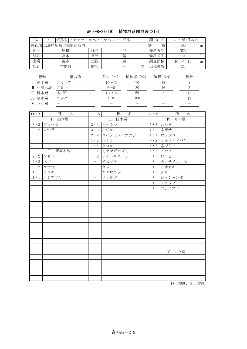### 表 2-8-2(219) 植物群落組成表(219)

| 9<br>No.                                              | 群落名 アカマツーコバノミツバツツジ群落<br>調        |    |    |                                                       |                                  |               |                          |                  |             | 2009年7月27日               |         |
|-------------------------------------------------------|----------------------------------|----|----|-------------------------------------------------------|----------------------------------|---------------|--------------------------|------------------|-------------|--------------------------|---------|
|                                                       | 調査地 広島県広島市佐伯区石内                  |    |    |                                                       |                                  |               | 抜<br>海                   |                  | 190         |                          | m       |
| 地形                                                    | 尾根                               | 風当 |    | 中                                                     |                                  | 傾斜方位          |                          | N <sub>5</sub> E |             |                          |         |
| 群系                                                    | 日当<br>高木                         |    |    | 陽                                                     |                                  |               | 傾斜角度                     |                  | 10          |                          | $\circ$ |
| 土壌                                                    | 褐森                               |    | 土湿 |                                                       | 適                                |               | 調査面積                     | 10               | $\times$ 15 |                          | m       |
| 母岩                                                    | 花崗岩                              |    | 露岩 |                                                       |                                  | $\frac{0}{0}$ | 出現種数                     |                  | 22          |                          |         |
| 階層<br>高木層<br>亜高木層<br>Π<br>低木層<br>Ш<br>IV 草本層<br>V コケ層 | 優占種<br>アカマツ<br>ソヨゴ<br>ネジキ<br>コシダ |    |    | 高さ (m)<br>$10 - 13$<br>$6 \sim 8$<br>$1.5 - 4$<br>0.8 | 植被率 (%)<br>70<br>80<br>60<br>100 |               | 胸径 (cm)<br>18<br>16<br>3 |                  |             | 種数<br>2<br>5<br>11<br>13 |         |

| $D \cdot S$   | 種<br>名  | $D \cdot S$      | 種<br>名                                 | $D \cdot S$      | 種<br>名          |
|---------------|---------|------------------|----------------------------------------|------------------|-----------------|
|               | I 高木層   |                  | Ⅲ 低木層                                  |                  | IV 草本層          |
| $3 \cdot 3$   | アカマツ    |                  | 3・3 ヒサカキ                               |                  | $5.5$ コシダ       |
| $2\,\cdot\,2$ | コナラ     |                  | 3・3 ネジキ                                |                  | $1 \cdot 2$ ネザサ |
|               |         |                  | 2・2 コバノミツバツツジ                          |                  | 1・1 ウラジロ        |
|               |         |                  | $1 \cdot 2$ $\exists \pm \overline{2}$ |                  | +・2 サルトリイバラ     |
|               |         |                  | 1・1 クロキ                                |                  | +·2 ネジキ         |
|               | II 亜高木層 |                  | 1・1 ミヤマガマズミ                            |                  | +・2 アセビ         |
| $2\,\cdot\,2$ | ソヨゴ     |                  | +・2 サルトリイバラ                            | $+$              | ワラビ             |
| $2 \cdot 2$   | ネズ      | $\! + \!$        | イヌツゲ                                   | $^{+}$           | カンサイスノキ         |
| $2 \cdot 2$   | コナラ     | $\boldsymbol{+}$ | ネズ                                     | $\boldsymbol{+}$ | ヒサカキ            |
| $1 \cdot 1$   | クロキ     | $\boldsymbol{+}$ | ヤマウルシ                                  | $\ddot{}$        | クリ              |
| $1 \cdot 1$   | コシアブラ   | $\boldsymbol{+}$ | リョウブ                                   | $^{+}$           | シャシャンボ          |
|               |         |                  |                                        | $+$              | リョウブ            |
|               |         |                  |                                        | $+$              | コシアブラ           |
|               |         |                  |                                        |                  |                 |
|               |         |                  |                                        |                  |                 |
|               |         |                  |                                        |                  |                 |
|               |         |                  |                                        |                  |                 |
|               |         |                  |                                        |                  |                 |
|               |         |                  |                                        |                  |                 |
|               |         |                  |                                        |                  |                 |
|               |         |                  |                                        |                  |                 |
|               |         |                  |                                        |                  |                 |
|               |         |                  |                                        |                  |                 |
|               |         |                  |                                        |                  |                 |
|               |         |                  |                                        |                  | コケ層<br>V        |
|               |         |                  |                                        |                  |                 |
|               |         |                  |                                        |                  |                 |
|               |         |                  |                                        |                  |                 |
|               |         |                  |                                        |                  |                 |
|               |         |                  |                                        |                  |                 |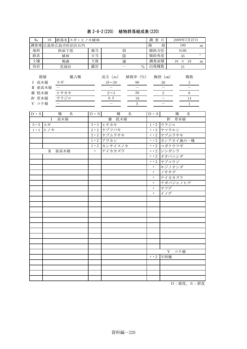# 表 2-8-2(220) 植物群落組成表(220)

| No.          | 10                                     | 調<br>群落名 スギ・ヒノキ植林  |                 |    |                                        |                                |      |                    |      | 2009年7月27日         |         |
|--------------|----------------------------------------|--------------------|-----------------|----|----------------------------------------|--------------------------------|------|--------------------|------|--------------------|---------|
|              |                                        |                    | 調査地 広島県広島市佐伯区石内 |    |                                        |                                | 海    | 抜                  | 180  |                    | m       |
| 地形           |                                        | 斜面下部               |                 | 風当 |                                        | 弱                              | 傾斜方位 |                    | N10E |                    |         |
| 群系           |                                        | 植林                 |                 | 日当 |                                        | 陰                              | 傾斜角度 |                    | 45   |                    | $\circ$ |
| 土壤           |                                        | 褐森                 |                 | 土湿 |                                        | 適                              | 調査面積 |                    | 10   | $\times$ 10        | m       |
| 母岩           |                                        | 花崗岩                |                 | 露岩 |                                        | $\frac{0}{0}$                  | 出現種数 |                    | 21   |                    |         |
| Π<br>Ш<br>IV | 階層<br>高木層<br>亜高木層<br>低木層<br>草本層<br>コケ層 | スギ<br>ヒサカキ<br>ウラジロ | 優占種             |    | 高さ (m)<br>$18 - 20$<br>$2\sim3$<br>0.5 | 植被率 (%)<br>90<br>50<br>10<br>5 |      | 胸径 (cm)<br>26<br>2 |      | 種数<br>2<br>6<br>14 |         |

| $D \cdot S$ | 種<br>名               | $D \cdot S$ | 種<br>名           | $D \cdot S$ | 種<br>名             |
|-------------|----------------------|-------------|------------------|-------------|--------------------|
|             | 高木層<br>$\mathbf{I}$  |             | Ⅲ 低木層            |             | IV 草本層             |
| $5 \cdot 5$ | スギ                   |             | $3 \cdot 3$ ヒサカキ |             | 1・2 ウラジロ           |
| $1 \cdot 1$ | ヒノキ                  |             | 2・2 ヤブツバキ        |             | +・2 ヤマウルシ          |
|             |                      |             | 2・2 ヤブムラサキ       |             | +・2 ヤブムラサキ         |
|             |                      |             | 1・2 アラカシ         |             | +・2 カンアオイ属の一種      |
|             |                      |             | 1・2 カンサイスノキ      |             | +・2 コガクウツギ         |
|             | $\mathbf{I}$<br>亜高木層 | $+$         | テイカカズラ           |             | +・2 シシガシラ          |
|             |                      |             |                  |             | +・2 オオベニシダ         |
|             |                      |             |                  |             | +・2 ヤブコウジ          |
|             |                      |             |                  | $^{+}$      | キジノオシダ             |
|             |                      |             |                  | $^{+}$      | ノササゲ               |
|             |                      |             |                  | $\, +$      | テイカカズラ             |
|             |                      |             |                  | $+$         | ナガバジャノヒゲ           |
|             |                      |             |                  | $^{+}$      | ヤツデ                |
|             |                      |             |                  | $+$         | イノデ                |
|             |                      |             |                  |             |                    |
|             |                      |             |                  |             |                    |
|             |                      |             |                  |             |                    |
|             |                      |             |                  |             |                    |
|             |                      |             |                  |             |                    |
|             |                      |             |                  |             |                    |
|             |                      |             |                  |             |                    |
|             |                      |             |                  |             |                    |
|             |                      |             |                  |             |                    |
|             |                      |             |                  |             |                    |
|             |                      |             |                  |             | コケ層<br>$\mathbf V$ |
|             |                      |             |                  | $+ \cdot 2$ | 不明種                |
|             |                      |             |                  |             |                    |
|             |                      |             |                  |             |                    |
|             |                      |             |                  |             |                    |
|             |                      |             |                  |             |                    |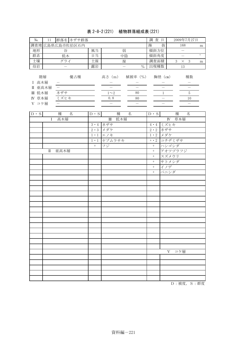# 表 2-8-2(221) 植物群落組成表(221)

| No. | 11        |      | 群落名 ネザサ群落      |    |           |    |               | 査<br>調 | 日       |   |            | 2009年7月27日 |         |
|-----|-----------|------|----------------|----|-----------|----|---------------|--------|---------|---|------------|------------|---------|
|     |           |      | 調査地広島県広島市佐伯区石内 |    |           |    |               | 海      | 抜       |   | 168        |            | m       |
| 地形  |           | 谷    |                | 風当 |           | 弱  |               | 傾斜方位   |         |   |            |            |         |
| 群系  |           | 低木   |                | 日当 |           | 中陰 |               | 傾斜角度   |         |   |            |            | $\circ$ |
| 土壤  |           | グライ  |                | 土湿 |           | 湿  |               | 調査面積   |         | 3 | $\times$ 3 |            | m       |
| 母岩  |           |      |                | 露岩 |           |    | $\frac{0}{0}$ | 出現種数   |         |   | 13         |            |         |
|     | 階層<br>高木層 |      | 優占種            |    | 高さ<br>(m) |    | 植被率 (%)       |        | 胸径 (cm) |   |            | 種数         |         |
| Π   | 亜高木層      |      |                |    |           |    |               |        |         |   |            |            |         |
| Ш   | 低木層       | ネザサ  |                |    | $1\sim2$  |    | 80            |        |         |   |            | 5          |         |
| IV  | 草本層       | ミズヒキ |                |    | 0.8       |    | 80            |        |         |   |            | 10         |         |
| コケ層 |           |      |                |    |           |    |               |        |         |   |            |            |         |

| $D \cdot S$ | 種<br>名       | $D \cdot S$ | 種<br>名          | $D \cdot S$ | 種 名             |
|-------------|--------------|-------------|-----------------|-------------|-----------------|
|             | <b>I</b> 高木層 |             | Ⅲ 低木層           |             | IV 草本層          |
|             |              |             | 3・4 ネザサ         |             | 4・4 ミズヒキ        |
|             |              |             | $2 \cdot 3$ メダケ |             | $2 \cdot 2$ ネザサ |
|             |              |             | 1·1 エノキ         |             | $1 \cdot 2$ メダケ |
|             |              |             | 1・1 ヤブムラサキ      |             | +・2 コチヂミザサ      |
|             |              | $\, +$      | フジ              |             | + ハシゴシダ         |
|             | II 亜高木層      |             |                 | $+$ $\,$    | アオツヅラフジ         |
|             |              |             |                 | $\, + \,$   | スズメウリ           |
|             |              |             |                 | $\, +$      | サトメシダ           |
|             |              |             |                 | $^{+}$      | イノデ             |
|             |              |             |                 | $+$         | ベニシダ            |
|             |              |             |                 |             |                 |
|             |              |             |                 |             |                 |
|             |              |             |                 |             |                 |
|             |              |             |                 |             |                 |
|             |              |             |                 |             |                 |
|             |              |             |                 |             |                 |
|             |              |             |                 |             |                 |
|             |              |             |                 |             |                 |
|             |              |             |                 |             |                 |
|             |              |             |                 |             |                 |
|             |              |             |                 |             |                 |
|             |              |             |                 |             |                 |
|             |              |             |                 |             |                 |
|             |              |             |                 |             |                 |
|             |              |             |                 |             | V コケ層           |
|             |              |             |                 |             |                 |
|             |              |             |                 |             |                 |
|             |              |             |                 |             |                 |
|             |              |             |                 |             |                 |
|             |              |             |                 |             |                 |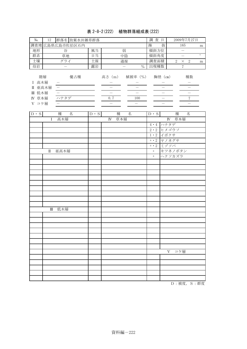| No.                                         | 12<br>群落名 放棄水田雑草群落                                        |             |                                                  |                                                                 | 調查日                           |                                                                  | 2009年7月27日                                                                                         |         |
|---------------------------------------------|-----------------------------------------------------------|-------------|--------------------------------------------------|-----------------------------------------------------------------|-------------------------------|------------------------------------------------------------------|----------------------------------------------------------------------------------------------------|---------|
|                                             | 調査地広島県広島市佐伯区石内                                            |             |                                                  |                                                                 | 海                             | 抜                                                                | 165                                                                                                | m       |
| 地形                                          | 谷                                                         | 風当          |                                                  | 弱                                                               | 傾斜方位                          |                                                                  | $\equiv$                                                                                           |         |
| 群系                                          | 草地                                                        | 日当          |                                                  | 中陰                                                              | 傾斜角度                          |                                                                  | $\overline{\phantom{0}}$                                                                           | $\circ$ |
| 土壤                                          | グライ                                                       | 土湿          |                                                  | 過湿                                                              | 調査面積                          |                                                                  | $\times$<br>$\sqrt{2}$<br>$\boldsymbol{2}$                                                         | m       |
| 母岩                                          | $\overline{\phantom{0}}$                                  | 露岩          |                                                  | $\%$<br>$\overline{\phantom{0}}$                                | 出現種数                          |                                                                  | $\sqrt{7}$                                                                                         |         |
| I 高木層<br>Ⅱ 亜高木層<br>Ⅲ 低木層<br>IV 草本層<br>V コケ層 | 階層<br>優占種<br>$\equiv$<br>ハナタデ<br>$\overline{\phantom{0}}$ |             | $\frac{1}{2}$<br>0.7<br>$\overline{\phantom{0}}$ | 高さ (m) 植被率 (%) 胸径 (cm)<br>$\frac{1}{1}$<br>100<br>$\frac{1}{2}$ |                               | $\begin{array}{ c c c }\hline \text{--} & \text{--} \end{array}$ | 種数<br>$\begin{array}{c c}\n- & \\ \hline\n-\end{array}$ $\begin{array}{c c}\n\hline\n-\end{array}$ |         |
| $D \cdot S$                                 | 種<br>名                                                    | $D \cdot S$ | 種                                                | 名                                                               | $\mathbf{D} \cdot \mathbf{S}$ |                                                                  | 種<br>名                                                                                             |         |
|                                             | $\mathbf I$<br>高木層                                        |             | 草本層<br>$\mathbb{N}$                              |                                                                 |                               |                                                                  | $\overline{IV}$ 草本層                                                                                |         |
|                                             |                                                           |             |                                                  |                                                                 | $4 \cdot 4$                   | ハナタデ                                                             |                                                                                                    |         |
|                                             |                                                           |             |                                                  |                                                                 | $2 \cdot 2$                   | ヒメゴウソ                                                            |                                                                                                    |         |
|                                             |                                                           |             |                                                  |                                                                 | $1 \cdot 2$                   | イボクサ                                                             |                                                                                                    |         |
|                                             |                                                           |             |                                                  |                                                                 | $+ \cdot 2$                   | ヤノネグサ                                                            |                                                                                                    |         |
|                                             | 亜高木層<br>$\mathbb{I}$                                      |             |                                                  |                                                                 | $+ \cdot 2$<br>$^+$           | ミゾソバ                                                             | キツネノボタン                                                                                            |         |
|                                             |                                                           |             |                                                  |                                                                 | $^+$                          | ヘクソカズラ                                                           |                                                                                                    |         |
|                                             |                                                           |             |                                                  |                                                                 |                               |                                                                  |                                                                                                    |         |
|                                             |                                                           |             |                                                  |                                                                 |                               |                                                                  |                                                                                                    |         |
|                                             |                                                           |             |                                                  |                                                                 |                               |                                                                  |                                                                                                    |         |
|                                             |                                                           |             |                                                  |                                                                 |                               |                                                                  |                                                                                                    |         |
|                                             |                                                           |             |                                                  |                                                                 |                               |                                                                  |                                                                                                    |         |
|                                             |                                                           |             |                                                  |                                                                 |                               |                                                                  |                                                                                                    |         |
|                                             |                                                           |             |                                                  |                                                                 |                               |                                                                  |                                                                                                    |         |
|                                             |                                                           |             |                                                  |                                                                 |                               |                                                                  |                                                                                                    |         |
|                                             |                                                           |             |                                                  |                                                                 |                               |                                                                  |                                                                                                    |         |
|                                             | 低木層<br>Ш                                                  |             |                                                  |                                                                 |                               |                                                                  |                                                                                                    |         |
|                                             |                                                           |             |                                                  |                                                                 |                               |                                                                  |                                                                                                    |         |
|                                             |                                                           |             |                                                  |                                                                 |                               |                                                                  |                                                                                                    |         |
|                                             |                                                           |             |                                                  |                                                                 |                               |                                                                  |                                                                                                    |         |
|                                             |                                                           |             |                                                  |                                                                 |                               |                                                                  |                                                                                                    |         |
|                                             |                                                           |             |                                                  |                                                                 |                               |                                                                  |                                                                                                    |         |
|                                             |                                                           |             |                                                  |                                                                 |                               |                                                                  |                                                                                                    |         |
|                                             |                                                           |             |                                                  |                                                                 |                               |                                                                  |                                                                                                    |         |
|                                             |                                                           |             |                                                  |                                                                 |                               |                                                                  | V コケ層                                                                                              |         |
|                                             |                                                           |             |                                                  |                                                                 |                               |                                                                  |                                                                                                    |         |
|                                             |                                                           |             |                                                  |                                                                 |                               |                                                                  |                                                                                                    |         |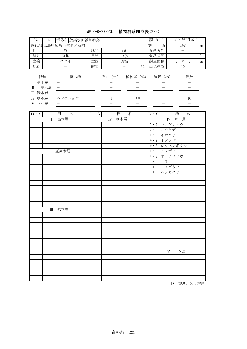| No.                                           | 13         |        | 群落名 放棄水田雑草群落   |             |           |   |                |               | 調<br>査      | 日        |                                                                                                                                                             |     | 2009年7月27日 |   |
|-----------------------------------------------|------------|--------|----------------|-------------|-----------|---|----------------|---------------|-------------|----------|-------------------------------------------------------------------------------------------------------------------------------------------------------------|-----|------------|---|
|                                               |            |        | 調査地広島県広島市佐伯区石内 |             |           |   |                |               | 海           | 抜        |                                                                                                                                                             | 162 |            | m |
| 地形                                            |            | 谷      |                | 風当          |           |   | 弱              |               | 傾斜方位        |          |                                                                                                                                                             |     |            |   |
| 群系                                            |            | 草地     |                | 日当          | 中陰        |   |                | 傾斜角度          |             |          |                                                                                                                                                             |     | $\circ$    |   |
| 土壤                                            | グライ        |        |                | 土湿          | 過湿        |   | 調査面積           |               | 2           | $\times$ | 2                                                                                                                                                           | m   |            |   |
| 母岩                                            |            |        |                | 露岩          |           |   |                | $\frac{0}{0}$ | 出現種数        |          |                                                                                                                                                             | 10  |            |   |
| 高木層<br>П<br>低木層<br>Ш<br>草本層<br>IV<br>コケ層<br>V | 階層<br>亜高木層 | ハンゲショウ | 優占種            |             | 高さ (m)    |   | 植被率 (%)<br>100 |               |             | 胸径 (cm)  |                                                                                                                                                             |     | 種数<br>10   |   |
| $D \cdot S$                                   |            | 種      | 名              | $D \cdot S$ |           | 種 | 名              |               | $D \cdot S$ |          | 種                                                                                                                                                           |     | 名          |   |
|                                               | 高木層        |        |                |             | 草本層<br>IV |   |                | 草本層<br>IV     |             |          |                                                                                                                                                             |     |            |   |
|                                               |            |        |                |             |           |   |                |               |             |          | $\mathbf{r}$ $\mathbf{r}$ $\mathbf{r}$ $\mathbf{r}$ $\mathbf{r}$ $\mathbf{r}$ $\mathbf{r}$ $\mathbf{r}$ $\mathbf{r}$ $\mathbf{r}$ $\mathbf{r}$ $\mathbf{r}$ |     |            |   |

| Ⅰ 高木層  | IV 草本層 |                  | IV 草本層      |
|--------|--------|------------------|-------------|
|        |        |                  | 5・5 ハンゲショウ  |
|        |        |                  | 2・2 ハナタデ    |
|        |        |                  | +・2 イボクサ    |
|        |        |                  | +・2 ミゾソバ    |
|        |        |                  | +・2 キツネノボタン |
| Ⅱ 亜高木層 |        |                  | +・2 アシボソ    |
|        |        |                  | +・2 ネコノメソウ  |
|        |        | $+$              | セリ          |
|        |        | $+$              | ヒメゴウソ       |
|        |        | $\boldsymbol{+}$ | ハシカグサ       |
|        |        |                  |             |
|        |        |                  |             |
|        |        |                  |             |
|        |        |                  |             |
|        |        |                  |             |
|        |        |                  |             |
| Ⅲ 低木層  |        |                  |             |
|        |        |                  |             |
|        |        |                  |             |
|        |        |                  |             |
|        |        |                  |             |
|        |        |                  |             |
|        |        |                  |             |
|        |        |                  |             |
|        |        |                  | V コケ層       |
|        |        |                  |             |
|        |        |                  |             |
|        |        |                  |             |
|        |        |                  |             |
|        |        |                  |             |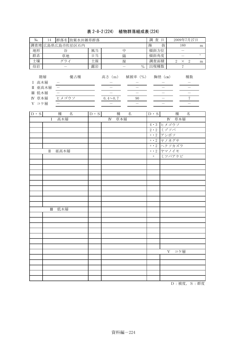### 表 2-8-2(224) 植物群落組成表(224)

| N <sub>o</sub>                      | 14                | 群落名 放棄水田雑草群落    |    |                          |               | 査<br>調<br>日                 |          |               | 2009年7月27日 |   |
|-------------------------------------|-------------------|-----------------|----|--------------------------|---------------|-----------------------------|----------|---------------|------------|---|
|                                     |                   | 調査地 広島県広島市佐伯区石内 |    |                          |               | 海<br>抜                      |          | 160           |            | m |
| 地形                                  |                   | 谷               | 風当 |                          | 中             | 傾斜方位                        |          |               |            |   |
| 群系                                  |                   | 草地              | 日当 |                          | 傾斜角度          |                             |          |               | $\circ$    |   |
| 土壤                                  |                   | グライ             | 土湿 |                          | 調査面積          | $\mathcal{D}_{\mathcal{L}}$ | $\times$ | $\mathcal{D}$ | m          |   |
| 母岩                                  |                   |                 | 露岩 |                          | $\frac{0}{0}$ | 出現種数                        |          | 7             |            |   |
| 高木層<br>Π<br>Ш<br>草本層<br>IV<br>V コケ層 | 階層<br>亜高木層<br>低木層 | 優占種<br>ヒメゴウソ    |    | 高さ (m)<br>$0.4 \sim 0.7$ | 植被率 (%)<br>90 | 胸径 (cm)                     |          |               | 種数         |   |

| $D \cdot S$ | 種 名     | $D \cdot S$ | 種 名    | $D \cdot S$ | 種 名         |
|-------------|---------|-------------|--------|-------------|-------------|
|             | I 高木層   |             | IV 草本層 |             | IV 草本層      |
|             |         |             |        |             | 4・3 ヒメゴウソ   |
|             |         |             |        |             | 2・2 ミゾソバ    |
|             |         |             |        |             | +・2 アシボソ    |
|             |         |             |        |             | +・2 ヤノネグサ   |
|             |         |             |        |             | +・2 ヘクソカズラ  |
|             | II 亜高木層 |             |        |             | $+ 2 77777$ |
|             |         |             |        | $+$         | ミツバアケビ      |
|             |         |             |        |             |             |
|             |         |             |        |             |             |
|             |         |             |        |             |             |
|             |         |             |        |             |             |
|             |         |             |        |             |             |
|             |         |             |        |             |             |
|             |         |             |        |             |             |
|             |         |             |        |             |             |
|             |         |             |        |             |             |
|             | Ⅲ 低木層   |             |        |             |             |
|             |         |             |        |             |             |
|             |         |             |        |             |             |
|             |         |             |        |             |             |
|             |         |             |        |             |             |
|             |         |             |        |             |             |
|             |         |             |        |             |             |
|             |         |             |        |             |             |
|             |         |             |        |             | コケ層<br>V    |
|             |         |             |        |             |             |
|             |         |             |        |             |             |
|             |         |             |        |             |             |
|             |         |             |        |             |             |
|             |         |             |        |             |             |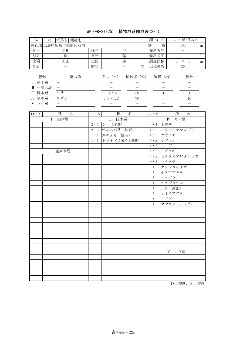### 表 2-8-2(225) 植物群落組成表(225)

| No.                                 | 15                |           | 群落名 樹園地        |    |                                          |                     | 查日<br>調      |  | 2009年7月27日    |               |         |
|-------------------------------------|-------------------|-----------|----------------|----|------------------------------------------|---------------------|--------------|--|---------------|---------------|---------|
|                                     |                   |           | 調査地広島県広島市佐伯区石内 |    |                                          |                     | 抜<br>海       |  | 165           |               | m       |
| 地形                                  |                   | 平地        |                | 風当 |                                          | 中                   | 傾斜方位         |  |               |               |         |
| 群系                                  |                   | 畑         |                | 日当 |                                          | 陽                   | 傾斜角度         |  |               |               | $\circ$ |
| 土壤                                  |                   | 人工        |                | 土湿 |                                          | 適                   | 調査面積         |  | 5<br>$\times$ | - 5           | m       |
| 母岩                                  |                   |           |                | 露岩 |                                          | $\frac{0}{0}$       | 出現種数         |  | 20            |               |         |
| $\mathbf{I}$<br>Π<br>低木層<br>Ш<br>IV | 階層<br>高木層<br>亜高木層 | クリ<br>ネザサ | 優占種            |    | 高さ (m)<br>2.5 $\sim$ 4<br>$0.3 \sim 1.2$ | 植被率 (%)<br>50<br>90 | 胸径 (cm)<br>4 |  |               | 種数<br>4<br>16 |         |
|                                     | 草本層<br>V コケ層      |           |                |    |                                          |                     |              |  |               |               |         |

| $D \cdot S$ | 種<br>名              | $D \cdot S$ | 種<br>名          | $D \cdot S$ | 種<br>名           |
|-------------|---------------------|-------------|-----------------|-------------|------------------|
|             | 高木層<br>$\mathbf{I}$ |             | Ⅲ 低木層           |             | IV 草本層           |
|             |                     |             | 2·3 クリ (植栽)     |             | 4・4 ネザサ          |
|             |                     |             | 2・3 サルスベリ (植栽)  |             | 1·2 ヨウシュヤマゴボウ    |
|             |                     |             | 1・1 カキノキ (植栽)   |             | 1 · 2 ガガイモ       |
|             |                     |             | 1·1 トウネズミモチ(植栽) |             | +・2 ヤブマオ         |
|             |                     |             |                 |             | $+ \cdot 2$ ヨモギ  |
|             | Ⅱ 亜高木層              |             |                 |             | +・2 ミズヒキ         |
|             |                     |             |                 |             | + · 2 セイタカアワダチソウ |
|             |                     |             |                 |             | +・2 ハナタデ         |
|             |                     |             |                 | $^{+}$      | ナワシロイチゴ          |
|             |                     |             |                 | $^{+}$      | イヌホオズキ           |
|             |                     |             |                 | $+$         | ノイバラ             |
|             |                     |             |                 | $^{+}$      | ヒメジョオン           |
|             |                     |             |                 | $\, +$      | シソ (逸出)          |
|             |                     |             |                 | $^{+}$      | オオイヌタデ           |
|             |                     |             |                 | $\! +$      | ノブドウ             |
|             |                     |             |                 | $^{+}$      | ママコノシリヌグイ        |
|             |                     |             |                 |             |                  |
|             |                     |             |                 |             |                  |
|             |                     |             |                 |             |                  |
|             |                     |             |                 |             |                  |
|             |                     |             |                 |             |                  |
|             |                     |             |                 |             |                  |
|             |                     |             |                 |             |                  |
|             |                     |             |                 |             |                  |
|             |                     |             |                 |             | コケ層<br>V         |
|             |                     |             |                 |             |                  |
|             |                     |             |                 |             |                  |
|             |                     |             |                 |             |                  |
|             |                     |             |                 |             |                  |
|             |                     |             |                 |             |                  |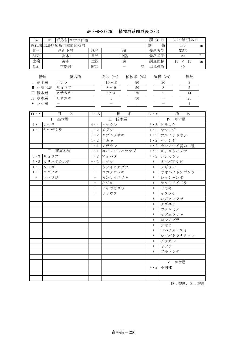## 表 2-8-2(226) 植物群落組成表(226)

| N <sub>o</sub> | 16                                     |                                  | 群落名 コナラ群落      |    | 査<br>調                                           | 日       |                      |      | 2009年7月27日              |    |      |                          |         |
|----------------|----------------------------------------|----------------------------------|----------------|----|--------------------------------------------------|---------|----------------------|------|-------------------------|----|------|--------------------------|---------|
|                |                                        |                                  | 調査地広島県広島市佐伯区石内 |    |                                                  |         |                      | 海    | 抜                       |    | 175  |                          | m       |
| 地形             |                                        | 斜面下部                             |                | 風当 |                                                  | 弱       |                      |      | 傾斜方位                    |    | N25E |                          |         |
| 群系             |                                        | 高木                               |                | 日当 | 中陰                                               |         |                      | 傾斜角度 |                         | 20 |      |                          | $\circ$ |
| 土壤             |                                        | 褐森                               |                | 土湿 |                                                  | 適       |                      | 調査面積 |                         | 15 |      | $\times$ 15              | m       |
| 母岩             |                                        | 花崗岩                              |                | 露岩 |                                                  |         | $\frac{0}{0}$        | 出現種数 |                         |    | 40   |                          |         |
| Π<br>Ш<br>IV   | 階層<br>高木層<br>亜高木層<br>低木層<br>草本層<br>コケ層 | コナラ<br>ョウブ<br>IJ<br>ヒサカキ<br>ヒサカキ | 優占種            |    | 高さ (m)<br>$15 - 18$<br>$8 \sim 10$<br>$2 \sim 4$ | 植被率 (%) | 90<br>50<br>70<br>30 |      | 胸径 (cm)<br>20<br>8<br>2 |    |      | 種数<br>2<br>5<br>14<br>25 |         |

| $D \cdot S$ | 種<br>名              | $D \cdot S$       | 種<br>名          | $D \cdot S$ | 種<br>名        |
|-------------|---------------------|-------------------|-----------------|-------------|---------------|
|             | 高木層<br>$\mathbf{I}$ |                   | Ⅲ 低木層           |             | IV 草本層        |
| $4 \cdot 1$ | コナラ                 |                   | 4・4 ヒサカキ        |             | 3·3 ヒサカキ      |
| $1 \cdot 1$ | ヤマザクラ               |                   | 1・2 メダケ         |             | 1・2 ヤマフジ      |
|             |                     |                   | 1・2 ヤブムラサキ      |             | 1・2 ツルアリドオシ   |
|             |                     |                   | $1 \cdot 2$ サカキ |             | 1・2 ベニシダ      |
|             |                     |                   | 1・1 アラカシ        |             | +・2 カンアオイ属の一種 |
|             | Ⅱ 亜高木層              |                   | 1・1 コバノミツバツツジ   |             | +・2 キッコウハグマ   |
| $3 \cdot 3$ | リョウブ                |                   | +・2 アオハダ        |             | +・2 シシガシラ     |
| $2 \cdot 2$ | ウリハダカエデ             | $+\cdot 2$        | ネザサ             | $+$         | ミツバアケビ        |
| $1 \cdot 1$ | ソヨゴ                 | $^{+}$            | ウグイスカグラ         | $^{+}$      | ノギラン          |
| $1 \cdot 1$ | エゴノキ                | $\qquad \qquad +$ | コガクウツギ          | $^{+}$      | オオバノトンボソウ     |
| $+$         | ヤマフジ                | $^{+}$            | カンサイスノキ         | $^{+}$      | シャシャンボ        |
|             |                     | $^{+}$            | ネジキ             | $^{+}$      | サルトリイバラ       |
|             |                     | $+$               | テイカカズラ          | $+$         | サカキ           |
|             |                     | $+$               | リョウブ            | $+$         | イヌツゲ          |
|             |                     |                   |                 | $^{+}$      | コガクウツギ        |
|             |                     |                   |                 | $\ddot{}$   | チゴユリ          |
|             |                     |                   |                 | $^{+}$      | カクレミノ         |
|             |                     |                   |                 | $+$         | ヤブムラサキ        |
|             |                     |                   |                 | $\! + \!$   | コシアブラ         |
|             |                     |                   |                 | $^{+}$      | アセビ           |
|             |                     |                   |                 | $^{+}$      | コバノガマズミ       |
|             |                     |                   |                 | $\ddot{}$   | シソバタツナミソウ     |
|             |                     |                   |                 | $^{+}$      | アラカシ          |
|             |                     |                   |                 | $^{+}$      | ヤツデ           |
|             |                     |                   |                 | $^{+}$      | フモトシダ         |
|             |                     |                   |                 |             |               |
|             |                     |                   |                 |             | V<br>コケ層      |
|             |                     |                   |                 | $+ \cdot 2$ | 不明種           |
|             |                     |                   |                 |             |               |
|             |                     |                   |                 |             |               |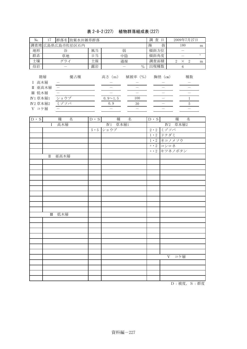# 表 2-8-2(227) 植物群落組成表(227)

| N <sub>o</sub>  | 17               |      | 群落名 放棄水田雑草群落    |     |                |         |               | 査<br>調<br>日 |                             |          | 2009年7月27日                  |         |
|-----------------|------------------|------|-----------------|-----|----------------|---------|---------------|-------------|-----------------------------|----------|-----------------------------|---------|
|                 |                  |      | 調査地 広島県広島市佐伯区石内 |     |                |         |               | 海<br>抜      |                             | 180      |                             | m       |
| 地形              |                  | 谷    |                 | 風当  |                | 弱       |               | 傾斜方位        |                             |          |                             |         |
| 群系              | 草地               |      |                 | 日当  |                | 中陰      |               | 傾斜角度        |                             |          |                             | $\circ$ |
| 土壤              | グライ              |      |                 | 土湿  | 過湿             |         |               | 調査面積        | $\mathcal{D}_{\mathcal{L}}$ | $\times$ | $\mathcal{D}_{\mathcal{L}}$ | m       |
| 母岩              |                  |      |                 | 露岩  |                |         | $\frac{0}{0}$ | 出現種数        |                             | 6        |                             |         |
| 高木層             | 階層               |      | 優占種             |     | 高さ (m)         | 植被率 (%) |               | 胸径 (cm)     |                             |          | 種数                          |         |
| П               | 亜高木層             |      |                 |     |                |         |               |             |                             |          |                             |         |
| Ⅲ 低木層           |                  |      |                 |     |                |         |               |             |                             |          |                             |         |
| <b>IV1 草本層1</b> |                  | ショウブ |                 |     | $0.9 \sim 1.5$ | 100     |               |             |                             |          |                             |         |
|                 | ミゾソバ<br>IV2 草本層2 |      |                 | 0.9 | 30             |         |               |             |                             | 5        |                             |         |
| V コケ層           |                  |      |                 |     |                |         |               |             |                             |          |                             |         |

| $D \cdot S$ |                        | 種 名   | 種 名<br>$D \cdot S$                                   | $D \cdot S$<br>種 名 |
|-------------|------------------------|-------|------------------------------------------------------|--------------------|
|             | $\mathbf{I}$           | 高木層   | <b>IV1 草本層1</b>                                      | <b>IV2 草本層2</b>    |
|             |                        |       | $5.5$ $\triangleright$ $\exists$ $\forall$ $\forall$ | 2・2 ミゾソバ           |
|             |                        |       |                                                      | 1・2 ドクダミ           |
|             |                        |       |                                                      | 1・2 ネコノメソウ         |
|             |                        |       |                                                      | +・2 コシロネ           |
|             |                        |       |                                                      | +・2 キツネノボタン        |
|             | $\rm I\hspace{-.1em}I$ | 亜高木層  |                                                      |                    |
|             |                        |       |                                                      |                    |
|             |                        |       |                                                      |                    |
|             |                        |       |                                                      |                    |
|             |                        |       |                                                      |                    |
|             |                        |       |                                                      |                    |
|             |                        |       |                                                      |                    |
|             |                        |       |                                                      |                    |
|             |                        |       |                                                      |                    |
|             |                        |       |                                                      |                    |
|             |                        |       |                                                      |                    |
|             |                        | Ⅲ 低木層 |                                                      |                    |
|             |                        |       |                                                      |                    |
|             |                        |       |                                                      |                    |
|             |                        |       |                                                      |                    |
|             |                        |       |                                                      |                    |
|             |                        |       |                                                      |                    |
|             |                        |       |                                                      |                    |
|             |                        |       |                                                      |                    |
|             |                        |       |                                                      | V コケ層              |
|             |                        |       |                                                      |                    |
|             |                        |       |                                                      |                    |
|             |                        |       |                                                      |                    |
|             |                        |       |                                                      |                    |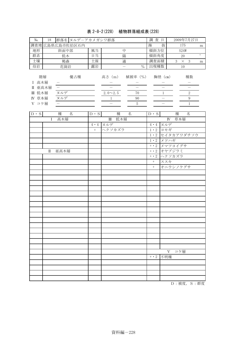# 表 2-8-2(228) 植物群落組成表(228)

| N <sub>o</sub>                                              | 18              | 群落名 ヌルデーアカメガシワ群落 |     |    |                          |                          |         | 査<br>2009年7月27日<br>日 |                 |              |  |
|-------------------------------------------------------------|-----------------|------------------|-----|----|--------------------------|--------------------------|---------|----------------------|-----------------|--------------|--|
|                                                             | 調査地 広島県広島市佐伯区石内 |                  |     |    |                          |                          |         | 抜                    | 175<br>m        |              |  |
| 地形                                                          | 斜面中部            |                  |     |    |                          | 中                        | 傾斜方位    |                      | S24W            |              |  |
| 群系                                                          | 低木              |                  |     | 日当 |                          | 陽                        | 傾斜角度    |                      | $\circ$<br>20   |              |  |
| 土壤                                                          | 褐森              |                  |     | 土湿 |                          | 適                        | 調査面積    | 3                    | - 3<br>$\times$ |              |  |
| 母岩                                                          | 花崗岩             |                  |     | 露岩 | $\frac{0}{0}$            |                          | 出現種数    | 10                   |                 |              |  |
| 階層<br>高木層<br>亜高木層<br>Π<br>低木層<br>Ш<br>草本層<br>IV<br>コケ層<br>V |                 | ヌルデ<br>ヌルデ       | 優占種 |    | 高さ (m)<br>$2.0 \sim 2.5$ | 植被率 (%)<br>70<br>90<br>5 | 胸径 (cm) |                      |                 | 種数<br>2<br>9 |  |

| $D \cdot S$ | 種<br>名  | $D \cdot S$      | 種<br>名                  | $D \cdot S$ | 種<br>名          |
|-------------|---------|------------------|-------------------------|-------------|-----------------|
|             | I 高木層   |                  | Ⅲ 低木層                   |             | IV 草本層          |
|             |         |                  | $4 - 4$<br>$7/\sqrt{7}$ |             | 4・4 ヌルデ         |
|             |         | $\boldsymbol{+}$ | ヘクソカズラ                  |             | $1 \cdot 2$ ヨモギ |
|             |         |                  |                         |             | 1・2 セイタカアワダチソウ  |
|             |         |                  |                         |             | 1・2 メドハギ        |
|             |         |                  |                         |             | +・2 メマツヨイグサ     |
|             | II 亜高木層 |                  |                         |             | +・2 オヤブジラミ      |
|             |         |                  |                         |             | +・2 ヘクソカズラ      |
|             |         |                  |                         | $+$         | ススキ             |
|             |         |                  |                         | $+$         | オニウシノケグサ        |
|             |         |                  |                         |             |                 |
|             |         |                  |                         |             |                 |
|             |         |                  |                         |             |                 |
|             |         |                  |                         |             |                 |
|             |         |                  |                         |             |                 |
|             |         |                  |                         |             |                 |
|             |         |                  |                         |             |                 |
|             |         |                  |                         |             |                 |
|             |         |                  |                         |             |                 |
|             |         |                  |                         |             |                 |
|             |         |                  |                         |             |                 |
|             |         |                  |                         |             |                 |
|             |         |                  |                         |             |                 |
|             |         |                  |                         |             |                 |
|             |         |                  |                         |             |                 |
|             |         |                  |                         |             | V コケ層           |
|             |         |                  |                         |             | +· 2 不明種        |
|             |         |                  |                         |             |                 |
|             |         |                  |                         |             |                 |
|             |         |                  |                         |             |                 |
|             |         |                  |                         |             |                 |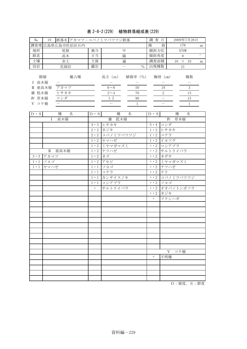### 表 2-8-2(229) 植物群落組成表(229)

| N <sub>o</sub>                                   | 群落名 アカマツーコバノミツバツツジ群落<br>19 |                     |     |    |                                          |                           |  | 查日<br>調<br>2009年7月28日 |                    |                |                     |         |
|--------------------------------------------------|----------------------------|---------------------|-----|----|------------------------------------------|---------------------------|--|-----------------------|--------------------|----------------|---------------------|---------|
|                                                  | 調査地 広島県広島市佐伯区石内            |                     |     |    |                                          |                           |  | 海                     | 抜                  | 178            |                     | m       |
| 地形                                               | 風当<br>尾根                   |                     |     |    | 中                                        |                           |  | 傾斜方位                  |                    | N70W           |                     |         |
| 群系                                               | 高木                         |                     |     | 日当 | 陽                                        |                           |  | 傾斜角度                  |                    | 8              |                     | $\circ$ |
| 土壤                                               | 赤土                         |                     |     | 土湿 | 適                                        |                           |  | 調査面積                  |                    | 10<br>$\times$ | - 10                | m       |
| 母岩                                               | 花崗岩                        |                     |     | 露岩 | $\frac{0}{0}$                            |                           |  | 出現種数                  |                    |                |                     |         |
| 階層<br>高木層<br>L<br>Π<br>Ⅲ 低木層<br>草本層<br>IV<br>コケ層 | 亜高木層                       | アカマツ<br>ヒサカキ<br>コシダ | 優占種 |    | 高さ (m)<br>$6 \sim 8$<br>$2\sim$ 4<br>1.2 | 植被率 (%)<br>50<br>70<br>90 |  |                       | 胸径 (cm)<br>18<br>2 |                | 種数<br>3<br>13<br>15 |         |

| $D \cdot S$ | 種<br>名              | $D \cdot S$    | 種<br>名                                 | $D \cdot S$                  | 種 名                                |
|-------------|---------------------|----------------|----------------------------------------|------------------------------|------------------------------------|
|             | 高木層<br>$\mathbf{I}$ |                | Ⅲ 低木層                                  |                              | IV 草本層                             |
|             |                     |                | 4・3 ヒサカキ                               |                              | $5 \cdot 4$ $\overline{2 \cdot 4}$ |
|             |                     |                | 2・2 ネジキ                                |                              | $1 \cdot 2$ ヒサカキ                   |
|             |                     |                | 2・2 コバノミツバツツジ                          |                              | 1・2 コナラ                            |
|             |                     |                | 1・2 ヤマハゼ                               |                              | 1・2 イヌツゲ                           |
|             |                     |                | 1・2 ミヤマガマズミ                            |                              | +・2 コシアブラ                          |
|             | Ⅱ 亜高木層              |                | 1・2 ナツハゼ                               |                              | +・2 サルトリイバラ                        |
| $3 \cdot 3$ | アカマツ                | $1 \cdot 2$ ネズ |                                        |                              | +・2 ネザサ                            |
| $1 \cdot 1$ | ソヨゴ                 |                | 1・2 アセビ                                |                              | +・2 ミヤマガマズミ                        |
| $1 \cdot 1$ | ヤマハゼ                |                | $1 \cdot 1$ $\vee$ $\exists$ $\exists$ |                              | +・2 ナツハゼ                           |
|             |                     |                | 1・1 コナラ                                | $\overline{+ \cdot 2}$ 2 7 9 |                                    |
|             |                     |                | 1・1 カンサイスノキ                            |                              | +・2 コバノミツバツツジ                      |
|             |                     |                | 1・1 コシアブラ                              |                              | + • 2 ソヨゴ                          |
|             |                     | $^{+}$         | サルトリイバラ                                |                              | +・2 オオバノトンボソウ                      |
|             |                     |                |                                        |                              | +・2 ネジキ                            |
|             |                     |                |                                        | $+$                          | ツクシハギ                              |
|             |                     |                |                                        |                              |                                    |
|             |                     |                |                                        |                              |                                    |
|             |                     |                |                                        |                              |                                    |
|             |                     |                |                                        |                              |                                    |
|             |                     |                |                                        |                              |                                    |
|             |                     |                |                                        |                              |                                    |
|             |                     |                |                                        |                              |                                    |
|             |                     |                |                                        |                              |                                    |
|             |                     |                |                                        |                              |                                    |
|             |                     |                |                                        |                              | V コケ層                              |
|             |                     |                |                                        | $+$                          | 不明種                                |
|             |                     |                |                                        |                              |                                    |
|             |                     |                |                                        |                              |                                    |
|             |                     |                |                                        |                              |                                    |
|             |                     |                |                                        |                              |                                    |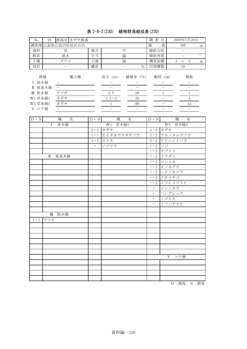## 表 2-8-2(230) 植物群落組成表(230)

| No.                      | 20         | 群落名 ネザサ群落       |    | 調<br>査<br>日  | 2009年7月28日 |               |         |   |            |    |         |
|--------------------------|------------|-----------------|----|--------------|------------|---------------|---------|---|------------|----|---------|
|                          |            | 調査地 広島県広島市佐伯区石内 |    |              |            |               | 海<br>抜  |   | 168        |    | m       |
| 地形                       |            | 谷               | 風当 |              | 中          |               | 傾斜方位    |   |            |    |         |
| 群系                       |            | 低木              | 日当 |              | 陽          |               | 傾斜角度    |   |            |    | $\circ$ |
| 土壤                       |            | グライ             | 土湿 |              | 湿          |               | 調査面積    | 3 | $\times$ 3 |    | m       |
| 母岩                       |            |                 | 露岩 |              |            | $\frac{0}{0}$ | 出現種数    |   | 19         |    |         |
| 高木層                      | 階層<br>亜高木層 | 優占種             |    | 高さ (m)       | 植被率 (%)    |               | 胸径 (cm) |   |            | 種数 |         |
| Π<br>低木層<br>$\mathbb{H}$ |            | ウツギ             |    | 2.5          | 20         |               |         |   |            |    |         |
| $IV1$ 草本層 $1$            |            | ネザサ             |    | $1.5 \sim 2$ | 20         |               |         |   |            | 4  |         |
| IV2 草本層2                 |            | ネザサ             |    |              | 80         |               |         |   |            | 15 |         |
| V コケ層                    |            |                 |    |              |            |               |         |   |            |    |         |

| $D \cdot S$ | 種<br>名              | $D \cdot S$ | 種<br>名          | $D \cdot S$    | 種<br>名          |
|-------------|---------------------|-------------|-----------------|----------------|-----------------|
|             | 高木層<br>$\mathbf{I}$ |             | <b>IV1 草本層1</b> |                | IV2 草本層2        |
|             |                     | $2 \cdot 2$ | ネザサ             |                | $4 \cdot 3$ ネザサ |
|             |                     |             | 1・1 セイタカアワダチソウ  |                | 2·2 アキノタムラソウ    |
|             |                     |             | 1・1 ススキ         |                | 2・2 テリハノイバラ     |
|             |                     | $\, +$      | ノブドウ            | $1 \cdot 2$ 7ジ |                 |
|             |                     |             |                 |                | +・2 ヤブマメ        |
|             | 亜高木層<br>$\Pi$       |             |                 |                | +・2 ドクダミ        |
|             |                     |             |                 |                | +・2 コシロネ        |
|             |                     |             |                 |                | +・2 ヤノネグサ       |
|             |                     |             |                 |                | +・2 ヘクソカズラ      |
|             |                     |             |                 |                | +・2 クサイチゴ       |
|             |                     |             |                 |                | +・2 イワヒメワラビ     |
|             |                     |             |                 | $+$            | イシミカワ           |
|             |                     |             |                 | $+$            | ハンゲショウ          |
|             |                     |             |                 | $+$            | ミズヒキ            |
|             |                     |             |                 | $^{+}$         | ミツバアケビ          |
|             |                     |             |                 |                |                 |
|             | 低木層<br>$\mathbb{H}$ |             |                 |                |                 |
| $2 \cdot 1$ | ウツギ                 |             |                 |                |                 |
|             |                     |             |                 |                |                 |
|             |                     |             |                 |                |                 |
|             |                     |             |                 |                |                 |
|             |                     |             |                 |                |                 |
|             |                     |             |                 |                |                 |
|             |                     |             |                 |                |                 |
|             |                     |             |                 |                | V コケ層           |
|             |                     |             |                 |                |                 |
|             |                     |             |                 |                |                 |
|             |                     |             |                 |                |                 |
|             |                     |             |                 |                |                 |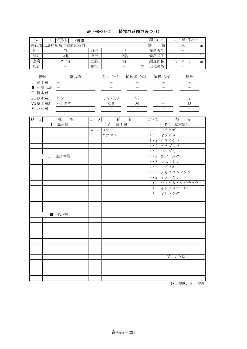# 表 2-8-2(231) 植物群落組成表(231)

| N <sub>o</sub>  | 21   | 群落名ヨシ群落         |    |                |               |  | 査<br>調<br>日 |                 |     | 2009年7月28日     |         |
|-----------------|------|-----------------|----|----------------|---------------|--|-------------|-----------------|-----|----------------|---------|
|                 |      | 調査地 広島県広島市佐伯区石内 |    |                |               |  | 海<br>抜      |                 | 168 |                | m       |
| 地形              |      | 谷               | 風当 |                | 中             |  | 傾斜方位        |                 |     |                |         |
| 群系              |      | 草地              | 日当 |                | 中陰            |  | 傾斜角度        |                 |     |                | $\circ$ |
| 土壤              |      | グライ             | 土湿 |                | 湿             |  | 調査面積        | 3<br>$\times$ 3 |     |                | m       |
| 母岩              |      |                 | 露岩 |                | $\frac{0}{0}$ |  | 出現種数        |                 | 14  |                |         |
| 高木層             | 階層   | 優占種             |    | 高さ (m)         | 植被率 (%)       |  | 胸径 (cm)     |                 |     | 種数             |         |
| Π               | 亜高木層 |                 |    |                |               |  |             |                 |     |                |         |
| 低木層<br>Ш        |      |                 |    |                |               |  |             |                 |     |                |         |
| <b>IV1 草本層1</b> |      | ヨシ              |    | $0.8 \sim 1.8$ | 95            |  |             |                 |     | $\overline{2}$ |         |
| IV2 草本層2        |      | ハナタデ            |    | 0.8            | 80            |  |             |                 |     | 13             |         |
| V コケ層           |      |                 |    |                |               |  |             |                 |     |                |         |

| $D \cdot S$ |              | 種     | 名 | $D \cdot S$                          |      | 種 名             | $D \cdot S$ | 種 名               |
|-------------|--------------|-------|---|--------------------------------------|------|-----------------|-------------|-------------------|
|             | $\mathbf{I}$ | 高木層   |   |                                      |      | <b>IV1 草本層1</b> |             | <b>IV2 草本層2</b>   |
|             |              |       |   | $\overline{5}\cdot 5$ $\overline{5}$ |      |                 |             | 2・2 ハナタデ          |
|             |              |       |   | $\, +$                               | ヤブマメ |                 |             | $1 \cdot 2$ $+77$ |
|             |              |       |   |                                      |      |                 |             | 1・2 クサイチゴ         |
|             |              |       |   |                                      |      |                 |             | +・2 ヒメゴウソ         |
|             |              |       |   |                                      |      |                 |             | +・2 ドクダミ          |
|             | $\mathbb{I}$ | 亜高木層  |   |                                      |      |                 |             | +・2 ヨツバムグラ        |
|             |              |       |   |                                      |      |                 |             | +・2 ツボスミレ         |
|             |              |       |   |                                      |      |                 |             | +・2 ミズヒキ          |
|             |              |       |   |                                      |      |                 |             | +・2 アキノタムラソウ      |
|             |              |       |   |                                      |      |                 |             | +・2 ヤノネグサ         |
|             |              |       |   |                                      |      |                 | $+$         | セイタカアワダチソウ        |
|             |              |       |   |                                      |      |                 | $+$         | イワヒメワラビ           |
|             |              |       |   |                                      |      |                 | $^{+}$      | ヤワラシダ             |
|             |              |       |   |                                      |      |                 |             |                   |
|             |              |       |   |                                      |      |                 |             |                   |
|             |              |       |   |                                      |      |                 |             |                   |
|             |              | Ⅲ 低木層 |   |                                      |      |                 |             |                   |
|             |              |       |   |                                      |      |                 |             |                   |
|             |              |       |   |                                      |      |                 |             |                   |
|             |              |       |   |                                      |      |                 |             |                   |
|             |              |       |   |                                      |      |                 |             |                   |
|             |              |       |   |                                      |      |                 |             |                   |
|             |              |       |   |                                      |      |                 |             |                   |
|             |              |       |   |                                      |      |                 |             |                   |
|             |              |       |   |                                      |      |                 |             | コケ層<br>V          |
|             |              |       |   |                                      |      |                 |             |                   |
|             |              |       |   |                                      |      |                 |             |                   |
|             |              |       |   |                                      |      |                 |             |                   |
|             |              |       |   |                                      |      |                 |             |                   |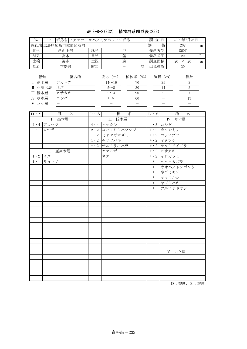## 表 2-8-2(232) 植物群落組成表(232)

| No.                         | 22                | 群落名 アカマツーコバノミツバツツジ群落             |                 |    |                                                           |                                 |  | 査<br>調 | 日                        | 2009年7月28日 |             |                    |         |
|-----------------------------|-------------------|----------------------------------|-----------------|----|-----------------------------------------------------------|---------------------------------|--|--------|--------------------------|------------|-------------|--------------------|---------|
|                             |                   |                                  | 調査地 広島県広島市佐伯区石内 |    |                                                           |                                 |  | 海      | 抜                        |            | 202         |                    | m       |
| 地形                          |                   | 斜面上部                             |                 | 風当 |                                                           | 中                               |  | 傾斜方位   |                          |            | S60W        |                    |         |
| 群系                          |                   | 高木                               |                 | 日当 |                                                           | 陽                               |  |        | 傾斜角度                     |            |             |                    | $\circ$ |
| 土壤                          |                   | 褐森                               |                 | 土湿 |                                                           | 適                               |  | 調査面積   |                          | 20         | $\times$ 20 |                    | m       |
| 母岩                          |                   | 露岩<br>花崗岩                        |                 |    | $\%$                                                      |                                 |  | 出現種数   |                          |            | 20          |                    |         |
| Π<br>低木層<br>Ш<br>草本層<br>IV. | 階層<br>高木層<br>亜高木層 | 優占種<br>アカマツ<br>ネズ<br>ヒサカキ<br>コシダ |                 |    | 高さ (m)<br>$14 \sim 16$<br>$5 \sim 8$<br>$2 \sim 4$<br>0.5 | 植被率 (%)<br>70<br>20<br>90<br>60 |  |        | 胸径 (cm)<br>25<br>14<br>2 |            |             | 種数<br>2<br>2<br>13 |         |
| V コケ層                       |                   |                                  |                 |    |                                                           |                                 |  |        |                          |            |             |                    |         |

| $\overline{D \cdot S}$ | 種<br>名              | $D \cdot S$      | 種<br>名      | $D \cdot S$ | 種<br>名      |
|------------------------|---------------------|------------------|-------------|-------------|-------------|
|                        | I 高木層               |                  | Ⅲ 低木層       |             | IV 草本層      |
|                        | 4・4 アカマツ            |                  | $4.4$ ヒサカキ  |             | $4.3$ コシダ   |
| $2 \cdot 1$            | コナラ                 | $2 \cdot 2$      | コバノミツバツツジ   |             | +・2 カクレミノ   |
|                        |                     |                  | 1・2 ミヤマガマズミ |             | +・2 コシアブラ   |
|                        |                     |                  | 1・2 ヤブツバキ   |             | +・2 イヌツゲ    |
|                        |                     |                  | +・2 サルトリイバラ |             | +・2 サルトリイバラ |
|                        | 亜高木層<br>$\rm{I\!I}$ | $\boldsymbol{+}$ | ヤマハゼ        |             | +·2 ヒサカキ    |
| $1 \cdot 2$            | ネズ                  | $^{+}$           | ネズ          |             | +・2 イワガラミ   |
| $1 \cdot 1$            | リョウブ                |                  |             | $\, + \,$   | ヘクソカズラ      |
|                        |                     |                  |             | $+$         | オオバノトンボソウ   |
|                        |                     |                  |             | $^{+}$      | ネズミモチ       |
|                        |                     |                  |             | $+$         | ヤマウルシ       |
|                        |                     |                  |             | $+$         | ヤブツバキ       |
|                        |                     |                  |             | $^{+}$      | ツルアリドオシ     |
|                        |                     |                  |             |             |             |
|                        |                     |                  |             |             |             |
|                        |                     |                  |             |             |             |
|                        |                     |                  |             |             |             |
|                        |                     |                  |             |             |             |
|                        |                     |                  |             |             |             |
|                        |                     |                  |             |             |             |
|                        |                     |                  |             |             |             |
|                        |                     |                  |             |             |             |
|                        |                     |                  |             |             |             |
|                        |                     |                  |             |             |             |
|                        |                     |                  |             |             | V コケ層       |
|                        |                     |                  |             |             |             |
|                        |                     |                  |             |             |             |
|                        |                     |                  |             |             |             |
|                        |                     |                  |             |             |             |
|                        |                     |                  |             |             |             |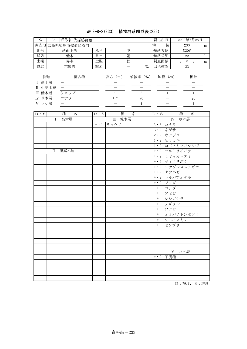# 表 2-8-2(233) 植物群落組成表(233)

| $\rm No.$                                                                    | $23\,$   | 群落名 伐採跡群落                    |                               |                                                         |                                                       | 調查日              |                  |                                | 2009年7月28日                      |         |
|------------------------------------------------------------------------------|----------|------------------------------|-------------------------------|---------------------------------------------------------|-------------------------------------------------------|------------------|------------------|--------------------------------|---------------------------------|---------|
|                                                                              |          | 調査地広島県広島市佐伯区石内               |                               |                                                         |                                                       | 海                | 抜                |                                | 230                             | m       |
| 地形                                                                           |          | 斜面上部                         | 風当                            |                                                         | 中                                                     | 傾斜方位             |                  |                                | N30W                            |         |
| 群系                                                                           |          | 低木                           | 日当                            |                                                         | 陽                                                     | 傾斜角度             |                  |                                | $22\,$                          | $\circ$ |
| 土壤                                                                           |          | 褐森                           | 土湿                            |                                                         | 乾                                                     | 調査面積             |                  |                                | $3 \times 3$                    | m       |
| 母岩                                                                           |          | 花崗岩                          | 露岩                            |                                                         | $\frac{0}{0}$                                         | 出現種数             |                  |                                | $22\,$                          |         |
| I 高木層<br>Ⅱ 亜高木層<br>Ⅲ 低木層<br>IV 草本層<br>V コケ層<br>$\mathbf{D} \cdot \mathbf{S}$ | 階層       | 優占種<br>リョウブ<br>コナラ<br>種<br>名 | $\mathbf{D} \cdot \mathbf{S}$ | 高さ (m)<br>$\overline{\phantom{0}}$<br>$\,2$<br>1.2<br>種 | 植被率 (%)<br>$\,$ 5 $\,$<br>$70\,$<br>$\mathbf{1}$<br>名 | $D \cdot S$      | 胸径 (cm)<br>$1\,$ | 種                              | 種数<br>$1\,$<br>20<br>$\,1$<br>名 |         |
|                                                                              | Ι        | 高木層                          |                               | Ⅲ 低木層                                                   |                                                       |                  |                  | 草本層<br>$\mathbf{I} \mathbf{V}$ |                                 |         |
|                                                                              |          |                              | $+$<br>• $\,1$                | リョウブ                                                    |                                                       | $3 \cdot 3$      | コナラ              |                                |                                 |         |
|                                                                              |          |                              |                               |                                                         |                                                       | $3 \cdot 2$      | ネザサ              |                                |                                 |         |
|                                                                              |          |                              |                               |                                                         |                                                       | 2・2 ウラジロ         |                  |                                |                                 |         |
|                                                                              |          |                              |                               |                                                         |                                                       | $1 \cdot 2$      | ヒサカキ             |                                |                                 |         |
|                                                                              |          |                              |                               |                                                         |                                                       |                  |                  |                                | 1・2 コバノミツバツツジ                   |         |
|                                                                              | $\rm II$ | 亜高木層                         |                               |                                                         |                                                       |                  |                  | +・2 サルトリイバラ                    |                                 |         |
|                                                                              |          |                              |                               |                                                         |                                                       | $+ \cdot 2$      |                  | ミヤマガマズミ                        |                                 |         |
|                                                                              |          |                              |                               |                                                         |                                                       | $+ \cdot 2$      |                  | ザイフリボク                         |                                 |         |
|                                                                              |          |                              |                               |                                                         |                                                       | $+ \cdot 2$      |                  |                                | シナダレスズメガヤ                       |         |
|                                                                              |          |                              |                               |                                                         |                                                       | $+ \cdot 2$      | ナツハゼ             |                                |                                 |         |
|                                                                              |          |                              |                               |                                                         |                                                       |                  |                  | +・2 マルバアオダモ                    |                                 |         |
|                                                                              |          |                              |                               |                                                         |                                                       | $+ \cdot 2$      | ソヨゴ              |                                |                                 |         |
|                                                                              |          |                              |                               |                                                         |                                                       | $+$              | コシダ              |                                |                                 |         |
|                                                                              |          |                              |                               |                                                         |                                                       | $\! + \!$        | アセビ              |                                |                                 |         |
|                                                                              |          |                              |                               |                                                         |                                                       | $^+$             |                  | シシガシラ                          |                                 |         |
|                                                                              |          |                              |                               |                                                         |                                                       | $\boldsymbol{+}$ |                  | ノギラン                           |                                 |         |
|                                                                              |          |                              |                               |                                                         |                                                       | $^+$             | ワラビ              |                                |                                 |         |
|                                                                              |          |                              |                               |                                                         |                                                       | $^+$             |                  |                                | オオバノトンボソウ                       |         |
|                                                                              |          |                              |                               |                                                         |                                                       | $\! + \!\!\!\!$  |                  | シハイスミレ                         |                                 |         |
|                                                                              |          |                              |                               |                                                         |                                                       | $\! + \!\!\!\!$  | センブリ             |                                |                                 |         |
|                                                                              |          |                              |                               |                                                         |                                                       |                  |                  |                                |                                 |         |
|                                                                              |          |                              |                               |                                                         |                                                       |                  |                  |                                |                                 |         |
|                                                                              |          |                              |                               |                                                         |                                                       |                  |                  |                                |                                 |         |
|                                                                              |          |                              |                               |                                                         |                                                       |                  |                  |                                |                                 |         |
|                                                                              |          |                              |                               |                                                         |                                                       |                  |                  | V コケ層                          |                                 |         |
|                                                                              |          |                              |                               |                                                         |                                                       | $+ \cdot 2$      | 不明種              |                                |                                 |         |
|                                                                              |          |                              |                               |                                                         |                                                       |                  |                  |                                |                                 |         |
|                                                                              |          |                              |                               |                                                         |                                                       |                  |                  |                                |                                 |         |
|                                                                              |          |                              |                               |                                                         |                                                       |                  |                  |                                |                                 |         |
|                                                                              |          |                              |                               |                                                         |                                                       |                  |                  |                                |                                 |         |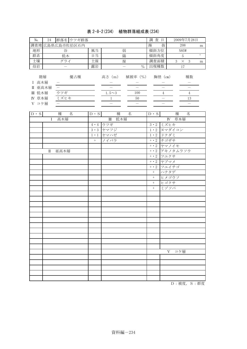# 表 2-8-2(234) 植物群落組成表(234)

| No.<br>24                                                | 群落名 ウツギ群落          |    |                        |                      | 查日<br>調      | 2009年7月28日                |
|----------------------------------------------------------|--------------------|----|------------------------|----------------------|--------------|---------------------------|
|                                                          | 調査地 広島県広島市佐伯区石内    |    |                        |                      | 抜<br>海       | 208<br>m                  |
| 地形                                                       | 谷                  | 風当 |                        | 弱                    | 傾斜方位         | <b>N85W</b>               |
| 群系                                                       | 低木                 | 日当 |                        | 陽                    | 傾斜角度         | $\circ$<br>5              |
| 土壤                                                       | グライ                | 土湿 |                        | 湿                    | 調査面積         | 3<br>- 3<br>$\times$<br>m |
| 母岩                                                       |                    | 露岩 |                        | $\frac{0}{0}$        | 出現種数         | 17                        |
| 階層<br>高木層<br>L<br>亜高木層<br>Π<br>Ⅲ 低木層<br>草本層<br>IV<br>コケ層 | 優占種<br>ウツギ<br>ミズヒキ |    | 高さ (m)<br>$1.5 \sim 3$ | 植被率 (%)<br>100<br>50 | 胸径 (cm)<br>4 | 種数<br>4<br>13             |

| $D \cdot S$ | 名<br>種 | $D \cdot S$ | 種<br>名     | $D \cdot S$ | 種<br>名       |
|-------------|--------|-------------|------------|-------------|--------------|
|             | I 高木層  |             | Ⅲ 低木層      |             | IV 草本層       |
|             |        |             | 4・4 ウツギ    |             | 3·2 ミズヒキ     |
|             |        |             | $3.3$ ヤマフジ |             | 1・2 ヌマダイコン   |
|             |        |             | 1・1 ヤマハゼ   |             | 1・2 ドクダミ     |
|             |        | $\, +$      | ノイバラ       |             | +・2 チゴザサ     |
|             |        |             |            |             | $+ 2 77777$  |
|             | Ⅱ 亜高木層 |             |            |             | +・2 アキノタムラソウ |
|             |        |             |            |             | +・2 ツユクサ     |
|             |        |             |            |             | +・2 ヤブマメ     |
|             |        |             |            |             | +・2 フユイチゴ    |
|             |        |             |            | $+$         | ハナタデ         |
|             |        |             |            | $+$         | ヒメゴウソ        |
|             |        |             |            | $+$         | ヒゴクサ         |
|             |        |             |            | $+$         | ミゾソバ         |
|             |        |             |            |             |              |
|             |        |             |            |             |              |
|             |        |             |            |             |              |
|             |        |             |            |             |              |
|             |        |             |            |             |              |
|             |        |             |            |             |              |
|             |        |             |            |             |              |
|             |        |             |            |             |              |
|             |        |             |            |             |              |
|             |        |             |            |             |              |
|             |        |             |            |             |              |
|             |        |             |            |             | V コケ層        |
|             |        |             |            |             |              |
|             |        |             |            |             |              |
|             |        |             |            |             |              |
|             |        |             |            |             |              |
|             |        |             |            |             |              |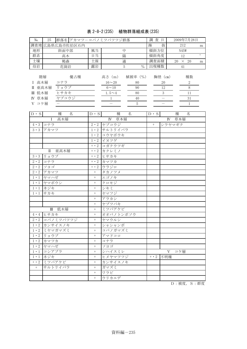## 表 2-8-2(235) 植物群落組成表(235)

| N <sub>o</sub><br>25                                        | 群落名 アカマツーコバノミツバツツジ群落                |    |                                                 |                                      |               |         | 查日            | 2009年7月28日     |                          |         |
|-------------------------------------------------------------|-------------------------------------|----|-------------------------------------------------|--------------------------------------|---------------|---------|---------------|----------------|--------------------------|---------|
|                                                             | 調査地広島県広島市佐伯区石内                      |    |                                                 |                                      |               | 海       | 抜             | 212            |                          | m       |
| 地形                                                          | 斜面中部                                | 風当 |                                                 | 中                                    |               | 傾斜方位    |               | N45W           |                          |         |
| 群系                                                          | 高木                                  | 日当 |                                                 | 陽                                    |               | 傾斜角度    |               | 12             |                          | $\circ$ |
| 土壤                                                          | 褐森                                  | 土湿 |                                                 | 適                                    |               | 調査面積    |               | 20<br>$\times$ | -20                      | m       |
| 母岩                                                          | 露岩<br>花崗岩<br>5                      |    |                                                 |                                      | $\frac{0}{0}$ | 出現種数    |               | 41             |                          |         |
| 階層<br>高木層<br>亜高木層<br>Π<br>低木層<br>Ш<br>草本層<br>IV<br>コケ層<br>V | 優占種<br>コナラ<br>リョウブ<br>ヒサカキ<br>ヤブコウジ |    | 高さ (m)<br>$16 - 20$<br>$6 \sim 10$<br>$1.5 - 4$ | 植被率 (%)<br>80<br>90<br>80<br>40<br>5 |               | 胸径 (cm) | 20<br>12<br>3 |                | 種数<br>2<br>8<br>11<br>31 |         |

| $D \cdot S$      | 種<br>名        | $D \cdot S$       | 種<br>名           | $D \cdot S$ | 種<br>名 |
|------------------|---------------|-------------------|------------------|-------------|--------|
|                  | I 高木層         |                   | IV 草本層           |             | IV 草本層 |
| $4 \cdot 3$      | コナラ           |                   | 2・2 ヤブコウジ        | $+$         | シラヤマギク |
| $3 \cdot 3$      | アカマツ          |                   | 1・2 サルトリイバラ      |             |        |
|                  |               |                   | 1·2 コウヤボウキ       |             |        |
|                  |               |                   | 1・2 イヌツゲ         |             |        |
|                  |               |                   | +·2 コガクウツギ       |             |        |
|                  | 亜高木層<br>$\Pi$ |                   | +・2 カクレミノ        |             |        |
| $3 \cdot 3$      | リョウブ          |                   | $+ \cdot 2$ ヒサカキ |             |        |
| $2\,\cdot\,2$    | コナラ           |                   | +・2 カマツカ         |             |        |
| $2 \cdot 2$      | ソヨゴ           |                   | +・2 ウラジロ         |             |        |
| $2 \cdot 2$      | アカマツ          | $\qquad \qquad +$ | タカノツメ            |             |        |
| $1 \cdot 1$      | ヤマハゼ          | $\boldsymbol{+}$  | エゴノキ             |             |        |
| $1 \cdot 1$      | ヤマボウシ         | $^{+}$            | クロモジ             |             |        |
| $1 \cdot 1$      | ネジキ           | $\qquad \qquad +$ | シキミ              |             |        |
| $1 \cdot 1$      | サカキ           | $\ddot{}$         | ヤマフジ             |             |        |
|                  |               | $\boldsymbol{+}$  | アラカシ             |             |        |
|                  |               | $\ddot{}$         | ヤブツバキ            |             |        |
|                  | Ⅲ 低木層         | $\boldsymbol{+}$  | ミツバアケビ           |             |        |
| $4\,\cdot\,4$    | ヒサカキ          | $\boldsymbol{+}$  | オオバノトンボソウ        |             |        |
| $2 \cdot 2$      | コバノミツバツツジ     | $\qquad \qquad +$ | ヤマウルシ            |             |        |
| $1 \cdot 2$      | カンサイスノキ       | $\boldsymbol{+}$  | シャシャンボ           |             |        |
| $1 \cdot 2$      | ミヤマガマズミ       | $^{+}$            | コバノガマズミ          |             |        |
| $1 \cdot 2$      | リョウブ          | $\boldsymbol{+}$  | アマドコロ            |             |        |
| $1\, \cdot \, 2$ | カマツカ          | $^{+}$            | コナラ              |             |        |
| $1 \cdot 2$      | ヤマハゼ          | $\ddot{}$         | ソヨゴ              |             |        |
| $1 \cdot 1$      | コシアブラ         | $\! + \!$         | シハイスミレ           |             | V コケ層  |
| $1 \cdot 1$      | ネジキ           | $^{+}$            | ヒメヤマツツジ          | $+ \cdot 2$ | 不明種    |
| $+ \cdot 2$      | ミツバアケビ        | $\boldsymbol{+}$  | カンサイスノキ          |             |        |
| $+$              | サルトリイバラ       |                   | ガマズミ             |             |        |
|                  |               | $^{+}$            | ワラビ              |             |        |
|                  |               | $^{+}$            | ウリカエデ            |             |        |

 $D:$  被度,  $S:$  群度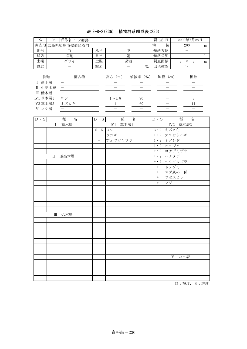# 表 2-8-2(236) 植物群落組成表(236)

| No.                                                                            | 群落名 ヨシ群落<br>26 |                                                    |                |             |                                   | 調查日                                       |                               | 2009年7月28日 |                                                    |         |
|--------------------------------------------------------------------------------|----------------|----------------------------------------------------|----------------|-------------|-----------------------------------|-------------------------------------------|-------------------------------|------------|----------------------------------------------------|---------|
|                                                                                |                |                                                    | 調査地広島県広島市佐伯区石内 |             |                                   |                                           | 海                             | 抜          | 200                                                | m       |
| 地形                                                                             |                | 谷                                                  |                | 風当          |                                   | 中                                         | 傾斜方位                          |            | $\overline{\phantom{0}}$                           |         |
| 群系                                                                             |                | 草地                                                 |                | 日当          |                                   | 陽                                         | 傾斜角度                          |            | $\overline{\phantom{0}}$                           | $\circ$ |
| 土壤                                                                             |                | グライ                                                |                | 土湿          |                                   | 過湿                                        | 調査面積                          |            | $\times$ $\,$ 3<br>3                               | m       |
| 母岩                                                                             |                |                                                    |                | 露岩          |                                   | $\frac{0}{0}$<br>$\overline{\phantom{0}}$ | 出現種数                          |            | 14                                                 |         |
| 高木層<br>$\mathbf{I}$<br>Ⅱ 亜高木層<br>Ⅲ 低木層<br><b>IV1 草本層1</b><br>IV2 草本層2<br>V コケ層 | 階層             | $\overline{\phantom{0}}$<br>$\equiv$<br>ヨシ<br>ミズヒキ | 優占種            |             | 高さ (m)<br>$1 \sim 1.8$<br>$\,1\,$ | 植被率 (%)<br>90<br>60                       |                               | 胸径 (cm)    | 種数<br>$\overline{\phantom{0}}$<br>$\sqrt{3}$<br>11 |         |
| $D \cdot S$                                                                    |                | 種                                                  | 名              | $D \cdot S$ | 種                                 | 名                                         | $\mathbf{D} \cdot \mathbf{S}$ |            | 種<br>名                                             |         |
|                                                                                | $\mathbf I$    | 高木層                                                |                |             | IV <sub>1</sub>                   | 草本層1                                      |                               | $I\!V2$    | 草本層2                                               |         |
|                                                                                |                |                                                    |                | $5 \cdot 5$ | ヨシ                                |                                           | $3 \cdot 2$                   | ミズヒキ       |                                                    |         |
|                                                                                |                |                                                    |                | $1 \cdot 1$ | ウツギ                               |                                           | $1 \cdot 2$                   | ヌスビトハギ     |                                                    |         |
|                                                                                |                |                                                    |                | $^{+}$      | アオツヅラフジ                           |                                           | $1 \cdot 2$                   | ミゾシダ       |                                                    |         |
|                                                                                |                |                                                    |                |             |                                   |                                           | $1 \cdot 2$                   | ヒメジソ       |                                                    |         |
|                                                                                |                |                                                    |                |             |                                   |                                           | $+ \cdot 2$                   | コチヂミザサ     |                                                    |         |
|                                                                                | $\mathbf I$    | 亜高木層                                               |                |             |                                   |                                           | $+ \cdot 2$                   | ハナタデ       |                                                    |         |
|                                                                                |                |                                                    |                |             |                                   |                                           | $+ \cdot 2$                   | ヘクソカズラ     |                                                    |         |
|                                                                                |                |                                                    |                |             |                                   |                                           | $+$                           | ドクダミ       |                                                    |         |
|                                                                                |                |                                                    |                |             |                                   |                                           | $+$                           | スゲ属の一種     |                                                    |         |
|                                                                                |                |                                                    |                |             |                                   |                                           | $+$                           | ツボスミレ      |                                                    |         |
|                                                                                |                |                                                    |                |             |                                   |                                           |                               |            |                                                    |         |
|                                                                                |                |                                                    |                |             |                                   |                                           | $^{+}$                        | フジ         |                                                    |         |
|                                                                                |                |                                                    |                |             |                                   |                                           |                               |            |                                                    |         |

Ⅲ 低木層

D:被度,S:群度

Ⅴ コケ層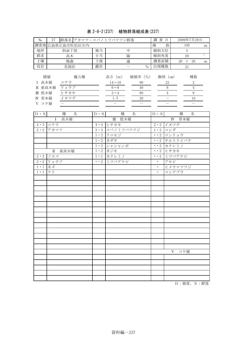# 表 2-8-2(237) 植物群落組成表(237)

| No.                                                                                                                                                                            | 27<br>群落名 アカマツーコバノミツバツツジ群落                                                                                                |                                                                                                                                                  | 調查日                                                                                                                                                                                  |                                            | 2009年7月28日                                                                                         |                                                                                                                                                                                   |                                                                                 |         |
|--------------------------------------------------------------------------------------------------------------------------------------------------------------------------------|---------------------------------------------------------------------------------------------------------------------------|--------------------------------------------------------------------------------------------------------------------------------------------------|--------------------------------------------------------------------------------------------------------------------------------------------------------------------------------------|--------------------------------------------|----------------------------------------------------------------------------------------------------|-----------------------------------------------------------------------------------------------------------------------------------------------------------------------------------|---------------------------------------------------------------------------------|---------|
|                                                                                                                                                                                | 調査地広島県広島市佐伯区石内                                                                                                            |                                                                                                                                                  |                                                                                                                                                                                      |                                            | 海                                                                                                  | 抜                                                                                                                                                                                 | 195                                                                             | m       |
| 地形                                                                                                                                                                             | 斜面下部                                                                                                                      | 風当                                                                                                                                               | 中                                                                                                                                                                                    |                                            | 傾斜方位                                                                                               |                                                                                                                                                                                   | S                                                                               |         |
| 群系                                                                                                                                                                             | 高木                                                                                                                        | 日当                                                                                                                                               | 陽                                                                                                                                                                                    |                                            | 傾斜角度                                                                                               |                                                                                                                                                                                   | 20                                                                              | $\circ$ |
| 土壤                                                                                                                                                                             | 褐森                                                                                                                        | 土湿                                                                                                                                               | 適                                                                                                                                                                                    |                                            | 調査面積                                                                                               |                                                                                                                                                                                   | $20 \times 20$                                                                  | m       |
|                                                                                                                                                                                | 花崗岩                                                                                                                       | 露岩                                                                                                                                               | $\qquad \qquad -$                                                                                                                                                                    | $\frac{0}{0}$                              | 出現種数                                                                                               |                                                                                                                                                                                   | $21\,$                                                                          |         |
| 母岩<br>I 高木層<br>Ⅱ 亜高木層<br>Ⅲ 低木層<br>IV 草本層<br>V コケ層<br>$\mathbf{D} \cdot \mathbf{S}$<br>$4 \cdot 3$<br>$2 \cdot 2$<br>$2 \cdot 2$<br>$2\,\cdot\,2$<br>$1 \cdot 1$<br>$1 \cdot 1$ | 階層<br>優占種<br>コナラ<br>リョウブ<br>ヒサカキ<br>フヌツゲ<br>種<br>名<br>高木層<br>$\bf{I}$<br>コナラ<br>アカマツ<br>Ⅱ 亜高木層<br>ソヨゴ<br>リョウブ<br>ネズ<br>クリ | $D \cdot S$<br>$4\,\cdot\,4$<br>$3 \cdot 3$<br>$1 \cdot 2$<br>$1 \cdot \overline{2}$<br>$1 \cdot 2$<br>$1 \cdot 2$<br>$1 \cdot 1$<br>$+ \cdot 2$ | 高さ (m)<br>$14 \sim 18$<br>$6\!\!\sim\!\!8$<br>$2\sim4$<br>1.5<br>$\overline{\phantom{0}}$<br>種<br>名<br>Ⅲ 低木層<br>ヒサカキ<br>コバノミツバツツジ<br>クロモジ<br>ネザサ<br>シャシャンボ<br>ネジキ<br>カクレミノ<br>ミツバアケビ | 植被率(%)<br>90<br>40<br>80<br>30<br>$\equiv$ | $D \cdot S$<br>$2 \cdot 2$<br>$+ \cdot 2$<br>$+ \cdot 2$<br>$+ \cdot 2$<br>$\! +$<br>$\! +$<br>$+$ | 胸径(cm)<br>$22\,$<br>$8\,$<br>$\overline{4}$<br>$\equiv$<br>種<br>$\mathbb{N}$<br>イヌツゲ<br>1・2 コシダ<br>+・2 マンリョウ<br>サルトリイバラ<br>+・2 カクレミノ<br>ヒサカキ<br>ミツバアケビ<br>アセビ<br>ヒメヤマツツジ<br>コシアブラ | 種数<br>$\sqrt{2}$<br>$\overline{4}$<br>$8\,$<br>10<br>$\overline{a}$<br>名<br>草本層 |         |
|                                                                                                                                                                                |                                                                                                                           |                                                                                                                                                  |                                                                                                                                                                                      |                                            |                                                                                                    |                                                                                                                                                                                   |                                                                                 |         |
|                                                                                                                                                                                |                                                                                                                           |                                                                                                                                                  |                                                                                                                                                                                      |                                            |                                                                                                    |                                                                                                                                                                                   |                                                                                 |         |
|                                                                                                                                                                                |                                                                                                                           |                                                                                                                                                  |                                                                                                                                                                                      |                                            |                                                                                                    |                                                                                                                                                                                   |                                                                                 |         |
|                                                                                                                                                                                |                                                                                                                           |                                                                                                                                                  |                                                                                                                                                                                      |                                            |                                                                                                    |                                                                                                                                                                                   |                                                                                 |         |
|                                                                                                                                                                                |                                                                                                                           |                                                                                                                                                  |                                                                                                                                                                                      |                                            |                                                                                                    |                                                                                                                                                                                   |                                                                                 |         |
|                                                                                                                                                                                |                                                                                                                           |                                                                                                                                                  |                                                                                                                                                                                      |                                            |                                                                                                    |                                                                                                                                                                                   |                                                                                 |         |
|                                                                                                                                                                                |                                                                                                                           |                                                                                                                                                  |                                                                                                                                                                                      |                                            |                                                                                                    |                                                                                                                                                                                   |                                                                                 |         |
|                                                                                                                                                                                |                                                                                                                           |                                                                                                                                                  |                                                                                                                                                                                      |                                            |                                                                                                    | V                                                                                                                                                                                 | コケ層                                                                             |         |
|                                                                                                                                                                                |                                                                                                                           |                                                                                                                                                  |                                                                                                                                                                                      |                                            |                                                                                                    |                                                                                                                                                                                   |                                                                                 |         |
|                                                                                                                                                                                |                                                                                                                           |                                                                                                                                                  |                                                                                                                                                                                      |                                            |                                                                                                    |                                                                                                                                                                                   |                                                                                 |         |
|                                                                                                                                                                                |                                                                                                                           |                                                                                                                                                  |                                                                                                                                                                                      |                                            |                                                                                                    |                                                                                                                                                                                   |                                                                                 |         |
|                                                                                                                                                                                |                                                                                                                           |                                                                                                                                                  |                                                                                                                                                                                      |                                            |                                                                                                    |                                                                                                                                                                                   |                                                                                 |         |
|                                                                                                                                                                                |                                                                                                                           |                                                                                                                                                  |                                                                                                                                                                                      |                                            |                                                                                                    |                                                                                                                                                                                   |                                                                                 |         |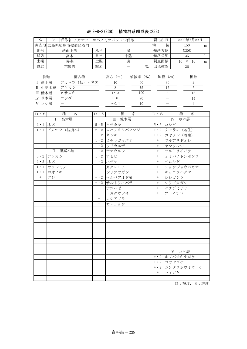### 表 2-8-2(238) 植物群落組成表(238)

| No.                                               | 群落名 アカマツーコバノミツバツツジ群落<br>28                                                                |             | 調查日                                                             |                                  | 2009年7月29日      |                                  |                                                                             |         |
|---------------------------------------------------|-------------------------------------------------------------------------------------------|-------------|-----------------------------------------------------------------|----------------------------------|-----------------|----------------------------------|-----------------------------------------------------------------------------|---------|
|                                                   | 調査地広島県広島市佐伯区石内                                                                            |             |                                                                 |                                  | 海               | 抜                                | 150                                                                         | m       |
| 地形                                                | 斜面上部                                                                                      | 風当          | 弱                                                               |                                  | 傾斜方位            |                                  | N20E                                                                        |         |
| 群系                                                | 高木                                                                                        | 日当          | 中陰                                                              |                                  | 傾斜角度            |                                  | 35                                                                          | $\circ$ |
| 土壤                                                | 褐森                                                                                        | 土湿          | 適                                                               |                                  | 調査面積            |                                  | $10~\times~10$                                                              | m       |
| 母岩                                                | 花崗岩                                                                                       | 露岩          | $\overline{\phantom{0}}$                                        | $\frac{0}{0}$                    | 出現種数            |                                  | 36                                                                          |         |
| Ⅱ 亜高木層<br>Ⅲ 低木層<br>IV 草本層<br>V コケ層<br>$D \cdot S$ | 階層<br>優占種<br>I 高木層 アカマツ (枯) ・ネズ<br>アラカシ<br>ヒサカキ<br>コシダ<br>$\overline{\phantom{m}}$<br>種 名 | $D \cdot S$ | 高さ (m) 植被率 (%)<br>10<br>8<br>$1\sim3$<br>0.8<br>$\sim 0.1$<br>種 | 50<br>75<br>100<br>70<br>10<br>名 | $D \cdot S$     | 胸径(cm)<br>30<br>15<br>$\sqrt{3}$ | 種数<br>$\sqrt{2}$<br>$\overline{5}$<br>16<br>$14\,$<br>$\overline{4}$<br>種 名 |         |
|                                                   | I 高木層                                                                                     |             | Ⅲ 低木層                                                           |                                  |                 |                                  | IV 草本層                                                                      |         |
| $2 \cdot 1$                                       | ネズ                                                                                        |             | $5 \cdot 5$ ヒサカキ                                                |                                  | $5 \cdot 5$     | コシダ                              |                                                                             |         |
| $1 \cdot 1$                                       | アカマツ (枯損木)                                                                                |             | 2・2 コバノミツバツツジ                                                   |                                  | $+ \cdot 2$     |                                  | クモラン (着生)                                                                   |         |
|                                                   |                                                                                           |             | 1・2 ネジキ                                                         |                                  | $+ \cdot 2$     |                                  | カヤラン (着生)                                                                   |         |
|                                                   |                                                                                           | $1 \cdot 2$ | ミヤマガマズミ                                                         |                                  | $+$             |                                  | ツルアリドオシ                                                                     |         |
|                                                   |                                                                                           | $1 \cdot 2$ | ウリカエデ                                                           |                                  | $\! + \!\!\!\!$ | ヤマウルシ                            |                                                                             |         |
|                                                   | 亜高木層<br>$\mathbb{I}$                                                                      | $1 \cdot 2$ | ヤマウルシ                                                           |                                  | $^{+}$          |                                  | サルトリイバラ                                                                     |         |
| $3 \cdot 2$                                       | <b>「</b> アラカシ                                                                             |             | 1・2 アセビ                                                         |                                  | $^{+}$          |                                  | オオバノトンボソウ                                                                   |         |
| $2 \cdot 2$                                       | ネズ                                                                                        |             | $1 \cdot 2$ ネザサ                                                 |                                  |                 | ベニシダ                             |                                                                             |         |
| $1 \cdot 1$                                       | カクレミノ                                                                                     |             | 1・1 カクレミノ                                                       |                                  | $\! + \!\!\!\!$ |                                  | ンョウジョウバカマ                                                                   |         |
| $1 \cdot 1$                                       | ホオノキ                                                                                      |             | 1・1 シリブカガシ                                                      |                                  | $^{+}$          |                                  | キッコウハグマ                                                                     |         |
| $^{+}$                                            | フジ                                                                                        |             | +・2 マルバアオダモ                                                     |                                  | $^{+}$          | シシガシラ                            |                                                                             |         |
|                                                   |                                                                                           | $+ \cdot 2$ | サルトリイバラ                                                         |                                  | $^+$            | シリブカガシ                           |                                                                             |         |
|                                                   |                                                                                           | $^+$        | ナツハゼ                                                            |                                  | $\! + \!\!\!\!$ | ケチヂミザサ                           |                                                                             |         |
|                                                   |                                                                                           | $^{+}$      | コガクウツギ                                                          |                                  | $^{+}$          | フユイチゴ                            |                                                                             |         |
|                                                   |                                                                                           | $^{+}$      | コシアブラ                                                           |                                  |                 |                                  |                                                                             |         |
|                                                   |                                                                                           | $+$         | センリョウ                                                           |                                  |                 |                                  |                                                                             |         |
|                                                   |                                                                                           |             |                                                                 |                                  |                 |                                  |                                                                             |         |
|                                                   |                                                                                           |             |                                                                 |                                  |                 |                                  |                                                                             |         |
|                                                   |                                                                                           |             |                                                                 |                                  |                 |                                  |                                                                             |         |
|                                                   |                                                                                           |             |                                                                 |                                  |                 |                                  |                                                                             |         |
|                                                   |                                                                                           |             |                                                                 |                                  |                 |                                  |                                                                             |         |
|                                                   |                                                                                           |             |                                                                 |                                  |                 |                                  |                                                                             |         |
|                                                   |                                                                                           |             |                                                                 |                                  |                 |                                  |                                                                             |         |
|                                                   |                                                                                           |             |                                                                 |                                  |                 |                                  | V コケ層                                                                       |         |
|                                                   |                                                                                           |             |                                                                 |                                  | $+ \cdot 2$     |                                  | ホソバオキナゴケ                                                                    |         |
|                                                   |                                                                                           |             |                                                                 |                                  |                 | +・2 コカヤゴケ                        |                                                                             |         |
|                                                   |                                                                                           |             |                                                                 |                                  | $+ \cdot 2$     |                                  | ジングウホウオウゴケ                                                                  |         |
|                                                   |                                                                                           |             |                                                                 |                                  | $+$             | ハイゴケ                             |                                                                             |         |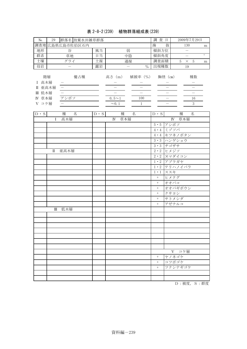# 表 2-8-2(239) 植物群落組成表(239)

| No.                                                                                | $\rm 29$<br>群落名 放棄水田雑草群落          |             |                                                      | 調查日<br>2009年7月29日                                                            |             |                     |             |               |                                      |
|------------------------------------------------------------------------------------|-----------------------------------|-------------|------------------------------------------------------|------------------------------------------------------------------------------|-------------|---------------------|-------------|---------------|--------------------------------------|
|                                                                                    | 調査地 広島県広島市佐伯区石内                   |             |                                                      |                                                                              | 海           | 抜                   |             | 130           | m                                    |
| 地形                                                                                 | 谷                                 | 風当          |                                                      | 弱                                                                            | 傾斜方位        |                     | $\equiv$    |               |                                      |
| 群系                                                                                 | 草地                                | 日当          |                                                      | 中陰                                                                           | 傾斜角度        |                     |             | $\frac{1}{2}$ | $\circ$                              |
| 土壤                                                                                 | グライ                               | 土湿          |                                                      | 過湿                                                                           | 調査面積        |                     |             | $5 \times 5$  | m                                    |
| 母岩                                                                                 |                                   | 露岩          |                                                      | $\overline{\phantom{0}}$<br>$\frac{0}{0}$                                    | 出現種数        |                     |             | 19            |                                      |
| 階層<br>I 高木層<br>Ⅱ 亜高木層<br>Ⅲ 低木層<br>IV 草本層<br>V コケ層<br>$\mathbf{D} \cdot \mathbf{S}$ | 優占種<br>$\equiv$<br>アシボソ<br>種<br>名 | $D \cdot S$ | 高さ(m)<br>$\equiv$<br>$0.5 \sim 1$<br>$\sim 0.1$<br>種 | 植被率 (%)<br>$\begin{array}{c} \hline \end{array}$<br>100<br>$\mathbf{1}$<br>名 | $D \cdot S$ | 胸径 (cm)<br>$\equiv$ | 種           | 名             | 種数<br>$\equiv$<br>16<br>$\mathbf{3}$ |
|                                                                                    | 高木層<br>Ι                          |             | $\mathbb{N}$                                         | 草本層                                                                          |             |                     | IV 草本層      |               |                                      |
|                                                                                    |                                   |             |                                                      |                                                                              | 5・5 アシボソ    |                     |             |               |                                      |
|                                                                                    |                                   |             |                                                      |                                                                              | 4・4 ミゾソバ    |                     |             |               |                                      |
|                                                                                    |                                   |             |                                                      |                                                                              |             |                     | 4・4 キツネノボタン |               |                                      |
|                                                                                    |                                   |             |                                                      |                                                                              |             |                     | 3・3 ハンゲショウ  |               |                                      |
|                                                                                    |                                   |             |                                                      |                                                                              | $3.3$ チゴザサ  |                     |             |               |                                      |
|                                                                                    | 亜高木層<br>$\rm II$                  |             |                                                      |                                                                              | 2・2 ヒメジソ    |                     |             |               |                                      |
|                                                                                    |                                   |             |                                                      |                                                                              | $2 \cdot 2$ |                     | ヌマダイコン      |               |                                      |
|                                                                                    |                                   |             |                                                      |                                                                              | $1 \cdot 2$ |                     | アブラガヤ       |               |                                      |
|                                                                                    |                                   |             |                                                      |                                                                              |             |                     | 1・2 テリハノイバラ |               |                                      |
|                                                                                    |                                   |             |                                                      |                                                                              | $1 \cdot 1$ | ススキ                 |             |               |                                      |
|                                                                                    |                                   |             |                                                      |                                                                              | $+$         |                     | ヒメクグ        |               |                                      |
|                                                                                    |                                   |             |                                                      |                                                                              | $\! +$      |                     | オオバコ        |               |                                      |
|                                                                                    |                                   |             |                                                      |                                                                              | $^{+}$      |                     | オオバギボウシ     |               |                                      |
|                                                                                    |                                   |             |                                                      |                                                                              | $\! + \!$   |                     | クサヨシ        |               |                                      |
|                                                                                    |                                   |             |                                                      |                                                                              | $^+$        |                     | サトメシダ       |               |                                      |
|                                                                                    |                                   |             |                                                      |                                                                              | $^+$        |                     | アゼナルコ       |               |                                      |
|                                                                                    | 低木層<br>Ш                          |             |                                                      |                                                                              |             |                     |             |               |                                      |
|                                                                                    |                                   |             |                                                      |                                                                              |             |                     |             |               |                                      |
|                                                                                    |                                   |             |                                                      |                                                                              |             |                     |             |               |                                      |
|                                                                                    |                                   |             |                                                      |                                                                              |             |                     |             |               |                                      |
|                                                                                    |                                   |             |                                                      |                                                                              |             |                     |             |               |                                      |
|                                                                                    |                                   |             |                                                      |                                                                              |             |                     |             |               |                                      |
|                                                                                    |                                   |             |                                                      |                                                                              |             |                     |             |               |                                      |
|                                                                                    |                                   |             |                                                      |                                                                              |             |                     | V コケ層       |               |                                      |
|                                                                                    |                                   |             |                                                      |                                                                              | $+$         |                     | ヤノネゴケ       |               |                                      |
|                                                                                    |                                   |             |                                                      |                                                                              | $^{+}$      |                     | コツボゴケ       |               |                                      |
|                                                                                    |                                   |             |                                                      |                                                                              | $+$         |                     | ツクシナギゴケ     |               |                                      |
|                                                                                    |                                   |             |                                                      |                                                                              |             |                     |             |               |                                      |
|                                                                                    |                                   |             |                                                      |                                                                              |             |                     |             |               |                                      |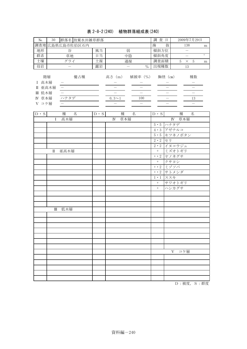# 表 2-8-2(240) 植物群落組成表(240)

| No.                                         | 群落名 放棄水田雑草群落<br>30 |                             | 調査日                           |                                                                                |                                                                                          | 2009年7月29日          |                           |                          |                                           |         |
|---------------------------------------------|--------------------|-----------------------------|-------------------------------|--------------------------------------------------------------------------------|------------------------------------------------------------------------------------------|---------------------|---------------------------|--------------------------|-------------------------------------------|---------|
|                                             |                    | 調査地広島県広島市佐伯区石内              |                               |                                                                                |                                                                                          | 海                   | 抜                         |                          | 138                                       | m       |
| 地形                                          |                    | 谷                           | 風当                            |                                                                                | 弱                                                                                        | 傾斜方位                |                           | $\overline{\phantom{0}}$ |                                           |         |
| 群系                                          |                    | 草地                          | 日当                            |                                                                                | 中陰                                                                                       | 傾斜角度                |                           |                          | $\overline{\phantom{0}}$                  | $\circ$ |
| 土壤                                          |                    | グライ                         | 土湿                            |                                                                                | 過湿                                                                                       | 調査面積                |                           |                          | $5 \times 5$                              | m       |
| 母岩                                          |                    |                             | 露岩                            |                                                                                | $\overline{\phantom{0}}$<br>$\frac{0}{0}$                                                | 出現種数                |                           |                          | 13                                        |         |
| I 高木層<br>Ⅱ 亜高木層<br>Ⅲ 低木層<br>IV 草本層<br>V コケ層 | 階層                 | 優占種<br>$\leftarrow$<br>ハナタデ |                               | 高さ (m)<br>$\overline{\phantom{0}}$<br>$0.3 \sim 1$<br>$\overline{\phantom{0}}$ | 植被率 (%)<br>$\qquad \qquad -$<br>$\begin{array}{c} \hline \end{array}$<br>100<br>$\equiv$ |                     | 胸径 (cm)<br>$\blacksquare$ |                          | 種数<br>$\qquad \qquad -$<br>13<br>$\equiv$ |         |
|                                             |                    |                             |                               |                                                                                |                                                                                          |                     |                           |                          |                                           |         |
| $\mathbf{D} \cdot \mathbf{S}$               |                    | 種<br>名                      | $\mathbf{D} \cdot \mathbf{S}$ | 種                                                                              | 名                                                                                        | $D \cdot S$         |                           | 種                        | 名                                         |         |
|                                             | $\mathbf I$        | 高木層                         |                               | $\mathbb{N}$                                                                   | 草本層                                                                                      |                     |                           | IV 草本層                   |                                           |         |
|                                             |                    |                             |                               |                                                                                |                                                                                          | 5・5 ハナタデ            |                           |                          |                                           |         |
|                                             |                    |                             |                               |                                                                                |                                                                                          |                     |                           | 4・3 アゼナルコ                |                                           |         |
|                                             |                    |                             |                               |                                                                                |                                                                                          |                     |                           | 5・5 キツネノボタン              |                                           |         |
|                                             |                    |                             |                               |                                                                                |                                                                                          | $2 \cdot 2$         | セリ                        |                          |                                           |         |
|                                             |                    |                             |                               |                                                                                |                                                                                          |                     |                           | 2・2 イヌコウジュ               |                                           |         |
|                                             | $\rm II$           | 亜高木層                        |                               |                                                                                |                                                                                          | $\! +$              |                           | ミズオトギリ                   |                                           |         |
|                                             |                    |                             |                               |                                                                                |                                                                                          | $+ \cdot 2$         |                           | ヤノネグサ                    |                                           |         |
|                                             |                    |                             |                               |                                                                                |                                                                                          | $\hspace{0.02cm} +$ |                           | クサヨシ                     |                                           |         |
|                                             |                    |                             |                               |                                                                                |                                                                                          | $+ \cdot 2$         |                           | ミゾソバ                     |                                           |         |
|                                             |                    |                             |                               |                                                                                |                                                                                          | $+ \cdot 2$         |                           | サトメシダ                    |                                           |         |
|                                             |                    |                             |                               |                                                                                |                                                                                          | $1 \cdot 1$         | ススキ                       |                          |                                           |         |
|                                             |                    |                             |                               |                                                                                |                                                                                          | $\, + \,$           |                           | サワオトギリ                   |                                           |         |
|                                             |                    |                             |                               |                                                                                |                                                                                          | $+$                 |                           | ハシカグサ                    |                                           |         |
|                                             |                    |                             |                               |                                                                                |                                                                                          |                     |                           |                          |                                           |         |
|                                             |                    |                             |                               |                                                                                |                                                                                          |                     |                           |                          |                                           |         |
|                                             |                    |                             |                               |                                                                                |                                                                                          |                     |                           |                          |                                           |         |
|                                             | Ш                  | 低木層                         |                               |                                                                                |                                                                                          |                     |                           |                          |                                           |         |
|                                             |                    |                             |                               |                                                                                |                                                                                          |                     |                           |                          |                                           |         |
|                                             |                    |                             |                               |                                                                                |                                                                                          |                     |                           |                          |                                           |         |
|                                             |                    |                             |                               |                                                                                |                                                                                          |                     |                           |                          |                                           |         |
|                                             |                    |                             |                               |                                                                                |                                                                                          |                     |                           |                          |                                           |         |
|                                             |                    |                             |                               |                                                                                |                                                                                          |                     |                           |                          |                                           |         |
|                                             |                    |                             |                               |                                                                                |                                                                                          |                     |                           |                          |                                           |         |
|                                             |                    |                             |                               |                                                                                |                                                                                          |                     |                           |                          |                                           |         |
|                                             |                    |                             |                               |                                                                                |                                                                                          |                     |                           | V                        | コケ層                                       |         |
|                                             |                    |                             |                               |                                                                                |                                                                                          |                     |                           |                          |                                           |         |
|                                             |                    |                             |                               |                                                                                |                                                                                          |                     |                           |                          |                                           |         |
|                                             |                    |                             |                               |                                                                                |                                                                                          |                     |                           |                          |                                           |         |
|                                             |                    |                             |                               |                                                                                |                                                                                          |                     |                           |                          |                                           |         |
|                                             |                    |                             |                               |                                                                                |                                                                                          |                     |                           |                          |                                           |         |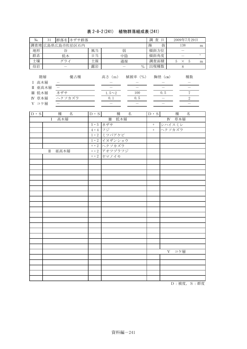# 表 2-8-2(241) 植物群落組成表(241)

| N <sub>o</sub> | 31                |           | 群落名 ネザサ群落       |              |        |               | 調   | 査<br>日  |   |          | 2009年7月29日 |         |
|----------------|-------------------|-----------|-----------------|--------------|--------|---------------|-----|---------|---|----------|------------|---------|
|                |                   |           | 調査地 広島県広島市佐伯区石内 |              |        |               | 海   | 抜       |   | 138      |            | m       |
| 地形             |                   | 谷         |                 | 風当           |        | 弱             |     | 傾斜方位    |   |          |            |         |
| 群系             |                   | 日当<br>低木  |                 |              |        | 中陰            |     | 傾斜角度    |   |          |            | $\circ$ |
| 土壤             |                   | 土湿<br>グライ |                 |              | 過湿     |               |     | 調査面積    | 5 | $\times$ | 5          | m       |
| 母岩             |                   |           |                 | 露岩           |        | $\frac{0}{0}$ |     | 出現種数    |   | 8        |            |         |
| Π              | 階層<br>高木層<br>亜高木層 |           | 優占種             |              | 高さ (m) | 植被率 (%)       |     | 胸径 (cm) |   |          | 種数         |         |
| 低木層<br>Ш       |                   | ネザサ       |                 | $1.5 \sim 2$ | 100    |               | 0.5 |         |   |          |            |         |
| 草本層<br>IV      | コケ層               | ヘクソカズラ    |                 | 0.1          | 0.5    |               |     |         | 2 |          |            |         |
|                |                   |           |                 |              |        |               |     |         |   |          |            |         |

| $D \cdot S$ |   | 種<br>名  | $D \cdot S$    | 種<br>名          | $\overline{D \cdot S}$ | 種<br>名 |
|-------------|---|---------|----------------|-----------------|------------------------|--------|
|             | I | 高木層     |                | Ⅲ 低木層           |                        | IV 草本層 |
|             |   |         |                | $5 \cdot 5$ ネザサ | $+$                    | シハイスミレ |
|             |   |         | $4 \cdot 4$ フジ |                 | $\boldsymbol{+}$       | ヘクソカズラ |
|             |   |         |                | 1・2 ミツバアケビ      |                        |        |
|             |   |         |                | 1・2 イヌザンショウ     |                        |        |
|             |   |         |                | +・2 ヘクソカズラ      |                        |        |
|             |   | II 亜高木層 |                | +・2 アオツヅラフジ     |                        |        |
|             |   |         |                | +・2 ヤマノイモ       |                        |        |
|             |   |         |                |                 |                        |        |
|             |   |         |                |                 |                        |        |
|             |   |         |                |                 |                        |        |
|             |   |         |                |                 |                        |        |
|             |   |         |                |                 |                        |        |
|             |   |         |                |                 |                        |        |
|             |   |         |                |                 |                        |        |
|             |   |         |                |                 |                        |        |
|             |   |         |                |                 |                        |        |
|             |   |         |                |                 |                        |        |
|             |   |         |                |                 |                        |        |
|             |   |         |                |                 |                        |        |
|             |   |         |                |                 |                        |        |
|             |   |         |                |                 |                        |        |
|             |   |         |                |                 |                        |        |
|             |   |         |                |                 |                        |        |
|             |   |         |                |                 |                        |        |
|             |   |         |                |                 |                        | V コケ層  |
|             |   |         |                |                 |                        |        |
|             |   |         |                |                 |                        |        |
|             |   |         |                |                 |                        |        |
|             |   |         |                |                 |                        |        |
|             |   |         |                |                 |                        |        |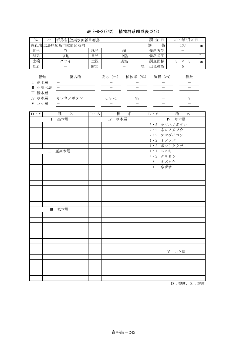### 表 2-8-2(242) 植物群落組成表(242)

| No.                      | 32                              | 群落名 放棄水田雑草群落   |    | 査<br>調<br>日            |               |         | 2009年7月29日 |         |         |
|--------------------------|---------------------------------|----------------|----|------------------------|---------------|---------|------------|---------|---------|
|                          |                                 | 調査地広島県広島市佐伯区石内 |    |                        |               | 海<br>抜  |            | 138     | m       |
| 地形                       |                                 | 谷              | 風当 |                        | 弱             | 傾斜方位    |            |         |         |
| 群系                       |                                 | 草地             | 日当 |                        | 中陰            | 傾斜角度    |            |         | $\circ$ |
| 土壤                       |                                 | グライ            | 土湿 | 過湿                     | 調査面積          | 5       | ×          | -5<br>m |         |
| 母岩                       |                                 |                | 露岩 |                        | $\frac{0}{0}$ | 出現種数    |            | 9       |         |
| П<br>Ш<br>IV<br>コケ層<br>V | 階層<br>高木層<br>亜高木層<br>低木層<br>草本層 | 優占種<br>キツネノボタン |    | 高さ (m)<br>$0.5 \sim 1$ | 植被率 (%)<br>95 | 胸径 (cm) |            |         | 種数<br>9 |

| $D \cdot S$ | 種<br>名             | $D \cdot S$ | 種<br>名 | $D \cdot S$ | 種 名          |
|-------------|--------------------|-------------|--------|-------------|--------------|
|             | 高木層<br>$\mathbf I$ |             | IV 草本層 |             | IV 草本層       |
|             |                    |             |        |             | 5・5 キツネノボタン  |
|             |                    |             |        |             | 2・2 ネコノメソウ   |
|             |                    |             |        |             | $2.2$ ヌマダイコン |
|             |                    |             |        |             | 1・2 ミゾソバ     |
|             |                    |             |        |             | 1・2 ボントクタデ   |
|             | II 亜高木層            |             |        |             | 1・1 ススキ      |
|             |                    |             |        |             | +・2 クサヨシ     |
|             |                    |             |        |             | + ミズヒキ       |
|             |                    |             |        | $\, + \,$   | ネザサ          |
|             |                    |             |        |             |              |
|             |                    |             |        |             |              |
|             |                    |             |        |             |              |
|             |                    |             |        |             |              |
|             |                    |             |        |             |              |
|             |                    |             |        |             |              |
|             |                    |             |        |             |              |
|             | Ⅲ 低木層              |             |        |             |              |
|             |                    |             |        |             |              |
|             |                    |             |        |             |              |
|             |                    |             |        |             |              |
|             |                    |             |        |             |              |
|             |                    |             |        |             |              |
|             |                    |             |        |             |              |
|             |                    |             |        |             |              |
|             |                    |             |        |             | V コケ層        |
|             |                    |             |        |             |              |
|             |                    |             |        |             |              |
|             |                    |             |        |             |              |
|             |                    |             |        |             |              |
|             |                    |             |        |             |              |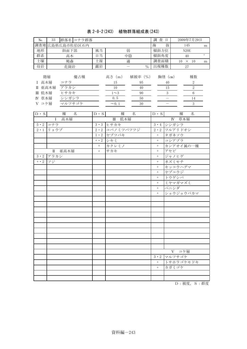# 表 2-8-2(243) 植物群落組成表(243)

| $\rm No.$                          | 33<br>群落名 コナラ群落                           |                               |                                       |                                    | 調查日              |                                   | 2009年7月29日                                            |         |
|------------------------------------|-------------------------------------------|-------------------------------|---------------------------------------|------------------------------------|------------------|-----------------------------------|-------------------------------------------------------|---------|
|                                    | 調査地 広島県広島市佐伯区石内                           |                               |                                       |                                    | 海                | 抜                                 | 145                                                   | m       |
| 地形                                 | 斜面下部                                      | 風当                            |                                       | 弱                                  | 傾斜方位             |                                   | N20E                                                  |         |
| 群系                                 | 高木                                        | 日当                            |                                       | 中陰                                 | 傾斜角度             |                                   | 40                                                    | $\circ$ |
| 土壤                                 | 褐森                                        | 土湿                            | 適                                     |                                    | 調査面積             |                                   | $10~\times~10$                                        | m       |
| 母岩                                 | 花崗岩                                       | 露岩                            |                                       | $\frac{0}{0}$                      | 出現種数             |                                   | $27\,$                                                |         |
| I 高木層<br>Ⅱ 亜高木層<br>Ⅲ 低木層<br>IV 草本層 | 階層<br>優占種<br>コナラ<br>アラカシ<br>ヒサカキ<br>シシガシラ |                               | 高さ (m)<br>15<br>10<br>$1\sim3$<br>0.5 | 植被率(%)<br>95<br>40<br>$90\,$<br>50 |                  | 胸径 (cm)<br>40<br>15<br>$\sqrt{3}$ | 種数<br>$\boldsymbol{2}$<br>$\sqrt{2}$<br>$\,6\,$<br>14 |         |
| V コケ層                              | マルフサゴケ                                    |                               | $\sim 0.1$                            | 30                                 |                  |                                   | $\mathbf{3}$                                          |         |
| $\mathbf{D} \cdot \mathbf{S}$      | 種<br>名                                    | $\mathbf{D} \cdot \mathbf{S}$ | 種                                     | 名                                  | $D \cdot S$      |                                   | 種<br>名                                                |         |
|                                    | 高木層<br>L                                  |                               | 低木層<br>$\mathbb{I}$                   |                                    |                  |                                   | 草本層<br>$\mathbf{I}$ $\mathbf{V}$                      |         |
| $5 \cdot 2$                        | コナラ                                       | $3 \cdot 3$                   | ヒサカキ                                  |                                    | $3 \cdot 4$      |                                   | シシガシラ                                                 |         |
| $2 \cdot 1$                        | リョウブ                                      | $2 \cdot 2$                   | コバノミツバツツジ                             |                                    | $2 \cdot 2$      |                                   | ツルアリドオシ                                               |         |
|                                    |                                           | $1 \cdot 2$                   | ヤブツバキ                                 |                                    | $+$              |                                   | タガネソウ                                                 |         |
|                                    |                                           | $+ \cdot 2$                   | シキミ                                   |                                    | $+$              |                                   | コシアブラ                                                 |         |
|                                    |                                           | $\pm$                         | カクレミノ                                 |                                    | $+$              |                                   | カンアオイ属の一種                                             |         |
|                                    | 亜高木層<br>$\mathbb{I}$                      | $+$                           | サカキ                                   |                                    | $^{+}$           | アセビ                               |                                                       |         |
| $3 \cdot 2$                        | アラカシ                                      |                               |                                       |                                    | $^+$             |                                   | ジャノヒゲ                                                 |         |
| $+ \cdot 2$                        | フジ                                        |                               |                                       |                                    | $\boldsymbol{+}$ |                                   | ネズミモチ                                                 |         |
|                                    |                                           |                               |                                       |                                    | $^+$             |                                   | キッコウハグマ                                               |         |
|                                    |                                           |                               |                                       |                                    | $^+$             |                                   | ヤブコウジ                                                 |         |
|                                    |                                           |                               |                                       |                                    | $^{+}$           |                                   | トウゲシバ                                                 |         |
|                                    |                                           |                               |                                       |                                    | $\! + \!\!\!\!$  |                                   | ミヤマガマズミ                                               |         |
|                                    |                                           |                               |                                       |                                    | $^{+}$           | ベニシダ                              |                                                       |         |
|                                    |                                           |                               |                                       |                                    | $^{+}$           |                                   | ショウジョウバカマ                                             |         |
|                                    |                                           |                               |                                       |                                    |                  |                                   |                                                       |         |
|                                    |                                           |                               |                                       |                                    |                  |                                   |                                                       |         |
|                                    |                                           |                               |                                       |                                    |                  |                                   |                                                       |         |
|                                    |                                           |                               |                                       |                                    |                  |                                   |                                                       |         |
|                                    |                                           |                               |                                       |                                    |                  |                                   |                                                       |         |
|                                    |                                           |                               |                                       |                                    |                  |                                   |                                                       |         |
|                                    |                                           |                               |                                       |                                    |                  |                                   |                                                       |         |
|                                    |                                           |                               |                                       |                                    |                  |                                   |                                                       |         |
|                                    |                                           |                               |                                       |                                    |                  |                                   |                                                       |         |
|                                    |                                           |                               |                                       |                                    |                  |                                   | V コケ層                                                 |         |
|                                    |                                           |                               |                                       |                                    | $3 \cdot 2$      |                                   | マルフサゴケ                                                |         |
|                                    |                                           |                               |                                       |                                    | $+$              |                                   | トサホラゴケモドキ                                             |         |
|                                    |                                           |                               |                                       |                                    | $+$              |                                   | カガミゴケ                                                 |         |
|                                    |                                           |                               |                                       |                                    |                  |                                   |                                                       |         |
|                                    |                                           |                               |                                       |                                    |                  |                                   |                                                       |         |
|                                    |                                           |                               |                                       |                                    |                  |                                   |                                                       |         |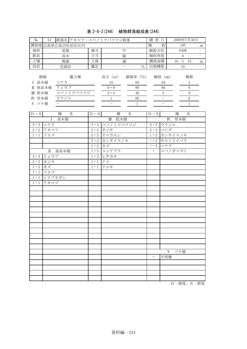# 表 2-8-2(244) 植物群落組成表(244)

| 34<br>N <sub>o</sub>                                       | 群落名 アカマツーコバノミツバツツジ群落                    |    |                                        |                                 | 查日<br>調                  |                | 2009年7月30日             |
|------------------------------------------------------------|-----------------------------------------|----|----------------------------------------|---------------------------------|--------------------------|----------------|------------------------|
|                                                            | 調査地 広島県広島市佐伯区石内                         |    |                                        |                                 | 抜<br>海                   | 185            | m                      |
| 地形                                                         | 尾根                                      | 風当 |                                        | 中                               | 傾斜方位                     | N30W           |                        |
| 群系                                                         | 高木                                      | 日当 |                                        | 陽                               | 傾斜角度                     | 8              | $\circ$                |
| 土壤                                                         | 褐森                                      | 土湿 |                                        | 適                               | 調査面積                     | 10<br>$\times$ | -15<br>m               |
| 母岩                                                         | 露岩<br>花崗岩<br>$\frac{0}{0}$              |    |                                        |                                 |                          | 19             |                        |
| 階層<br>I 高木層<br>亜高木層<br>Π<br>Ⅲ 低木層<br>草本層<br>IV<br>コケ層<br>V | 優占種<br>コナラ<br>リョウブ<br>コバノミツバツツジ<br>ウラジロ |    | 高さ (m)<br>10<br>$6 \sim 8$<br>$2\sim3$ | 植被率 (%)<br>60<br>90<br>40<br>80 | 胸径 (cm)<br>20<br>60<br>2 |                | 種数<br>3<br>6<br>9<br>6 |

| $D \cdot S$   | 種<br>名     | $D \cdot S$                  | 種<br>名        | $D \cdot S$ | 種<br>名               |
|---------------|------------|------------------------------|---------------|-------------|----------------------|
|               | I 高木層      |                              | Ⅲ 低木層         |             | IV 草本層               |
| $3 \cdot 3$   | コナラ        |                              | 3・4 コバノミツバツツジ |             | 4・3 ウラジロ             |
| $2 \cdot 2$   | アカマツ       |                              | 2・2 ネジキ       |             | $2 \cdot 3$ コシダ      |
| $1 \cdot 1$   | ソヨゴ        |                              | 2・2 ヤマウルシ     |             | 1・2 カンサイスノキ          |
|               |            |                              | 2・2 カンサイスノキ   |             | +・2 サルトリイバラ          |
|               |            | $1 \cdot 2$ ネズ               |               |             | $\overline{+}$ 2 コナラ |
|               | Ⅱ 亜高木層     |                              | 1・2 コシアブラ     | $+$         | コバノガマズミ              |
| $4\,\cdot\,4$ | リョウブ       |                              | 1·2 ヒサカキ      |             |                      |
| $2 \cdot 2$   | ネジキ        | $1 \cdot 1$   $7 \text{ }$ J |               |             |                      |
| $1 \cdot 2$   | ネズ         |                              | 1・1 クロキ       |             |                      |
| $1 \cdot 1$   | ソヨゴ        |                              |               |             |                      |
|               | 1・1 シリブカガシ |                              |               |             |                      |
| $1 \cdot 1$   | アカマツ       |                              |               |             |                      |
|               |            |                              |               |             |                      |
|               |            |                              |               |             |                      |
|               |            |                              |               |             |                      |
|               |            |                              |               |             |                      |
|               |            |                              |               |             |                      |
|               |            |                              |               |             |                      |
|               |            |                              |               |             |                      |
|               |            |                              |               |             |                      |
|               |            |                              |               |             |                      |
|               |            |                              |               |             |                      |
|               |            |                              |               |             |                      |
|               |            |                              |               |             |                      |
|               |            |                              |               |             | V コケ層                |
|               |            |                              |               | $+$         | 不明種                  |
|               |            |                              |               |             |                      |
|               |            |                              |               |             |                      |
|               |            |                              |               |             |                      |
|               |            |                              |               |             |                      |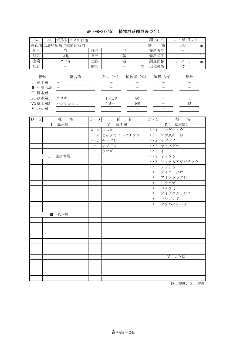## 表 2-8-2(245) 植物群落組成表(245)

| No.             | 35     | 群落名 ススキ群落       |    |              |         |               | 査<br>調<br>日 |   |          | 2009年7月30日 |         |
|-----------------|--------|-----------------|----|--------------|---------|---------------|-------------|---|----------|------------|---------|
|                 |        | 調査地 広島県広島市佐伯区石内 |    |              |         |               | 海<br>抜      |   | 180      |            | m       |
| 地形              |        | 谷               | 風当 |              | 中       |               | 傾斜方位        |   |          |            |         |
| 群系              |        | 草地              | 日当 |              | 陽       |               | 傾斜角度        |   |          |            | $\circ$ |
| 土壤              |        | グライ             | 土湿 | 湿            |         |               | 調査面積        | 5 | $\times$ | 5          | m       |
| 母岩              |        |                 | 露岩 |              |         | $\frac{0}{0}$ | 出現種数        |   | 17       |            |         |
| 高木層             | 階層     | 優占種             |    | 高さ (m)       | 植被率 (%) |               | 胸径 (cm)     |   |          | 種数         |         |
| Π               | 亜高木層   |                 |    |              |         |               |             |   |          |            |         |
| Ⅲ 低木層           |        |                 |    |              |         |               |             |   |          |            |         |
| <b>IV1 草本層1</b> |        | ススキ             |    | $1 \sim 1.8$ | 80      |               |             |   |          | 5          |         |
| <b>IV2 草本層2</b> | ハンゲショウ |                 |    | $0.5 \sim 1$ | 100     |               |             |   |          | 15         |         |
| V コケ層           |        |                 |    |              |         |               |             |   |          |            |         |

| $D \cdot S$ | 種                   | 名 | $D \cdot S$ | 種<br>名          | $D \cdot S$          | 種<br>名          |
|-------------|---------------------|---|-------------|-----------------|----------------------|-----------------|
|             | 高木層<br>$\mathbf{I}$ |   |             | <b>IV1 草本層1</b> |                      | <b>IV2 草本層2</b> |
|             |                     |   | $5 \cdot 4$ | ススキ             |                      | 4・4 ハンゲショウ      |
|             |                     |   | $+ \cdot 2$ | セイタカアワダチソウ      |                      | 1・2 スゲ属の一種      |
|             |                     |   | $+ \cdot 2$ | ヤマフジ            |                      | +・2 ヤブマメ        |
|             |                     |   | $^{+}$      | ノブドウ            |                      | +・2 ヤノネグサ       |
|             |                     |   | $^{+}$      | ウツギ             | $+ \cdot 2$ $\prime$ |                 |
|             | 亜高木層<br>$\Pi$       |   |             |                 |                      | +・2 ヤマフジ        |
|             |                     |   |             |                 |                      | +・2 セイタカアワダチソウ  |
|             |                     |   |             |                 |                      | +・2 ノブドウ        |
|             |                     |   |             |                 |                      | + ダイコンソウ        |
|             |                     |   |             |                 | $+$                  | アオツヅラフジ         |
|             |                     |   |             |                 | $+$                  | ハナタデ            |
|             |                     |   |             |                 | $^{+}$               | ドクダミ            |
|             |                     |   |             |                 | $^{+}$               | アキノタムラソウ        |
|             |                     |   |             |                 | $+$                  | ハシゴシダ           |
|             |                     |   |             |                 | $^{+}$               | テリハノイバラ         |
|             |                     |   |             |                 |                      |                 |
|             | 低木層<br>$\mathbf{m}$ |   |             |                 |                      |                 |
|             |                     |   |             |                 |                      |                 |
|             |                     |   |             |                 |                      |                 |
|             |                     |   |             |                 |                      |                 |
|             |                     |   |             |                 |                      |                 |
|             |                     |   |             |                 |                      |                 |
|             |                     |   |             |                 |                      |                 |
|             |                     |   |             |                 |                      |                 |
|             |                     |   |             |                 |                      | V コケ層           |
|             |                     |   |             |                 |                      |                 |
|             |                     |   |             |                 |                      |                 |
|             |                     |   |             |                 |                      |                 |
|             |                     |   |             |                 |                      |                 |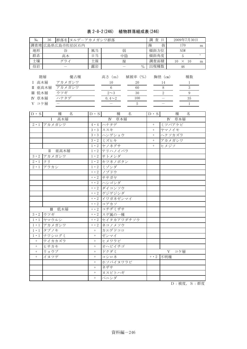## 表 2-8-2(246) 植物群落組成表(246)

| N <sub>o</sub>                        | 36         | 群落名 ヌルデーアカメガシワ群落                |                 |    |                                               |                                       |               |      | 查日                      |      |     | 2009年7月30日         |         |
|---------------------------------------|------------|---------------------------------|-----------------|----|-----------------------------------------------|---------------------------------------|---------------|------|-------------------------|------|-----|--------------------|---------|
|                                       |            |                                 | 調査地 広島県広島市佐伯区石内 |    |                                               |                                       |               | 海    | 抜                       |      | 170 |                    | m       |
| 地形                                    |            | 谷                               |                 | 風当 |                                               | 弱                                     |               | 傾斜方位 |                         |      | N5W |                    |         |
| 群系                                    |            | 高木                              |                 | 日当 |                                               | 中陰                                    |               | 傾斜角度 |                         |      | 5   |                    | $\circ$ |
| 土壤                                    |            | グライ                             |                 | 土湿 |                                               | 調査面積                                  |               | 10   | $\times$                | - 10 | m   |                    |         |
| 母岩                                    |            |                                 |                 | 露岩 |                                               |                                       | $\frac{0}{0}$ | 出現種数 |                         |      | 46  |                    |         |
| 高木層<br>Π<br>Ⅲ 低木層<br>草本層<br>IV<br>コケ層 | 階層<br>亜高木層 | アカメガシワ<br>アカメガシワ<br>ウツギ<br>ハナタデ | 優占種             |    | 高さ (m)<br>10<br>6<br>$2\sim3$<br>$0.4 \sim 2$ | 植被率 (%)<br>20<br>60<br>30<br>100<br>5 |               |      | 胸径 (cm)<br>14<br>8<br>2 |      |     | 種数<br>3<br>9<br>35 |         |

| $D \cdot S$ | 種<br>名                           | $D \cdot S$       | 種<br>名                     | $D \cdot S$ | 種<br>名 |
|-------------|----------------------------------|-------------------|----------------------------|-------------|--------|
|             | 高木層<br>$\mathbf{I}$              |                   | IV 草本層                     |             | IV 草本層 |
| $2 \cdot 1$ | アカメガシワ                           |                   | 4・4 ハナタデ                   | $^{+}$      | ミツバアケビ |
|             |                                  |                   | 3・3 ススキ                    | $^{+}$      | ヤマノイモ  |
|             |                                  |                   | 3・3 ハンゲショウ                 | $\! +$      | ヘクソカズラ |
|             |                                  |                   | 3·2 ミズヒキ                   | $^{+}$      | アカメガシワ |
|             |                                  |                   | 1・2 ヤノネグサ                  | $^{+}$      | ヒメジソ   |
|             | 亜高木層<br>$\rm{I}\hspace{-1.2pt}I$ |                   | 1・2 テリハノイバラ                |             |        |
| $3 \cdot 2$ | アカメガシワ                           |                   | 1・2 サトメシダ                  |             |        |
| $2 \cdot 1$ | クリ                               |                   | 1・2 キツネノボタン                |             |        |
| $2 \cdot 1$ | アラカシ                             |                   | 1・2 ミゾシダ                   |             |        |
|             |                                  |                   | +・2 ノブドウ                   |             |        |
|             |                                  |                   | $\overline{+}\cdot 2$ ササガヤ |             |        |
|             |                                  |                   | +・2 ハシゴシダ                  |             |        |
|             |                                  |                   | +・2 ダイコンソウ                 |             |        |
|             |                                  |                   | + · 2 ゲジゲジシダ               |             |        |
|             |                                  |                   | +・2 イワガネゼンマイ               |             |        |
|             |                                  |                   | +・2 コアカソ                   |             |        |
|             | 低木層<br>$\mathbb{H}$              |                   | + · 2 コチヂミザサ               |             |        |
| $3 \cdot 2$ | ウツギ                              |                   | +・2 スゲ属の一種                 |             |        |
| $1 \cdot 1$ | ヤマウルシ                            |                   | +・2 セイタカアワダチソウ             |             |        |
| $1 \cdot 1$ | アカメガシワ                           | $+ \cdot 2$       | ネコノメソウ                     |             |        |
| $1 \cdot 1$ | タブノキ                             | $^{+}$            | カエデドコロ                     |             |        |
| $1 \cdot 1$ | ナワシログミ                           | $^{+}$            | ゼンマイ                       |             |        |
| $\, +$      | テイカカズラ                           | $^{+}$            | ヒメワラビ                      |             |        |
| $+$         | ヒサカキ                             | $^{+}$            | オヘビイチゴ                     |             |        |
| $^{+}$      | リョウブ                             | $\qquad \qquad +$ | ドクダミ                       |             | V コケ層  |
| $\! +$      | イヌツゲ                             | $^{+}$            | コシロネ                       | $+ \cdot 2$ | 不明種    |
|             |                                  | $^{+}$            | ホソバイヌワラビ                   |             |        |
|             |                                  | $\qquad \qquad +$ | ネザサ                        |             |        |
|             |                                  | $\qquad \qquad +$ | ヌスビトハギ                     |             |        |
|             |                                  | $+$               | ベニシダ                       |             |        |

 $D:$  被度,  $S:$  群度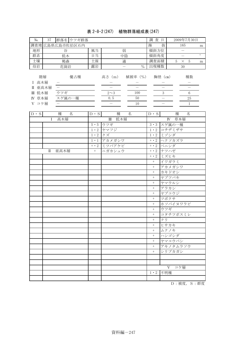### 表 2-8-2(247) 植物群落組成表(247)

| No.                               | 37                |               | 群落名 ウツギ群落       |    |                           |         |                 | 査<br>調 | 日            |   |          | 2009年7月30日    |         |
|-----------------------------------|-------------------|---------------|-----------------|----|---------------------------|---------|-----------------|--------|--------------|---|----------|---------------|---------|
|                                   |                   |               | 調査地 広島県広島市佐伯区石内 |    |                           |         |                 | 海      | 抜            |   | 165      |               | m       |
| 地形                                |                   | 谷             |                 | 風当 |                           | 弱       |                 | 傾斜方位   |              |   |          |               |         |
| 群系                                |                   | 低木            |                 | 日当 |                           | 中陰      |                 | 傾斜角度   |              |   |          |               | $\circ$ |
| 土壤                                |                   | 褐森            |                 | 土湿 | 適                         |         |                 | 調査面積   |              | 5 | $\times$ | 5             | m       |
| 母岩                                |                   | 花崗岩           |                 | 露岩 |                           |         | $\frac{0}{0}$   | 出現種数   |              |   | 30       |               |         |
| Π<br>低木層<br>Ш<br>草本層<br>IV<br>コケ層 | 階層<br>高木層<br>亜高木層 | ウツギ<br>スゲ属の一種 | 優占種             |    | 高さ (m)<br>$2\sim3$<br>0.5 | 植被率 (%) | 100<br>50<br>10 |        | 胸径 (cm)<br>3 |   |          | 種数<br>6<br>25 |         |

| $D \cdot S$ | 種<br>名              | $D \cdot S$ | 種<br>名     | $D \cdot S$      | 種<br>名          |
|-------------|---------------------|-------------|------------|------------------|-----------------|
|             | 高木層<br>$\mathbf{I}$ |             | Ⅲ 低木層      |                  | IV 草本層          |
|             |                     |             | 5・5 ウツギ    |                  | 3・3 スゲ属の一種      |
|             |                     |             | 1・2 ヤマフジ   |                  | 1・2 コチヂミザサ      |
|             |                     | 1・2 クズ      |            |                  | 1・2 ミゾシダ        |
|             |                     |             | 1・1 アカメガシワ |                  | +・2 ヘクソカズラ      |
|             |                     |             | +・2 ミツバアケビ |                  | +・2 ベニシダ        |
|             | 亜高木層<br>$\Pi$       | $+$         | ニガカシュウ     |                  | +・2 ナツハゼ        |
|             |                     |             |            |                  | +・2 ミズヒキ        |
|             |                     |             |            | $+$              | イワガラミ           |
|             |                     |             |            | $^{+}$           | アカメガシワ          |
|             |                     |             |            | $^{+}$           | カキドオシ           |
|             |                     |             |            | $+$              | ヤブツバキ           |
|             |                     |             |            | $+$              | ヤマウルシ           |
|             |                     |             |            | $\, +$           | アラカシ            |
|             |                     |             |            | $^{+}$           | ヤブコウジ           |
|             |                     |             |            | $^{+}$           | ツボクサ            |
|             |                     |             |            | $\, +$           | ホソバイヌワラビ        |
|             |                     |             |            | $^{+}$           | ウツギ             |
|             |                     |             |            | $^{+}$           | コタチツボスミレ        |
|             |                     |             |            | $\, +$           | クリ              |
|             |                     |             |            | $^{+}$           | ヒサカキ            |
|             |                     |             |            | $\boldsymbol{+}$ | ムクノキ            |
|             |                     |             |            | $^{+}$           | ハシゴシダ           |
|             |                     |             |            | $+$              | ャマコウバシ          |
|             |                     |             |            | $+$              | アキノタムラソウ        |
|             |                     |             |            | $^{+}$           | シリブカガシ          |
|             |                     |             |            |                  |                 |
|             |                     |             |            |                  |                 |
|             |                     |             |            |                  | V コケ層           |
|             |                     |             |            |                  | $1 \cdot 2$ 不明種 |
|             |                     |             |            |                  |                 |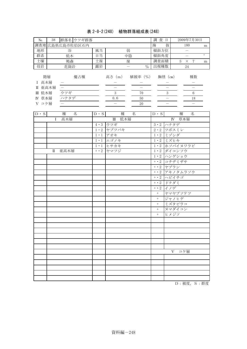### 表 2-8-2(248) 植物群落組成表(248)

| No.                                         |    | 38 群落名 ウツギ群落                   |                               |                               |                                           | 調查日                           |                        | 2009年7月30日                           |         |
|---------------------------------------------|----|--------------------------------|-------------------------------|-------------------------------|-------------------------------------------|-------------------------------|------------------------|--------------------------------------|---------|
|                                             |    | 調査地広島県広島市佐伯区石内                 |                               |                               |                                           | 海                             | 抜                      | 180                                  | m       |
| 地形                                          |    | 谷                              | 風当                            |                               | 弱                                         | 傾斜方位                          |                        | $\overline{\phantom{m}}$             |         |
| 群系                                          |    | 低木                             | 日当                            |                               | 中陰                                        | 傾斜角度                          |                        | $=$                                  | $\circ$ |
| 土壤                                          |    | 褐森                             | 土湿                            |                               | 湿                                         | 調査面積                          |                        | $\times$ 7<br>5                      | m       |
| 母岩                                          |    | 花崗岩                            | 露岩                            |                               | $\overline{\phantom{0}}$<br>$\frac{0}{0}$ | 出現種数                          |                        | $24\,$                               |         |
| I 高木層<br>Ⅱ 亜高木層<br>Ⅲ 低木層<br>IV 草本層<br>V コケ層 | 階層 | 優占種<br>$\equiv$<br>ウツギ<br>ハナタデ |                               | 高さ (m)<br>$\mathbf{3}$<br>0.6 | 植被率 (%)<br>$70\,$<br>50<br>20             |                               | 胸径(cm)<br>$\mathbf{3}$ | 種数<br>$\equiv$<br>$6\,$<br>18<br>$=$ |         |
| $D \cdot S$                                 |    | 種<br>名                         | $\mathbf{D} \cdot \mathbf{S}$ | 種                             | 名                                         | $\mathbf{D} \cdot \mathbf{S}$ |                        | 種<br>名                               |         |
|                                             | Ι  | 高木層                            |                               | 低木層<br>$\mathbb{I}$           |                                           |                               |                        | IV 草本層                               |         |
|                                             |    |                                |                               | 4・3 ウツギ                       |                                           |                               | 3·2 ハナタデ               |                                      |         |
|                                             |    |                                |                               | 1・2 ヤブツバキ                     |                                           |                               | 2・2 ツボスミレ              |                                      |         |
|                                             |    |                                |                               | 1・1 アオキ                       |                                           |                               | 1・2 ミゾシダ               |                                      |         |
|                                             |    |                                |                               | 1・1 エゴノキ                      |                                           |                               | 1·2 ミズヒキ               |                                      |         |
|                                             |    |                                |                               | 1·1 ヒサカキ                      |                                           | $1 \cdot 2$                   |                        | ホソバイヌワラビ                             |         |
|                                             | Π  | 亜高木層                           | $+ \cdot 2$                   | ヤマフジ                          |                                           | $1 \cdot 2$                   | ダイコンソウ                 |                                      |         |
|                                             |    |                                |                               |                               |                                           |                               | 1・2 ハンゲショウ             |                                      |         |
|                                             |    |                                |                               |                               |                                           | $+ \cdot 2$                   | コチヂミザサ                 |                                      |         |
|                                             |    |                                |                               |                               |                                           |                               | +・2 ヤブラン               |                                      |         |
|                                             |    |                                |                               |                               |                                           |                               |                        | +・2 アキノタムラソウ                         |         |
|                                             |    |                                |                               |                               |                                           |                               | +・2 ヘビイチゴ              |                                      |         |
|                                             |    |                                |                               |                               |                                           |                               | +・2 ドクダミ               |                                      |         |
|                                             |    |                                |                               |                               |                                           | $+ \cdot 2$                   | イノデ                    |                                      |         |
|                                             |    |                                |                               |                               |                                           | $\boldsymbol{+}$              | ヤマヤブソテツ                |                                      |         |
|                                             |    |                                |                               |                               |                                           | $\boldsymbol{+}$              | ジャノヒゲ                  |                                      |         |
|                                             |    |                                |                               |                               |                                           | $\boldsymbol{+}$              | ミズタビラコ                 |                                      |         |
|                                             |    |                                |                               |                               |                                           | $\boldsymbol{+}$              | ヌマダイコン                 |                                      |         |
|                                             |    |                                |                               |                               |                                           | $\boldsymbol{+}$              | ヒメジソ                   |                                      |         |
|                                             |    |                                |                               |                               |                                           |                               |                        |                                      |         |
|                                             |    |                                |                               |                               |                                           |                               |                        |                                      |         |
|                                             |    |                                |                               |                               |                                           |                               |                        |                                      |         |
|                                             |    |                                |                               |                               |                                           |                               |                        |                                      |         |
|                                             |    |                                |                               |                               |                                           |                               |                        |                                      |         |
|                                             |    |                                |                               |                               |                                           |                               |                        |                                      |         |
|                                             |    |                                |                               |                               |                                           |                               |                        | V コケ層                                |         |
|                                             |    |                                |                               |                               |                                           |                               |                        |                                      |         |
|                                             |    |                                |                               |                               |                                           |                               |                        |                                      |         |
|                                             |    |                                |                               |                               |                                           |                               |                        |                                      |         |
|                                             |    |                                |                               |                               |                                           |                               |                        |                                      |         |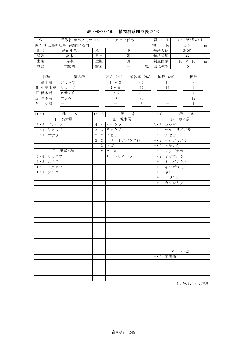### 表 2-8-2(249) 植物群落組成表(249)

| No.                                                                                                                                                          | 群落名 コバノミツバツツジーアカマツ群落<br>39                                                                                                                          |                                                                                                                       |                                                                                                                                                                                                         | 調查日<br>2009年7月30日 |                                                                                                                                    |                                                                                                                                                                                                              |                                                                |         |
|--------------------------------------------------------------------------------------------------------------------------------------------------------------|-----------------------------------------------------------------------------------------------------------------------------------------------------|-----------------------------------------------------------------------------------------------------------------------|---------------------------------------------------------------------------------------------------------------------------------------------------------------------------------------------------------|-------------------|------------------------------------------------------------------------------------------------------------------------------------|--------------------------------------------------------------------------------------------------------------------------------------------------------------------------------------------------------------|----------------------------------------------------------------|---------|
|                                                                                                                                                              | 調査地 広島県広島市佐伯区石内                                                                                                                                     |                                                                                                                       |                                                                                                                                                                                                         |                   | 海                                                                                                                                  | 抜                                                                                                                                                                                                            | 170                                                            | m       |
| 地形                                                                                                                                                           | 斜面中部                                                                                                                                                | 風当                                                                                                                    | 中                                                                                                                                                                                                       |                   | 傾斜方位                                                                                                                               |                                                                                                                                                                                                              | $\text{S}40\text{W}$                                           |         |
| 群系                                                                                                                                                           | 高木                                                                                                                                                  | 日当                                                                                                                    | 陽                                                                                                                                                                                                       |                   | 傾斜角度                                                                                                                               |                                                                                                                                                                                                              | 35                                                             | $\circ$ |
| 土壤                                                                                                                                                           | 褐森                                                                                                                                                  | 土湿                                                                                                                    | 適                                                                                                                                                                                                       |                   | 調査面積                                                                                                                               |                                                                                                                                                                                                              | $10~\times~10$                                                 | m       |
|                                                                                                                                                              |                                                                                                                                                     |                                                                                                                       | $\overline{\phantom{0}}$                                                                                                                                                                                | $\frac{0}{0}$     | 出現種数                                                                                                                               |                                                                                                                                                                                                              | 19                                                             |         |
| 母岩<br>I 高木層<br>Ⅱ 亜高木層<br>Ⅲ 低木層<br>IV 草本層<br>V コケ層<br>$D \cdot S$<br>$2 \cdot 1$<br>$2 \cdot 1$<br>$4 \cdot 4$<br>$2\,\cdot\,2$<br>$1 \cdot 2$<br>$1 \cdot 1$ | 花崗岩<br>階層<br>優占種<br>アカマツ<br>リョウブ<br>ヒサカキ<br>コシダ<br>種<br>名<br>高木層<br>$\mathbf{I}$<br>3・3 アカマツ<br>リョウブ<br>コナラ<br>Ⅱ 亜高木層<br>リョウブ<br>コナラ<br>アカマツ<br>ソヨゴ | 露岩<br>$D \cdot S$<br>$4 \cdot 4$<br>$3 \cdot 3$<br>$2 \cdot 2$<br>$2 \cdot 2$<br>$1 \cdot 2$<br>$1 \cdot 2$<br>$^{+}$ | 植被率(%)<br>高さ(m)<br>$10 \sim 12$<br>60<br>$7\!\sim\!10$<br>90<br>$2\sim$ 5<br>80<br>0.8<br>70<br>$\equiv$<br>$\mathbf{3}$<br>種<br>名<br>Ⅲ 低木層<br>ヒサカキ<br>リョウブ<br>アセビ<br>コバノミツバツツジ<br>ネズ<br>ネジキ<br>サルトリイバラ |                   | $D \cdot S$<br>$+ \cdot 2$<br>$+ \cdot 2$<br>$\! + \!\!\!\!$<br>$\boldsymbol{+}$<br>$\boldsymbol{+}$<br>$\boldsymbol{+}$<br>$^{+}$ | 胸径(cm)<br>16<br>12<br>$\,2$<br>$\overline{\phantom{0}}$<br>$\mathbb{N}$<br>$3 \cdot 3$ コシダ<br>1・2 サルトリイバラ<br>+・2 アセビ<br>+・2 ヘクソカズラ<br>+· 2 ヒサカキ<br>シリブカガシ<br>ヤマウルシ<br>ミツバアケビ<br>イワガラミ<br>ネズ<br>ノギラン<br>カクレミノ | 種数<br>3<br>$\,4$<br>$\sqrt{7}$<br>12<br>$1\,$<br>種<br>名<br>草本層 |         |
|                                                                                                                                                              |                                                                                                                                                     |                                                                                                                       |                                                                                                                                                                                                         |                   |                                                                                                                                    |                                                                                                                                                                                                              |                                                                |         |
|                                                                                                                                                              |                                                                                                                                                     |                                                                                                                       |                                                                                                                                                                                                         |                   |                                                                                                                                    |                                                                                                                                                                                                              |                                                                |         |
|                                                                                                                                                              |                                                                                                                                                     |                                                                                                                       |                                                                                                                                                                                                         |                   |                                                                                                                                    | V コケ層                                                                                                                                                                                                        |                                                                |         |
|                                                                                                                                                              |                                                                                                                                                     |                                                                                                                       |                                                                                                                                                                                                         |                   | $+ \cdot 2$                                                                                                                        | 不明種                                                                                                                                                                                                          |                                                                |         |
|                                                                                                                                                              |                                                                                                                                                     |                                                                                                                       |                                                                                                                                                                                                         |                   |                                                                                                                                    |                                                                                                                                                                                                              |                                                                |         |
|                                                                                                                                                              |                                                                                                                                                     |                                                                                                                       |                                                                                                                                                                                                         |                   |                                                                                                                                    |                                                                                                                                                                                                              |                                                                |         |
|                                                                                                                                                              |                                                                                                                                                     |                                                                                                                       |                                                                                                                                                                                                         |                   |                                                                                                                                    |                                                                                                                                                                                                              |                                                                |         |
|                                                                                                                                                              |                                                                                                                                                     |                                                                                                                       |                                                                                                                                                                                                         |                   |                                                                                                                                    |                                                                                                                                                                                                              |                                                                |         |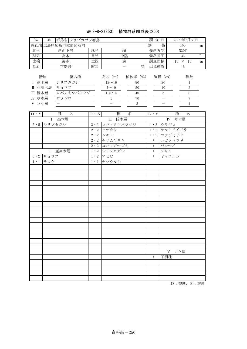### 表 2-8-2(250) 植物群落組成表(250)

| N <sub>o</sub>                                         | 40 |                        | 群落名 シリブカガシ群落     |    | 査<br>調                                          | 日                                    |               |      | 2009年7月30日               |             |                   |              |         |
|--------------------------------------------------------|----|------------------------|------------------|----|-------------------------------------------------|--------------------------------------|---------------|------|--------------------------|-------------|-------------------|--------------|---------|
|                                                        |    |                        | 調査地 広島県広島市佐伯区石内  |    |                                                 |                                      |               | 海    | 抜                        |             | 165               |              | m       |
| 地形                                                     |    | 斜面下部                   |                  | 風当 |                                                 | 弱                                    |               | 傾斜方位 |                          |             | N <sub>30</sub> W |              |         |
| 群系                                                     |    | 高木                     |                  | 日当 |                                                 | 中陰                                   |               | 傾斜角度 |                          |             | 35                |              | $\circ$ |
| 土壌                                                     |    | 褐森                     |                  | 土湿 |                                                 | 調査面積                                 |               | 15   |                          | $\times$ 15 | m                 |              |         |
| 母岩                                                     |    | 露岩<br>花崗岩              |                  |    |                                                 |                                      | $\frac{0}{0}$ | 出現種数 |                          |             | 16                |              |         |
| 階層<br>高木層<br>亜高木層<br>Π<br>低木層<br>Ш<br>草本層<br>IV<br>コケ層 |    | シリブカガシ<br>リョウブ<br>ウラジロ | 優占種<br>コバノミツバツツジ |    | 高さ (m)<br>$12 - 16$<br>$7 \sim 10$<br>$1.5 - 4$ | 植被率 (%)<br>90<br>50<br>40<br>70<br>3 |               |      | 胸径 (cm)<br>26<br>10<br>3 |             |                   | 種数<br>2<br>8 |         |

| $D \cdot S$ | 種<br>名                       | $D \cdot S$ | 種<br>名           | $\overline{D} \cdot S$ | 種<br>名      |
|-------------|------------------------------|-------------|------------------|------------------------|-------------|
|             | I 高木層                        |             | Ⅲ 低木層            |                        | IV 草本層      |
| $5 \cdot 5$ | シリブカガシ                       |             | 3・3 コバノミツバツツジ    |                        | 4・3 ウラジロ    |
|             |                              |             | $2 \cdot 2$ ヒサカキ |                        | +・2 サルトリイバラ |
|             |                              |             | 2·2 シキミ          |                        | +・2 コチヂミザサ  |
|             |                              |             | 2・2 ヤブムラサキ       | $+$                    | コガクウツギ      |
|             |                              |             | 2・2 コバノガマズミ      | $+$                    | ゼンマイ        |
|             | $\scriptstyle\rm II$<br>亜高木層 |             | 1・2 シリブカガシ       | $+$                    | シキミ         |
| $3 \cdot 2$ | リョウブ                         |             | 1・2 アセビ          | $+$                    | ヤマウルシ       |
| $1 \cdot 1$ | サカキ                          |             | 1・1 ヤマウルシ        |                        |             |
|             |                              |             |                  |                        |             |
|             |                              |             |                  |                        |             |
|             |                              |             |                  |                        |             |
|             |                              |             |                  |                        |             |
|             |                              |             |                  |                        |             |
|             |                              |             |                  |                        |             |
|             |                              |             |                  |                        |             |
|             |                              |             |                  |                        |             |
|             |                              |             |                  |                        |             |
|             |                              |             |                  |                        |             |
|             |                              |             |                  |                        |             |
|             |                              |             |                  |                        |             |
|             |                              |             |                  |                        |             |
|             |                              |             |                  |                        |             |
|             |                              |             |                  |                        |             |
|             |                              |             |                  |                        |             |
|             |                              |             |                  |                        | V コケ層       |
|             |                              |             |                  | $\, +$                 | 不明種         |
|             |                              |             |                  |                        |             |
|             |                              |             |                  |                        |             |
|             |                              |             |                  |                        |             |
|             |                              |             |                  |                        |             |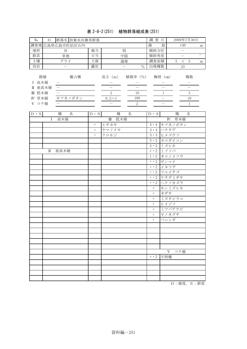### 表 2-8-2(251) 植物群落組成表(251)

| N <sub>o</sub> | 41                                     |     | 群落名 放棄水田雑草群落    |    |                                             |                                        | 査<br>調<br>日 |   |          | 2009年7月30日    |         |
|----------------|----------------------------------------|-----|-----------------|----|---------------------------------------------|----------------------------------------|-------------|---|----------|---------------|---------|
|                |                                        |     | 調査地 広島県広島市佐伯区石内 |    |                                             |                                        | 抜<br>海      |   | 140      |               | m       |
| 地形             |                                        | 谷   |                 | 風当 |                                             | 弱                                      | 傾斜方位        |   |          |               |         |
| 群系             |                                        | 草地  |                 | 日当 |                                             | 中陰                                     | 傾斜角度        |   |          |               | $\circ$ |
| 土壤             |                                        | グライ |                 | 土湿 |                                             | 過湿                                     | 調査面積        | 5 | $\times$ | 5             | m       |
| 母岩             |                                        |     |                 |    |                                             | $\frac{0}{0}$                          | 出現種数        |   | 23       |               |         |
| Π<br>Ш<br>IV   | 階層<br>高木層<br>亜高木層<br>低木層<br>草本層<br>コケ層 |     | 優占種<br>キツネノボタン  |    | 高さ (m)<br>$\mathcal{D}_{1}$<br>$0.2 \sim 1$ | 植被率 (%)<br>10<br>100<br>$\overline{2}$ | 胸径 (cm)     |   |          | 種数<br>3<br>19 |         |

| $D \cdot S$ | 種<br>名 | $D \cdot S$      | 種<br>名 | $D \cdot S$ | 種 名                |
|-------------|--------|------------------|--------|-------------|--------------------|
|             | I 高木層  |                  | Ⅲ 低木層  |             | IV 草本層             |
|             |        | $+$              | ヒサカキ   |             | 4・4 キツネノボタン        |
|             |        | $\boldsymbol{+}$ | ヤマノイモ  |             | 3・4 ハナタデ           |
|             |        | $^{+}$           | クロモジ   |             | 3・3 ヒメゴウソ          |
|             |        |                  |        |             | 3・2 ヌマダイコン         |
|             |        |                  |        |             | 2·2 ミズヒキ           |
|             | Ⅱ 亜高木層 |                  |        |             | 1・2 ミゾソバ           |
|             |        |                  |        |             | 1・2 ネコノメソウ         |
|             |        |                  |        |             | +・2 ゼンマイ           |
|             |        |                  |        |             | +・2 イヌツゲ           |
|             |        |                  |        |             | +・2 フユイチゴ          |
|             |        |                  |        |             | + · 2 ケチヂミザサ       |
|             |        |                  |        |             | +・2 ヘクソカズラ         |
|             |        |                  |        | $+$         | キンミズヒキ             |
|             |        |                  |        | $^{+}$      | ネザサ                |
|             |        |                  |        | $+$         | ミズタビラコ             |
|             |        |                  |        | $\, +$      | ヒメジソ               |
|             |        |                  |        | $\, +$      | ミツバアケビ             |
|             |        |                  |        | $+$         | ヤノネグサ              |
|             |        |                  |        | $^{+}$      | ベニシダ               |
|             |        |                  |        |             |                    |
|             |        |                  |        |             |                    |
|             |        |                  |        |             |                    |
|             |        |                  |        |             |                    |
|             |        |                  |        |             |                    |
|             |        |                  |        |             | コケ層<br>$\mathbf V$ |
|             |        |                  |        |             | $+$ 2 不明種          |
|             |        |                  |        |             |                    |
|             |        |                  |        |             |                    |
|             |        |                  |        |             |                    |
|             |        |                  |        |             |                    |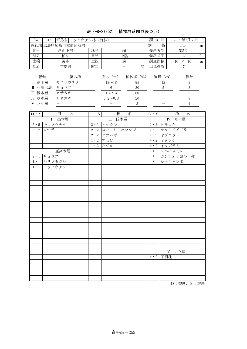## 表 2-8-2(252) 植物群落組成表(252)

| No.                        | 42                | 群落名 モウソウチク林 (竹林)                    |                 |    |                                                                 |                                 |  |      | 査<br>日                  |    |          | 2009年7月30日             |         |
|----------------------------|-------------------|-------------------------------------|-----------------|----|-----------------------------------------------------------------|---------------------------------|--|------|-------------------------|----|----------|------------------------|---------|
|                            |                   |                                     | 調査地 広島県広島市佐伯区石内 |    |                                                                 |                                 |  | 海    | 抜                       |    | 145      |                        | m       |
| 地形                         |                   | 斜面下部                                |                 | 風当 |                                                                 | 弱                               |  | 傾斜方位 |                         |    | N25E     |                        |         |
| 群系                         |                   | 植林                                  |                 | 日当 |                                                                 | 中陰                              |  | 傾斜角度 |                         |    | 15       |                        | $\circ$ |
| 土壤                         |                   | 褐森                                  |                 | 土湿 | 適                                                               |                                 |  | 調査面積 |                         | 10 | $\times$ | - 10                   | m       |
| 母岩                         |                   | 花崗岩                                 |                 | 露岩 |                                                                 | $\frac{0}{0}$                   |  |      | 出現種数                    |    | 17       |                        |         |
| Π<br>低木層<br>Ш<br>草本層<br>IV | 階層<br>高木層<br>亜高木層 | モウソウチク<br>ョウブ<br>IJ<br>ヒサカキ<br>ヒサカキ | 優占種             |    | 高さ (m)<br>$12\!\sim\!18$<br>6<br>$1.5 \sim 3$<br>$0.2 \sim 0.8$ | 植被率 (%)<br>95<br>30<br>60<br>20 |  |      | 胸径 (cm)<br>12<br>5<br>2 |    |          | 種数<br>2<br>3<br>5<br>8 |         |
| コケ層                        |                   |                                     |                 |    | 3                                                               |                                 |  |      |                         |    |          |                        |         |

| $D \cdot S$ | 種<br>名 | $D \cdot S$ | 種<br>名        | $D \cdot S$ | 種 名              |
|-------------|--------|-------------|---------------|-------------|------------------|
|             | I 高木層  |             | Ⅲ 低木層         |             | IV 草本層           |
| $5 \cdot 5$ | モウソウチク |             | 3・3 ヒサカキ      |             | $2 \cdot 2$ ヒサカキ |
| $3 \cdot 2$ | コナラ    |             | 2・2 コバノミツバツツジ |             | +・2 サルトリイバラ      |
|             |        |             | 2・2 ナツハゼ      |             | +・2 ヤブコウジ        |
|             |        |             | 1・2 アセビ       |             | +・2 イヌツゲ         |
|             |        |             | 1・2 ネジキ       |             | +・2 イワガラミ        |
|             | Ⅱ 亜高木層 |             |               | $+$         | シハイスミレ           |
| $2 \cdot 1$ | リョウブ   |             |               | $\, + \,$   | カンアオイ属の一種        |
| $1 \cdot 1$ | シリブカガシ |             |               | $+$         | シャシャンボ           |
| $1 \cdot 1$ | モウソウチク |             |               |             |                  |
|             |        |             |               |             |                  |
|             |        |             |               |             |                  |
|             |        |             |               |             |                  |
|             |        |             |               |             |                  |
|             |        |             |               |             |                  |
|             |        |             |               |             |                  |
|             |        |             |               |             |                  |
|             |        |             |               |             |                  |
|             |        |             |               |             |                  |
|             |        |             |               |             |                  |
|             |        |             |               |             |                  |
|             |        |             |               |             |                  |
|             |        |             |               |             |                  |
|             |        |             |               |             |                  |
|             |        |             |               |             |                  |
|             |        |             |               |             | コケ層<br>V         |
|             |        |             |               |             | +· 2 不明種         |
|             |        |             |               |             |                  |
|             |        |             |               |             |                  |
|             |        |             |               |             |                  |
|             |        |             |               |             |                  |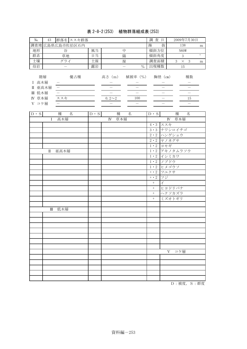# 表 2-8-2(253) 植物群落組成表(253)

| No.                                    | 43          |                               | 群落名 ススキ群落       |             |                                                    |                                            |                  |                          | 調査日<br>2009年7月30日                    |         |  |
|----------------------------------------|-------------|-------------------------------|-----------------|-------------|----------------------------------------------------|--------------------------------------------|------------------|--------------------------|--------------------------------------|---------|--|
|                                        |             |                               | 調査地 広島県広島市佐伯区石内 |             |                                                    |                                            | 海                | 抜                        | 138                                  | m       |  |
| 地形                                     |             | 谷                             |                 | 風当          |                                                    | 中                                          | 傾斜方位             |                          | N60W                                 |         |  |
| 群系                                     |             | 草地                            |                 | 日当          |                                                    | 陽                                          | 傾斜角度             |                          | 3                                    | $\circ$ |  |
| 土壤                                     |             | グライ                           |                 | 土湿          |                                                    | 湿                                          | 調査面積             |                          | $3 \times 3$                         | m       |  |
| 母岩                                     |             | $\equiv$                      |                 | 露岩          |                                                    | $\frac{0}{0}$<br>$\equiv$                  | 出現種数             |                          | 15                                   |         |  |
| I 高木層<br>Π<br>Ⅲ 低木層<br>IV 草本層<br>V コケ層 | 階層<br>亜高木層  | $\qquad \qquad -$<br>ススキ<br>— | 優占種             |             | 高さ (m)<br>$0.2 \sim 2$<br>$\overline{\phantom{0}}$ | 植被率 (%)<br>100<br>$\overline{\phantom{0}}$ |                  | 胸径 (cm)                  | 種数<br>15<br>$\overline{\phantom{0}}$ |         |  |
| $D \cdot S$                            |             | 種                             | 名               | $D \cdot S$ | 種                                                  | 名                                          | $D \cdot S$      |                          | 種<br>名                               |         |  |
|                                        | $\mathbf I$ | 高木層                           |                 |             | $\mathbb{N}$<br>草本層                                |                                            |                  |                          | 草本層<br>$\mathbb{N}$                  |         |  |
|                                        |             |                               |                 |             |                                                    |                                            | $4 \cdot 3$      | ススキ                      |                                      |         |  |
|                                        |             |                               |                 |             |                                                    |                                            |                  |                          | 3・3 ナワシロイチゴ                          |         |  |
|                                        |             |                               |                 |             |                                                    |                                            |                  |                          | 2・2 ハンゲショウ                           |         |  |
|                                        |             |                               |                 |             |                                                    |                                            |                  |                          | 2・2 ヤノネグサ                            |         |  |
|                                        |             |                               |                 |             |                                                    |                                            | $1 \cdot 2$      | ヨモギ                      |                                      |         |  |
|                                        | $\mathbf I$ | 亜高木層                          |                 |             |                                                    |                                            | $1 \cdot 2$      |                          | アキノタムラソウ                             |         |  |
|                                        |             |                               |                 |             |                                                    |                                            |                  |                          | 1・2 イシミカワ                            |         |  |
|                                        |             |                               |                 |             |                                                    |                                            | 1・2 ノブドウ         |                          |                                      |         |  |
|                                        |             |                               |                 |             |                                                    |                                            | $1 \cdot 2$      |                          | ヒメゴウソ                                |         |  |
|                                        |             |                               |                 |             |                                                    |                                            | $+ \cdot 2$      |                          | ツユクサ                                 |         |  |
|                                        |             |                               |                 |             |                                                    |                                            | $+ \cdot 2$      | フジ                       |                                      |         |  |
|                                        |             |                               |                 |             |                                                    |                                            | $^{+}$           | $\overline{\mathcal{A}}$ |                                      |         |  |
|                                        |             |                               |                 |             |                                                    |                                            | $^{+}$           |                          | ヒヨドリバナ                               |         |  |
|                                        |             |                               |                 |             |                                                    |                                            | $\boldsymbol{+}$ |                          | ヘクソカズラ                               |         |  |
|                                        |             |                               |                 |             |                                                    |                                            |                  |                          | ミズオトギリ                               |         |  |

Ⅲ 低木層

D:被度,S:群度

Ⅴ コケ層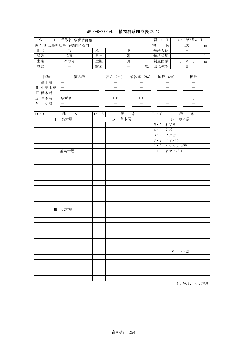# 表 2-8-2(254) 植物群落組成表(254)

| $\rm No.$                          | $\rm 44$    | 群落名 ネザサ群落                                                   |                               |                                                    |                                                                 | 調査日              |                                                                 |                | 2009年7月31日                          |         |
|------------------------------------|-------------|-------------------------------------------------------------|-------------------------------|----------------------------------------------------|-----------------------------------------------------------------|------------------|-----------------------------------------------------------------|----------------|-------------------------------------|---------|
|                                    |             | 調査地広島県広島市佐伯区石内                                              |                               |                                                    |                                                                 | 海                | 抜                                                               |                | 132                                 | m       |
| 地形                                 |             | 谷                                                           | 風当                            |                                                    | 中                                                               | 傾斜方位             |                                                                 |                | $\overline{\phantom{0}}$            |         |
| 群系                                 |             | 草地                                                          | 日当                            |                                                    | 陽                                                               | 傾斜角度             |                                                                 |                |                                     | $\circ$ |
| 土壤                                 |             | グライ                                                         | 土湿                            |                                                    | 適                                                               | 調査面積             |                                                                 | $\overline{5}$ | $\times$ 5                          | m       |
| 母岩                                 |             |                                                             | 露岩                            |                                                    | $\overline{\phantom{0}}$<br>$\%$                                | 出現種数             |                                                                 |                | $\,6\,$                             |         |
| I 高木層<br>Ⅱ 亜高木層<br>Ⅲ 低木層<br>IV 草本層 | 階層          | 優占種<br>$\qquad \qquad -$<br>$\overline{\phantom{0}}$<br>ネザサ |                               | 高さ (m)<br>$\qquad \qquad -$<br>$\equiv$<br>$1.6\,$ | 植被率 (%)<br>$\qquad \qquad -$<br>$\overline{\phantom{0}}$<br>100 |                  | 胸径 (cm)<br>$\overline{\phantom{0}}$<br>$\overline{\phantom{0}}$ |                | 種数<br>$\overline{\phantom{0}}$<br>6 |         |
| V コケ層                              |             |                                                             |                               | $\frac{1}{2}$                                      | $\overline{a}$                                                  |                  |                                                                 |                | $\equiv$                            |         |
| $\mathbf{D} \cdot \mathbf{S}$      |             | 種<br>名                                                      | $\mathbf{D} \cdot \mathbf{S}$ | 種                                                  | 名                                                               | $D \cdot S$      |                                                                 | 種              | 名                                   |         |
|                                    | $\mathbf I$ | 高木層                                                         |                               | $I\!V$                                             | 草本層                                                             |                  | $\mathbf{I}$ V                                                  | 草本層            |                                     |         |
|                                    |             |                                                             |                               |                                                    |                                                                 | $5 \cdot 5$      | ネザサ                                                             |                |                                     |         |
|                                    |             |                                                             |                               |                                                    |                                                                 | $4\,\cdot\,3$    | クズ                                                              |                |                                     |         |
|                                    |             |                                                             |                               |                                                    |                                                                 | $3 \cdot 2$      | ワラビ                                                             |                |                                     |         |
|                                    |             |                                                             |                               |                                                    |                                                                 | $3 \cdot 2$      | ノイバラ                                                            |                |                                     |         |
|                                    |             |                                                             |                               |                                                    |                                                                 |                  |                                                                 | 1・2 ヘクソカズラ     |                                     |         |
|                                    | $\rm II$    | 亜高木層                                                        |                               |                                                    |                                                                 | $\boldsymbol{+}$ |                                                                 | ヤマノイモ          |                                     |         |
|                                    |             |                                                             |                               |                                                    |                                                                 |                  |                                                                 |                |                                     |         |
|                                    |             |                                                             |                               |                                                    |                                                                 |                  |                                                                 |                |                                     |         |
|                                    |             |                                                             |                               |                                                    |                                                                 |                  |                                                                 |                |                                     |         |
|                                    |             |                                                             |                               |                                                    |                                                                 |                  |                                                                 |                |                                     |         |
|                                    |             |                                                             |                               |                                                    |                                                                 |                  |                                                                 |                |                                     |         |
|                                    |             |                                                             |                               |                                                    |                                                                 |                  |                                                                 |                |                                     |         |
|                                    |             |                                                             |                               |                                                    |                                                                 |                  |                                                                 |                |                                     |         |
|                                    |             |                                                             |                               |                                                    |                                                                 |                  |                                                                 |                |                                     |         |
|                                    |             |                                                             |                               |                                                    |                                                                 |                  |                                                                 |                |                                     |         |
|                                    |             |                                                             |                               |                                                    |                                                                 |                  |                                                                 |                |                                     |         |
|                                    | Ш           | 低木層                                                         |                               |                                                    |                                                                 |                  |                                                                 |                |                                     |         |
|                                    |             |                                                             |                               |                                                    |                                                                 |                  |                                                                 |                |                                     |         |
|                                    |             |                                                             |                               |                                                    |                                                                 |                  |                                                                 |                |                                     |         |
|                                    |             |                                                             |                               |                                                    |                                                                 |                  |                                                                 |                |                                     |         |
|                                    |             |                                                             |                               |                                                    |                                                                 |                  |                                                                 |                |                                     |         |
|                                    |             |                                                             |                               |                                                    |                                                                 |                  |                                                                 |                |                                     |         |
|                                    |             |                                                             |                               |                                                    |                                                                 |                  |                                                                 |                |                                     |         |
|                                    |             |                                                             |                               |                                                    |                                                                 |                  |                                                                 |                |                                     |         |
|                                    |             |                                                             |                               |                                                    |                                                                 |                  | V                                                               | コケ層            |                                     |         |
|                                    |             |                                                             |                               |                                                    |                                                                 |                  |                                                                 |                |                                     |         |
|                                    |             |                                                             |                               |                                                    |                                                                 |                  |                                                                 |                |                                     |         |
|                                    |             |                                                             |                               |                                                    |                                                                 |                  |                                                                 |                |                                     |         |
|                                    |             |                                                             |                               |                                                    |                                                                 |                  |                                                                 |                |                                     |         |
|                                    |             |                                                             |                               |                                                    |                                                                 |                  |                                                                 |                |                                     |         |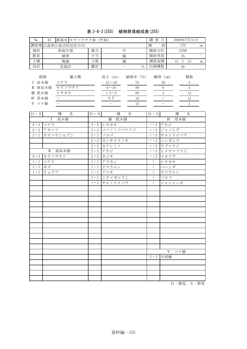## 表 2-8-2(255) 植物群落組成表(255)

| N <sub>o</sub> | 45   | 群落名 モウソウチク林 (竹林) |                 |         |                |         |               | 査<br>調 | 日              |      |             | 2009年7月31日     |   |
|----------------|------|------------------|-----------------|---------|----------------|---------|---------------|--------|----------------|------|-------------|----------------|---|
|                |      |                  | 調査地 広島県広島市佐伯区石内 |         |                |         |               | 海      | 抜              |      | 170         |                | m |
| 地形             |      | 斜面中部             |                 | 風当<br>中 |                |         | 傾斜方位          |        |                | S35W |             |                |   |
| 群系             |      | 日当<br>植林         |                 |         | 陽              |         |               | 傾斜角度   |                | 35   |             | $\circ$        |   |
| 土壤             |      | 褐森               |                 | 土湿      |                | 適       |               | 調査面積   |                | 15   | $\times$ 15 |                | m |
| 母岩             |      | 花崗岩              |                 | 露岩      |                |         | $\frac{0}{0}$ | 出現種数   |                |      | 26          |                |   |
|                |      |                  |                 |         |                |         |               |        |                |      |             |                |   |
|                | 階層   |                  | 優占種             |         | 高さ (m)         | 植被率 (%) |               |        | 胸径 (cm)        |      |             | 種数             |   |
| 高木層            |      | コナラ              |                 |         | $12\!\sim\!18$ | 70      |               |        | 20             |      |             | 3              |   |
| Π              | 亜高木層 | モウソウチク           |                 |         | $6 \sim 10$    | 90      |               |        | 6              |      |             | $\overline{4}$ |   |
| 低木層<br>Ш       |      | ヒサカキ             |                 |         | $1.5 \sim 5$   | 80      |               |        | $\overline{2}$ |      |             | 12             |   |
| 草本層<br>IV      |      |                  |                 |         | 0.5            | 10      |               |        |                |      |             | 12             |   |
| コケ層            |      |                  |                 |         |                | 15      |               |        |                |      |             |                |   |

| $D \cdot S$ | 種<br>名   | $D \cdot S$ | 種<br>名                  | $D \cdot S$ | 種<br>名          |
|-------------|----------|-------------|-------------------------|-------------|-----------------|
|             | I 高木層    |             | Ⅲ 低木層                   |             | IV 草本層          |
|             | 4・3 コナラ  |             | 4・4 ヒサカキ                |             | +・2 アセビ         |
| $2 \cdot 2$ | アカマツ     |             | 3・2 コバノミツバツツジ           |             | +・2 ジャノヒゲ       |
| $2 \cdot 1$ | オオバヤシャブシ |             | $2 \cdot 2$ $\sqrt{3}$  |             | +・2 サルトリイバラ     |
|             |          |             | 2・2 カンサイスノキ             |             | +・2 シシガシラ       |
|             |          |             | $2 \cdot 2$ カクレミノ       |             | +・2 ヤブコウジ       |
|             | Ⅱ 亜高木層   |             | $2 \cdot 2$ $7 \cdot 5$ |             | +・2 ヒメヤマツツジ     |
| $5 \cdot 4$ | モウソウチク   |             | 2・2 ネジキ                 |             | +・2 イヌツゲ        |
| $1 \cdot 1$ | コナラ      |             | 1・1 アラカシ                | $\, + \,$   | ヒサカキ            |
| $1 \cdot 1$ | ネズ       |             | 1・1 ヤマウルシ               | $+$         | ベニシダ            |
| $1 \cdot 1$ | リョウブ     |             | 1·1 クロキ                 | $^{+}$      | ヤマウルシ           |
|             |          |             | 1・1 ミヤマガマズミ             | $+$         | ソヨゴ             |
|             |          |             | +・2 サルトリイバラ             | $^{+}$      | シャシャンボ          |
|             |          |             |                         |             |                 |
|             |          |             |                         |             |                 |
|             |          |             |                         |             |                 |
|             |          |             |                         |             |                 |
|             |          |             |                         |             |                 |
|             |          |             |                         |             |                 |
|             |          |             |                         |             |                 |
|             |          |             |                         |             |                 |
|             |          |             |                         |             |                 |
|             |          |             |                         |             |                 |
|             |          |             |                         |             |                 |
|             |          |             |                         |             |                 |
|             |          |             |                         |             | V コケ層           |
|             |          |             |                         |             | $2 \cdot 2$ 不明種 |
|             |          |             |                         |             |                 |
|             |          |             |                         |             |                 |
|             |          |             |                         |             |                 |
|             |          |             |                         |             |                 |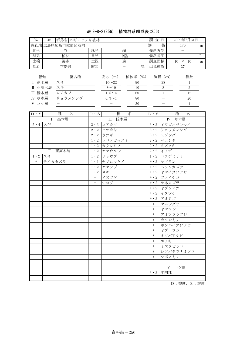## 表 2-8-2(256) 植物群落組成表(256)

| 46<br>N <sub>o</sub>                                | 群落名 スギ・ヒノキ植林                       |    | 査<br>調<br>日                                                     | 2009年7月31日                            |                    |                                  |         |
|-----------------------------------------------------|------------------------------------|----|-----------------------------------------------------------------|---------------------------------------|--------------------|----------------------------------|---------|
|                                                     | 調査地 広島県広島市佐伯区石内                    |    |                                                                 |                                       | 海<br>抜             | 170                              | m       |
| 地形                                                  | 谷                                  | 風当 |                                                                 | 弱                                     | 傾斜方位               |                                  |         |
| 群系                                                  | 植林                                 | 日当 |                                                                 | 中陰                                    | 傾斜角度               |                                  | $\circ$ |
| 土壤                                                  | 褐森                                 | 土湿 |                                                                 | 適                                     | 調査面積               | 10<br>$\times$ 10                | m       |
| 母岩                                                  | 花崗岩                                | 露岩 |                                                                 | $\frac{0}{0}$                         | 出現種数               | 37                               |         |
| 階層<br>高木層<br>亜高木層<br>Π<br>低木層<br>Ш<br>IV 草本層<br>コケ層 | 優占種<br>スギ<br>スギ<br>コアカソ<br>リョウメンシダ |    | 高さ (m)<br>$16 - 22$<br>$8 \sim 10$<br>$1.5 - 4$<br>$0.3 \sim 1$ | 植被率 (%)<br>90<br>10<br>60<br>80<br>30 | 胸径 (cm)<br>28<br>8 | 種数<br>$\overline{2}$<br>12<br>26 |         |

| $D \cdot S$ | 種<br>名              | $D \cdot S$      | 種<br>名                                                   | $D \cdot S$ | 種<br>名                 |
|-------------|---------------------|------------------|----------------------------------------------------------|-------------|------------------------|
|             | 高木層<br>$\mathbf{I}$ |                  | Ⅲ 低木層                                                    |             | IV 草本層                 |
| $5 \cdot 4$ | スギ                  |                  | $3 \cdot 3$ コアカソ                                         |             | 3・2 イワガネゼンマイ           |
|             |                     |                  | $2 \cdot 2$ ヒサカキ                                         | $3 \cdot 2$ | リョウメンシダ                |
|             |                     |                  | 2・2 ウツギ                                                  |             | 3・2 ミゾシダ               |
|             |                     |                  | 1・2 コバノガマズミ                                              |             | 2・2 ベニシダ               |
|             |                     |                  | 1・2 カクレミノ                                                |             | 2・2 ミズヒキ               |
|             | Ⅱ 亜高木層              |                  | 1・2 ヤマウルシ                                                |             | $2 \cdot 2$ $\sqrt{7}$ |
| $1 \cdot 2$ | スギ                  |                  | $1 \cdot 2$ $\overline{y}$ $\overline{z}$ $\overline{y}$ |             | 1 · 2 コチヂミザサ           |
| $+$         | テイカカズラ              |                  | 1・1 ヤブニッケイ                                               |             | +・2 ヤブラン               |
|             |                     |                  | +・2 ヤマフジ                                                 |             | +・2 ヘクソカズラ             |
|             |                     | +・2 スギ           |                                                          |             | +・2 ヤマイヌワラビ            |
|             |                     | $\boldsymbol{+}$ | イヌツゲ                                                     |             | +・2 フユイチゴ              |
|             |                     | $+$              | シロダモ                                                     |             | +・2 サネカズラ              |
|             |                     |                  |                                                          |             | +・2 ヤブソテツ              |
|             |                     |                  |                                                          |             | +・2 イヌツゲ               |
|             |                     |                  |                                                          |             | +・2 アオミズ               |
|             |                     |                  |                                                          | $\, +$      | マムシグサ                  |
|             |                     |                  |                                                          | $^{+}$      | ヤマフジ                   |
|             |                     |                  |                                                          | $+$         | アオツヅラフジ                |
|             |                     |                  |                                                          | $^{+}$      | カクレミノ                  |
|             |                     |                  |                                                          | $\! +$      | ホソバイヌワラビ               |
|             |                     |                  |                                                          | $^{+}$      | ヤブコウジ                  |
|             |                     |                  |                                                          | $\, +$      | ミツバアケビ                 |
|             |                     |                  |                                                          | $\, +$      | エノキ                    |
|             |                     |                  |                                                          | $+$         | ミズタビラコ                 |
|             |                     |                  |                                                          | $\, +$      | シソバタツナミソウ              |
|             |                     |                  |                                                          | $\, +$      | ツボスミレ                  |
|             |                     |                  |                                                          |             |                        |
|             |                     |                  |                                                          |             | V コケ層                  |
|             |                     |                  |                                                          |             | 3·2 不明種                |
|             |                     |                  |                                                          |             |                        |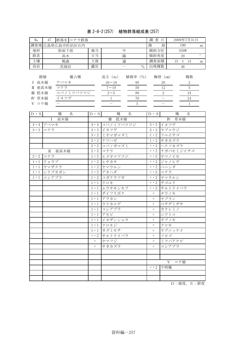# 表 2-8-2(257) 植物群落組成表(257)

| 47<br>N <sub>o</sub>                                       |                     | 群落名 コナラ群落        |    |                                                   |                                      |               | 査<br>調<br>日 |               | 2009年7月31日        |                          |         |
|------------------------------------------------------------|---------------------|------------------|----|---------------------------------------------------|--------------------------------------|---------------|-------------|---------------|-------------------|--------------------------|---------|
| 調査地広島県広島市佐伯区石内                                             |                     |                  |    |                                                   |                                      |               | 海           | 抜             | 190               |                          | m       |
| 地形                                                         | 斜面下部                |                  | 風当 |                                                   | 中                                    |               | 傾斜方位        |               | N <sub>5</sub> OW |                          |         |
| 群系                                                         | 高木                  |                  | 日当 |                                                   | 陽                                    |               | 傾斜角度        |               | 20                |                          | $\circ$ |
| 土壤                                                         | 褐森                  |                  | 土湿 |                                                   | 適                                    |               | 調査面積        |               | 15<br>$\times$    | -15                      | m       |
| 母岩                                                         | 花崗岩                 |                  | 露岩 |                                                   |                                      | $\frac{0}{0}$ | 出現種数        |               | 46                |                          |         |
| 階層<br>I 高木層<br>亜高木層<br>Π<br>低木層<br>Ш<br>草本層<br>IV<br>V コケ層 | アベマキ<br>コナラ<br>イヌツゲ | 優占種<br>コバノミツバツツジ |    | 高さ (m)<br>$16 \sim 18$<br>$7 \sim 10$<br>$2\sim5$ | 植被率 (%)<br>95<br>50<br>80<br>70<br>5 |               | 胸径 (cm)     | 20<br>12<br>2 |                   | 種数<br>2<br>5<br>24<br>24 |         |

| $D \cdot S$   | 種<br>名              | $D \cdot S$      | 種<br>名                                             | $D \cdot S$ | 種<br>名                                                                                                                                                                                                                                                                                                                                                                             |
|---------------|---------------------|------------------|----------------------------------------------------|-------------|------------------------------------------------------------------------------------------------------------------------------------------------------------------------------------------------------------------------------------------------------------------------------------------------------------------------------------------------------------------------------------|
|               | 高木層<br>$\mathsf{L}$ |                  | Ⅲ 低木層                                              |             | IV 草本層                                                                                                                                                                                                                                                                                                                                                                             |
| $4 \cdot 4$   | アベマキ                |                  | 4・4 コバノミツバツツジ                                      |             | $\overline{3\cdot 3}$ イヌツゲ                                                                                                                                                                                                                                                                                                                                                         |
| $3 \cdot 3$   | コナラ                 |                  | 3・3 イヌツゲ                                           |             | 2・2 ヤブコウジ                                                                                                                                                                                                                                                                                                                                                                          |
|               |                     |                  | 3・2 ミヤマガマズミ                                        |             | 1・2 フユイチゴ                                                                                                                                                                                                                                                                                                                                                                          |
|               |                     |                  | 2・2 ナツハゼ                                           |             | $\overline{1} \cdot 2$ サネカズラ                                                                                                                                                                                                                                                                                                                                                       |
|               |                     |                  | 2・2 コバノガマズミ                                        |             | +・2 ヘクソカズラ                                                                                                                                                                                                                                                                                                                                                                         |
|               | Ⅱ 亜高木層              |                  | $\overline{2\cdot 2}$ $\Rightarrow$ $\overline{7}$ |             | +・2 ナガバモミジイチゴ                                                                                                                                                                                                                                                                                                                                                                      |
| $2\,\cdot\,2$ | コナラ                 |                  | 1・2 ヒメヤマツツジ                                        |             | $\overline{+}\cdot 2$ $\overline{+}$ $\overline{+}$ $\overline{+}$ $\overline{+}$ $\overline{+}$ $\overline{+}$ $\overline{+}$ $\overline{+}$ $\overline{+}$ $\overline{+}$ $\overline{+}$ $\overline{+}$ $\overline{+}$ $\overline{+}$ $\overline{+}$ $\overline{+}$ $\overline{+}$ $\overline{+}$ $\overline{+}$ $\overline{+}$ $\overline{+}$ $\overline{+}$ $\overline{+}$ $\$ |
| $1 \cdot 1$   | リョウブ                |                  | $1 \cdot 2$ ヒサカキ                                   |             | +・2 ジャノヒゲ                                                                                                                                                                                                                                                                                                                                                                          |
| $1 \cdot 1$   | ヤマザクラ               |                  | 1・2 ヤマウルシ                                          |             | +・2 ベニシダ                                                                                                                                                                                                                                                                                                                                                                           |
| $1 \cdot 1$   | シリブカガシ              |                  | 1・2 アオハダ                                           |             | +・2 コナラ                                                                                                                                                                                                                                                                                                                                                                            |
| $1 \cdot 1$   | コシアブラ               |                  | 1・2 コガクウツギ                                         |             | +・2 ヤマウルシ                                                                                                                                                                                                                                                                                                                                                                          |
|               |                     |                  | 1・1 クロキ                                            |             | +・2 チゴユリ                                                                                                                                                                                                                                                                                                                                                                           |
|               |                     |                  | 1・1 ムラサキシキブ                                        |             | +・2 サルトリイバラ                                                                                                                                                                                                                                                                                                                                                                        |
|               |                     |                  | 1・1 ザイフリボク                                         | $\, + \,$   | タラノキ                                                                                                                                                                                                                                                                                                                                                                               |
|               |                     |                  | 1・1 アラカシ                                           | $+$         | ヤブラン                                                                                                                                                                                                                                                                                                                                                                               |
|               |                     |                  | 1・1 ウリカエデ                                          | $+$         | コチヂミザサ                                                                                                                                                                                                                                                                                                                                                                             |
|               |                     |                  | 1・1 コシアブラ                                          | $+$         | カクレミノ                                                                                                                                                                                                                                                                                                                                                                              |
|               |                     |                  | 1・1 アセビ                                            | $+$         | ニワトコ                                                                                                                                                                                                                                                                                                                                                                               |
|               |                     |                  | 1・1 イヌザンショウ                                        | $^{+}$      | タブノキ                                                                                                                                                                                                                                                                                                                                                                               |
|               |                     |                  | 1・1 クロモジ                                           | $+$         | クロキ                                                                                                                                                                                                                                                                                                                                                                                |
|               |                     |                  | 1・1 ネズミモチ                                          | $\! +$      | ヤブニッケイ                                                                                                                                                                                                                                                                                                                                                                             |
|               |                     |                  | +・2 サルトリイバラ                                        | $^{+}$      | ソヨゴ                                                                                                                                                                                                                                                                                                                                                                                |
|               |                     | $\boldsymbol{+}$ | ヤマフジ                                               | $^{+}$      | ミツバアケビ                                                                                                                                                                                                                                                                                                                                                                             |
|               |                     | $+$              | サネカズラ                                              | $\! +$      | コシアブラ                                                                                                                                                                                                                                                                                                                                                                              |
|               |                     |                  |                                                    |             |                                                                                                                                                                                                                                                                                                                                                                                    |
|               |                     |                  |                                                    |             |                                                                                                                                                                                                                                                                                                                                                                                    |
|               |                     |                  |                                                    |             | V<br>コケ層                                                                                                                                                                                                                                                                                                                                                                           |
|               |                     |                  |                                                    | $+ \cdot 2$ | 不明種                                                                                                                                                                                                                                                                                                                                                                                |
|               |                     |                  |                                                    |             |                                                                                                                                                                                                                                                                                                                                                                                    |
|               |                     |                  |                                                    |             |                                                                                                                                                                                                                                                                                                                                                                                    |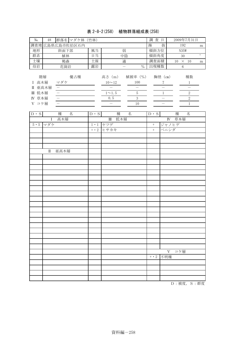### 表 2-8-2(258) 植物群落組成表(258)

| N <sub>o</sub>                                        | 群落名 マダケ林 (竹林)<br>48 |    |                                               |                                | 調<br>查日 | 2009年7月31日        |                          |
|-------------------------------------------------------|---------------------|----|-----------------------------------------------|--------------------------------|---------|-------------------|--------------------------|
|                                                       | 調査地 広島県広島市佐伯区石内     |    |                                               |                                | 海<br>抜  | 192               | m                        |
| 地形                                                    | 斜面下部                | 風当 |                                               | 弱                              | 傾斜方位    | <b>N35W</b>       |                          |
| 群系                                                    | 植林                  | 日当 |                                               | 中陰                             | 傾斜角度    | 30                | $\circ$                  |
| 土壤                                                    | 褐森                  | 土湿 |                                               | 適                              | 調査面積    | 10<br>$\times$ 10 | m                        |
| 母岩                                                    | 花崗岩                 | 露岩 |                                               | $\frac{0}{0}$                  | 出現種数    | 6                 |                          |
| 階層<br>高木層<br>亜高木層<br>Π<br>Ⅲ 低木層<br>草本層<br>IV<br>V コケ層 | 優占種<br>マダケ          |    | 高さ (m)<br>$10 \sim 12$<br>$1 \sim 1.5$<br>0.5 | 植被率 (%)<br>100<br>5<br>3<br>10 | 胸径 (cm) |                   | 種数<br>$\mathcal{D}$<br>2 |

| $D \cdot S$ | 名<br>種 | $D \cdot S$ | 種<br>名  | $D \cdot S$    | 名<br>種          |
|-------------|--------|-------------|---------|----------------|-----------------|
|             | I 高木層  |             | Ⅲ 低木層   |                | IV 草本層          |
| $5.5$ マダケ   |        |             | 1・1 ヤツデ | $\overline{+}$ | ジャノヒゲ           |
|             |        | $+ \cdot 2$ | ヒサカキ    | $+$            | ベニシダ            |
|             |        |             |         |                |                 |
|             |        |             |         |                |                 |
|             |        |             |         |                |                 |
|             | Ⅱ 亜高木層 |             |         |                |                 |
|             |        |             |         |                |                 |
|             |        |             |         |                |                 |
|             |        |             |         |                |                 |
|             |        |             |         |                |                 |
|             |        |             |         |                |                 |
|             |        |             |         |                |                 |
|             |        |             |         |                |                 |
|             |        |             |         |                |                 |
|             |        |             |         |                |                 |
|             |        |             |         |                |                 |
|             |        |             |         |                |                 |
|             |        |             |         |                |                 |
|             |        |             |         |                |                 |
|             |        |             |         |                |                 |
|             |        |             |         |                |                 |
|             |        |             |         |                |                 |
|             |        |             |         |                |                 |
|             |        |             |         |                |                 |
|             |        |             |         |                | V コケ層           |
|             |        |             |         |                | $+ \cdot 2$ 不明種 |
|             |        |             |         |                |                 |
|             |        |             |         |                |                 |
|             |        |             |         |                |                 |
|             |        |             |         |                |                 |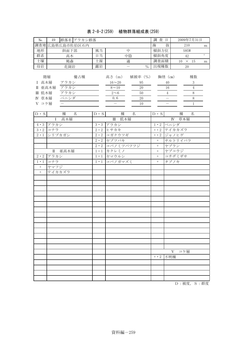### 表 2-8-2(259) 植物群落組成表(259)

| No.                                                                                                                                                              | 49<br>群落名 アラカシ群落                                                                                                                                             |                                                                                                                                           |                                                                                                                                                                                                         | 調査日                                                                                                                     |                                                                                                                                   | 2009年7月31日                                                       |         |
|------------------------------------------------------------------------------------------------------------------------------------------------------------------|--------------------------------------------------------------------------------------------------------------------------------------------------------------|-------------------------------------------------------------------------------------------------------------------------------------------|---------------------------------------------------------------------------------------------------------------------------------------------------------------------------------------------------------|-------------------------------------------------------------------------------------------------------------------------|-----------------------------------------------------------------------------------------------------------------------------------|------------------------------------------------------------------|---------|
|                                                                                                                                                                  | 調査地広島県広島市佐伯区石内                                                                                                                                               |                                                                                                                                           |                                                                                                                                                                                                         | 海                                                                                                                       | 抜                                                                                                                                 | 210                                                              | m       |
| 地形                                                                                                                                                               | 斜面下部                                                                                                                                                         | 風当                                                                                                                                        | 中                                                                                                                                                                                                       | 傾斜方位                                                                                                                    |                                                                                                                                   | <b>S85W</b>                                                      |         |
| 群系                                                                                                                                                               | 高木                                                                                                                                                           | 日当                                                                                                                                        | 中陰                                                                                                                                                                                                      | 傾斜角度                                                                                                                    |                                                                                                                                   | 42                                                               | $\circ$ |
| 土壤                                                                                                                                                               | 褐森                                                                                                                                                           | 土湿                                                                                                                                        | 適                                                                                                                                                                                                       | 調査面積                                                                                                                    |                                                                                                                                   | $10~\times~15$                                                   | m       |
|                                                                                                                                                                  |                                                                                                                                                              |                                                                                                                                           | $\frac{0}{0}$<br>$\overline{\phantom{0}}$                                                                                                                                                               | 出現種数                                                                                                                    |                                                                                                                                   | 20                                                               |         |
| 母岩<br>I 高木層<br>Ⅱ 亜高木層<br>Ⅲ 低木層<br>IV 草本層<br>V コケ層<br>$\mathbf{D} \cdot \mathbf{S}$<br>$3 \cdot 2$<br>$2 \cdot 1$<br>$2\,\cdot\,2$<br>$1 \cdot 1$<br>$+$<br>$\pm$ | 花崗岩<br>階層<br>優占種<br>アラカシ<br>アラカシ<br>アラカシ<br>ベニシダ<br>種<br>名<br>高木層<br>L<br>4・3 アラカシ<br>コナラ<br>シリブカガシ<br>亜高木層<br>$\mathbb{I}$<br>アラカシ<br>コナラ<br>ヤマフジ<br>テイカカズラ | 露岩<br>$D \cdot S$<br>$3 \cdot 3$<br>$2 \cdot 2$<br>$2 \cdot 2$<br>$2 \cdot 2$<br>$2 \cdot 2$<br>$1 \cdot 1$<br>$1 \cdot 1$<br>$1 \cdot 1$ | 高さ (m)<br>植被率 (%)<br>$16 - 20$<br>95<br>$8\!\sim\!10$<br>20<br>$2\infty$ 6<br>50<br>0.6<br>20<br>$10\,$<br>種<br>名<br>Ⅲ 低木層<br>アラカシ<br>ヒサカキ<br>コガクウツギ<br>ヤブツバキ<br>コバノミツバツツジ<br>カクレミノ<br>ヤマウルシ<br>コバノガマズミ | $D \cdot S$<br>$+ \cdot 2$<br>$+ \cdot 2$<br>$^+$<br>$\boldsymbol{+}$<br>$\boldsymbol{+}$<br>$\boldsymbol{+}$<br>$^{+}$ | 胸径 (cm)<br>40<br>16<br>$\overline{4}$<br>種<br>IV 草本層<br>1・2 ベニシダ<br>テイカカズラ<br>ジャノヒゲ<br>サルトリイバラ<br>ヤブラン<br>ヤブコウジ<br>コチヂミザサ<br>タブノキ | 種数<br>3<br>$\overline{4}$<br>$8\,$<br>$8\,$<br>$\mathbf{1}$<br>名 |         |
|                                                                                                                                                                  |                                                                                                                                                              |                                                                                                                                           |                                                                                                                                                                                                         |                                                                                                                         |                                                                                                                                   |                                                                  |         |
|                                                                                                                                                                  |                                                                                                                                                              |                                                                                                                                           |                                                                                                                                                                                                         |                                                                                                                         | V コケ層                                                                                                                             |                                                                  |         |
|                                                                                                                                                                  |                                                                                                                                                              |                                                                                                                                           |                                                                                                                                                                                                         | $+ \cdot 2$                                                                                                             | 不明種                                                                                                                               |                                                                  |         |
|                                                                                                                                                                  |                                                                                                                                                              |                                                                                                                                           |                                                                                                                                                                                                         |                                                                                                                         |                                                                                                                                   |                                                                  |         |
|                                                                                                                                                                  |                                                                                                                                                              |                                                                                                                                           |                                                                                                                                                                                                         |                                                                                                                         |                                                                                                                                   |                                                                  |         |
|                                                                                                                                                                  |                                                                                                                                                              |                                                                                                                                           |                                                                                                                                                                                                         |                                                                                                                         |                                                                                                                                   |                                                                  |         |
|                                                                                                                                                                  |                                                                                                                                                              |                                                                                                                                           |                                                                                                                                                                                                         |                                                                                                                         |                                                                                                                                   |                                                                  |         |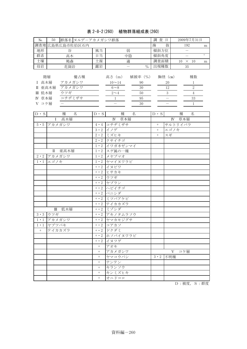### 表 2-8-2(260) 植物群落組成表(260)

| No.                              | 群落名 ヌルデーアカメガシワ群落<br>50 | 調查日<br>2009年7月31日 |                                  |             |                         |                |         |
|----------------------------------|------------------------|-------------------|----------------------------------|-------------|-------------------------|----------------|---------|
|                                  | 調査地広島県広島市佐伯区石内         |                   |                                  | 海           | 抜                       | 192            | m       |
| 地形                               | 谷                      | 風当                | 弱                                | 傾斜方位        |                         |                |         |
| 群系                               | 高木                     | 日当                | 中陰                               | 傾斜角度        |                         |                | $\circ$ |
| 土壤                               | 褐森                     | 土湿                | 適                                | 調査面積        |                         | $10 \times 10$ | m       |
| 母岩                               | 花崗岩                    | 露岩                | $\%$<br>$\overline{\phantom{0}}$ | 出現種数        |                         | 35             |         |
|                                  |                        |                   |                                  |             |                         |                |         |
|                                  | 階層<br>優占種              |                   | 植被率 (%)<br>高さ(m)                 |             | 胸径(cm)                  | 種数             |         |
| I 高木層                            | アカメガシワ                 |                   | $10 \sim 14$<br>90               |             | 20                      | 1              |         |
| Ⅱ 亜高木層                           | アカメガシワ                 |                   | $6 - 8$<br>30                    |             | 12                      | $\sqrt{2}$     |         |
| Ⅲ 低木層                            | ウツギ                    |                   | $2\mathtt{\sim}4$<br>50          |             | $\mathbf{3}$            | $\overline{4}$ |         |
| IV 草本層                           | コチヂミザサ                 |                   | 95<br>$1\,$                      |             |                         | 33             |         |
| V コケ層                            |                        |                   | 30                               |             |                         | $1\,$          |         |
|                                  |                        |                   |                                  |             |                         |                |         |
| $D \cdot S$                      | 種<br>名                 | $D \cdot S$       | 種<br>名<br>IV 草本層                 | $D \cdot S$ |                         | 種<br>名         |         |
| $5 \cdot 5$                      | I 高木層<br>アカメガシワ        | $4 \cdot 4$       | コチヂミザサ                           | $+$         | $\mathbb{N}$<br>サルトリイバラ | 草本層            |         |
|                                  |                        | $3 \cdot 2$       | イノデ                              | $+$         | エゴノキ                    |                |         |
|                                  |                        | $2 \cdot 2$       | ミズヒキ                             | $^{+}$      | スギ                      |                |         |
|                                  |                        | $2 \cdot 2$       | クサイチゴ                            |             |                         |                |         |
|                                  |                        | $1 \cdot 2$       | イワガネゼンマイ                         |             |                         |                |         |
|                                  | 亜高木層<br>П              | $1 \cdot 2$       | スゲ属の一種                           |             |                         |                |         |
| $2 \cdot 2$                      | アカメガシワ                 | $1 \cdot 2$       | メヤブマオ                            |             |                         |                |         |
| $1 \cdot 1$                      | エゴノキ                   |                   | 1・2 ヤマイヌワラビ                      |             |                         |                |         |
|                                  |                        | $+ \cdot 2$       | イヌビワ                             |             |                         |                |         |
|                                  |                        | $+ \cdot 2$       | ヒサカキ                             |             |                         |                |         |
|                                  |                        | $+ \cdot 2$       | ウツギ                              |             |                         |                |         |
|                                  |                        | $+ \cdot 2$       | ヤブラン                             |             |                         |                |         |
|                                  |                        | $+ \cdot 2$       | ヘビイチゴ                            |             |                         |                |         |
|                                  |                        | $+ \cdot 2$       | ベニシダ                             |             |                         |                |         |
|                                  |                        | $+ \cdot 2$       | ミツバアケビ                           |             |                         |                |         |
|                                  |                        |                   | +・2 テイカカズラ                       |             |                         |                |         |
|                                  | 低木層<br>Ш               |                   | +・2 ミゾシダ                         |             |                         |                |         |
| $3 \cdot 3$                      | ウツギ                    | $+ \cdot 2$       | アキノタムラソウ                         |             |                         |                |         |
| $1 \cdot 1$                      | アカメガシワ                 | $+ \cdot 2$       | ヤマカモジグサ                          |             |                         |                |         |
|                                  | 1・1 ヤブツバキ              |                   | +・2 コアカソ                         |             |                         |                |         |
| $\begin{array}{c} + \end{array}$ | テイカカズラ                 |                   | +・2 ドクダミ                         |             |                         |                |         |
|                                  |                        |                   | +・2 ホソバイヌワラビ                     |             |                         |                |         |
|                                  |                        |                   | +・2 イヌツゲ                         |             |                         |                |         |
|                                  |                        | $+$               | アオキ                              |             |                         |                |         |
|                                  |                        | $^{+}$            | アカメガシワ                           |             | $\mathbf V$             | コケ層            |         |
|                                  |                        | $^{+}$            | ヤマコウバシ                           | $3 \cdot 2$ | 不明種                     |                |         |
|                                  |                        | $\! + \!\!\!\!$   | ナンテン                             |             |                         |                |         |
|                                  |                        | $\! + \!\!\!\!$   | キランソウ                            |             |                         |                |         |
|                                  |                        | $+$<br>$+$        | キンミズヒキ<br>オニドコロ                  |             |                         |                |         |
|                                  |                        |                   |                                  |             |                         |                |         |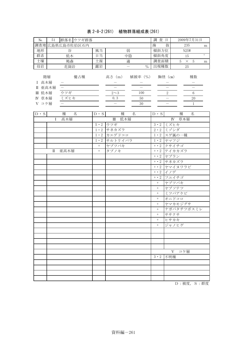# 表 2-8-2(261) 植物群落組成表(261)

| No.         | 群落名 ウツギ群落<br>51                |                  |               |                           | 調查日               |               | 2009年7月31日   |         |
|-------------|--------------------------------|------------------|---------------|---------------------------|-------------------|---------------|--------------|---------|
|             | 調査地広島県広島市佐伯区石内                 |                  |               |                           | 海                 | 抜             | 235          | m       |
| 地形          | 谷                              | 風当               |               | 弱                         | 傾斜方位              |               | N25W         |         |
| 群系          | 低木                             | 日当               |               | 中陰                        | 傾斜角度              | 15            |              | $\circ$ |
| 土壤          | 褐森                             | 土湿               |               | 適                         | 調査面積              |               | $5 \times 5$ | m       |
| 母岩          | 花崗岩                            | 露岩               |               | $\equiv$<br>$\frac{0}{0}$ | 出現種数              |               | 25           |         |
|             |                                |                  |               |                           |                   |               |              |         |
|             | 階層<br>優占種                      |                  |               | 高さ (m) 植被率 (%) 胸径 (cm)    |                   |               | 種数           |         |
| I 高木層       |                                |                  |               | $\equiv$                  |                   |               |              |         |
| Ⅱ 亜高木層      |                                |                  |               |                           |                   |               | $=$          |         |
| Ⅲ 低木層       | ウツギ                            |                  | $2\sim3$      | 100                       |                   | $\frac{2}{1}$ | $6\degree$   |         |
| IV 草本層      | ミズヒキ                           |                  | 0.3           | 50                        |                   |               | $20\,$       |         |
| V コケ層       | $\leftarrow$                   |                  | $\frac{1}{2}$ | $30\,$                    |                   |               | $\mathbf{1}$ |         |
| $D \cdot S$ | 種<br>名                         | $D \cdot S$      | 種             | 名                         | $D \cdot S$       |               | 種<br>名       |         |
|             | 高木層<br>$\mathbf I$             |                  | Ⅲ 低木層         |                           |                   |               | IV 草本層       |         |
|             |                                |                  | 5·2 ウツギ       |                           |                   | 3·2 ミズヒキ      |              |         |
|             |                                |                  | 1・2 サネカズラ     |                           | $2 \cdot 2$       | ミゾシダ          |              |         |
|             |                                |                  | 1・2 カエデドコロ    |                           | $1 \cdot 2$       | スゲ属の一種        |              |         |
|             |                                |                  | 1・2 サルトリイバラ   | $1 \cdot 2$               | ヤマフジ              |               |              |         |
|             |                                | $\boldsymbol{+}$ | ヤブツバキ         |                           | +・2 クサイチゴ         |               |              |         |
|             | 亜高木層<br>$\rm I\hspace{-.1em}I$ | $+$              | タブノキ          |                           |                   | +・2 テイカカズラ    |              |         |
|             |                                |                  |               |                           | $+ \cdot 2$       | ヤブラン          |              |         |
|             |                                |                  |               |                           | $+ \cdot 2$       | サネカズラ         |              |         |
|             |                                |                  |               |                           | $+ \cdot 2$       |               | ヤマイヌワラビ      |         |
|             |                                |                  |               |                           | $+ \cdot 2$       | イノデ           |              |         |
|             |                                |                  |               |                           | $+ \cdot 2$       | フユイチゴ         |              |         |
|             |                                |                  |               |                           | $\boldsymbol{+}$  | ヤブツバキ         |              |         |
|             |                                |                  |               |                           | $\! +$            | ヤブソテツ         |              |         |
|             |                                |                  |               |                           | $\! + \!\!\!\!$   | ミツバアケビ        |              |         |
|             |                                |                  |               |                           | $+$               | オニドコロ         |              |         |
|             |                                |                  |               |                           | $+$               |               | ヤマカモジグサ      |         |
|             |                                |                  |               |                           | $\qquad \qquad +$ |               | ナガバタチツボスミレ   |         |
|             |                                |                  |               |                           | $^+$              | ササクサ          |              |         |
|             |                                |                  |               |                           | $^+$              | ヒサカキ          |              |         |
|             |                                |                  |               |                           | $^{+}$            | ジャノヒゲ         |              |         |
|             |                                |                  |               |                           |                   |               |              |         |
|             |                                |                  |               |                           |                   |               |              |         |
|             |                                |                  |               |                           |                   |               |              |         |
|             |                                |                  |               |                           |                   |               | V コケ層        |         |
|             |                                |                  |               |                           | $3 \cdot 2$       | 不明種           |              |         |
|             |                                |                  |               |                           |                   |               |              |         |
|             |                                |                  |               |                           |                   |               |              |         |
|             |                                |                  |               |                           |                   |               |              |         |
|             |                                |                  |               |                           |                   |               |              |         |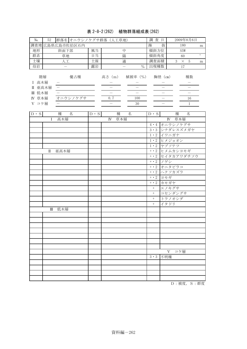# 表 2-8-2(262) 植物群落組成表(262)

| No.                    | 52                                     | 群落名 オニウシノケグサ群落 (人工草地) | 調查日         |               | 2009年8月6日            |             |        |                    |         |
|------------------------|----------------------------------------|-----------------------|-------------|---------------|----------------------|-------------|--------|--------------------|---------|
|                        |                                        | 調査地 広島県広島市佐伯区石内       |             |               | 海                    | 抜           | 180    | m                  |         |
| 地形                     |                                        | 斜面下部                  | 風当          | 中             |                      |             | 傾斜方位   |                    |         |
| 群系                     |                                        | 草地                    | 日当          |               | 陽                    | 傾斜角度        |        | 60                 | $\circ$ |
| 土壤                     |                                        | 人工                    | 土湿          |               | 適                    | 調査面積        |        | 3<br>5<br>$\times$ | m       |
| 母岩                     |                                        | $\qquad \qquad -$     | 露岩          |               | $\frac{0}{0}$        | 出現種数        |        | 17                 |         |
| Ι<br>П<br>Ш<br>IV<br>V | 階層<br>高木層<br>亜高木層<br>低木層<br>草本層<br>コケ層 | 優占種<br>オニウシノケグサ       |             | 高さ (m)<br>0.7 | 植被率 (%)<br>100<br>30 |             | 胸径(cm) | 種数<br>1            | 16      |
| $D \cdot S$            |                                        | 種<br>名                | $D \cdot S$ | 種             | 名                    | $D \cdot S$ |        | 種<br>名             |         |
|                        | Ι                                      | 高木層                   |             | IV            | 草本層                  |             | IV     | 草本層                |         |
|                        |                                        |                       |             |               |                      | $4 \cdot 4$ |        | オニウシノケグサ           |         |
|                        |                                        |                       |             |               |                      | $3 \cdot 3$ |        | シナダレスズメガヤ          |         |
|                        |                                        |                       |             |               |                      | $1 \cdot 2$ | イワニガナ  |                    |         |
|                        |                                        |                       |             |               |                      | $1 \cdot 2$ |        | ヒメジョオン             |         |
|                        |                                        |                       |             |               |                      | $1 \cdot 2$ | ヤブソテツ  |                    |         |
|                        | $\rm I\hspace{-.1em}I$                 | 亜高木層                  |             |               |                      | $+ \cdot 2$ |        | ヒメムカシヨモギ           |         |
|                        |                                        |                       |             |               |                      |             |        | + • 2   ヤイタカアワダチソウ |         |

|                     |  |         | 4・4 オニウシノケグサ    |
|---------------------|--|---------|-----------------|
|                     |  |         | 3・3 シナダレスズメガヤ   |
|                     |  |         | 1・2 イワニガナ       |
|                     |  |         | 1・2 ヒメジョオン      |
|                     |  |         | 1・2 ヤブソテツ       |
| 亜高木層<br>$\rm{I\!I}$ |  |         | +・2 ヒメムカシヨモギ    |
|                     |  |         | +・2 セイタカアワダチソウ  |
|                     |  |         | +・2 ノゲシ         |
|                     |  |         | +・2 オニタビラコ      |
|                     |  |         | +・2 ヘクソカズラ      |
|                     |  |         | $+ \cdot 2$ ヨモギ |
|                     |  |         | +・2 カモガヤ        |
|                     |  | $+$ $-$ | エノキグサ           |
|                     |  | $+$     | コセンダングサ         |
|                     |  | $+$     | トラノオシダ          |
|                     |  | $+$     | イタドリ            |
| Ⅲ 低木層               |  |         |                 |
|                     |  |         |                 |
|                     |  |         |                 |
|                     |  |         |                 |
|                     |  |         |                 |
|                     |  |         |                 |
|                     |  |         |                 |
|                     |  |         |                 |
|                     |  |         | V コケ層           |
|                     |  |         | 3·3 不明種         |
|                     |  |         |                 |
|                     |  |         |                 |
|                     |  |         |                 |
|                     |  |         |                 |
|                     |  |         |                 |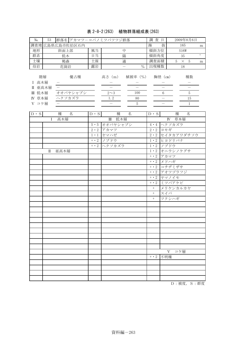### 表 2-8-2(263) 植物群落組成表(263)

| N <sub>o</sub>                    | 53                | 群落名 アカマツーコバノミツバツツジ群落 |                 |    |                           |                           |               | 査<br>調<br>日  | 2009年8月6日   |               |         |
|-----------------------------------|-------------------|----------------------|-----------------|----|---------------------------|---------------------------|---------------|--------------|-------------|---------------|---------|
|                                   |                   |                      | 調査地 広島県広島市佐伯区石内 |    |                           |                           |               | 抜<br>海       | 165         |               | m       |
| 地形                                |                   | 斜面上部                 |                 | 風当 | 中                         |                           |               | 傾斜方位         | <b>S16W</b> |               |         |
| 群系                                | 低木                |                      |                 | 日当 | 陽                         |                           |               | 傾斜角度         | 35          |               | $\circ$ |
| 土壤                                | 褐森<br>土湿          |                      |                 | 適  |                           | 調査面積                      | 5<br>$\times$ | .5           | m           |               |         |
| 母岩                                |                   | 花崗岩                  |                 | 露岩 |                           |                           | $\%$          | 出現種数         | 18          |               |         |
| Π<br>低木層<br>Ш<br>草本層<br>IV<br>コケ層 | 階層<br>高木層<br>亜高木層 | ヘクソカズラ               | 優占種<br>オオバヤシャブシ |    | 高さ (m)<br>$2\sim3$<br>1.2 | 植被率 (%)<br>100<br>80<br>5 |               | 胸径 (cm)<br>6 |             | 種数<br>5<br>15 |         |

| $D \cdot S$ | 種<br>名              | $D \cdot S$ | 種<br>名       | $D \cdot S$ | 種<br>名               |
|-------------|---------------------|-------------|--------------|-------------|----------------------|
|             | 高木層<br>$\mathbf{I}$ |             | Ⅲ 低木層        |             | IV 草本層               |
|             |                     |             | 5・5 オオバヤシャブシ |             | 4・4 ヘクソカズラ           |
|             |                     |             | 2・2 アカマツ     |             | $2 \cdot 2$ ヨモギ      |
|             |                     |             | 1・1 ヤマハゼ     |             | 2·2 セイタカアワダチソウ       |
|             |                     |             | +・2 ノブドウ     |             | 1·2 ヒヨドリバナ           |
|             |                     |             | +・2 ヘクソカズラ   |             | 1・2 ノブドウ             |
|             | Ⅱ 亜高木層              |             |              |             | 1・2 オニウシノケグサ         |
|             |                     |             |              |             | +・2 アカマツ             |
|             |                     |             |              |             | +・2 メドハギ             |
|             |                     |             |              |             | + · 2 コチヂミザサ         |
|             |                     |             |              |             | +・2 アオツヅラフジ          |
|             |                     |             |              |             | +・2 ヤマノイモ            |
|             |                     |             |              |             | +・2 ミツバアケビ           |
|             |                     |             |              | $+$         | メリケンカルカヤ             |
|             |                     |             |              | $^{+}$      | スイバ                  |
|             |                     |             |              | $+$         | ツクシハギ                |
|             |                     |             |              |             |                      |
|             |                     |             |              |             |                      |
|             |                     |             |              |             |                      |
|             |                     |             |              |             |                      |
|             |                     |             |              |             |                      |
|             |                     |             |              |             |                      |
|             |                     |             |              |             |                      |
|             |                     |             |              |             |                      |
|             |                     |             |              |             |                      |
|             |                     |             |              |             | V コケ層                |
|             |                     |             |              |             | $\overline{+}$ 2 不明種 |
|             |                     |             |              |             |                      |
|             |                     |             |              |             |                      |
|             |                     |             |              |             |                      |
|             |                     |             |              |             |                      |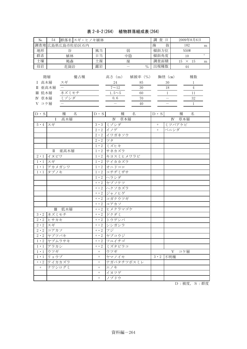# 表 2-8-2(264) 植物群落組成表(264)

| No.                                         | $54\,$<br>群落名 スギ・ヒノキ植林           | 調查日                    | 2009年8月6日                                                                                                |                  |                                                                                |
|---------------------------------------------|----------------------------------|------------------------|----------------------------------------------------------------------------------------------------------|------------------|--------------------------------------------------------------------------------|
|                                             | 調査地広島県広島市佐伯区石内                   |                        |                                                                                                          | 海                | 抜<br>182<br>m                                                                  |
| 地形                                          | 谷                                | 風当                     | 弱                                                                                                        | 傾斜方位             | N <sub>5</sub> OW                                                              |
| 群系                                          | 植林                               | 日当                     | 中陰                                                                                                       | 傾斜角度             | $\circ$<br>10                                                                  |
| 土壤                                          | 褐森                               | 土湿                     | 湿                                                                                                        | 調査面積             | $15 \times 15$<br>m                                                            |
| 母岩                                          | 花崗岩                              | 露岩                     | $\equiv$<br>$\%$                                                                                         | 出現種数             | 44                                                                             |
| I 高木層<br>Ⅱ 亜高木層<br>Ⅲ 低木層<br>IV 草本層<br>V コケ層 | 階層<br>優占種<br>スギ<br>ネズミモチ<br>ミゾシダ |                        | 植被率(%)<br>高さ(m)<br>24<br>85<br>$7\!\sim\!12$<br>30<br>$1.5 - 5$<br>60<br>0.6<br>$70\,$<br>$\equiv$<br>40 | 胸径(cm)           | 種数<br>30<br>1<br>$\overline{4}$<br>18<br>11<br>$\mathbf{1}$<br>$32\,$<br>$1\,$ |
|                                             |                                  |                        |                                                                                                          |                  |                                                                                |
| $D \cdot S$                                 | 種<br>名                           | $D \cdot S$            | 種<br>名                                                                                                   | $D \cdot S$      | 種<br>名                                                                         |
|                                             | 高木層<br>$\mathbf{I}$              |                        | IV 草本層                                                                                                   |                  | IV 草本層                                                                         |
| $5 \cdot 4$                                 | ヿ゙スギ                             | $3 \cdot 3$            | ミゾシダ                                                                                                     | $\boldsymbol{+}$ | ミツバアケビ                                                                         |
|                                             |                                  | $2 \cdot \overline{2}$ | イノデ                                                                                                      | $+$              | ベニシダ                                                                           |
|                                             |                                  |                        | 2・2 イワガネソウ                                                                                               |                  |                                                                                |
|                                             |                                  | $2 \cdot 2$            | ツタ                                                                                                       |                  |                                                                                |
|                                             | 亜高木層                             | $1 \cdot 2$            | ミズヒキ                                                                                                     |                  |                                                                                |
| $2 \cdot 1$                                 | П<br>イヌビワ                        |                        | 1・2 サネカズラ<br>1・2 キョスミヒメワラビ                                                                               |                  |                                                                                |
| $1 \cdot 1$                                 | スギ                               |                        | 1・2 テイカカズラ                                                                                               |                  |                                                                                |
| $1 \cdot 1$                                 | アカメガシワ                           |                        | 1・2 オニドコロ                                                                                                |                  |                                                                                |
| $1 \cdot 1$                                 | タブノキ                             |                        | 1・2 コチヂミザサ                                                                                               |                  |                                                                                |
|                                             |                                  |                        | 1・2 ヘラシダ                                                                                                 |                  |                                                                                |
|                                             |                                  |                        | +・2 ヤブソテツ                                                                                                |                  |                                                                                |
|                                             |                                  |                        | +・2 ヘクソカズラ                                                                                               |                  |                                                                                |
|                                             |                                  | $+ \cdot 2$            | ジャノヒゲ                                                                                                    |                  |                                                                                |
|                                             |                                  |                        | +·2 コガクウツギ                                                                                               |                  |                                                                                |
|                                             |                                  |                        | +・2 コアカソ                                                                                                 |                  |                                                                                |
|                                             | Ⅲ 低木層                            | $+ \cdot 2$            | ヒメクラマゴケ                                                                                                  |                  |                                                                                |
| $3 \cdot 2$                                 | ネズミモチ                            | $+ \cdot 2$            | ドクダミ                                                                                                     |                  |                                                                                |
| $2 \cdot 2$                                 | ヒサカキ                             |                        | +・2 トウゲシバ                                                                                                |                  |                                                                                |
| 2・2 スギ                                      |                                  |                        | +・2 シシガシラ                                                                                                |                  |                                                                                |
|                                             | $2 \cdot 2$ コアカソ                 | +・2 フジ                 |                                                                                                          |                  |                                                                                |
|                                             | 2・2 ヤブツバキ                        |                        | +・2 ヤブコウジ                                                                                                |                  |                                                                                |
|                                             | 1・2 ヤブムラサキ                       |                        | +・2 フユイチゴ                                                                                                |                  |                                                                                |
| $1 \cdot 1$                                 | アラカシ                             |                        | +・2 ミズタビラコ                                                                                               |                  |                                                                                |
| $1\cdot 1$                                  | ウツギ                              | $\boldsymbol{+}$       | ウツギ                                                                                                      |                  | コケ層<br>V                                                                       |
| $1 \cdot 1$                                 | リョウブ                             | $^+$                   | ヤマノイモ                                                                                                    | $3 \cdot 2$      | 不明種                                                                            |
| $+ \cdot 2$                                 | テイカカズラ                           | $\, +$                 | ナガバタチツボスミレ                                                                                               |                  |                                                                                |
| $^+$                                        | ナワシログミ                           |                        | エノキ                                                                                                      |                  |                                                                                |
|                                             |                                  | $\boldsymbol{+}$       | イヌツゲ                                                                                                     |                  |                                                                                |
|                                             |                                  | $\! +$                 | ノブドウ                                                                                                     |                  |                                                                                |

 $D:$  被度,  $S:$  群度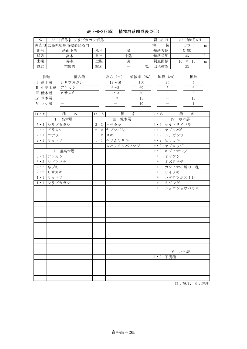### 表 2-8-2(265) 植物群落組成表(265)

| No.                                                        | 群落名 シリブカガシ群落<br>55                                                        | 調查日                        |                                                                              | 2009年8月6日                                      |                            |                                            |                                                           |         |
|------------------------------------------------------------|---------------------------------------------------------------------------|----------------------------|------------------------------------------------------------------------------|------------------------------------------------|----------------------------|--------------------------------------------|-----------------------------------------------------------|---------|
|                                                            | 調査地広島県広島市佐伯区石内                                                            |                            |                                                                              |                                                | 海                          | 抜                                          | 170                                                       | m       |
| 地形                                                         | 斜面下部                                                                      | 風当                         | 弱                                                                            |                                                | 傾斜方位                       | N15E                                       |                                                           |         |
| 群系                                                         | 高木                                                                        | 日当                         |                                                                              | 中陰                                             |                            | 傾斜角度                                       | 45                                                        | $\circ$ |
| 土壤                                                         | 褐森                                                                        | 土湿                         | 適                                                                            |                                                | 調査面積                       |                                            | $10 \times 15$                                            | m       |
| 母岩                                                         | 花崗岩                                                                       | 露岩                         | $\overline{\phantom{0}}$                                                     | $\%$                                           | 出現種数                       |                                            | $22\,$                                                    |         |
| I 高木層<br>Ⅱ 亜高木層<br>Ⅲ 低木層<br>IV 草本層<br>V コケ層<br>$D \cdot S$ | 階層<br>優占種<br>シリブカガシ<br>アラカシ<br>ヒサカキ<br>$\overline{\phantom{0}}$<br>種<br>名 | $D \cdot S$                | 高さ (m)<br>$12\mathtt{\sim}16$<br>$6 - 8$<br>$2\sim3$<br>0.3<br>$\equiv$<br>種 | 植被率(%)<br>100<br>60<br>60<br>15<br>$10\,$<br>名 | $D \cdot S$                | 胸径(cm)<br>26<br>$\sqrt{5}$<br>$\mathbf{3}$ | 種数<br>4<br>$\,6\,$<br>$\sqrt{5}$<br>13<br>$1\,$<br>種<br>名 |         |
|                                                            | I 高木層                                                                     |                            | Ⅲ 低木層                                                                        |                                                |                            |                                            | IV 草本層                                                    |         |
| $5 \cdot 4$                                                | シリブカガシ                                                                    | $3 \cdot 3$                | ヒサカキ<br>ヤブツバキ                                                                |                                                | $1 \cdot 2$                | ヤブツバキ                                      | サルトリイバラ                                                   |         |
| $3 \cdot 2$<br>$2 \cdot 1$                                 | アラカシ<br>コナラ                                                               | $2 \cdot 2$<br>$1 \cdot 2$ | スギ                                                                           |                                                | $+ \cdot 2$<br>$+ \cdot 2$ |                                            |                                                           |         |
| $2 \cdot 1$                                                | リョウブ                                                                      |                            | 1・1 ヤブムラサキ                                                                   |                                                | $+ \cdot 2$                | シシガシラ<br>ヒサカキ                              |                                                           |         |
|                                                            |                                                                           | $1 \cdot 1$                | コバノミツバツツジ                                                                    |                                                | $+ \cdot 2$                | ヤブコウジ                                      |                                                           |         |
|                                                            | 亜高木層<br>П                                                                 |                            |                                                                              |                                                | $+ \cdot 2$                | キジノオシダ                                     |                                                           |         |
| $3 \cdot 3$                                                | アラカシ                                                                      |                            |                                                                              |                                                | $\boldsymbol{+}$           | ヤマフジ                                       |                                                           |         |
| $3 \cdot 2$                                                | ヤブツバキ                                                                     |                            |                                                                              |                                                | $+$                        | ネズミモチ                                      |                                                           |         |
| $2 \cdot 2$                                                | ネジキ                                                                       |                            |                                                                              |                                                | $\! + \!\!\!\!$            |                                            | カンアオイ属の一種                                                 |         |
| $2 \cdot 2$                                                | ヒサカキ                                                                      |                            |                                                                              |                                                | $\! + \!\!\!\!$            | ヒイラギ                                       |                                                           |         |
| $1 \cdot 1$                                                | リョウブ                                                                      |                            |                                                                              |                                                | $^{+}$                     |                                            | コタチツボスミレ                                                  |         |
| $1 \cdot 1$                                                | シリブカガシ                                                                    |                            |                                                                              |                                                | $\, +$                     | ミゾシダ                                       |                                                           |         |
|                                                            |                                                                           |                            |                                                                              |                                                | $^{+}$                     |                                            | ショウジョウバカマ                                                 |         |
|                                                            |                                                                           |                            |                                                                              |                                                |                            |                                            |                                                           |         |
|                                                            |                                                                           |                            |                                                                              |                                                |                            |                                            |                                                           |         |
|                                                            |                                                                           |                            |                                                                              |                                                |                            |                                            |                                                           |         |
|                                                            |                                                                           |                            |                                                                              |                                                |                            |                                            |                                                           |         |
|                                                            |                                                                           |                            |                                                                              |                                                |                            |                                            |                                                           |         |
|                                                            |                                                                           |                            |                                                                              |                                                |                            |                                            |                                                           |         |
|                                                            |                                                                           |                            |                                                                              |                                                |                            |                                            |                                                           |         |
|                                                            |                                                                           |                            |                                                                              |                                                |                            |                                            |                                                           |         |
|                                                            |                                                                           |                            |                                                                              |                                                |                            |                                            |                                                           |         |
|                                                            |                                                                           |                            |                                                                              |                                                |                            |                                            |                                                           |         |
|                                                            |                                                                           |                            |                                                                              |                                                |                            | V                                          | コケ層                                                       |         |
|                                                            |                                                                           |                            |                                                                              |                                                | $1 \cdot 2$                | 不明種                                        |                                                           |         |
|                                                            |                                                                           |                            |                                                                              |                                                |                            |                                            |                                                           |         |
|                                                            |                                                                           |                            |                                                                              |                                                |                            |                                            |                                                           |         |
|                                                            |                                                                           |                            |                                                                              |                                                |                            |                                            |                                                           |         |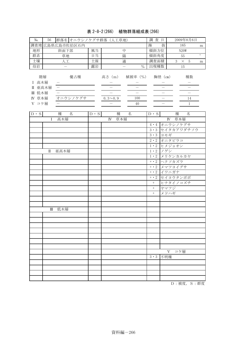### 表 2-8-2(266) 植物群落組成表(266)

| No.                                              | 56     |       |                 |                | 群落名 オニウシノケグサ群落 (人工草地)    |   |                      |               |                | 査<br>日  |       |                        | 2009年8月6日 |   |
|--------------------------------------------------|--------|-------|-----------------|----------------|--------------------------|---|----------------------|---------------|----------------|---------|-------|------------------------|-----------|---|
|                                                  |        |       | 調査地 広島県広島市佐伯区石内 |                |                          |   |                      |               | 海              | 抜       |       | 165                    |           | m |
| 地形                                               |        | 斜面下部  |                 | 風当             | 中                        |   |                      | 傾斜方位          |                |         | N20W  |                        |           |   |
| 群系                                               | 草地     |       |                 | 日当             | 陽                        |   |                      | 傾斜角度          |                |         | 55    |                        | $\circ$   |   |
| 土壤                                               |        | 人工    |                 | 土湿             |                          | 適 |                      |               | 調査面積           |         | 3     | $\times$               | -5        | m |
| 母岩                                               |        |       |                 | 露岩             |                          |   |                      | $\frac{0}{0}$ | 出現種数           |         |       | 15                     |           |   |
| 階層<br>高木層<br>Π<br>低木層<br>Ш<br>草本層<br>IV<br>V コケ層 | 亜高木層   |       | 優占種<br>オニウシノケグサ |                | 高さ (m)<br>$0.3 \sim 0.9$ |   | 植被率 (%)<br>100<br>40 |               |                | 胸径 (cm) |       |                        | 種数<br>14  |   |
| $\cdot$ S<br>D.                                  |        | 種     | 名               | $\cdot$ S<br>D |                          | 種 | 名                    |               | $\cdot$ S<br>D |         | 種     |                        | 名         |   |
|                                                  | $\sim$ | — 1 — |                 |                | $- -$                    |   |                      |               |                |         | $- -$ | --- 1 - <del>- 1</del> |           |   |

| $\overline{\phantom{a}}$<br>高木層<br>$\mathbf{I}$ | $\overline{\phantom{0}}$<br>$\overline{IV}$ 草本層 | $\overline{\phantom{a}}$<br>IV 草本層 |
|-------------------------------------------------|-------------------------------------------------|------------------------------------|
|                                                 |                                                 | 4・4 オニウシノケグサ                       |
|                                                 |                                                 | 3・3 セイタカアワダチソウ                     |
|                                                 |                                                 | $3.3$ $\exists$ $\pm$ $\neq$       |
|                                                 |                                                 | 2・2 オニタビラコ                         |
|                                                 |                                                 | 1・2 ヒメジョオン                         |
| 亜高木層<br>$\mathbb{I}$                            |                                                 | 1・2 ノゲシ                            |
|                                                 |                                                 | 1・2 メリケンカルカヤ                       |
|                                                 |                                                 | +・2 ヘクソカズラ                         |
|                                                 |                                                 | +・2 メマツヨイグサ                        |
|                                                 |                                                 | +・2 イワニガナ                          |
|                                                 |                                                 | +・2 セイヨウタンポポ                       |
|                                                 |                                                 | ヒナタイノコズチ<br>$+$                    |
|                                                 |                                                 | ヤマフジ<br>$^{+}$                     |
|                                                 |                                                 | メドハギ<br>$\, +$                     |
|                                                 |                                                 |                                    |
|                                                 |                                                 |                                    |
| Ⅲ 低木層                                           |                                                 |                                    |
|                                                 |                                                 |                                    |
|                                                 |                                                 |                                    |
|                                                 |                                                 |                                    |
|                                                 |                                                 |                                    |
|                                                 |                                                 |                                    |
|                                                 |                                                 |                                    |
|                                                 |                                                 |                                    |
|                                                 |                                                 | V コケ層                              |
|                                                 |                                                 | 3·3 不明種                            |
|                                                 |                                                 |                                    |
|                                                 |                                                 |                                    |
|                                                 |                                                 |                                    |
|                                                 |                                                 |                                    |

 $D:$  被度,  $S:$  群度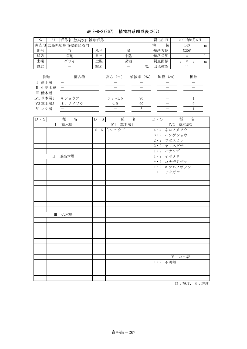### 表 2-8-2(267) 植物群落組成表(267)

| No.         | 57           | 群落名 放棄水田雑草群落             |             |                       |                                  | 調查日         |                          | 2009年8月6日                |         |
|-------------|--------------|--------------------------|-------------|-----------------------|----------------------------------|-------------|--------------------------|--------------------------|---------|
|             |              | 調査地広島県広島市佐伯区石内           |             |                       |                                  | 海           | 抜                        | 140                      | m       |
| 地形          |              | 谷                        | 風当          |                       | 弱                                | 傾斜方位        |                          | N30W                     |         |
| 群系          |              | 草地                       | 日当          |                       | 中陰                               | 傾斜角度        |                          | $\overline{4}$           | $\circ$ |
| 土壤          |              | グライ                      | 土湿          |                       | 過湿                               | 調査面積        |                          | $3 \times$<br>$\sqrt{3}$ | m       |
| 母岩          |              | $\overline{\phantom{0}}$ | 露岩          |                       | $\overline{\phantom{0}}$<br>$\%$ | 出現種数        |                          | 11                       |         |
|             |              |                          |             |                       |                                  |             |                          |                          |         |
|             | 階層           | 優占種                      |             |                       | 高さ (m) 植被率 (%) 胸径 (cm)           |             |                          | 種数                       |         |
| I 高木層       |              |                          |             |                       |                                  |             |                          |                          |         |
| Ⅱ 亜高木層      |              | $\overline{\phantom{0}}$ |             |                       |                                  |             |                          | $\overline{\phantom{0}}$ |         |
| Ⅲ 低木層       |              |                          |             |                       | $\equiv$                         |             |                          | $\overline{\phantom{0}}$ |         |
| IV1 草本層1    |              | キショウブ                    |             | $0.8 \sim 1.5$        | $90\,$                           |             | $\frac{1}{1}$            | $\mathbf{1}$             |         |
| IV2 草本層2    |              | ネコノメソウ                   |             | 0.8                   | 90                               |             | $\overline{\phantom{0}}$ | $\boldsymbol{9}$         |         |
| V コケ層       |              |                          |             | $=$                   | $\overline{5}$                   |             | $\overline{\phantom{a}}$ | $\mathbf{1}$             |         |
|             |              |                          |             |                       |                                  |             |                          |                          |         |
| $D \cdot S$ |              | 種<br>名                   | $D \cdot S$ | 種                     | 名                                | $D \cdot S$ |                          | 種<br>名                   |         |
|             | $\mathbf I$  | 高木層                      |             | $\overline{IV1}$ 草本層1 |                                  |             |                          | IV2 草本層2                 |         |
|             |              |                          | $5 \cdot 5$ | キショウブ                 |                                  |             | 4 - 4 ネコノメソウ             |                          |         |
|             |              |                          |             |                       |                                  | $3 \cdot 2$ | ハンゲショウ                   |                          |         |
|             |              |                          |             |                       |                                  | $2 \cdot 2$ | ツボスミレ                    |                          |         |
|             |              |                          |             |                       |                                  | $2 \cdot 2$ |                          |                          |         |
|             |              |                          |             |                       |                                  |             | ヤノネグサ                    |                          |         |
|             |              |                          |             |                       |                                  | $1 \cdot 2$ | ハナタデ                     |                          |         |
|             | $\mathbb{I}$ | 亜高木層                     |             |                       |                                  |             | 1・2 イボクサ                 |                          |         |
|             |              |                          |             |                       |                                  |             | + · 2 コチヂミザサ             |                          |         |
|             |              |                          |             |                       |                                  |             | +・2 キツネノボタン              |                          |         |
|             |              |                          |             |                       |                                  | $+$         | ササガヤ                     |                          |         |
|             |              |                          |             |                       |                                  |             |                          |                          |         |
|             |              |                          |             |                       |                                  |             |                          |                          |         |
|             |              |                          |             |                       |                                  |             |                          |                          |         |
|             |              |                          |             |                       |                                  |             |                          |                          |         |
|             |              |                          |             |                       |                                  |             |                          |                          |         |
|             |              |                          |             |                       |                                  |             |                          |                          |         |
|             |              |                          |             |                       |                                  |             |                          |                          |         |
|             | Ш            | 低木層                      |             |                       |                                  |             |                          |                          |         |
|             |              |                          |             |                       |                                  |             |                          |                          |         |
|             |              |                          |             |                       |                                  |             |                          |                          |         |
|             |              |                          |             |                       |                                  |             |                          |                          |         |
|             |              |                          |             |                       |                                  |             |                          |                          |         |
|             |              |                          |             |                       |                                  |             |                          |                          |         |
|             |              |                          |             |                       |                                  |             |                          |                          |         |
|             |              |                          |             |                       |                                  |             |                          |                          |         |
|             |              |                          |             |                       |                                  |             |                          | V コケ層                    |         |
|             |              |                          |             |                       |                                  | $+ \cdot 2$ | 不明種                      |                          |         |
|             |              |                          |             |                       |                                  |             |                          |                          |         |
|             |              |                          |             |                       |                                  |             |                          |                          |         |
|             |              |                          |             |                       |                                  |             |                          |                          |         |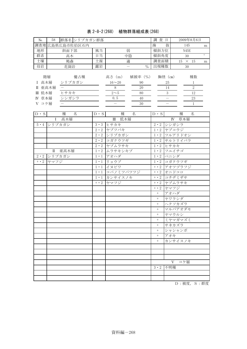### 表 2-8-2(268) 植物群落組成表(268)

| No.                                                                                                             | 群落名 シリブカガシ群落<br>58                                                                                                              |                                                                                                                            |                                                                                                                                                                                                                                | 調査日                                       |                                                                                                                                                                                                                                                                                                                                                      | 2009年8月6日                                                                                                                                                                                                                                                              |                                                                |         |
|-----------------------------------------------------------------------------------------------------------------|---------------------------------------------------------------------------------------------------------------------------------|----------------------------------------------------------------------------------------------------------------------------|--------------------------------------------------------------------------------------------------------------------------------------------------------------------------------------------------------------------------------|-------------------------------------------|------------------------------------------------------------------------------------------------------------------------------------------------------------------------------------------------------------------------------------------------------------------------------------------------------------------------------------------------------|------------------------------------------------------------------------------------------------------------------------------------------------------------------------------------------------------------------------------------------------------------------------|----------------------------------------------------------------|---------|
|                                                                                                                 | 調査地広島県広島市佐伯区石内                                                                                                                  |                                                                                                                            |                                                                                                                                                                                                                                |                                           | 海                                                                                                                                                                                                                                                                                                                                                    | 抜                                                                                                                                                                                                                                                                      | 145                                                            | m       |
| 地形                                                                                                              | 斜面下部                                                                                                                            | 風当                                                                                                                         | 弱                                                                                                                                                                                                                              |                                           | 傾斜方位                                                                                                                                                                                                                                                                                                                                                 |                                                                                                                                                                                                                                                                        | N45E                                                           |         |
| 群系                                                                                                              | 高木                                                                                                                              | 日当                                                                                                                         | 中陰                                                                                                                                                                                                                             |                                           | 傾斜角度                                                                                                                                                                                                                                                                                                                                                 |                                                                                                                                                                                                                                                                        | 30                                                             | $\circ$ |
|                                                                                                                 | 褐森                                                                                                                              | 土湿                                                                                                                         | 適                                                                                                                                                                                                                              |                                           | 調査面積                                                                                                                                                                                                                                                                                                                                                 |                                                                                                                                                                                                                                                                        | $15 \times 15$                                                 | m       |
|                                                                                                                 |                                                                                                                                 |                                                                                                                            | $\overline{\phantom{0}}$                                                                                                                                                                                                       | $\%$                                      |                                                                                                                                                                                                                                                                                                                                                      |                                                                                                                                                                                                                                                                        | 30                                                             |         |
| 土壤<br>母岩<br>Ⅱ 亜高木層<br>Ⅲ 低木層<br>IV 草本層<br>V コケ層<br>$\mathbf{D} \cdot \mathbf{S}$<br>$2\,\cdot\,2$<br>$+ \cdot 2$ | 花崗岩<br>階層<br>優占種<br>I 高木層<br>シリブカガシ<br>ヒサカキ<br>シシガシラ<br>種<br>名<br>I 高木層<br>5・4 シリブカガシ<br>亜高木層<br>$\mathbb{I}$<br>シリブカガシ<br>ヤマフジ | 露岩<br>$D \cdot S$<br>$3 \cdot 3$<br>$2 \cdot 2$<br>$2 \cdot 2$<br>$2 \cdot 2$<br>$2 \cdot 2$<br>$1 \cdot 2$<br>$1 \cdot 1$ | 高さ(m)<br>$16 - 20$<br>8<br>$2\sim 5$<br>0.5<br>$\equiv$<br>種<br>名<br>Ⅲ 低木層<br>ヒサカキ<br>ヤブツバキ<br>シリブカガシ<br>コガクウツギ<br>ヤブムラサキ<br>ムラサキシキブ<br>アオハダ<br>1・1 リョウブ<br>$1 \cdot 1$ $\sqrt{7}$<br>1・1 コバノミツバツツジ<br>1・1 カンサイスノキ<br>+・2 ヤマフジ | 植被率 (%)<br>90<br>20<br>80<br>40<br>$30\,$ | 出現種数<br>$D \cdot S$<br>$2 \cdot 2$<br>$1 \cdot \overline{2}$<br>$1 \cdot 2$<br>$1 \cdot 2$<br>$1 \cdot 2$<br>$1 \cdot 2$<br>$1 \cdot 2$<br>$+ \cdot 2$<br>$+ \cdot 2$<br>$+ \cdot 2$<br>$+ \cdot 2$<br>$\! + \!\!\!\!$<br>$\boldsymbol{+}$<br>$\boldsymbol{+}$<br>$\boldsymbol{+}$<br>$^{+}$<br>$\boldsymbol{+}$<br>$\! + \!\!\!\!$<br>$+$<br>$^{+}$ | 胸径(cm)<br>25<br>14<br>$\mathbf{3}$<br>シシガシラ<br>ヤブコウジ<br>ツルアリドオシ<br>サルトリイバラ<br>ヒサカキ<br>フユイチゴ<br>ベニシダ<br>1・2 コガクウツギ<br>アオツヅラフジ<br>オニドコロ<br>+ · 2 コチヂミザサ<br>ヤブムラサキ<br>ヤマフジ<br>アオハダ<br>ヤワラシダ<br>ヘクソカズラ<br>マルバアオダモ<br>ヤマウルシ<br>ミヤマガマズミ<br>サネカズラ<br>シャシャンボ<br>アオキ<br>カンサイスノキ | 種数<br>1<br>$\sqrt{2}$<br>12<br>23<br>$1\,$<br>種<br>名<br>IV 草本層 |         |
|                                                                                                                 |                                                                                                                                 |                                                                                                                            |                                                                                                                                                                                                                                |                                           |                                                                                                                                                                                                                                                                                                                                                      |                                                                                                                                                                                                                                                                        |                                                                |         |
|                                                                                                                 |                                                                                                                                 |                                                                                                                            |                                                                                                                                                                                                                                |                                           |                                                                                                                                                                                                                                                                                                                                                      | $V -$                                                                                                                                                                                                                                                                  | コケ層                                                            |         |
|                                                                                                                 |                                                                                                                                 |                                                                                                                            |                                                                                                                                                                                                                                |                                           | $3 \cdot 2$                                                                                                                                                                                                                                                                                                                                          | 不明種                                                                                                                                                                                                                                                                    |                                                                |         |
|                                                                                                                 |                                                                                                                                 |                                                                                                                            |                                                                                                                                                                                                                                |                                           |                                                                                                                                                                                                                                                                                                                                                      |                                                                                                                                                                                                                                                                        |                                                                |         |
|                                                                                                                 |                                                                                                                                 |                                                                                                                            |                                                                                                                                                                                                                                |                                           |                                                                                                                                                                                                                                                                                                                                                      |                                                                                                                                                                                                                                                                        |                                                                |         |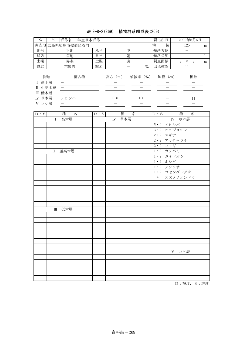## 表 2-8-2(269) 植物群落組成表(269)

| $\rm No.$                                   | $59\,$      | 群落名 一年生草本群落                             |                                         |                                                             |                                                                         | 調查日                    |                                 | 2009年8月6日                                                          |         |
|---------------------------------------------|-------------|-----------------------------------------|-----------------------------------------|-------------------------------------------------------------|-------------------------------------------------------------------------|------------------------|---------------------------------|--------------------------------------------------------------------|---------|
|                                             |             | 調査地広島県広島市佐伯区石内                          |                                         |                                                             |                                                                         | 海                      | 抜                               | 125                                                                | m       |
| 地形                                          |             | 平地                                      | 風当                                      |                                                             | 中                                                                       | 傾斜方位                   |                                 | $\qquad \qquad -$                                                  |         |
| 群系                                          |             | 草地                                      | 日当                                      |                                                             | 陽                                                                       | 傾斜角度                   |                                 | $\overline{\phantom{0}}$                                           | $\circ$ |
| 土壤                                          |             | 褐森                                      | 土湿                                      |                                                             | 適                                                                       | 調査面積                   |                                 | $3 \times$<br>$\sqrt{3}$                                           | m       |
| 母岩                                          |             | 花崗岩                                     | 露岩                                      |                                                             | $\overline{\phantom{0}}$<br>$\frac{0}{0}$                               | 出現種数                   |                                 | 11                                                                 |         |
| I 高木層<br>Ⅱ 亜高木層<br>Ⅲ 低木層<br>IV 草本層<br>V コケ層 | 階層          | 優占種<br>$\overline{\phantom{0}}$<br>メヒシバ |                                         | 高さ (m)<br>$\overline{\phantom{0}}$<br>0.8<br>$\overline{a}$ | 植被率 (%)<br>$\overline{\phantom{0}}$<br>$\equiv$<br>100<br>$\frac{1}{1}$ |                        | 胸径 (cm)<br>$\equiv$<br>$\equiv$ | 種数<br>$\overline{\phantom{0}}$<br>$\equiv$<br>11<br>$\overline{a}$ |         |
| $D \cdot S$                                 |             | 種<br>名                                  | $\mathbf{D} \mathrel{\cdot} \mathbf{S}$ | 種                                                           | 名                                                                       | $D \cdot S$            |                                 | 種<br>名                                                             |         |
|                                             | $\mathbf I$ | 高木層                                     |                                         | 草本層<br>$\mathbb{N}$                                         |                                                                         |                        | $\mathbb{N}$                    | 草本層                                                                |         |
|                                             |             |                                         |                                         |                                                             |                                                                         | $5 \cdot 4$            | メヒシバ                            |                                                                    |         |
|                                             |             |                                         |                                         |                                                             |                                                                         | $3 \cdot 2$            |                                 | ヒメジョオン                                                             |         |
|                                             |             |                                         |                                         |                                                             |                                                                         |                        | 2·2 スギナ                         |                                                                    |         |
|                                             |             |                                         |                                         |                                                             |                                                                         | $2 \cdot 2$            |                                 | アマチャヅル                                                             |         |
|                                             |             |                                         |                                         |                                                             |                                                                         | $2 \cdot 2$            | ヨモギ                             |                                                                    |         |
|                                             | $\rm II$    | 亜高木層                                    |                                         |                                                             |                                                                         | $1 \cdot 2$            | カタバミ                            |                                                                    |         |
|                                             |             |                                         |                                         |                                                             |                                                                         | $1 \cdot 2$            | カキドオシ                           |                                                                    |         |
|                                             |             |                                         |                                         |                                                             |                                                                         | $1 \cdot 2$            | ホシダ                             |                                                                    |         |
|                                             |             |                                         |                                         |                                                             |                                                                         | $+ \cdot \overline{2}$ | クワクサ                            |                                                                    |         |
|                                             |             |                                         |                                         |                                                             |                                                                         | $+ \cdot 2$<br>$\! +$  |                                 | コセンダングサ                                                            |         |
|                                             |             |                                         |                                         |                                                             |                                                                         |                        |                                 | スズメノエンドウ                                                           |         |
|                                             |             |                                         |                                         |                                                             |                                                                         |                        |                                 |                                                                    |         |
|                                             |             |                                         |                                         |                                                             |                                                                         |                        |                                 |                                                                    |         |
|                                             |             |                                         |                                         |                                                             |                                                                         |                        |                                 |                                                                    |         |
|                                             |             |                                         |                                         |                                                             |                                                                         |                        |                                 |                                                                    |         |
|                                             | Ш           | 低木層                                     |                                         |                                                             |                                                                         |                        |                                 |                                                                    |         |
|                                             |             |                                         |                                         |                                                             |                                                                         |                        |                                 |                                                                    |         |
|                                             |             |                                         |                                         |                                                             |                                                                         |                        |                                 |                                                                    |         |
|                                             |             |                                         |                                         |                                                             |                                                                         |                        |                                 |                                                                    |         |
|                                             |             |                                         |                                         |                                                             |                                                                         |                        |                                 |                                                                    |         |
|                                             |             |                                         |                                         |                                                             |                                                                         |                        |                                 |                                                                    |         |
|                                             |             |                                         |                                         |                                                             |                                                                         |                        |                                 |                                                                    |         |
|                                             |             |                                         |                                         |                                                             |                                                                         |                        |                                 |                                                                    |         |
|                                             |             |                                         |                                         |                                                             |                                                                         |                        | V                               | コケ層                                                                |         |
|                                             |             |                                         |                                         |                                                             |                                                                         |                        |                                 |                                                                    |         |
|                                             |             |                                         |                                         |                                                             |                                                                         |                        |                                 |                                                                    |         |
|                                             |             |                                         |                                         |                                                             |                                                                         |                        |                                 |                                                                    |         |
|                                             |             |                                         |                                         |                                                             |                                                                         |                        |                                 |                                                                    |         |
|                                             |             |                                         |                                         |                                                             |                                                                         |                        |                                 |                                                                    |         |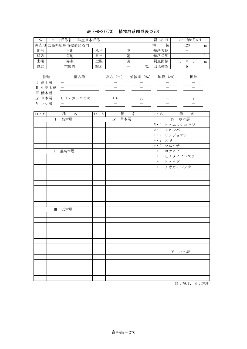## 表 2-8-2(270) 植物群落組成表(270)

| $\rm No.$                                   | $60\,$                                | 群落名 一年生草本群落                                 |                               |                                           |                                                                                       | 調査日                           |                                                                 | 2009年8月6日                                          |         |
|---------------------------------------------|---------------------------------------|---------------------------------------------|-------------------------------|-------------------------------------------|---------------------------------------------------------------------------------------|-------------------------------|-----------------------------------------------------------------|----------------------------------------------------|---------|
|                                             |                                       | 調査地広島県広島市佐伯区石内                              |                               |                                           |                                                                                       | 海                             | 抜                                                               | 120                                                | m       |
| 地形                                          |                                       | 平地                                          | 風当                            | 中                                         |                                                                                       | 傾斜方位                          |                                                                 | $\overline{\phantom{0}}$                           |         |
| 群系                                          |                                       | 草地                                          | 日当                            | 陽                                         |                                                                                       | 傾斜角度                          |                                                                 | $\equiv$                                           | $\circ$ |
| 土壤                                          |                                       | 褐森                                          | 土湿                            | 適                                         |                                                                                       | 調査面積                          |                                                                 | $3 \times$<br>$\sqrt{3}$                           | m       |
| 母岩                                          |                                       | 花崗岩                                         | 露岩                            | $\overline{\phantom{0}}$                  | $\frac{0}{0}$                                                                         | 出現種数                          |                                                                 | 9                                                  |         |
| I 高木層<br>Ⅱ 亜高木層<br>Ⅲ 低木層<br>IV 草本層<br>V コケ層 | 階層                                    | 優占種<br>$\overline{\phantom{0}}$<br>ヒメムカシヨモギ |                               | 高さ (m)<br>$\overline{\phantom{0}}$<br>1.6 | 植被率 (%)<br>$\overline{\phantom{0}}$<br>$\equiv$<br>$85\,$<br>$\overline{\phantom{0}}$ |                               | 胸径 (cm)<br>$\overline{\phantom{0}}$<br>$\overline{\phantom{0}}$ | 種数<br>$\boldsymbol{9}$<br>$\overline{\phantom{0}}$ |         |
| $\mathbf{D} \cdot \mathbf{S}$               |                                       | 種<br>名                                      | $\mathbf{D} \cdot \mathbf{S}$ | 種                                         | 名                                                                                     | $\mathbf{D} \cdot \mathbf{S}$ |                                                                 | 種<br>名                                             |         |
|                                             | I                                     | 高木層                                         |                               | 草本層<br>${\rm IV}$                         |                                                                                       |                               | $\mathbb{N}$                                                    | 草本層                                                |         |
|                                             |                                       |                                             |                               |                                           |                                                                                       | $5 \cdot 4$                   |                                                                 | ヒメムカシヨモギ                                           |         |
|                                             |                                       |                                             |                               |                                           |                                                                                       | $2 \cdot 2$                   | メヒシバ                                                            |                                                    |         |
|                                             |                                       |                                             |                               |                                           |                                                                                       |                               | 1・2 ヒメジョオン                                                      |                                                    |         |
|                                             |                                       |                                             |                               |                                           |                                                                                       | $+ \cdot 2$                   | スギナ                                                             |                                                    |         |
|                                             |                                       |                                             |                               |                                           |                                                                                       | $+ \cdot 2$                   | ツユクサ                                                            |                                                    |         |
|                                             | $\rm II$                              | 亜高木層                                        |                               |                                           |                                                                                       | $\boldsymbol{+}$              | コナスビ                                                            |                                                    |         |
|                                             |                                       |                                             |                               |                                           |                                                                                       | $\, +$                        |                                                                 | ヒナタイノコズチ                                           |         |
|                                             |                                       |                                             |                               |                                           |                                                                                       | $\boldsymbol{+}$              | ヒメクグ                                                            |                                                    |         |
|                                             |                                       |                                             |                               |                                           |                                                                                       | $\! + \!\!\!\!$               |                                                                 | アオカモジグサ                                            |         |
|                                             |                                       |                                             |                               |                                           |                                                                                       |                               |                                                                 |                                                    |         |
|                                             |                                       |                                             |                               |                                           |                                                                                       |                               |                                                                 |                                                    |         |
|                                             |                                       |                                             |                               |                                           |                                                                                       |                               |                                                                 |                                                    |         |
|                                             |                                       |                                             |                               |                                           |                                                                                       |                               |                                                                 |                                                    |         |
|                                             |                                       |                                             |                               |                                           |                                                                                       |                               |                                                                 |                                                    |         |
|                                             |                                       |                                             |                               |                                           |                                                                                       |                               |                                                                 |                                                    |         |
|                                             | $\rm I\hspace{-.1em}I\hspace{-.1em}I$ | 低木層                                         |                               |                                           |                                                                                       |                               |                                                                 |                                                    |         |
|                                             |                                       |                                             |                               |                                           |                                                                                       |                               |                                                                 |                                                    |         |
|                                             |                                       |                                             |                               |                                           |                                                                                       |                               |                                                                 |                                                    |         |
|                                             |                                       |                                             |                               |                                           |                                                                                       |                               |                                                                 |                                                    |         |
|                                             |                                       |                                             |                               |                                           |                                                                                       |                               |                                                                 |                                                    |         |
|                                             |                                       |                                             |                               |                                           |                                                                                       |                               |                                                                 |                                                    |         |
|                                             |                                       |                                             |                               |                                           |                                                                                       |                               |                                                                 |                                                    |         |
|                                             |                                       |                                             |                               |                                           |                                                                                       |                               |                                                                 |                                                    |         |
|                                             |                                       |                                             |                               |                                           |                                                                                       |                               | V                                                               | コケ層                                                |         |
|                                             |                                       |                                             |                               |                                           |                                                                                       |                               |                                                                 |                                                    |         |
|                                             |                                       |                                             |                               |                                           |                                                                                       |                               |                                                                 |                                                    |         |
|                                             |                                       |                                             |                               |                                           |                                                                                       |                               |                                                                 |                                                    |         |
|                                             |                                       |                                             |                               |                                           |                                                                                       |                               |                                                                 |                                                    |         |
|                                             |                                       |                                             |                               |                                           |                                                                                       |                               |                                                                 |                                                    |         |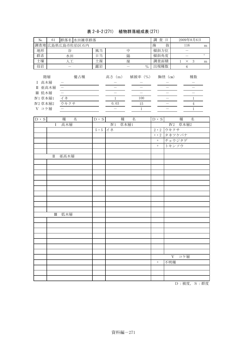# 表 2-8-2(271) 植物群落組成表(271)

| $\rm No.$                                                                | $61\,$            | 群落名 水田雑草群落                                                                                 |                            |                                                                           |                                                                | 調査日                                       |                                                       | 2009年8月6日                                                                 |         |
|--------------------------------------------------------------------------|-------------------|--------------------------------------------------------------------------------------------|----------------------------|---------------------------------------------------------------------------|----------------------------------------------------------------|-------------------------------------------|-------------------------------------------------------|---------------------------------------------------------------------------|---------|
|                                                                          |                   | 調査地広島県広島市佐伯区石内                                                                             |                            |                                                                           |                                                                | 海                                         | 抜                                                     | 116                                                                       | m       |
| 地形                                                                       |                   | 谷                                                                                          | 風当                         |                                                                           | 中                                                              | 傾斜方位                                      |                                                       | $\qquad \qquad -$                                                         |         |
| 群系                                                                       |                   | 水田                                                                                         | 日当                         |                                                                           | 陽                                                              | 傾斜角度                                      |                                                       | $=$                                                                       | $\circ$ |
| 土壤                                                                       |                   | 人工                                                                                         | 土湿                         |                                                                           | 湿                                                              | 調査面積                                      |                                                       | $\sqrt{3}$<br>$\times$<br>$\mathbf{1}$                                    | m       |
| 母岩                                                                       |                   |                                                                                            | 露岩                         |                                                                           | $\overline{\phantom{0}}$                                       | 出現種数                                      |                                                       | $\,6\,$                                                                   |         |
| I 高木層<br>Ⅱ 亜高木層<br>Ⅲ 低木層<br>IV1 草本層1<br>IV2 草本層2<br>V コケ層<br>$D \cdot S$ | 階層<br>$\mathbf I$ | 優占種<br>$\overline{\phantom{m}}$<br>$\overline{\phantom{0}}$<br>イネ<br>ウキクサ<br>種<br>名<br>高木層 | $D \cdot S$<br>$5 \cdot 5$ | 高さ (m)<br>$\,1$<br>0.03<br>$\overline{\phantom{a}}$<br>種<br>$I\!V1$<br>イネ | $\%$<br>植被率 (%)<br>$\equiv$<br>100<br>15<br>$1\,$<br>名<br>草本層1 | $D \cdot S$<br>$2 \cdot 2$<br>$+ \cdot 2$ | 胸径 (cm)<br>$\overline{\phantom{0}}$<br>ウキクサ<br>タネツケバナ | 種数<br>$\overline{a}$<br>$\,1\,$<br>$\,4$<br>$\,1\,$<br>種<br>名<br>IV2 草本層2 |         |
|                                                                          |                   |                                                                                            |                            |                                                                           |                                                                | $\, +$                                    |                                                       | チョウジタデ                                                                    |         |
|                                                                          |                   |                                                                                            |                            |                                                                           |                                                                | $+$                                       | トキンソウ                                                 |                                                                           |         |
|                                                                          | Π<br>Ш            | 亜高木層<br>低木層                                                                                |                            |                                                                           |                                                                |                                           |                                                       |                                                                           |         |
|                                                                          |                   |                                                                                            |                            |                                                                           |                                                                |                                           |                                                       | V コケ層                                                                     |         |
|                                                                          |                   |                                                                                            |                            |                                                                           |                                                                | $+$                                       | 不明種                                                   |                                                                           |         |
|                                                                          |                   |                                                                                            |                            |                                                                           |                                                                |                                           |                                                       |                                                                           |         |
|                                                                          |                   |                                                                                            |                            |                                                                           |                                                                |                                           |                                                       |                                                                           |         |

 $D:$  被度,  $S:$  群度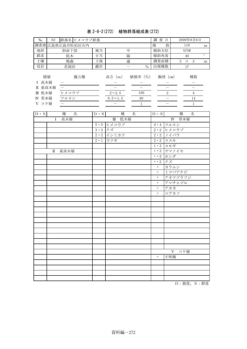# 表 2-8-2(272) 植物群落組成表(272)

| No.                                                        | 62          | 群落名 ヒメコウゾ群落                                         |             |                                               | 調查日                                                      |                  | 2009年8月6日                 |                                                                           |         |
|------------------------------------------------------------|-------------|-----------------------------------------------------|-------------|-----------------------------------------------|----------------------------------------------------------|------------------|---------------------------|---------------------------------------------------------------------------|---------|
|                                                            |             | 調査地広島県広島市佐伯区石内                                      |             |                                               |                                                          | 海                | 抜                         | 110                                                                       | m       |
| 地形                                                         |             | 斜面下部                                                | 風当          |                                               | 中                                                        | 傾斜方位             |                           | N75W                                                                      |         |
| 群系                                                         |             | 低木                                                  | 日当          |                                               | 陽                                                        | 傾斜角度             |                           | 40                                                                        | $\circ$ |
| 土壤                                                         |             | 褐森                                                  | 土湿          |                                               | 適                                                        | 調査面積             |                           | $3 \times 3$                                                              | m       |
| 母岩                                                         |             | 花崗岩                                                 | 露岩          |                                               | $\overline{\phantom{0}}$<br>$\%$                         | 出現種数             |                           | 17                                                                        |         |
| I 高木層<br>Ⅱ 亜高木層<br>Ⅲ 低木層<br>IV 草本層<br>V コケ層<br>$D \cdot S$ | 階層          | 優占種<br>$\qquad \qquad -$<br>ヒメコウゾ<br>ツルヨシ<br>種<br>名 | $D \cdot S$ | $2 \sim 2.5$<br>$0.5 \sim 1.5$<br>.<br>—<br>種 | 高さ (m) 植被率 (%) 胸径 (cm)<br>100<br>80<br>$\mathbf{1}$<br>名 | $D \cdot S$      | $\frac{1}{2}$<br>$\equiv$ | 種数<br>$\overline{\phantom{0}}$<br>$\overline{4}$<br>14<br>$1\,$<br>種<br>名 |         |
|                                                            |             | I 高木層                                               |             | Ⅲ 低木層                                         |                                                          |                  |                           | IV 草本層                                                                    |         |
|                                                            |             |                                                     |             | 5・5 ヒメコウゾ                                     |                                                          |                  | 4・4 ツルヨシ                  |                                                                           |         |
|                                                            |             |                                                     |             | $3 \cdot 3$ $7 \times$                        |                                                          |                  | 2・2 ヒメコウゾ                 |                                                                           |         |
|                                                            |             |                                                     |             | 2・2 イシミカワ                                     |                                                          |                  | 2・2 ノイバラ                  |                                                                           |         |
|                                                            |             |                                                     |             | 2・1 ウツギ                                       |                                                          | $2 \cdot 2$      | ススキ                       |                                                                           |         |
|                                                            |             |                                                     |             |                                               |                                                          | $1 \cdot 2$      | ヨモギ                       |                                                                           |         |
|                                                            | $\mathbb I$ | 亜高木層                                                |             |                                               |                                                          | $+ \cdot 2$      | ヤマノイモ                     |                                                                           |         |
|                                                            |             |                                                     |             |                                               |                                                          | $+ \cdot 2$      | ホシダ                       |                                                                           |         |
|                                                            |             |                                                     |             |                                               |                                                          | $+ \cdot 2$      | クズ                        |                                                                           |         |
|                                                            |             |                                                     |             |                                               |                                                          | $\boldsymbol{+}$ | カラムシ                      |                                                                           |         |
|                                                            |             |                                                     |             |                                               |                                                          | $\pm$            | ミツバアケビ                    |                                                                           |         |
|                                                            |             |                                                     |             |                                               |                                                          | $\, +$           |                           | アオツヅラフジ                                                                   |         |
|                                                            |             |                                                     |             |                                               |                                                          | $\pm$            | アマチャヅル                    |                                                                           |         |
|                                                            |             |                                                     |             |                                               |                                                          | $\boldsymbol{+}$ | アカネ                       |                                                                           |         |
|                                                            |             |                                                     |             |                                               |                                                          | $\boldsymbol{+}$ | コアカソ                      |                                                                           |         |
|                                                            |             |                                                     |             |                                               |                                                          |                  |                           |                                                                           |         |
|                                                            |             |                                                     |             |                                               |                                                          |                  |                           |                                                                           |         |
|                                                            |             |                                                     |             |                                               |                                                          |                  |                           |                                                                           |         |
|                                                            |             |                                                     |             |                                               |                                                          |                  |                           |                                                                           |         |
|                                                            |             |                                                     |             |                                               |                                                          |                  |                           |                                                                           |         |
|                                                            |             |                                                     |             |                                               |                                                          |                  |                           |                                                                           |         |
|                                                            |             |                                                     |             |                                               |                                                          |                  |                           |                                                                           |         |
|                                                            |             |                                                     |             |                                               |                                                          |                  |                           |                                                                           |         |
|                                                            |             |                                                     |             |                                               |                                                          |                  |                           |                                                                           |         |
|                                                            |             |                                                     |             |                                               |                                                          |                  |                           |                                                                           |         |
|                                                            |             |                                                     |             |                                               |                                                          |                  |                           | V コケ層                                                                     |         |
|                                                            |             |                                                     |             |                                               |                                                          | $^{+}$           | 不明種                       |                                                                           |         |
|                                                            |             |                                                     |             |                                               |                                                          |                  |                           |                                                                           |         |
|                                                            |             |                                                     |             |                                               |                                                          |                  |                           |                                                                           |         |
|                                                            |             |                                                     |             |                                               |                                                          |                  |                           |                                                                           |         |
|                                                            |             |                                                     |             |                                               |                                                          |                  |                           |                                                                           |         |

 $D:$  被度,  $S:$  群度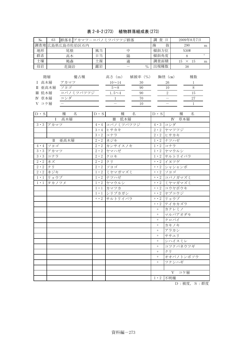# 表 2-8-2(273) 植物群落組成表(273)

| N <sub>o</sub>                                           | 63   | 群落名 アカマツーコバノミツバツツジ群落                   |             |                                                |                                       | 調<br>査<br>日                           |             | 2009年8月7日                |         |
|----------------------------------------------------------|------|----------------------------------------|-------------|------------------------------------------------|---------------------------------------|---------------------------------------|-------------|--------------------------|---------|
|                                                          |      | 調査地 広島県広島市佐伯区石内                        |             |                                                |                                       | 抜<br>海                                |             | 290                      | m       |
| 地形                                                       |      | 尾根                                     | 風当          | 中                                              |                                       | 傾斜方位                                  |             | N <sub>30</sub> W        |         |
| 群系                                                       |      | 高木                                     | 日当          | 陽                                              |                                       | 傾斜角度                                  |             | 8                        | $\circ$ |
| 土壤                                                       |      | 褐森                                     | 土湿          |                                                | 調査面積                                  | 15                                    | $\times$ 15 | m                        |         |
| 母岩                                                       |      | 花崗岩                                    | 露岩          |                                                | $\frac{0}{0}$                         | 出現種数                                  |             | 38                       |         |
| 階層<br>高木層<br>L<br>Π<br>低木層<br>Ш<br>草本層<br>IV<br>コケ層<br>V | 亜高木層 | 優占種<br>アカマツ<br>ソヨゴ<br>コバノミツバツツジ<br>コシダ |             | 高さ (m)<br>$10 - 14$<br>$5 \sim 8$<br>$1.5 - 4$ | 植被率 (%)<br>30<br>90<br>90<br>70<br>10 | 胸径 (cm)<br>26<br>10<br>$\overline{2}$ |             | 種数<br>8<br>15<br>27<br>1 |         |
| $D \cdot S$                                              |      | 名<br>種                                 | $D \cdot S$ | 種                                              | 名                                     | $D \cdot S$                           | 種           | 名                        |         |
|                                                          | 高木層  |                                        |             | 低木層<br>Ш                                       |                                       |                                       | 草本層<br>IV   |                          |         |
|                                                          |      |                                        |             |                                                |                                       |                                       |             |                          |         |

| 高木層<br>L             | Ⅲ 低木層                    | IV 草本層              |
|----------------------|--------------------------|---------------------|
| $3 \cdot 3$<br>アカマツ  | コバノミツバツツジ<br>$4 \cdot 4$ | $4 \cdot 3$ コシダ     |
|                      | $3 \cdot 4$ ヒサカキ         | 2・2 ヤマツツジ           |
|                      | 3・2 コナラ                  | 2·2 ヒサカキ            |
| 亜高木層<br>$\mathbb{I}$ | 2・2 ネジキ                  | 1・2 ナツハゼ            |
| ソヨゴ<br>$4\cdot 4$    | 2・2 カンサイスノキ              | 1・2 コナラ             |
| $3 \cdot 3$<br>アカマツ  | 2・2 ヤマハゼ                 | 1・2 ヤマウルシ           |
| $3 \cdot 3$<br>コナラ   | 2・2 クロキ                  | 1・2 サルトリイバラ         |
| $2 \cdot 2$<br>ネズ    | $2 \cdot 2$ クリ           | +・2 イヌツゲ            |
| $2 \cdot 2$<br>クリ    | $2 \cdot 2$ $\sqrt{3}$   | +・2 シャシャンボ          |
| $2 \cdot 2$<br>ネジキ   | 1・2 ミヤマガマズミ              | + · 2 ソヨゴ           |
| $1 \cdot 1$<br>リョウブ  | 1・2 ナツハゼ                 | +・2 コバノガマズミ         |
| $1 \cdot 1$<br>タカノツメ | 1・2 ヤマウルシ                | + . 2 ミヤマガマズミ       |
|                      | 1・1 カマツカ                 | +·2 コウヤボウキ          |
|                      | 1・1 シリブカガシ               | +・2 ヤブコウジ           |
|                      | +・2 サルトリイバラ              | +・2 リョウブ            |
|                      |                          | +・2 テイカカズラ          |
|                      |                          | カクレミノ<br>$+$        |
|                      |                          | マルバアオダモ<br>$+$      |
|                      |                          | クロバイ<br>$^{+}$      |
|                      |                          | カキノキ<br>$+$         |
|                      |                          | アラカシ<br>$+$         |
|                      |                          | ササユリ<br>$^{+}$      |
|                      |                          | シハイスミレ<br>$^{+}$    |
|                      |                          | コツクバネウツギ<br>$^{+}$  |
|                      |                          | クリ<br>$+$           |
|                      |                          | $^{+}$<br>オオバノトンボソウ |
|                      |                          | $+$<br>ツクシハギ        |
|                      |                          |                     |
|                      |                          | V コケ層               |
|                      |                          | $1 \cdot 2$ 不明種     |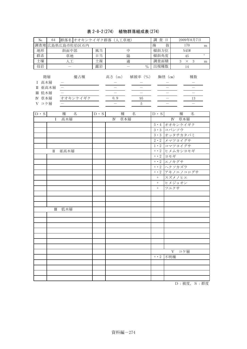# 表 2-8-2(274) 植物群落組成表(274)

| $\rm No.$                                   | $64\,$                                            | 群落名 オオキンケイギク群落 (人工草地)                       |                               |               |                                                                              | 調查日                           |                                     | 2009年8月7日                                             |         |
|---------------------------------------------|---------------------------------------------------|---------------------------------------------|-------------------------------|---------------|------------------------------------------------------------------------------|-------------------------------|-------------------------------------|-------------------------------------------------------|---------|
|                                             |                                                   | 調査地広島県広島市佐伯区石内                              |                               |               |                                                                              | 海                             | 抜                                   | 170                                                   | m       |
| 地形                                          |                                                   | 斜面中部                                        | 風当                            | 中             |                                                                              | 傾斜方位                          |                                     | N45W                                                  |         |
| 群系                                          |                                                   | 草地                                          | 日当                            | 陽             |                                                                              | 傾斜角度                          |                                     | 45                                                    | $\circ$ |
| 土壤                                          |                                                   | 人工                                          | 土湿                            | 適             |                                                                              | 調査面積                          |                                     | $3 \times$<br>$\sqrt{3}$                              | m       |
| 母岩                                          |                                                   | $\qquad \qquad -$                           | 露岩                            | $\equiv$      | $\frac{0}{0}$                                                                | 出現種数                          |                                     | 14                                                    |         |
| I 高木層<br>Ⅱ 亜高木層<br>Ⅲ 低木層<br>IV 草本層<br>V コケ層 | 階層                                                | 優占種<br>$\overline{\phantom{0}}$<br>オオキンケイギク |                               | 高さ (m)<br>0.9 | 植被率(%)<br>$\overline{\phantom{0}}$<br>$\equiv$<br>$\rm 95$<br>$\overline{5}$ |                               | 胸径 (cm)<br>$\overline{\phantom{0}}$ | 種数<br>$\overline{\phantom{0}}$<br>13<br>$\frac{1}{2}$ |         |
| $\mathbf{D} \cdot \mathbf{S}$               |                                                   | 種<br>名                                      | $\mathbf{D} \cdot \mathbf{S}$ | 種             | 名                                                                            | $\mathbf{D} \cdot \mathbf{S}$ |                                     | 種<br>名                                                |         |
|                                             | I                                                 | 高木層                                         |                               | 草本層<br>IV     |                                                                              |                               | $\mathbb{N}$                        | 草本層                                                   |         |
|                                             |                                                   |                                             |                               |               |                                                                              | $5 \cdot 4$                   |                                     | オオキンケイギク                                              |         |
|                                             |                                                   |                                             |                               |               |                                                                              |                               | 3・3 コバンソウ                           |                                                       |         |
|                                             |                                                   |                                             |                               |               |                                                                              |                               |                                     | 3・3 オッタチカタバミ                                          |         |
|                                             |                                                   |                                             |                               |               |                                                                              |                               |                                     | 2 · 2 メマツヨイグサ                                         |         |
|                                             |                                                   |                                             |                               |               |                                                                              |                               |                                     | 1・2 コマツヨイグサ                                           |         |
|                                             | $\mathop{\mathrm{I}\mskip-4.0mu{\rm I}}\nolimits$ | 亜高木層                                        |                               |               |                                                                              |                               |                                     | +·2 ヒメムカショモギ                                          |         |
|                                             |                                                   |                                             |                               |               |                                                                              | $+ \cdot 2$                   | ヨモギ                                 |                                                       |         |
|                                             |                                                   |                                             |                               |               |                                                                              | $+ \cdot 2$                   | エノキグサ                               |                                                       |         |
|                                             |                                                   |                                             |                               |               |                                                                              | $+ \cdot 2$                   | ヘクソカズラ                              |                                                       |         |
|                                             |                                                   |                                             |                               |               |                                                                              | $+ \cdot 2$                   |                                     | アキノエノコログサ                                             |         |
|                                             |                                                   |                                             |                               |               |                                                                              | $\, +$                        | スズメノヒエ                              |                                                       |         |
|                                             |                                                   |                                             |                               |               |                                                                              | $\boldsymbol{+}$              | ヒメジョオン                              |                                                       |         |
|                                             |                                                   |                                             |                               |               |                                                                              | $+$                           | ツユクサ                                |                                                       |         |
|                                             |                                                   |                                             |                               |               |                                                                              |                               |                                     |                                                       |         |
|                                             |                                                   |                                             |                               |               |                                                                              |                               |                                     |                                                       |         |
|                                             |                                                   |                                             |                               |               |                                                                              |                               |                                     |                                                       |         |
|                                             | Ш                                                 | 低木層                                         |                               |               |                                                                              |                               |                                     |                                                       |         |
|                                             |                                                   |                                             |                               |               |                                                                              |                               |                                     |                                                       |         |
|                                             |                                                   |                                             |                               |               |                                                                              |                               |                                     |                                                       |         |
|                                             |                                                   |                                             |                               |               |                                                                              |                               |                                     |                                                       |         |
|                                             |                                                   |                                             |                               |               |                                                                              |                               |                                     |                                                       |         |
|                                             |                                                   |                                             |                               |               |                                                                              |                               |                                     |                                                       |         |
|                                             |                                                   |                                             |                               |               |                                                                              |                               |                                     |                                                       |         |
|                                             |                                                   |                                             |                               |               |                                                                              |                               |                                     |                                                       |         |
|                                             |                                                   |                                             |                               |               |                                                                              |                               |                                     | V コケ層                                                 |         |
|                                             |                                                   |                                             |                               |               |                                                                              | $+ \cdot 2$                   | 不明種                                 |                                                       |         |
|                                             |                                                   |                                             |                               |               |                                                                              |                               |                                     |                                                       |         |
|                                             |                                                   |                                             |                               |               |                                                                              |                               |                                     |                                                       |         |
|                                             |                                                   |                                             |                               |               |                                                                              |                               |                                     |                                                       |         |
|                                             |                                                   |                                             |                               |               |                                                                              |                               |                                     |                                                       |         |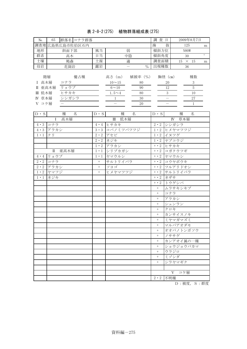# 表 2-8-2(275) 植物群落組成表(275)

| No.                                                                          | 群落名 コナラ群落<br>65                                                                 |             |                                                                                                                           | 調查日                    | 2009年8月7日                                                                                      |
|------------------------------------------------------------------------------|---------------------------------------------------------------------------------|-------------|---------------------------------------------------------------------------------------------------------------------------|------------------------|------------------------------------------------------------------------------------------------|
|                                                                              | 調査地 広島県広島市佐伯区石内                                                                 |             |                                                                                                                           | 海                      | 抜<br>125<br>m                                                                                  |
| 地形                                                                           | 斜面下部                                                                            | 風当          | 弱                                                                                                                         | 傾斜方位                   | N80W                                                                                           |
| 群系                                                                           | 高木                                                                              | 日当          | 中陰                                                                                                                        | 傾斜角度                   | $\circ$<br>30                                                                                  |
| 土壤                                                                           | 褐森                                                                              | 土湿          | 適                                                                                                                         | 調査面積                   | $15~\times~15$<br>m                                                                            |
| 母岩                                                                           | 花崗岩                                                                             | 露岩          | $\equiv$<br>$\frac{0}{0}$                                                                                                 | 出現種数                   | 36                                                                                             |
| I 高木層<br>Ⅱ 亜高木層<br>Ⅲ 低木層<br>IV 草本層<br>V コケ層<br>$\mathbf{D} \cdot \mathbf{S}$ | 階層<br>優占種<br>コナラ<br>リョウブ<br>ヒサカキ<br>シシガシラ<br>$\overline{\phantom{a}}$<br>種<br>名 | $D \cdot S$ | 植被率(%)<br>高さ(m)<br>$10 \sim 15$<br>80<br>$6\!\sim\!10$<br>90<br>1.5 $\sim$ 4<br>80<br>$30\,$<br>$1\,$<br>$20\,$<br>種<br>名 | $D \cdot S$            | 胸径(cm)<br>種数<br>20<br>3<br>$\overline{5}$<br>12<br>3<br>10<br>$27\,$<br>$\mathbf{1}$<br>種<br>名 |
|                                                                              | 高木層<br>$\mathbf{I}$                                                             |             | Ⅲ 低木層                                                                                                                     |                        | IV 草本層                                                                                         |
| $4 \cdot 3$                                                                  | コナラ                                                                             | $4 \cdot 4$ | ヒサカキ                                                                                                                      | $2 \cdot 2$            | シシガシラ                                                                                          |
| $4 \cdot 3$                                                                  | アラカシ                                                                            |             | 3・3 コバノミツバツツジ                                                                                                             | $1 \cdot 2$            | ヒメヤマツツジ                                                                                        |
| $1 \cdot 1$                                                                  | クリ                                                                              | $2 \cdot 2$ | アセビ                                                                                                                       | $1 \cdot 2$            | イヌツゲ                                                                                           |
|                                                                              |                                                                                 | $2 \cdot 2$ | ネジキ                                                                                                                       | $1 \cdot 2$            | ヤブコウジ                                                                                          |
|                                                                              |                                                                                 | $1 \cdot 2$ | アラカシ                                                                                                                      | $+ \cdot 2$            | ヒサカキ                                                                                           |
|                                                                              | 亜高木層<br>$\mathbb{I}$                                                            | $1 \cdot 1$ | シリブカガシ                                                                                                                    | $+ \cdot 2$            | コガクウツギ                                                                                         |
| $4 \cdot 4$                                                                  | リョウブ                                                                            | $1 \cdot 1$ | ヤマウルシ                                                                                                                     | $+ \cdot 2$            | ヤマウルシ                                                                                          |
| $\overline{2} \cdot 2$                                                       | コナラ                                                                             | $+$         | サルトリイバラ                                                                                                                   | $+ \cdot 2$            | コウヤボウキ                                                                                         |
| $2 \cdot 2$                                                                  | アラカシ                                                                            | $^+$        | ソヨゴ                                                                                                                       | $+ \cdot 2$            | ツルアリドオシ                                                                                        |
| $1 \cdot 2$                                                                  | ヤマフジ                                                                            | $+$         | ヒメヤマツツジ                                                                                                                   | $+ \cdot 2$            | サルトリイバラ                                                                                        |
| $1 \cdot 1$                                                                  | ネジキ                                                                             |             |                                                                                                                           | $+ \cdot 2$            | ネザサ                                                                                            |
|                                                                              |                                                                                 |             |                                                                                                                           | $+ \cdot \overline{2}$ | トウゲシバ                                                                                          |
|                                                                              |                                                                                 |             |                                                                                                                           | $\! + \!$              | ムラサキシキブ                                                                                        |
|                                                                              |                                                                                 |             |                                                                                                                           | $^{+}$                 | コナラ                                                                                            |
|                                                                              |                                                                                 |             |                                                                                                                           | $\boldsymbol{+}$       | アラカシ                                                                                           |
|                                                                              |                                                                                 |             |                                                                                                                           |                        | シュンラン                                                                                          |
|                                                                              |                                                                                 |             |                                                                                                                           | $^+$                   | クロキ                                                                                            |
|                                                                              |                                                                                 |             |                                                                                                                           | $\! + \!\!\!\!$        | カンサイスノキ                                                                                        |
|                                                                              |                                                                                 |             |                                                                                                                           | $^+$                   | ミヤマガマズミ                                                                                        |
|                                                                              |                                                                                 |             |                                                                                                                           | $\! + \!\!\!\!$        | マルバアオダモ                                                                                        |
|                                                                              |                                                                                 |             |                                                                                                                           | $^+$                   | オオバノトンボソウ                                                                                      |
|                                                                              |                                                                                 |             |                                                                                                                           | $\! + \!$              | ノササゲ                                                                                           |
|                                                                              |                                                                                 |             |                                                                                                                           | $^+$                   | カンアオイ属の一種                                                                                      |
|                                                                              |                                                                                 |             |                                                                                                                           | $^+$                   | <b>ショウジョウバカマ</b>                                                                               |
|                                                                              |                                                                                 |             |                                                                                                                           | $\qquad \qquad +$      | ウラジロ                                                                                           |
|                                                                              |                                                                                 |             |                                                                                                                           | $^{+}$                 | ミゾシダ                                                                                           |
|                                                                              |                                                                                 |             |                                                                                                                           | $^{+}$                 | シラヤマギク                                                                                         |
|                                                                              |                                                                                 |             |                                                                                                                           |                        |                                                                                                |
|                                                                              |                                                                                 |             |                                                                                                                           |                        | V コケ層                                                                                          |
|                                                                              |                                                                                 |             |                                                                                                                           |                        | 2·2 不明種                                                                                        |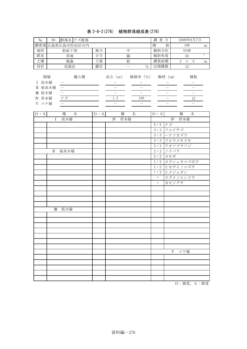# 表 2-8-2(276) 植物群落組成表(276)

| No.                                         | 66 | 群落名 クズ群落                                                                          |             |                                    |                                                                     | 調查日              |                                            | 2009年8月7日                                                                |         |
|---------------------------------------------|----|-----------------------------------------------------------------------------------|-------------|------------------------------------|---------------------------------------------------------------------|------------------|--------------------------------------------|--------------------------------------------------------------------------|---------|
|                                             |    | 調査地広島県広島市佐伯区石内                                                                    |             |                                    |                                                                     | 海                | 抜                                          | 100                                                                      | m       |
| 地形                                          |    | 斜面下部                                                                              | 風当          |                                    | 中                                                                   | 傾斜方位             |                                            | N70W                                                                     |         |
| 群系                                          |    | 草地                                                                                | 日当          |                                    | 陽                                                                   | 傾斜角度             |                                            | 50                                                                       | $\circ$ |
| 土壤                                          |    | 褐森                                                                                | 土湿          |                                    | 乾                                                                   | 調査面積             |                                            | $\overline{5}$<br>$\times$<br>3                                          | m       |
| 母岩                                          |    | 花崗岩                                                                               | 露岩          |                                    | $\equiv$<br>$\%$                                                    | 出現種数             |                                            | 12                                                                       |         |
| I 高木層<br>Ⅱ 亜高木層<br>Ⅲ 低木層<br>IV 草本層<br>V コケ層 | 階層 | 優占種<br>$\overline{\phantom{m}}$<br>$\leftarrow$<br>$\overline{\phantom{0}}$<br>クズ |             | 高さ (m)<br>$1.\,2$<br>$\frac{1}{2}$ | 植被率 (%)<br>$\equiv$<br>$\frac{1}{\sqrt{2}}$<br>$\frac{1}{2}$<br>100 |                  | 胸径 (cm)<br>$\overline{\phantom{0}}$<br>$=$ | 種数<br>$\overline{\phantom{0}}$<br>$\overline{a}$<br>12<br>$\overline{a}$ |         |
| $D \cdot S$                                 |    | 種<br>名                                                                            | $D \cdot S$ | 種                                  | 名                                                                   | $D \cdot S$      |                                            | 種<br>名                                                                   |         |
|                                             | Ι  | 高木層                                                                               |             | IV                                 | 草本層                                                                 |                  | $\mathbb{N}$                               | 草本層                                                                      |         |
|                                             |    |                                                                                   |             |                                    |                                                                     | 5・5 クズ           |                                            |                                                                          |         |
|                                             |    |                                                                                   |             |                                    |                                                                     |                  | 3・3 フユイチゴ                                  |                                                                          |         |
|                                             |    |                                                                                   |             |                                    |                                                                     |                  | 3・3 ヘクソカズラ                                 |                                                                          |         |
|                                             |    |                                                                                   |             |                                    |                                                                     | $3 \cdot 3$      |                                            | ツルウメモドキ                                                                  |         |
|                                             |    |                                                                                   |             |                                    |                                                                     | $2 \cdot 2$      |                                            | アオツヅラフジ                                                                  |         |
|                                             | Π  | 亜高木層                                                                              |             |                                    |                                                                     | $2 \cdot 2$      | ノイバラ                                       |                                                                          |         |
|                                             |    |                                                                                   |             |                                    |                                                                     | $2 \cdot 2$      | ヨモギ                                        |                                                                          |         |
|                                             |    |                                                                                   |             |                                    |                                                                     | $1 \cdot 2$      |                                            | ヨウシュヤマゴボウ                                                                |         |
|                                             |    |                                                                                   |             |                                    |                                                                     | $1 \cdot 2$      |                                            | ヒカゲイノコズチ                                                                 |         |
|                                             |    |                                                                                   |             |                                    |                                                                     | $+ \cdot 2$      | ヒメジョオン                                     |                                                                          |         |
|                                             |    |                                                                                   |             |                                    |                                                                     | $\boldsymbol{+}$ |                                            | スズメノエンドウ                                                                 |         |
|                                             |    |                                                                                   |             |                                    |                                                                     | $+$              | カモジグサ                                      |                                                                          |         |
|                                             |    |                                                                                   |             |                                    |                                                                     |                  |                                            |                                                                          |         |
|                                             |    |                                                                                   |             |                                    |                                                                     |                  |                                            |                                                                          |         |
|                                             |    |                                                                                   |             |                                    |                                                                     |                  |                                            |                                                                          |         |
|                                             |    |                                                                                   |             |                                    |                                                                     |                  |                                            |                                                                          |         |
|                                             | Ш  | 低木層                                                                               |             |                                    |                                                                     |                  |                                            |                                                                          |         |
|                                             |    |                                                                                   |             |                                    |                                                                     |                  |                                            |                                                                          |         |
|                                             |    |                                                                                   |             |                                    |                                                                     |                  |                                            |                                                                          |         |
|                                             |    |                                                                                   |             |                                    |                                                                     |                  |                                            |                                                                          |         |
|                                             |    |                                                                                   |             |                                    |                                                                     |                  |                                            |                                                                          |         |
|                                             |    |                                                                                   |             |                                    |                                                                     |                  |                                            |                                                                          |         |
|                                             |    |                                                                                   |             |                                    |                                                                     |                  |                                            |                                                                          |         |
|                                             |    |                                                                                   |             |                                    |                                                                     |                  | V                                          | コケ層                                                                      |         |
|                                             |    |                                                                                   |             |                                    |                                                                     |                  |                                            |                                                                          |         |
|                                             |    |                                                                                   |             |                                    |                                                                     |                  |                                            |                                                                          |         |
|                                             |    |                                                                                   |             |                                    |                                                                     |                  |                                            |                                                                          |         |
|                                             |    |                                                                                   |             |                                    |                                                                     |                  |                                            |                                                                          |         |
|                                             |    |                                                                                   |             |                                    |                                                                     |                  |                                            |                                                                          |         |
|                                             |    |                                                                                   |             |                                    |                                                                     |                  |                                            |                                                                          |         |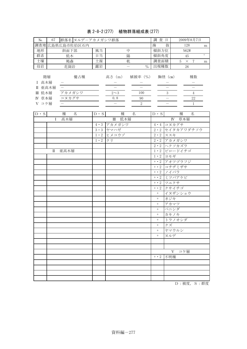# 表 2-8-2(277) 植物群落組成表(277)

| No.                                         | 67           | 群落名 ヌルデーアカメガシワ群落                                                                      |             |                        |                                                                   | 調查日                           |                       | 2009年8月7日                                                                  |         |
|---------------------------------------------|--------------|---------------------------------------------------------------------------------------|-------------|------------------------|-------------------------------------------------------------------|-------------------------------|-----------------------|----------------------------------------------------------------------------|---------|
|                                             |              | 調査地広島県広島市佐伯区石内                                                                        |             |                        |                                                                   | 海                             | 抜                     | 128                                                                        | m       |
| 地形                                          |              | 斜面下部                                                                                  | 風当          |                        | 中                                                                 | 傾斜方位                          |                       | N62W                                                                       |         |
| 群系                                          |              | 低木                                                                                    | 日当          |                        | 陽                                                                 | 傾斜角度                          |                       | 45                                                                         | $\circ$ |
| 土壤                                          |              | 褐森                                                                                    | 土湿          |                        | 乾                                                                 | 調査面積                          |                       | $5 \times 7$                                                               | m       |
| 母岩                                          |              | 花崗岩                                                                                   | 露岩          |                        | $\equiv$<br>$\%$                                                  | 出現種数                          |                       | 26                                                                         |         |
| I 高木層<br>Ⅱ 亜高木層<br>Ⅲ 低木層<br>IV 草本層<br>V コケ層 | 階層           | 優占種<br>$\overline{\phantom{0}}$<br>アカメガシワ<br>コヌカグサ<br>$\hspace{0.1mm}-\hspace{0.1mm}$ |             | $2\sim3$<br>0.8<br>$=$ | 高さ (m) 植被率 (%) 胸径 (cm)<br>$\equiv$<br>100<br>90<br>$\overline{2}$ |                               | $\frac{3}{-}$         | 種数<br>$\overline{\phantom{0}}$<br>$\overline{4}$<br>$22\,$<br>$\mathbf{1}$ |         |
| $D \cdot S$                                 |              | 種 名                                                                                   | $D \cdot S$ | 種                      | 名                                                                 | $\mathbf{D} \cdot \mathbf{S}$ |                       | 種<br>名                                                                     |         |
|                                             | $\mathbf{I}$ | 高木層                                                                                   |             | Ⅲ 低木層                  |                                                                   |                               |                       | IV 草本層                                                                     |         |
|                                             |              |                                                                                       |             | 4・3 アカメガシワ             |                                                                   |                               | 4・4 コヌカグサ             |                                                                            |         |
|                                             |              |                                                                                       |             | 3・3 ヤマハゼ               |                                                                   |                               |                       | 2・2 セイタカアワダチソウ                                                             |         |
|                                             |              |                                                                                       |             | 1・2 ヒメコウゾ              |                                                                   | $2 \cdot 2$                   | ススキ                   |                                                                            |         |
|                                             |              |                                                                                       | $1 \cdot 2$ | クリ                     |                                                                   |                               | 2・2 アカメガシワ            |                                                                            |         |
|                                             | П            | 亜高木層                                                                                  |             |                        |                                                                   | $1 \cdot 2$                   | 2・2 ヘクソカズラ<br>ビロードイチゴ |                                                                            |         |
|                                             |              |                                                                                       |             |                        |                                                                   |                               | $1 \cdot 2$ ヨモギ       |                                                                            |         |
|                                             |              |                                                                                       |             |                        |                                                                   |                               | +・2 アオツヅラフジ           |                                                                            |         |
|                                             |              |                                                                                       |             |                        |                                                                   |                               | + · 2 コチヂミザサ          |                                                                            |         |
|                                             |              |                                                                                       |             |                        |                                                                   | $+ \cdot 2$                   | ノイバラ                  |                                                                            |         |
|                                             |              |                                                                                       |             |                        |                                                                   | $+ \cdot 2$                   | ミツバアケビ                |                                                                            |         |
|                                             |              |                                                                                       |             |                        |                                                                   | $+ \cdot 2$                   | ツユクサ                  |                                                                            |         |
|                                             |              |                                                                                       |             |                        |                                                                   | $+ \cdot 2$                   | クサイチゴ                 |                                                                            |         |
|                                             |              |                                                                                       |             |                        |                                                                   | $^{+}$                        | イヌザンショウ               |                                                                            |         |
|                                             |              |                                                                                       |             |                        |                                                                   | $^{+}$                        | ネジキ                   |                                                                            |         |
|                                             |              |                                                                                       |             |                        |                                                                   | $\! + \!$                     | アカマツ                  |                                                                            |         |
|                                             |              |                                                                                       |             |                        |                                                                   | $\! +$                        | ベニシダ                  |                                                                            |         |
|                                             |              |                                                                                       |             |                        |                                                                   | $+$                           | カキノキ                  |                                                                            |         |
|                                             |              |                                                                                       |             |                        |                                                                   | $\qquad \qquad +$             | トラノオシダ                |                                                                            |         |
|                                             |              |                                                                                       |             |                        |                                                                   | $^{+}$                        | クズ                    |                                                                            |         |
|                                             |              |                                                                                       |             |                        |                                                                   | $^{+}$                        | ヤマウルシ                 |                                                                            |         |
|                                             |              |                                                                                       |             |                        |                                                                   | $^{+}$                        | ヌルデ                   |                                                                            |         |
|                                             |              |                                                                                       |             |                        |                                                                   |                               |                       |                                                                            |         |
|                                             |              |                                                                                       |             |                        |                                                                   |                               |                       |                                                                            |         |
|                                             |              |                                                                                       |             |                        |                                                                   |                               |                       | V コケ層                                                                      |         |
|                                             |              |                                                                                       |             |                        |                                                                   | $+ \cdot 2$                   | 不明種                   |                                                                            |         |
|                                             |              |                                                                                       |             |                        |                                                                   |                               |                       |                                                                            |         |
|                                             |              |                                                                                       |             |                        |                                                                   |                               |                       |                                                                            |         |
|                                             |              |                                                                                       |             |                        |                                                                   |                               |                       |                                                                            |         |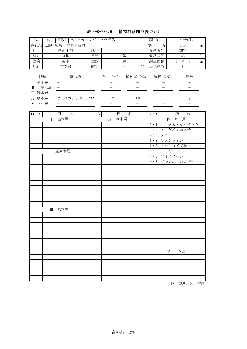# 表 2-8-2(278) 植物群落組成表(278)

| N <sub>o</sub>                             | 68         | 群落名 セイタカアワダチソウ群落  | 査<br>調<br>日 |               | 2009年8月7日      |         |      |                 |         |
|--------------------------------------------|------------|-------------------|-------------|---------------|----------------|---------|------|-----------------|---------|
|                                            |            | 調査地 広島県広島市佐伯区石内   | 海<br>抜      |               | 145            | m       |      |                 |         |
| 地形                                         |            | 斜面上部              | 風当          |               | 傾斜方位           |         | S55E |                 |         |
| 群系                                         |            | 草地                | 日当          |               | 陽              | 傾斜角度    |      | 45              | $\circ$ |
| 土壤                                         | 褐森<br>土湿   |                   |             |               | 適              | 調査面積    | 3    | - 3<br>$\times$ | m       |
| 母岩                                         |            | 花崗岩               | 露岩          |               | $\frac{0}{0}$  | 出現種数    |      | 8               |         |
| 高木層<br>Π<br>低木層<br>Ш<br>草本層<br>IV<br>V コケ層 | 階層<br>亜高木層 | 優占種<br>セイタカアワダチソウ |             | 高さ (m)<br>1.2 | 植被率 (%)<br>100 | 胸径 (cm) |      | 種数<br>8         |         |

| $D \cdot S$ | 種 名    | $\overline{D \cdot S}$ | 種 名    | $D \cdot S$    | 種 名             |
|-------------|--------|------------------------|--------|----------------|-----------------|
|             | I 高木層  |                        | IV 草本層 |                | IV 草本層          |
|             |        |                        |        |                | 5・4 セイタカアワダチソウ  |
|             |        |                        |        |                | 3・3 ヒカゲイノコズチ    |
|             |        |                        |        | $2 \cdot 2$ クズ |                 |
|             |        |                        |        |                | 1・2 ヒメジョオン      |
|             |        |                        |        |                | 1・2 メマツヨイグサ     |
|             | Ⅱ 亜高木層 |                        |        |                | $+ \cdot 2$ ヨモギ |
|             |        |                        |        |                | +・2 アキノノゲシ      |
|             |        |                        |        |                | +・2 アキノエノコログサ   |
|             |        |                        |        |                |                 |
|             |        |                        |        |                |                 |
|             |        |                        |        |                |                 |
|             |        |                        |        |                |                 |
|             |        |                        |        |                |                 |
|             |        |                        |        |                |                 |
|             |        |                        |        |                |                 |
|             |        |                        |        |                |                 |
|             | Ⅲ 低木層  |                        |        |                |                 |
|             |        |                        |        |                |                 |
|             |        |                        |        |                |                 |
|             |        |                        |        |                |                 |
|             |        |                        |        |                |                 |
|             |        |                        |        |                |                 |
|             |        |                        |        |                |                 |
|             |        |                        |        |                |                 |
|             |        |                        |        |                | V コケ層           |
|             |        |                        |        |                |                 |
|             |        |                        |        |                |                 |
|             |        |                        |        |                |                 |
|             |        |                        |        |                |                 |
|             |        |                        |        |                |                 |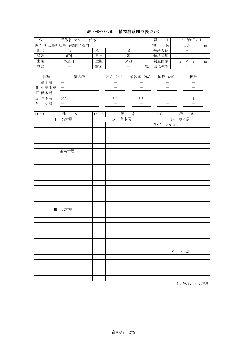## 表 2-8-2(279) 植物群落組成表(279)

| $\rm No.$                                   | 69                                    |                                              | 群落名 ツルヨシ群落      |                               |                                                                       |                                                            | 調査日                                          |                                       |            | 2009年8月7日                                                           |           |
|---------------------------------------------|---------------------------------------|----------------------------------------------|-----------------|-------------------------------|-----------------------------------------------------------------------|------------------------------------------------------------|----------------------------------------------|---------------------------------------|------------|---------------------------------------------------------------------|-----------|
|                                             |                                       |                                              | 調査地 広島県広島市佐伯区石内 |                               |                                                                       |                                                            | 海                                            | 抜                                     |            | 140                                                                 | ${\rm m}$ |
| 地形                                          |                                       | 谷                                            |                 | 風当                            |                                                                       | 弱                                                          | 傾斜方位                                         |                                       |            | $\overline{\phantom{0}}$                                            |           |
| 群系                                          |                                       | 河中                                           |                 | 日当                            |                                                                       | 陽                                                          | 傾斜角度                                         |                                       |            | $\equiv$                                                            | $\circ$   |
| 土壤                                          |                                       | 水面下                                          |                 | 土湿                            |                                                                       | 過湿                                                         | 調査面積                                         |                                       | $\sqrt{2}$ | $\overline{2}$<br>$\times$                                          | m         |
| 母岩                                          |                                       | $\overline{\phantom{0}}$                     |                 | 露岩                            |                                                                       | $=$<br>$\%$                                                | 出現種数                                         |                                       |            | $\,1$                                                               |           |
| I 高木層<br>Ⅱ 亜高木層<br>Ⅲ 低木層<br>IV 草本層<br>V コケ層 | 階層                                    | $\overline{\phantom{m}}$<br>$\equiv$<br>ツルヨシ | 優占種             |                               | 高さ (m)<br>$\overline{\phantom{0}}$<br>$\overline{\phantom{0}}$<br>1.2 | 植被率 (%)<br>$\overline{\phantom{0}}$<br>$\mathbb{E}$<br>100 |                                              | 胸径 (cm)<br>$\overline{a}$<br>$\equiv$ |            | 種数<br>$\overline{\phantom{0}}$<br>$\overline{\phantom{0}}$<br>$1\,$ |           |
| $\mathbf{D} \cdot \mathbf{S}$               |                                       | 種                                            | 名               | $\mathbf{D} \cdot \mathbf{S}$ | 種                                                                     | 名                                                          | $\mathbf{D}\ \boldsymbol{\cdot}\ \mathbf{S}$ |                                       | 種          | 名                                                                   |           |
|                                             | I                                     | 高木層                                          |                 |                               | 草本層<br>IV                                                             |                                                            |                                              |                                       | IV 草本層     |                                                                     |           |
|                                             |                                       |                                              |                 |                               |                                                                       |                                                            |                                              | 5・5 ツルヨシ                              |            |                                                                     |           |
|                                             |                                       |                                              |                 |                               |                                                                       |                                                            |                                              |                                       |            |                                                                     |           |
|                                             |                                       |                                              |                 |                               |                                                                       |                                                            |                                              |                                       |            |                                                                     |           |
|                                             |                                       |                                              |                 |                               |                                                                       |                                                            |                                              |                                       |            |                                                                     |           |
|                                             |                                       |                                              |                 |                               |                                                                       |                                                            |                                              |                                       |            |                                                                     |           |
|                                             | П                                     | 亜高木層                                         |                 |                               |                                                                       |                                                            |                                              |                                       |            |                                                                     |           |
|                                             |                                       |                                              |                 |                               |                                                                       |                                                            |                                              |                                       |            |                                                                     |           |
|                                             |                                       |                                              |                 |                               |                                                                       |                                                            |                                              |                                       |            |                                                                     |           |
|                                             |                                       |                                              |                 |                               |                                                                       |                                                            |                                              |                                       |            |                                                                     |           |
|                                             |                                       |                                              |                 |                               |                                                                       |                                                            |                                              |                                       |            |                                                                     |           |
|                                             |                                       |                                              |                 |                               |                                                                       |                                                            |                                              |                                       |            |                                                                     |           |
|                                             |                                       |                                              |                 |                               |                                                                       |                                                            |                                              |                                       |            |                                                                     |           |
|                                             |                                       |                                              |                 |                               |                                                                       |                                                            |                                              |                                       |            |                                                                     |           |
|                                             |                                       |                                              |                 |                               |                                                                       |                                                            |                                              |                                       |            |                                                                     |           |
|                                             |                                       |                                              |                 |                               |                                                                       |                                                            |                                              |                                       |            |                                                                     |           |
|                                             | $\rm I\hspace{-.1em}I\hspace{-.1em}I$ | 低木層                                          |                 |                               |                                                                       |                                                            |                                              |                                       |            |                                                                     |           |
|                                             |                                       |                                              |                 |                               |                                                                       |                                                            |                                              |                                       |            |                                                                     |           |
|                                             |                                       |                                              |                 |                               |                                                                       |                                                            |                                              |                                       |            |                                                                     |           |
|                                             |                                       |                                              |                 |                               |                                                                       |                                                            |                                              |                                       |            |                                                                     |           |
|                                             |                                       |                                              |                 |                               |                                                                       |                                                            |                                              |                                       |            |                                                                     |           |
|                                             |                                       |                                              |                 |                               |                                                                       |                                                            |                                              |                                       |            |                                                                     |           |
|                                             |                                       |                                              |                 |                               |                                                                       |                                                            |                                              |                                       |            |                                                                     |           |
|                                             |                                       |                                              |                 |                               |                                                                       |                                                            |                                              | $\rm V$                               | コケ層        |                                                                     |           |
|                                             |                                       |                                              |                 |                               |                                                                       |                                                            |                                              |                                       |            |                                                                     |           |
|                                             |                                       |                                              |                 |                               |                                                                       |                                                            |                                              |                                       |            |                                                                     |           |
|                                             |                                       |                                              |                 |                               |                                                                       |                                                            |                                              |                                       |            |                                                                     |           |
|                                             |                                       |                                              |                 |                               |                                                                       |                                                            |                                              |                                       |            |                                                                     |           |
|                                             |                                       |                                              |                 |                               |                                                                       |                                                            |                                              |                                       |            |                                                                     |           |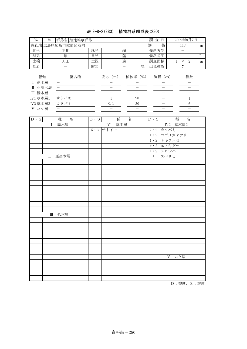### 表 2-8-2(280) 植物群落組成表(280)

| No.             | 70         | 群落名 畑地雑草群落      | 査<br>調<br>日 |        | 2009年8月7日     |         |  |          |         |   |
|-----------------|------------|-----------------|-------------|--------|---------------|---------|--|----------|---------|---|
|                 |            | 調査地 広島県広島市佐伯区石内 |             | 海      | 抜             | 118     |  | m        |         |   |
| 地形              |            | 平地              | 風当          |        | 弱             | 傾斜方位    |  |          |         |   |
| 群系              |            | 畑               | 日当          |        | 傾斜角度          |         |  |          | $\circ$ |   |
| 土壤              |            | 人工              | 土湿          |        | 適             | 調査面積    |  | $\times$ | 2       | m |
| 母岩              |            |                 | 露岩          |        | $\frac{0}{0}$ | 出現種数    |  | 7        |         |   |
| 高木層<br>Π        | 階層<br>亜高木層 | 優占種             |             | 高さ (m) | 植被率 (%)       | 胸径 (cm) |  |          | 種数      |   |
| Ⅲ 低木層           |            |                 |             |        |               |         |  |          |         |   |
| <b>IV1 草本層1</b> |            | サトイモ            |             |        | 90            |         |  |          |         |   |
| <b>IV2 草本層2</b> |            | カタバミ            |             | 0.1    | 30            |         |  |          | 6       |   |
| V コケ層           |            |                 |             |        |               |         |  |          |         |   |

| $D \cdot S$ | 名<br>種  | 種<br>$D \cdot S$<br>名 | $D \cdot S$ | 種 名             |
|-------------|---------|-----------------------|-------------|-----------------|
|             | I 高木層   | $IV1$ 草本層1            |             | <b>IV2 草本層2</b> |
|             |         | $5.3$ サトイモ            |             | 2・2 カタバミ        |
|             |         |                       |             | 1・2 コゴメガヤツリ     |
|             |         |                       |             | 1・2 トキワハゼ       |
|             |         |                       |             | +・2 エノキグサ       |
|             |         |                       |             | +・2 メヒシバ        |
|             | II 亜高木層 |                       | $\pm$       | スベリヒユ           |
|             |         |                       |             |                 |
|             |         |                       |             |                 |
|             |         |                       |             |                 |
|             |         |                       |             |                 |
|             |         |                       |             |                 |
|             |         |                       |             |                 |
|             |         |                       |             |                 |
|             |         |                       |             |                 |
|             |         |                       |             |                 |
|             |         |                       |             |                 |
|             | Ⅲ 低木層   |                       |             |                 |
|             |         |                       |             |                 |
|             |         |                       |             |                 |
|             |         |                       |             |                 |
|             |         |                       |             |                 |
|             |         |                       |             |                 |
|             |         |                       |             |                 |
|             |         |                       |             |                 |
|             |         |                       |             | V コケ層           |
|             |         |                       |             |                 |
|             |         |                       |             |                 |
|             |         |                       |             |                 |
|             |         |                       |             |                 |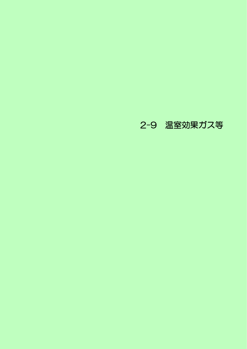# 2-9 温室効果ガス等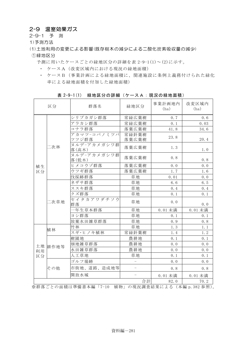## 2-9 温室効果ガス

2-9-1 予 測

1)予測方法

- (1)土地利用の変更による影響(既存樹木の減少による二酸化炭素吸収量の減少)
- ①緑地区分

予測に用いたケースごとの緑地区分の詳細を表 2-9-1(1)~(2)に示す。

- ・ ケースA(改変区域内における現況の緑地面積)
- ・ ケースB(事業計画による緑地面積に、関連施設に条例上義務付けられた緑化 率による緑地面積を付加した緑地面積)

|                                         | 区分   | 群落名                  | 緑地区分              | 事業計画地内<br>(ha) | 改変区域内<br>(ha)                          |
|-----------------------------------------|------|----------------------|-------------------|----------------|----------------------------------------|
|                                         |      | シリブカガシ群落             | 常緑広葉樹             | 0.7            | 0.6                                    |
|                                         |      | アラカシ群落               | 常緑広葉樹             | 0.1            | 0.03                                   |
|                                         |      | コナラ群落                | 落葉広葉樹             | 41.8           | 34.6                                   |
|                                         |      | アカマツ-コバノミツバ<br>ツツジ群落 | 常緑針葉樹<br>落葉広葉樹    | 23.8           | 20.4                                   |
|                                         | 二次林  | ヌルデーアカメガシワ群<br>落(高木) | 落葉広葉樹             | 1.3            | 1.0                                    |
|                                         |      | ヌルデーアカメガシワ群<br>落(低木) | 落葉広葉樹             | 0.8            | 0.8                                    |
| 植生                                      |      | ヒメコウゾ群落              | 落葉広葉樹             | 0.0            | 0.0                                    |
| 区分                                      |      | ウツギ群落                | 落葉広葉樹             | 1.7            | 1.6                                    |
|                                         |      | 伐採跡群落                | 草地                | 0.01           | 0.0                                    |
|                                         |      | ネザサ群落                | 草地                | 6.6            | 6.5                                    |
|                                         |      | ススキ群落                | 草地                | 0.4            | 0.4                                    |
|                                         | 二次草地 | クズ群落                 | 草地                | 0.1            | 0.1                                    |
|                                         |      | セイタカアワダチソウ<br>群落     | 草地                | 0.0            | 0.0                                    |
|                                         |      | 一年生草本群落              | 草地                | $0.01$ 未満      | $0.01$ 未満                              |
|                                         |      | ヨシ群落                 | 草地                | 0.1            | 0.1                                    |
|                                         |      | 放棄水田雑草群落             | 草地                | 0.9            | 0.8                                    |
|                                         | 植林   | 竹林                   | 草地                | 1.3            | 1.1                                    |
|                                         |      | スギ・ヒノキ植林             | 常緑針葉樹             | 1.4            | 1.2                                    |
|                                         |      | 樹園地                  | 農耕地               | 0.1            | 0.1                                    |
| 土地                                      | 耕作地等 | 畑地雑草群落               | 農耕地               | 0.0            | 0.0                                    |
| 利用                                      |      | 水田雑草群落               | 農耕地               | 0.0            | 0.0                                    |
| 区分                                      |      | 人工草地                 | 草地                | 0.1            | 0.1                                    |
|                                         |      | ゴルフ場跡                |                   | 0.0            | 0.0                                    |
|                                         | その他  | 市街地、道路、造成地等          | $\qquad \qquad -$ | 0.8            | 0.8                                    |
|                                         |      | 開放水域                 | $\qquad \qquad -$ | $0.01$ 未満      | $0.01$ 未満                              |
| ۱ ف— <del>بل</del> ه ۱۸ <del>۰۰</del> ب |      | $L \rightarrow L$    | 合計                | 82.0           | 70.2<br>$\sim$ $\Delta$ $\overline{B}$ |

表 2-9-1(1) 緑地区分の詳細(ケースA:現況の緑地面積)

※群落ごとの面積は準備書本編「7-10 植物」の現況調査結果による(本編 p.382 参照)。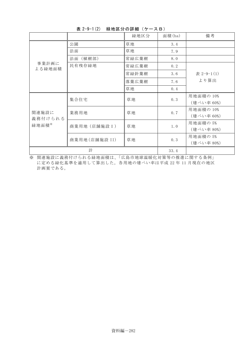|                 |                | 緑地区分  | 面積(ha) | 備考         |
|-----------------|----------------|-------|--------|------------|
|                 | 公園             | 草地    | 3.4    |            |
|                 | 法面             | 草地    | 7.9    |            |
|                 | 法面<br>(植樹部)    | 常緑広葉樹 | 8.0    |            |
| 事業計画に<br>よる緑地面積 | 民有残存緑地         | 常緑広葉樹 | 0.2    |            |
|                 |                | 常緑針葉樹 | 3.6    | 表 2-9-1(1) |
|                 |                | 落葉広葉樹 | 7.6    | より算出       |
|                 |                | 草地    | 0.4    |            |
|                 | 集合住宅           | 草地    | 0.3    | 用地面積の 10%  |
|                 |                |       |        | (建ぺい率 60%) |
| 関連施設に           | 業務用地           | 草地    | 0.7    | 用地面積の 10%  |
| 義務付けられる         |                |       |        | (建ぺい率 60%) |
| 緑地面積*           | 商業用地 (店舗施設 I)  | 草地    | 1.0    | 用地面積の 5%   |
|                 |                |       |        | (建ぺい率 80%) |
|                 |                |       |        | 用地面積の 5%   |
|                 | 商業用地 (店舗施設 II) | 草地    | 0.3    | (建ぺい率 80%) |
|                 | 計              |       | 33.4   |            |

表 2-9-1(2) 緑地区分の詳細(ケースB)

※ 関連施設に義務付けられる緑地面積は、「広島市地球温暖化対策等の推進に関する条例」 に定める緑化基準を適用して算出した。各用地の建ぺい率は平成 22 年 11 月現在の地区 計画案である。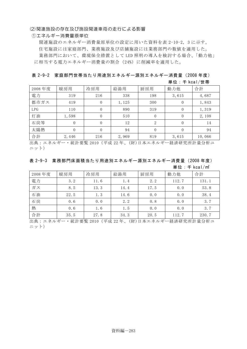(2)関連施設の存在及び施設関連車両の走行による影響

#### ①エネルギー消費量原単位

関連施設のエネルギー消費量原単位の設定に用いた資料を表 2-10-2,3 に示す。 住宅施設には家庭部門、業務施設及び店舗施設には業務部門の数値を適用した。 業務部門において、環境保全措置として LED 照明の導入を検討する場合、「動力他」 に相当する電力エネルギー消費量の割合(24%)に削減率を適用した。

表 2-9-2 家庭部門世帯当たり用途別エネルギー源別エネルギー消費量(2008 年度)

|  |  |  |  | 単位: 千 kcal/世帯 |
|--|--|--|--|---------------|
|--|--|--|--|---------------|

| 2008年度 | 暖房用      | 冷房用      | 給湯用   | 厨房用 | 動力他              | 合計     |
|--------|----------|----------|-------|-----|------------------|--------|
| 電力     | 319      | 216      | 338   | 198 | 3,615            | 4,687  |
| 都市ガス   | 419      | 0        | 1,125 | 300 | $\theta$         | 1,843  |
| LPG    | 110      | 0        | 890   | 319 | 0                | 1,319  |
| 灯油     | 1,598    | $\theta$ | 510   |     | $\theta$         | 2,108  |
| 石炭等    | $\theta$ | $\theta$ | 12    | 2   | 0                | 14     |
| 太陽熱    | 0        | $\Omega$ | 94    |     | $\left( \right)$ | 94     |
| 合計     | 2,446    | 216      | 2,969 | 819 | 3,615            | 10,066 |

出典:エネルギー・統計要覧 2010(平成 22 年、(財)日本エネルギー経済研究所計量分析ユ ニット)

#### 表 2-9-3 業務部門床面積当たり用途別エネルギー源別エネルギー消費量(2008 年度)

単位:千 kcal/㎡

| 2008年度 | 暖房用  | 冷房用  | 給湯用  | 厨房用  | 動力他   | 合計    |
|--------|------|------|------|------|-------|-------|
| 電力     | 3.2  | 11.6 | 1.4  | 2.2  | 112.7 | 131.1 |
| ガス     | 8.5  | 13.3 | 14.4 | 17.5 | 0.0   | 53.8  |
| 石油     | 22.5 | 1.3  | 14.6 | 0.0  | 0.0   | 38.4  |
| 石炭     | 0.6  | 0.0  | 2.2  | 0.8  | 0.0   | 3.7   |
| 熱      | 0.6  | 1.6  | 1.5  | 0.0  | 0.0   | 3.7   |
| 合計     | 35.5 | 27.8 | 34.3 | 20.5 | 112.7 | 230.7 |

出典:エネルギー・統計要覧 2010(平成 22 年、(財)日本エネルギー経済研究所計量分析ユ ニット)